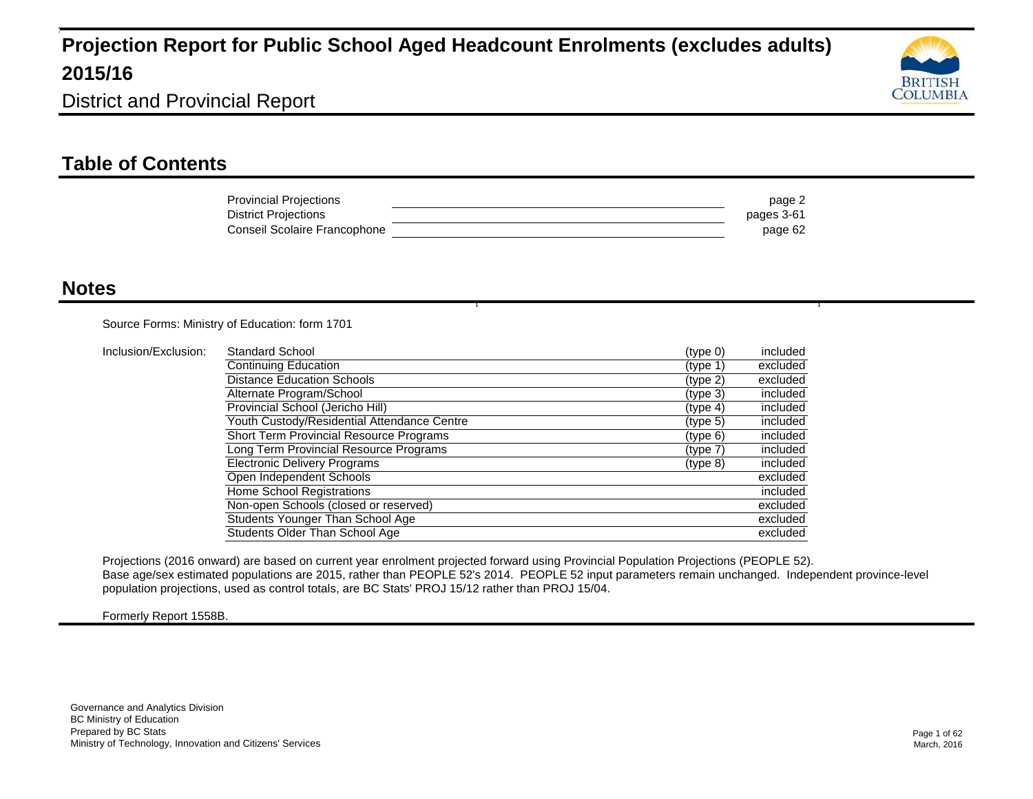

District and Provincial Report

#### **Table of Contents**

| <b>Provincial Projections</b> | page 2     |
|-------------------------------|------------|
| <b>District Projections</b>   | pages 3-61 |
| Conseil Scolaire Francophone  | page 62    |

1  $\blacksquare$ 

#### **Notes**

Source Forms: Ministry of Education: form 1701

| Inclusion/Exclusion: | <b>Standard School</b>                         | (type 0) | included |
|----------------------|------------------------------------------------|----------|----------|
|                      | Continuing Education                           | (type 1) | excluded |
|                      | <b>Distance Education Schools</b>              | (type 2) | excluded |
|                      | Alternate Program/School                       | (type 3) | included |
|                      | Provincial School (Jericho Hill)               | (type 4) | included |
|                      | Youth Custody/Residential Attendance Centre    | (type 5) | included |
|                      | <b>Short Term Provincial Resource Programs</b> | (type 6) | included |
|                      | Long Term Provincial Resource Programs         | (type 7) | included |
|                      | <b>Electronic Delivery Programs</b>            | (type 8) | included |
|                      | Open Independent Schools                       |          | excluded |
|                      | Home School Registrations                      |          | included |
|                      | Non-open Schools (closed or reserved)          |          | excluded |
|                      | Students Younger Than School Age               |          | excluded |
|                      | Students Older Than School Age                 |          | excluded |

Projections (2016 onward) are based on current year enrolment projected forward using Provincial Population Projections (PEOPLE 52). Base age/sex estimated populations are 2015, rather than PEOPLE 52's 2014. PEOPLE 52 input parameters remain unchanged. Independent province-level population projections, used as control totals, are BC Stats' PROJ 15/12 rather than PROJ 15/04.

Formerly Report 1558B.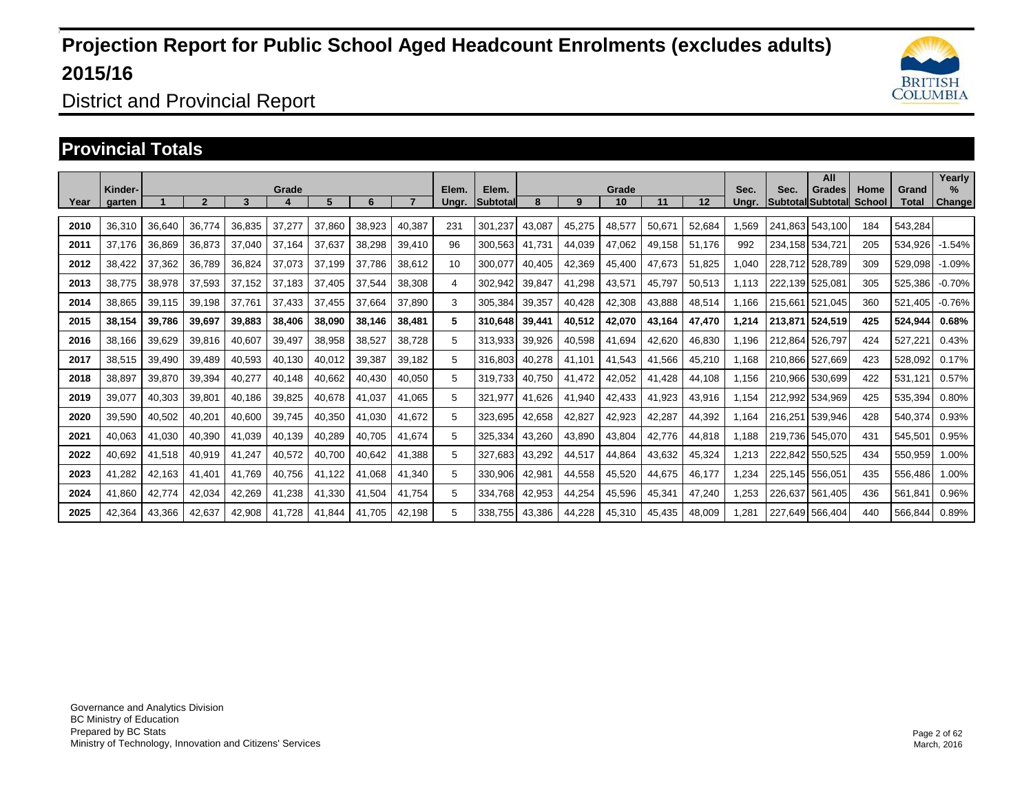

District and Provincial Report

### **Provincial Totals**

|      | Kinder- |        |        |        | Grade  |        |        |        | Elem. | Elem.           |        |        | Grade  |        |        | Sec.  | Sec.    | All<br>Grades     | Home          | Grand   | Yearly<br>$\%$ |
|------|---------|--------|--------|--------|--------|--------|--------|--------|-------|-----------------|--------|--------|--------|--------|--------|-------|---------|-------------------|---------------|---------|----------------|
| Year | garten  |        | 2      | 3      |        | 5.     | 6      |        | Ungr. | <b>Subtotal</b> | 8      | 9      | 10     | 11     | 12     | Unar. |         | Subtotal Subtotal | <b>School</b> | Total   | <b>Change</b>  |
| 2010 | 36.310  | 36,640 | 36.774 | 36.835 | 37,277 | 37,860 | 38,923 | 40,387 | 231   | 301,237         | 43.087 | 45,275 | 48,577 | 50.671 | 52,684 | .569  | 241.863 | 543.100           | 184           | 543.284 |                |
| 2011 | 37.176  | 36.869 | 36,873 | 37.040 | 37.164 | 37,637 | 38,298 | 39,410 | 96    | 300.563         | 41.731 | 44.039 | 47.062 | 49.158 | 51.176 | 992   |         | 234.158 534.721   | 205           | 534.926 | $-1.54%$       |
| 2012 | 38,422  | 37,362 | 36,789 | 36,824 | 37,073 | 37.199 | 37,786 | 38,612 | 10    | 300,077         | 40,405 | 42,369 | 45,400 | 47,673 | 51,825 | 1,040 | 228,712 | 528.789           | 309           | 529,098 | $-1.09%$       |
| 2013 | 38.775  | 38,978 | 37,593 | 37.152 | 37.183 | 37.405 | 37,544 | 38,308 | 4     | 302,942         | 39,847 | 41,298 | 43,571 | 45.797 | 50,513 | 1.113 | 222.139 | 525.081           | 305           | 525,386 | $-0.70%$       |
| 2014 | 38,865  | 39,115 | 39,198 | 37.761 | 37,433 | 37,455 | 37,664 | 37,890 | 3     | 305,384         | 39,357 | 40,428 | 42,308 | 43,888 | 48,514 | 1.166 | 215,661 | 521,045           | 360           | 521,405 | $-0.76%$       |
| 2015 | 38.154  | 39.786 | 39,697 | 39,883 | 38,406 | 38,090 | 38.146 | 38,481 | 5     | 310.648         | 39,441 | 40,512 | 42,070 | 43.164 | 47,470 | 1,214 | 213,871 | 524.519           | 425           | 524,944 | 0.68%          |
| 2016 | 38,166  | 39,629 | 39,816 | 40,607 | 39,497 | 38,958 | 38,527 | 38,728 | 5     | 313,933         | 39,926 | 40,598 | 41,694 | 42,620 | 46,830 | 1,196 | 212.864 | 526,797           | 424           | 527,221 | 0.43%          |
| 2017 | 38,515  | 39,490 | 39,489 | 40,593 | 40,130 | 40,012 | 39,387 | 39,182 | 5     | 316.803         | 40,278 | 41.101 | 41,543 | 41.566 | 45,210 | 1.168 | 210.866 | 527.669           | 423           | 528,092 | 0.17%          |
| 2018 | 38,897  | 39,870 | 39,394 | 40,277 | 40,148 | 40,662 | 40,430 | 40,050 | 5     | 319,733         | 40,750 | 41,472 | 42,052 | 41,428 | 44,108 | 1,156 | 210,966 | 530,699           | 422           | 531,121 | 0.57%          |
| 2019 | 39,077  | 40,303 | 39,801 | 40,186 | 39,825 | 40,678 | 41,037 | 41,065 | 5     | 321.977         | 41,626 | 41,940 | 42,433 | 41,923 | 43,916 | 1.154 | 212.992 | 534.969           | 425           | 535,394 | 0.80%          |
| 2020 | 39,590  | 40,502 | 40,201 | 40,600 | 39,745 | 40,350 | 41,030 | 41,672 | 5     | 323,695         | 42,658 | 42,827 | 42,923 | 42,287 | 44,392 | 1.164 | 216,251 | 539,946           | 428           | 540,374 | 0.93%          |
| 2021 | 40,063  | 41,030 | 40,390 | 41,039 | 40,139 | 40,289 | 40,705 | 41,674 | 5     | 325,334         | 43,260 | 43,890 | 43,804 | 42,776 | 44,818 | 1.188 | 219,736 | 545,070           | 431           | 545,501 | 0.95%          |
| 2022 | 40,692  | 41,518 | 40,919 | 41,247 | 40,572 | 40,700 | 40,642 | 41,388 | 5     | 327,683         | 43,292 | 44,517 | 44,864 | 43,632 | 45,324 | 1,213 | 222.842 | 550,525           | 434           | 550,959 | 1.00%          |
| 2023 | 41,282  | 42,163 | 41,401 | 41,769 | 40,756 | 41,122 | 41,068 | 41,340 | 5     | 330,906         | 42,981 | 44,558 | 45,520 | 44,675 | 46,177 | 1,234 | 225,145 | 556,051           | 435           | 556,486 | 1.00%          |
| 2024 | 41,860  | 42,774 | 42,034 | 42,269 | 41,238 | 41,330 | 41,504 | 41.754 | 5     | 334.768         | 42,953 | 44,254 | 45,596 | 45,341 | 47,240 | 1,253 | 226.637 | 561,405           | 436           | 561,841 | 0.96%          |
| 2025 | 42,364  | 43,366 | 42,637 | 42,908 | 41,728 | 41,844 | 41,705 | 42,198 | 5     | 338,755         | 43,386 | 44,228 | 45,310 | 45,435 | 48,009 | .281  | 227,649 | 566,404           | 440           | 566,844 | 0.89%          |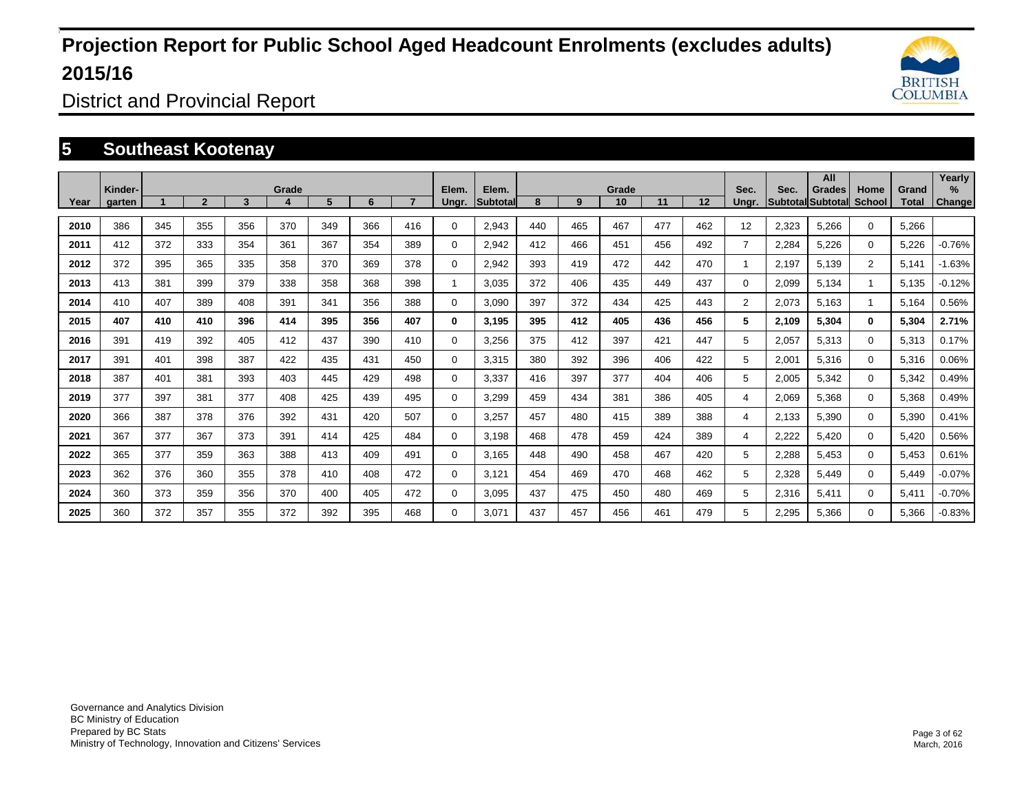

District and Provincial Report

### **5 Southeast Kootenay**

|      | Kinder- |     |                |     | Grade |     |     |     | Elem.       | Elem.           |     |              | Grade |     |     | Sec.                    | Sec.  | All<br>Grades            | Home                 | Grand | Yearly<br>%   |
|------|---------|-----|----------------|-----|-------|-----|-----|-----|-------------|-----------------|-----|--------------|-------|-----|-----|-------------------------|-------|--------------------------|----------------------|-------|---------------|
| Year | garten  |     | $\overline{2}$ | 3   | 4     | 5   | 6   |     | Ungr.       | <b>Subtotal</b> | 8   | $\mathbf{Q}$ | 10    | 11  | 12  | Unar.                   |       | <b>Subtotal Subtotal</b> | <b>School</b>        | Total | <b>Change</b> |
| 2010 | 386     | 345 | 355            | 356 | 370   | 349 | 366 | 416 | $\Omega$    | 2,943           | 440 | 465          | 467   | 477 | 462 | 12                      | 2,323 | 5,266                    | $\Omega$             | 5,266 |               |
| 2011 | 412     | 372 | 333            | 354 | 361   | 367 | 354 | 389 | 0           | 2,942           | 412 | 466          | 451   | 456 | 492 | $\overline{7}$          | 2,284 | 5,226                    | $\mathbf 0$          | 5,226 | $-0.76%$      |
| 2012 | 372     | 395 | 365            | 335 | 358   | 370 | 369 | 378 | 0           | 2,942           | 393 | 419          | 472   | 442 | 470 | $\overline{\mathbf{1}}$ | 2,197 | 5,139                    | $\overline{2}$       | 5,141 | $-1.63%$      |
| 2013 | 413     | 381 | 399            | 379 | 338   | 358 | 368 | 398 | 1           | 3.035           | 372 | 406          | 435   | 449 | 437 | 0                       | 2,099 | 5,134                    | $\blacktriangleleft$ | 5,135 | $-0.12%$      |
| 2014 | 410     | 407 | 389            | 408 | 391   | 341 | 356 | 388 | $\Omega$    | 3,090           | 397 | 372          | 434   | 425 | 443 | $\overline{2}$          | 2,073 | 5,163                    | $\mathbf{1}$         | 5,164 | 0.56%         |
| 2015 | 407     | 410 | 410            | 396 | 414   | 395 | 356 | 407 | $\bf{0}$    | 3,195           | 395 | 412          | 405   | 436 | 456 | 5                       | 2,109 | 5,304                    | $\mathbf{0}$         | 5,304 | 2.71%         |
| 2016 | 391     | 419 | 392            | 405 | 412   | 437 | 390 | 410 | $\mathbf 0$ | 3,256           | 375 | 412          | 397   | 421 | 447 | 5                       | 2,057 | 5,313                    | $\Omega$             | 5,313 | 0.17%         |
| 2017 | 391     | 401 | 398            | 387 | 422   | 435 | 431 | 450 | $\mathbf 0$ | 3,315           | 380 | 392          | 396   | 406 | 422 | 5                       | 2,001 | 5,316                    | $\mathbf 0$          | 5,316 | 0.06%         |
| 2018 | 387     | 401 | 381            | 393 | 403   | 445 | 429 | 498 | 0           | 3,337           | 416 | 397          | 377   | 404 | 406 | 5                       | 2,005 | 5,342                    | $\Omega$             | 5,342 | 0.49%         |
| 2019 | 377     | 397 | 381            | 377 | 408   | 425 | 439 | 495 | $\mathbf 0$ | 3.299           | 459 | 434          | 381   | 386 | 405 | 4                       | 2,069 | 5,368                    | $\mathbf 0$          | 5,368 | 0.49%         |
| 2020 | 366     | 387 | 378            | 376 | 392   | 431 | 420 | 507 | $\mathbf 0$ | 3,257           | 457 | 480          | 415   | 389 | 388 | 4                       | 2,133 | 5,390                    | $\Omega$             | 5,390 | 0.41%         |
| 2021 | 367     | 377 | 367            | 373 | 391   | 414 | 425 | 484 | 0           | 3,198           | 468 | 478          | 459   | 424 | 389 | 4                       | 2,222 | 5,420                    | $\Omega$             | 5,420 | 0.56%         |
| 2022 | 365     | 377 | 359            | 363 | 388   | 413 | 409 | 491 | 0           | 3.165           | 448 | 490          | 458   | 467 | 420 | 5                       | 2,288 | 5,453                    | $\mathbf 0$          | 5,453 | 0.61%         |
| 2023 | 362     | 376 | 360            | 355 | 378   | 410 | 408 | 472 | 0           | 3,121           | 454 | 469          | 470   | 468 | 462 | 5                       | 2,328 | 5,449                    | $\mathbf 0$          | 5,449 | $-0.07%$      |
| 2024 | 360     | 373 | 359            | 356 | 370   | 400 | 405 | 472 | 0           | 3.095           | 437 | 475          | 450   | 480 | 469 | 5                       | 2,316 | 5,411                    | $\mathbf 0$          | 5,411 | $-0.70%$      |
| 2025 | 360     | 372 | 357            | 355 | 372   | 392 | 395 | 468 | 0           | 3,071           | 437 | 457          | 456   | 461 | 479 | 5                       | 2,295 | 5,366                    | $\Omega$             | 5,366 | $-0.83%$      |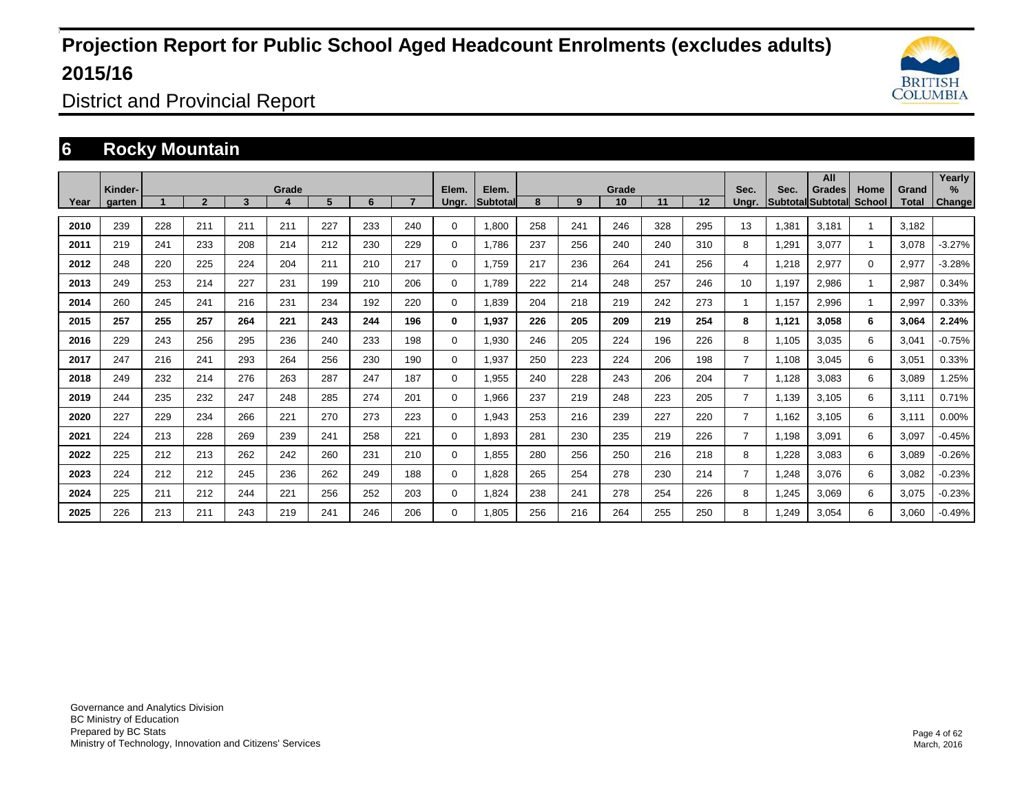

District and Provincial Report

### **6 Rocky Mountain**

|      | Kinder- |     |              |     | Grade |     |     |     | Elem.        | Elem.           |     |     | Grade |     |     | Sec.           | Sec.  | All<br>Grades            | Home                 | Grand | Yearly<br>$\%$ |
|------|---------|-----|--------------|-----|-------|-----|-----|-----|--------------|-----------------|-----|-----|-------|-----|-----|----------------|-------|--------------------------|----------------------|-------|----------------|
| Year | garten  |     | $\mathbf{2}$ | 3   |       | 5.  | 6   |     | Unar.        | <b>Subtotal</b> | 8   | 9   | 10    | 11  | 12  | Unar.          |       | <b>SubtotallSubtotal</b> | School               | Total | <b>Change</b>  |
| 2010 | 239     | 228 | 211          | 211 | 211   | 227 | 233 | 240 | $\Omega$     | 1.800           | 258 | 241 | 246   | 328 | 295 | 13             | 1,381 | 3,181                    |                      | 3.182 |                |
| 2011 | 219     | 241 | 233          | 208 | 214   | 212 | 230 | 229 | $\Omega$     | 1,786           | 237 | 256 | 240   | 240 | 310 | 8              | 1,291 | 3,077                    | $\blacktriangleleft$ | 3,078 | $-3.27%$       |
| 2012 | 248     | 220 | 225          | 224 | 204   | 211 | 210 | 217 | $\mathbf 0$  | 1.759           | 217 | 236 | 264   | 241 | 256 | 4              | 1,218 | 2,977                    | $\mathbf 0$          | 2,977 | $-3.28%$       |
| 2013 | 249     | 253 | 214          | 227 | 231   | 199 | 210 | 206 | $\Omega$     | 1.789           | 222 | 214 | 248   | 257 | 246 | 10             | 1.197 | 2,986                    | $\blacktriangleleft$ | 2,987 | 0.34%          |
| 2014 | 260     | 245 | 241          | 216 | 231   | 234 | 192 | 220 | $\Omega$     | 1,839           | 204 | 218 | 219   | 242 | 273 | 1              | 1,157 | 2,996                    | $\mathbf 1$          | 2,997 | 0.33%          |
| 2015 | 257     | 255 | 257          | 264 | 221   | 243 | 244 | 196 | $\mathbf{0}$ | 1,937           | 226 | 205 | 209   | 219 | 254 | 8              | 1,121 | 3,058                    | 6                    | 3,064 | 2.24%          |
| 2016 | 229     | 243 | 256          | 295 | 236   | 240 | 233 | 198 | $\Omega$     | 1,930           | 246 | 205 | 224   | 196 | 226 | 8              | 1,105 | 3,035                    | 6                    | 3,041 | $-0.75%$       |
| 2017 | 247     | 216 | 241          | 293 | 264   | 256 | 230 | 190 | $\mathbf 0$  | 1,937           | 250 | 223 | 224   | 206 | 198 | $\overline{7}$ | 1.108 | 3,045                    | 6                    | 3,051 | 0.33%          |
| 2018 | 249     | 232 | 214          | 276 | 263   | 287 | 247 | 187 | 0            | 1,955           | 240 | 228 | 243   | 206 | 204 | $\overline{7}$ | 1.128 | 3.083                    | 6                    | 3,089 | 1.25%          |
| 2019 | 244     | 235 | 232          | 247 | 248   | 285 | 274 | 201 | $\mathbf 0$  | 1,966           | 237 | 219 | 248   | 223 | 205 | $\overline{7}$ | 1,139 | 3,105                    | 6                    | 3,111 | 0.71%          |
| 2020 | 227     | 229 | 234          | 266 | 221   | 270 | 273 | 223 | $\mathbf 0$  | 1,943           | 253 | 216 | 239   | 227 | 220 | $\overline{7}$ | 1.162 | 3,105                    | 6                    | 3,111 | 0.00%          |
| 2021 | 224     | 213 | 228          | 269 | 239   | 241 | 258 | 221 | $\mathbf 0$  | 1.893           | 281 | 230 | 235   | 219 | 226 | $\overline{7}$ | 1.198 | 3,091                    | 6                    | 3,097 | $-0.45%$       |
| 2022 | 225     | 212 | 213          | 262 | 242   | 260 | 231 | 210 | $\mathbf 0$  | 1.855           | 280 | 256 | 250   | 216 | 218 | 8              | 1.228 | 3,083                    | 6                    | 3,089 | $-0.26%$       |
| 2023 | 224     | 212 | 212          | 245 | 236   | 262 | 249 | 188 | $\mathbf 0$  | 1,828           | 265 | 254 | 278   | 230 | 214 | $\overline{7}$ | 1,248 | 3,076                    | 6                    | 3,082 | $-0.23%$       |
| 2024 | 225     | 211 | 212          | 244 | 221   | 256 | 252 | 203 | $\mathbf 0$  | 1.824           | 238 | 241 | 278   | 254 | 226 | 8              | 1.245 | 3,069                    | 6                    | 3,075 | $-0.23%$       |
| 2025 | 226     | 213 | 211          | 243 | 219   | 241 | 246 | 206 | $\Omega$     | 1.805           | 256 | 216 | 264   | 255 | 250 | 8              | 1.249 | 3,054                    | 6                    | 3,060 | $-0.49%$       |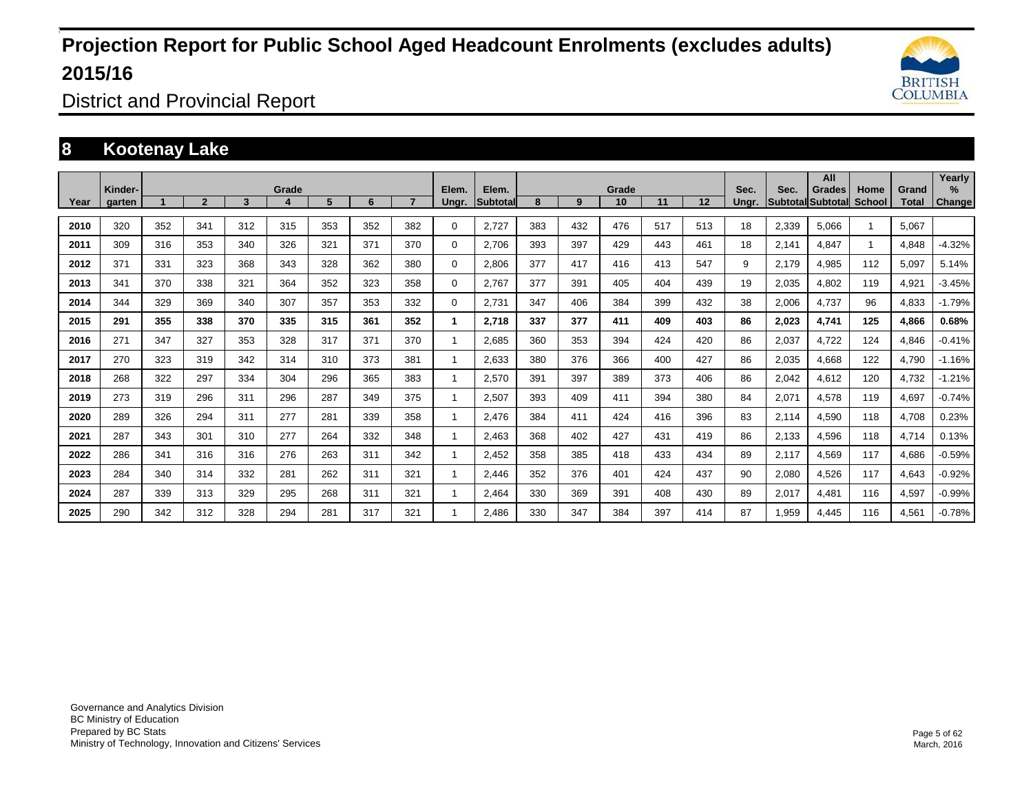

District and Provincial Report

### **8 Kootenay Lake**

|      | Kinder- |     |                |     | Grade |     |     |     | Elem.    | Elem.    |     |     | Grade |     |     | Sec.  | Sec.  | All<br>Grades     | Home          | Grand | Yearly<br>% |
|------|---------|-----|----------------|-----|-------|-----|-----|-----|----------|----------|-----|-----|-------|-----|-----|-------|-------|-------------------|---------------|-------|-------------|
| Year | garten  |     | $\overline{2}$ | 3   | 4     | 5   | 6   |     | Ungr.    | Subtotal | 8   | 9   | 10    | 11  | 12  | Unar. |       | Subtotal Subtotal | <b>School</b> | Total | Change      |
| 2010 | 320     | 352 | 341            | 312 | 315   | 353 | 352 | 382 | $\Omega$ | 2,727    | 383 | 432 | 476   | 517 | 513 | 18    | 2,339 | 5,066             |               | 5,067 |             |
| 2011 | 309     | 316 | 353            | 340 | 326   | 321 | 371 | 370 | 0        | 2.706    | 393 | 397 | 429   | 443 | 461 | 18    | 2,141 | 4,847             |               | 4,848 | $-4.32%$    |
| 2012 | 371     | 331 | 323            | 368 | 343   | 328 | 362 | 380 | 0        | 2,806    | 377 | 417 | 416   | 413 | 547 | 9     | 2,179 | 4,985             | 112           | 5,097 | 5.14%       |
| 2013 | 341     | 370 | 338            | 321 | 364   | 352 | 323 | 358 | 0        | 2.767    | 377 | 391 | 405   | 404 | 439 | 19    | 2,035 | 4,802             | 119           | 4,921 | $-3.45%$    |
| 2014 | 344     | 329 | 369            | 340 | 307   | 357 | 353 | 332 | 0        | 2,731    | 347 | 406 | 384   | 399 | 432 | 38    | 2,006 | 4,737             | 96            | 4,833 | $-1.79%$    |
| 2015 | 291     | 355 | 338            | 370 | 335   | 315 | 361 | 352 | 1        | 2.718    | 337 | 377 | 411   | 409 | 403 | 86    | 2,023 | 4,741             | 125           | 4,866 | 0.68%       |
| 2016 | 271     | 347 | 327            | 353 | 328   | 317 | 371 | 370 |          | 2,685    | 360 | 353 | 394   | 424 | 420 | 86    | 2,037 | 4,722             | 124           | 4,846 | $-0.41%$    |
| 2017 | 270     | 323 | 319            | 342 | 314   | 310 | 373 | 381 |          | 2,633    | 380 | 376 | 366   | 400 | 427 | 86    | 2,035 | 4,668             | 122           | 4,790 | $-1.16%$    |
| 2018 | 268     | 322 | 297            | 334 | 304   | 296 | 365 | 383 |          | 2,570    | 391 | 397 | 389   | 373 | 406 | 86    | 2,042 | 4,612             | 120           | 4,732 | $-1.21%$    |
| 2019 | 273     | 319 | 296            | 311 | 296   | 287 | 349 | 375 |          | 2,507    | 393 | 409 | 411   | 394 | 380 | 84    | 2,071 | 4,578             | 119           | 4,697 | $-0.74%$    |
| 2020 | 289     | 326 | 294            | 311 | 277   | 281 | 339 | 358 |          | 2,476    | 384 | 411 | 424   | 416 | 396 | 83    | 2,114 | 4,590             | 118           | 4,708 | 0.23%       |
| 2021 | 287     | 343 | 301            | 310 | 277   | 264 | 332 | 348 |          | 2,463    | 368 | 402 | 427   | 431 | 419 | 86    | 2,133 | 4,596             | 118           | 4,714 | 0.13%       |
| 2022 | 286     | 341 | 316            | 316 | 276   | 263 | 311 | 342 |          | 2,452    | 358 | 385 | 418   | 433 | 434 | 89    | 2,117 | 4,569             | 117           | 4,686 | $-0.59%$    |
| 2023 | 284     | 340 | 314            | 332 | 281   | 262 | 311 | 321 |          | 2,446    | 352 | 376 | 401   | 424 | 437 | 90    | 2,080 | 4,526             | 117           | 4,643 | $-0.92%$    |
| 2024 | 287     | 339 | 313            | 329 | 295   | 268 | 311 | 321 |          | 2.464    | 330 | 369 | 391   | 408 | 430 | 89    | 2,017 | 4,481             | 116           | 4,597 | $-0.99%$    |
| 2025 | 290     | 342 | 312            | 328 | 294   | 281 | 317 | 321 |          | 2.486    | 330 | 347 | 384   | 397 | 414 | 87    | 1,959 | 4,445             | 116           | 4,561 | $-0.78%$    |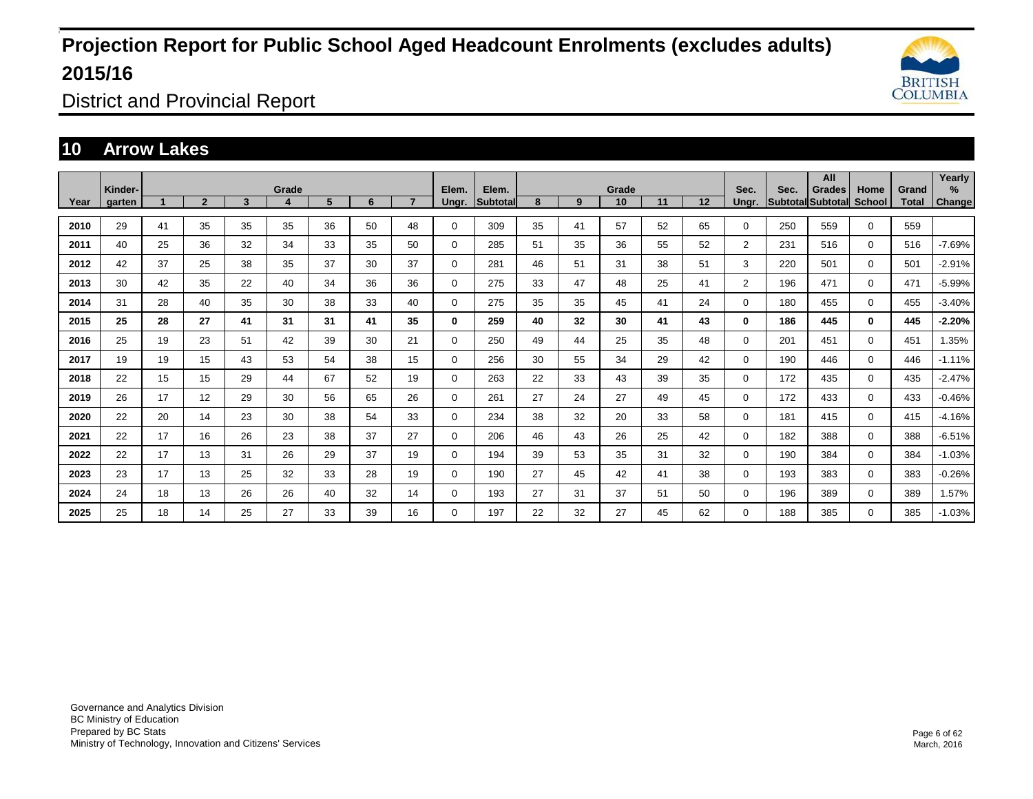

District and Provincial Report

### **10 Arrow Lakes**

|      | Kinder- |    |                |    | Grade |    |    |                | Elem.       | Elem.           |    |    | Grade |    |    | Sec.           | Sec. | All<br>Grades            | Home          | Grand | Yearly<br>% |
|------|---------|----|----------------|----|-------|----|----|----------------|-------------|-----------------|----|----|-------|----|----|----------------|------|--------------------------|---------------|-------|-------------|
| Year | garten  |    | $\overline{2}$ | 3  | 4     | 5  | 6  | $\overline{ }$ | Ungr.       | <b>Subtotal</b> | 8  | 9  | 10    | 11 | 12 | Ungr.          |      | <b>Subtotal Subtotal</b> | <b>School</b> | Total | Change      |
| 2010 | 29      | 41 | 35             | 35 | 35    | 36 | 50 | 48             | $\mathbf 0$ | 309             | 35 | 41 | 57    | 52 | 65 | 0              | 250  | 559                      | $\mathbf 0$   | 559   |             |
| 2011 | 40      | 25 | 36             | 32 | 34    | 33 | 35 | 50             | 0           | 285             | 51 | 35 | 36    | 55 | 52 | $\overline{2}$ | 231  | 516                      | $\Omega$      | 516   | $-7.69%$    |
| 2012 | 42      | 37 | 25             | 38 | 35    | 37 | 30 | 37             | $\mathbf 0$ | 281             | 46 | 51 | 31    | 38 | 51 | 3              | 220  | 501                      | $\mathbf 0$   | 501   | $-2.91%$    |
| 2013 | 30      | 42 | 35             | 22 | 40    | 34 | 36 | 36             | 0           | 275             | 33 | 47 | 48    | 25 | 41 | $\overline{2}$ | 196  | 471                      | $\mathbf 0$   | 471   | $-5.99%$    |
| 2014 | 31      | 28 | 40             | 35 | 30    | 38 | 33 | 40             | 0           | 275             | 35 | 35 | 45    | 41 | 24 | 0              | 180  | 455                      | $\mathbf 0$   | 455   | $-3.40%$    |
| 2015 | 25      | 28 | 27             | 41 | 31    | 31 | 41 | 35             | 0           | 259             | 40 | 32 | 30    | 41 | 43 | $\bf{0}$       | 186  | 445                      | $\mathbf 0$   | 445   | $-2.20%$    |
| 2016 | 25      | 19 | 23             | 51 | 42    | 39 | 30 | 21             | 0           | 250             | 49 | 44 | 25    | 35 | 48 | 0              | 201  | 451                      | $\mathbf 0$   | 451   | 1.35%       |
| 2017 | 19      | 19 | 15             | 43 | 53    | 54 | 38 | 15             | $\mathbf 0$ | 256             | 30 | 55 | 34    | 29 | 42 | 0              | 190  | 446                      | $\Omega$      | 446   | $-1.11%$    |
| 2018 | 22      | 15 | 15             | 29 | 44    | 67 | 52 | 19             | $\mathbf 0$ | 263             | 22 | 33 | 43    | 39 | 35 | 0              | 172  | 435                      | $\Omega$      | 435   | $-2.47%$    |
| 2019 | 26      | 17 | 12             | 29 | 30    | 56 | 65 | 26             | $\mathbf 0$ | 261             | 27 | 24 | 27    | 49 | 45 | $\Omega$       | 172  | 433                      | $\mathbf 0$   | 433   | $-0.46%$    |
| 2020 | 22      | 20 | 14             | 23 | 30    | 38 | 54 | 33             | $\mathbf 0$ | 234             | 38 | 32 | 20    | 33 | 58 | $\Omega$       | 181  | 415                      | $\Omega$      | 415   | $-4.16%$    |
| 2021 | 22      | 17 | 16             | 26 | 23    | 38 | 37 | 27             | $\mathbf 0$ | 206             | 46 | 43 | 26    | 25 | 42 | 0              | 182  | 388                      | $\mathbf 0$   | 388   | $-6.51%$    |
| 2022 | 22      | 17 | 13             | 31 | 26    | 29 | 37 | 19             | $\mathbf 0$ | 194             | 39 | 53 | 35    | 31 | 32 | 0              | 190  | 384                      | $\mathbf 0$   | 384   | $-1.03%$    |
| 2023 | 23      | 17 | 13             | 25 | 32    | 33 | 28 | 19             | $\mathbf 0$ | 190             | 27 | 45 | 42    | 41 | 38 | 0              | 193  | 383                      | $\mathbf 0$   | 383   | $-0.26%$    |
| 2024 | 24      | 18 | 13             | 26 | 26    | 40 | 32 | 14             | $\mathbf 0$ | 193             | 27 | 31 | 37    | 51 | 50 | 0              | 196  | 389                      | $\mathbf 0$   | 389   | 1.57%       |
| 2025 | 25      | 18 | 14             | 25 | 27    | 33 | 39 | 16             | 0           | 197             | 22 | 32 | 27    | 45 | 62 | 0              | 188  | 385                      | $\mathbf 0$   | 385   | $-1.03%$    |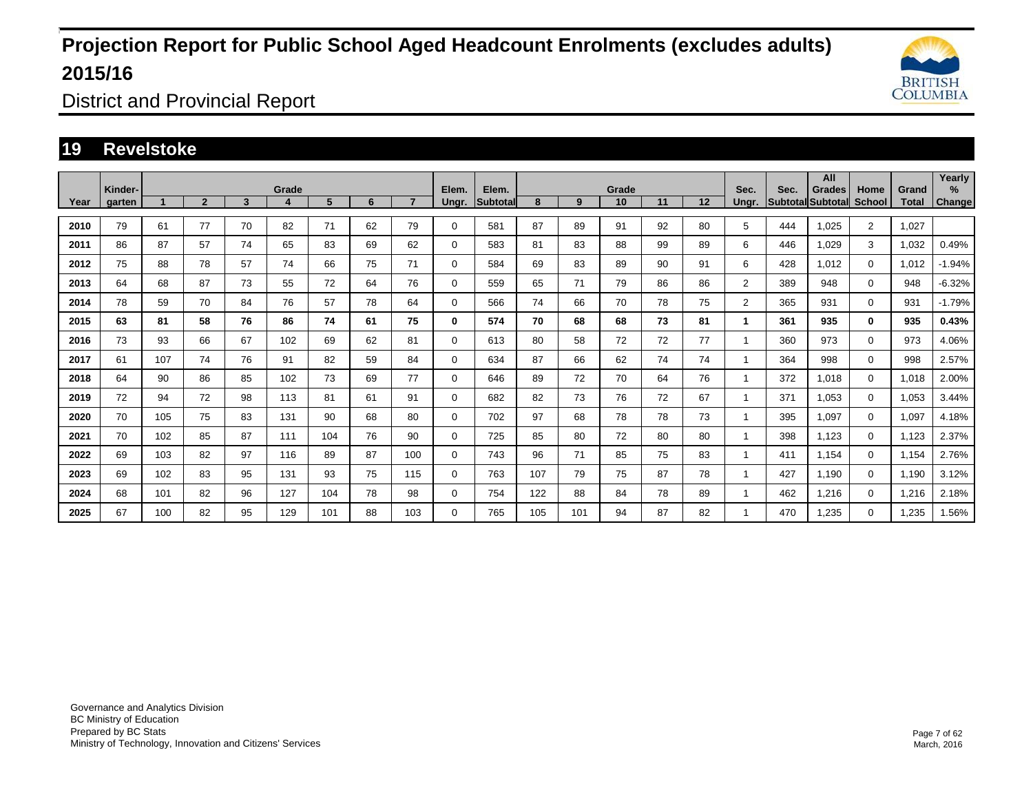

District and Provincial Report

### **19 Revelstoke**

|      | Kinder- |     |                |    | Grade |     |    |     | Elem.       | Elem.           |     |     | Grade |    |    | Sec.           | Sec. | All<br>Grades                   | Home           | Grand | Yearly<br>%   |
|------|---------|-----|----------------|----|-------|-----|----|-----|-------------|-----------------|-----|-----|-------|----|----|----------------|------|---------------------------------|----------------|-------|---------------|
| Year | garten  |     | $\overline{2}$ | 3  | 4     | 5   | 6  |     | Ungr.       | <b>Subtotal</b> | 8   | 9   | 10    | 11 | 12 | Unar.          |      | <b>Subtotal Subtotal School</b> |                | Total | <b>Change</b> |
| 2010 | 79      | 61  | 77             | 70 | 82    | 71  | 62 | 79  | 0           | 581             | 87  | 89  | 91    | 92 | 80 | 5              | 444  | 1,025                           | $\overline{2}$ | 1,027 |               |
| 2011 | 86      | 87  | 57             | 74 | 65    | 83  | 69 | 62  | 0           | 583             | 81  | 83  | 88    | 99 | 89 | 6              | 446  | 1,029                           | 3              | 1,032 | 0.49%         |
| 2012 | 75      | 88  | 78             | 57 | 74    | 66  | 75 | 71  | 0           | 584             | 69  | 83  | 89    | 90 | 91 | 6              | 428  | 1,012                           | $\mathbf 0$    | 1,012 | $-1.94%$      |
| 2013 | 64      | 68  | 87             | 73 | 55    | 72  | 64 | 76  | 0           | 559             | 65  | 71  | 79    | 86 | 86 | $\overline{2}$ | 389  | 948                             | $\Omega$       | 948   | $-6.32%$      |
| 2014 | 78      | 59  | 70             | 84 | 76    | 57  | 78 | 64  | 0           | 566             | 74  | 66  | 70    | 78 | 75 | $\overline{2}$ | 365  | 931                             | $\mathbf 0$    | 931   | $-1.79%$      |
| 2015 | 63      | 81  | 58             | 76 | 86    | 74  | 61 | 75  | 0           | 574             | 70  | 68  | 68    | 73 | 81 | 1              | 361  | 935                             | $\bf{0}$       | 935   | 0.43%         |
| 2016 | 73      | 93  | 66             | 67 | 102   | 69  | 62 | 81  | 0           | 613             | 80  | 58  | 72    | 72 | 77 | 1              | 360  | 973                             | $\Omega$       | 973   | 4.06%         |
| 2017 | 61      | 107 | 74             | 76 | 91    | 82  | 59 | 84  | 0           | 634             | 87  | 66  | 62    | 74 | 74 | 1              | 364  | 998                             | $\Omega$       | 998   | 2.57%         |
| 2018 | 64      | 90  | 86             | 85 | 102   | 73  | 69 | 77  | 0           | 646             | 89  | 72  | 70    | 64 | 76 | 1              | 372  | 1,018                           | $\Omega$       | 1,018 | 2.00%         |
| 2019 | 72      | 94  | 72             | 98 | 113   | 81  | 61 | 91  | $\mathbf 0$ | 682             | 82  | 73  | 76    | 72 | 67 | 1              | 371  | 1,053                           | $\Omega$       | 1,053 | 3.44%         |
| 2020 | 70      | 105 | 75             | 83 | 131   | 90  | 68 | 80  | 0           | 702             | 97  | 68  | 78    | 78 | 73 |                | 395  | 1,097                           | $\Omega$       | 1,097 | 4.18%         |
| 2021 | 70      | 102 | 85             | 87 | 111   | 104 | 76 | 90  | 0           | 725             | 85  | 80  | 72    | 80 | 80 | 1              | 398  | 1,123                           | $\Omega$       | 1.123 | 2.37%         |
| 2022 | 69      | 103 | 82             | 97 | 116   | 89  | 87 | 100 | 0           | 743             | 96  | 71  | 85    | 75 | 83 |                | 411  | 1,154                           | $\Omega$       | 1,154 | 2.76%         |
| 2023 | 69      | 102 | 83             | 95 | 131   | 93  | 75 | 115 | 0           | 763             | 107 | 79  | 75    | 87 | 78 | 1              | 427  | 1,190                           | $\Omega$       | 1.190 | 3.12%         |
| 2024 | 68      | 101 | 82             | 96 | 127   | 104 | 78 | 98  | 0           | 754             | 122 | 88  | 84    | 78 | 89 | 1              | 462  | 1,216                           | $\Omega$       | 1,216 | 2.18%         |
| 2025 | 67      | 100 | 82             | 95 | 129   | 101 | 88 | 103 | 0           | 765             | 105 | 101 | 94    | 87 | 82 |                | 470  | 1,235                           | $\mathbf 0$    | 1,235 | 1.56%         |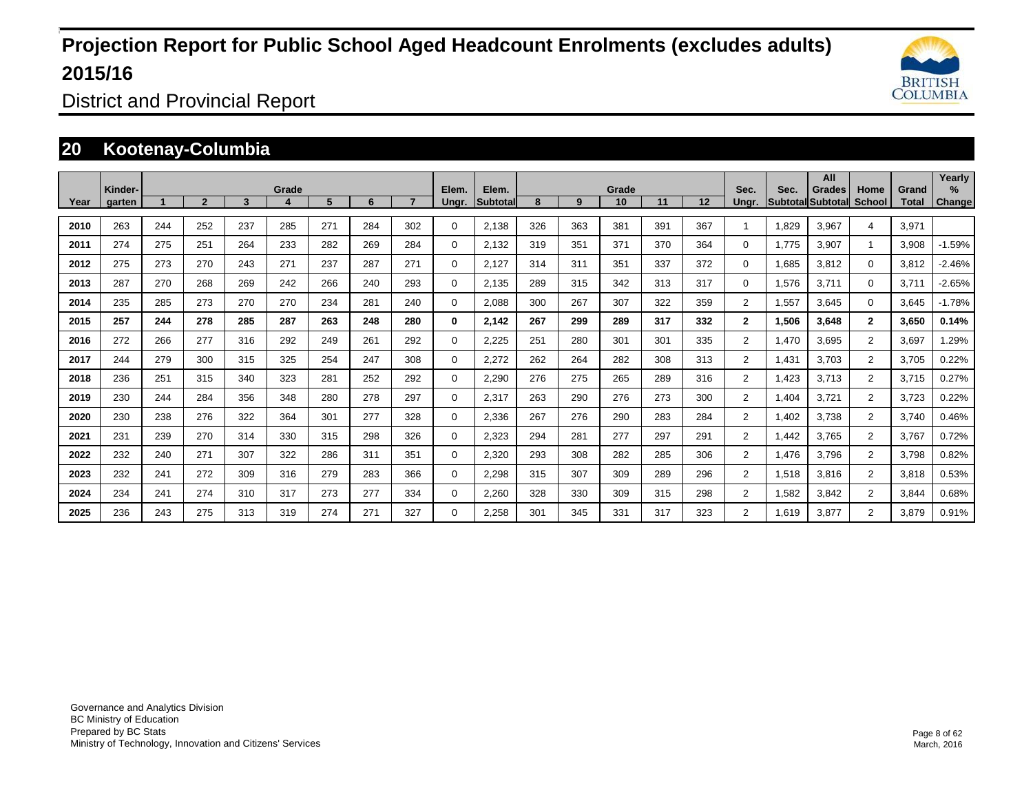

District and Provincial Report

### **20 Kootenay-Columbia**

|      | Kinder- |     |                |     | Grade            |     |     |     |                | Elem.    |     |     | Grade |     |     | Sec.           |       | All                                |                |                | Yearly<br>%   |
|------|---------|-----|----------------|-----|------------------|-----|-----|-----|----------------|----------|-----|-----|-------|-----|-----|----------------|-------|------------------------------------|----------------|----------------|---------------|
| Year | garten  |     | $\overline{2}$ | 3   | $\boldsymbol{a}$ | 5   | 6   |     | Elem.<br>Ungr. | Subtotal | 8   | 9   | 10    | 11  | 12  | Unar.          | Sec.  | Grades<br><b>Subtotal Subtotal</b> | Home<br>School | Grand<br>Total | <b>Change</b> |
| 2010 | 263     | 244 | 252            | 237 | 285              | 271 | 284 | 302 | $\Omega$       | 2,138    | 326 | 363 | 381   | 391 | 367 |                | 1,829 | 3,967                              | 4              | 3,971          |               |
| 2011 | 274     | 275 | 251            | 264 | 233              | 282 | 269 | 284 | $\Omega$       | 2,132    | 319 | 351 | 371   | 370 | 364 | 0              | 1.775 | 3,907                              |                | 3,908          | $-1.59%$      |
| 2012 | 275     | 273 | 270            | 243 | 271              | 237 | 287 | 271 | $\Omega$       | 2,127    | 314 | 311 | 351   | 337 | 372 | 0              | 1,685 | 3,812                              | $\Omega$       | 3,812          | $-2.46%$      |
| 2013 | 287     | 270 | 268            | 269 | 242              | 266 | 240 | 293 | 0              | 2.135    | 289 | 315 | 342   | 313 | 317 | 0              | 1,576 | 3,711                              | $\mathbf 0$    | 3.711          | $-2.65%$      |
| 2014 | 235     | 285 | 273            | 270 | 270              | 234 | 281 | 240 | $\Omega$       | 2,088    | 300 | 267 | 307   | 322 | 359 | $\overline{2}$ | 1,557 | 3,645                              | $\Omega$       | 3,645          | $-1.78%$      |
| 2015 | 257     | 244 | 278            | 285 | 287              | 263 | 248 | 280 | $\mathbf{0}$   | 2,142    | 267 | 299 | 289   | 317 | 332 | $\mathbf{2}$   | 1,506 | 3,648                              | $\mathbf{2}$   | 3,650          | 0.14%         |
| 2016 | 272     | 266 | 277            | 316 | 292              | 249 | 261 | 292 | $\Omega$       | 2,225    | 251 | 280 | 301   | 301 | 335 | $\overline{2}$ | 1,470 | 3,695                              | $\overline{2}$ | 3,697          | 1.29%         |
| 2017 | 244     | 279 | 300            | 315 | 325              | 254 | 247 | 308 | $\Omega$       | 2,272    | 262 | 264 | 282   | 308 | 313 | $\overline{2}$ | 1,431 | 3,703                              | $\overline{2}$ | 3,705          | 0.22%         |
| 2018 | 236     | 251 | 315            | 340 | 323              | 281 | 252 | 292 | $\Omega$       | 2,290    | 276 | 275 | 265   | 289 | 316 | $\overline{2}$ | 1,423 | 3,713                              | $\overline{2}$ | 3,715          | 0.27%         |
| 2019 | 230     | 244 | 284            | 356 | 348              | 280 | 278 | 297 | $\mathbf 0$    | 2,317    | 263 | 290 | 276   | 273 | 300 | $\overline{2}$ | 1,404 | 3.721                              | $\overline{2}$ | 3,723          | 0.22%         |
| 2020 | 230     | 238 | 276            | 322 | 364              | 301 | 277 | 328 | $\Omega$       | 2,336    | 267 | 276 | 290   | 283 | 284 | $\overline{2}$ | 1,402 | 3,738                              | $\overline{2}$ | 3,740          | 0.46%         |
| 2021 | 231     | 239 | 270            | 314 | 330              | 315 | 298 | 326 | $\Omega$       | 2,323    | 294 | 281 | 277   | 297 | 291 | $\overline{2}$ | 1,442 | 3,765                              | $\overline{2}$ | 3,767          | 0.72%         |
| 2022 | 232     | 240 | 271            | 307 | 322              | 286 | 311 | 351 | $\Omega$       | 2,320    | 293 | 308 | 282   | 285 | 306 | $\overline{2}$ | 1,476 | 3,796                              | 2              | 3,798          | 0.82%         |
| 2023 | 232     | 241 | 272            | 309 | 316              | 279 | 283 | 366 | $\Omega$       | 2,298    | 315 | 307 | 309   | 289 | 296 | $\overline{2}$ | 1,518 | 3,816                              | $\overline{2}$ | 3,818          | 0.53%         |
| 2024 | 234     | 241 | 274            | 310 | 317              | 273 | 277 | 334 | 0              | 2,260    | 328 | 330 | 309   | 315 | 298 | $\overline{2}$ | 1,582 | 3,842                              | $\overline{2}$ | 3,844          | 0.68%         |
| 2025 | 236     | 243 | 275            | 313 | 319              | 274 | 271 | 327 | $\Omega$       | 2,258    | 301 | 345 | 331   | 317 | 323 | $\overline{2}$ | 1,619 | 3,877                              | 2              | 3,879          | 0.91%         |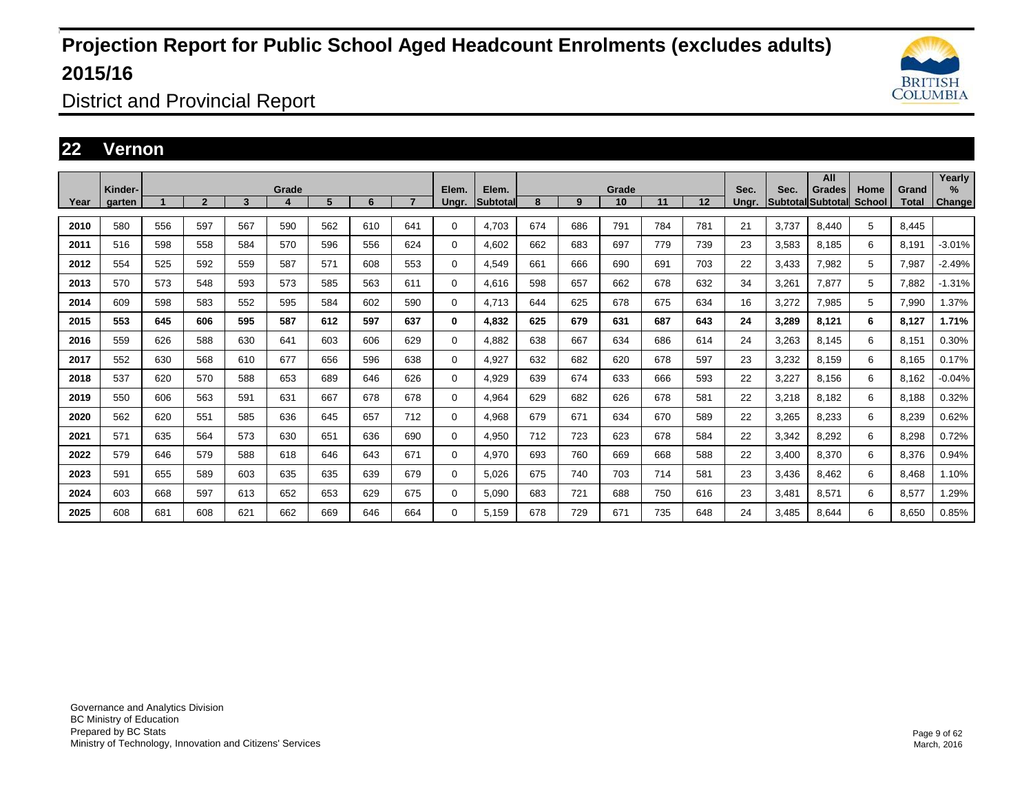

District and Provincial Report

### **22 Vernon**

|      | Kinder- |     |                |     | Grade |     |     |                | Elem.       | Elem.    |     |     | Grade |     |     | Sec.  | Sec.            | All                       |                       |                | Yearly<br>% |
|------|---------|-----|----------------|-----|-------|-----|-----|----------------|-------------|----------|-----|-----|-------|-----|-----|-------|-----------------|---------------------------|-----------------------|----------------|-------------|
| Year | garten  |     | $\overline{2}$ | 3   | 4     | 5   | 6   | $\overline{ }$ | Ungr.       | Subtotal | 8   | 9   | 10    | 11  | 12  | Ungr. | <b>Subtotal</b> | Grades<br><b>Subtotal</b> | Home<br><b>School</b> | Grand<br>Total | Change      |
| 2010 | 580     | 556 | 597            | 567 | 590   | 562 | 610 | 641            | 0           | 4.703    | 674 | 686 | 791   | 784 | 781 | 21    | 3.737           | 8.440                     | 5                     | 8,445          |             |
| 2011 | 516     | 598 | 558            | 584 | 570   | 596 | 556 | 624            | $\Omega$    | 4.602    | 662 | 683 | 697   | 779 | 739 | 23    | 3,583           | 8,185                     | 6                     | 8,191          | $-3.01%$    |
| 2012 | 554     | 525 | 592            | 559 | 587   | 571 | 608 | 553            | $\Omega$    | 4,549    | 661 | 666 | 690   | 691 | 703 | 22    | 3,433           | 7,982                     | 5                     | 7,987          | $-2.49%$    |
| 2013 | 570     | 573 | 548            | 593 | 573   | 585 | 563 | 611            | 0           | 4,616    | 598 | 657 | 662   | 678 | 632 | 34    | 3,261           | 7,877                     | 5                     | 7,882          | $-1.31%$    |
| 2014 | 609     | 598 | 583            | 552 | 595   | 584 | 602 | 590            | $\Omega$    | 4,713    | 644 | 625 | 678   | 675 | 634 | 16    | 3,272           | 7,985                     | 5                     | 7,990          | 1.37%       |
| 2015 | 553     | 645 | 606            | 595 | 587   | 612 | 597 | 637            | 0           | 4,832    | 625 | 679 | 631   | 687 | 643 | 24    | 3,289           | 8,121                     | 6                     | 8,127          | 1.71%       |
| 2016 | 559     | 626 | 588            | 630 | 641   | 603 | 606 | 629            | 0           | 4,882    | 638 | 667 | 634   | 686 | 614 | 24    | 3,263           | 8,145                     | 6                     | 8,151          | 0.30%       |
| 2017 | 552     | 630 | 568            | 610 | 677   | 656 | 596 | 638            | $\Omega$    | 4,927    | 632 | 682 | 620   | 678 | 597 | 23    | 3,232           | 8,159                     | 6                     | 8,165          | 0.17%       |
| 2018 | 537     | 620 | 570            | 588 | 653   | 689 | 646 | 626            | $\Omega$    | 4,929    | 639 | 674 | 633   | 666 | 593 | 22    | 3,227           | 8,156                     | 6                     | 8,162          | $-0.04%$    |
| 2019 | 550     | 606 | 563            | 591 | 631   | 667 | 678 | 678            | 0           | 4,964    | 629 | 682 | 626   | 678 | 581 | 22    | 3,218           | 8,182                     | 6                     | 8,188          | 0.32%       |
| 2020 | 562     | 620 | 551            | 585 | 636   | 645 | 657 | 712            | $\Omega$    | 4,968    | 679 | 671 | 634   | 670 | 589 | 22    | 3,265           | 8,233                     | 6                     | 8,239          | 0.62%       |
| 2021 | 571     | 635 | 564            | 573 | 630   | 651 | 636 | 690            | 0           | 4,950    | 712 | 723 | 623   | 678 | 584 | 22    | 3,342           | 8,292                     | 6                     | 8,298          | 0.72%       |
| 2022 | 579     | 646 | 579            | 588 | 618   | 646 | 643 | 671            | $\mathbf 0$ | 4,970    | 693 | 760 | 669   | 668 | 588 | 22    | 3,400           | 8,370                     | 6                     | 8,376          | 0.94%       |
| 2023 | 591     | 655 | 589            | 603 | 635   | 635 | 639 | 679            | $\mathbf 0$ | 5.026    | 675 | 740 | 703   | 714 | 581 | 23    | 3,436           | 8,462                     | 6                     | 8,468          | 1.10%       |
| 2024 | 603     | 668 | 597            | 613 | 652   | 653 | 629 | 675            | 0           | 5,090    | 683 | 721 | 688   | 750 | 616 | 23    | 3,481           | 8,571                     | 6                     | 8,577          | 1.29%       |
| 2025 | 608     | 681 | 608            | 621 | 662   | 669 | 646 | 664            | $\Omega$    | 5,159    | 678 | 729 | 671   | 735 | 648 | 24    | 3,485           | 8,644                     | 6                     | 8,650          | 0.85%       |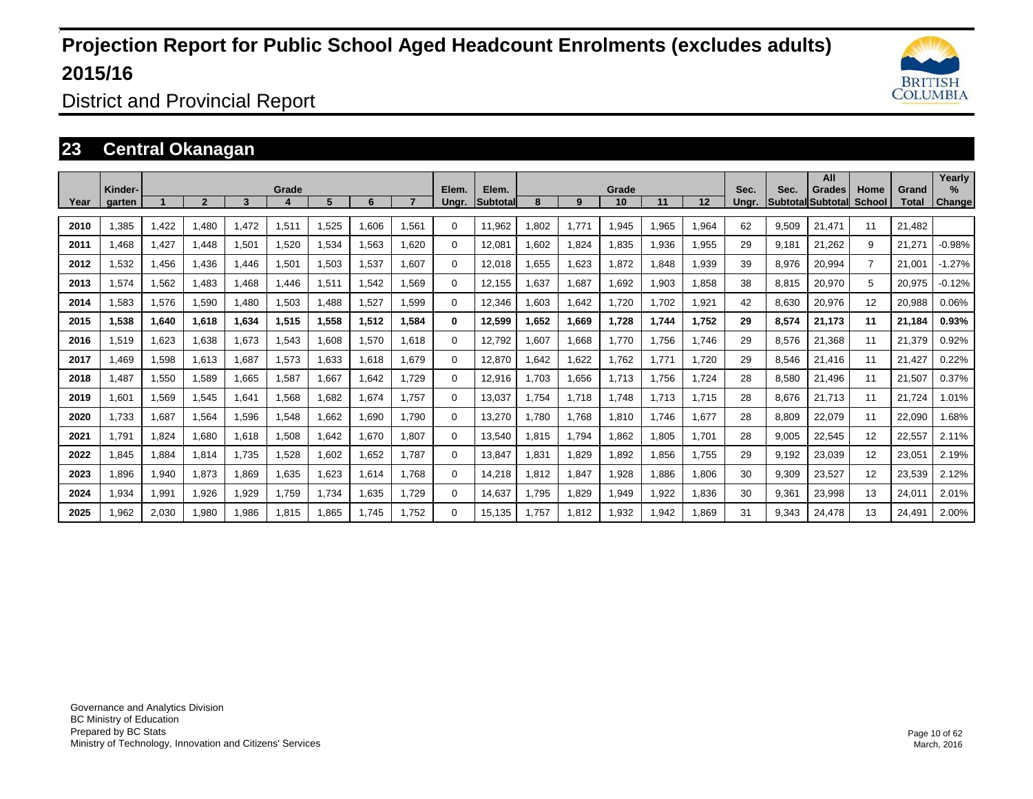

District and Provincial Report

### **23 Central Okanagan**

|      | Kinder- |       |              |       | Grade |       |       |       | Elem.    | Elem.           |       |       | Grade |       |       | Sec.  | Sec.  | All<br>Grades            | Home           | Grand  | Yearly<br>$\%$ |
|------|---------|-------|--------------|-------|-------|-------|-------|-------|----------|-----------------|-------|-------|-------|-------|-------|-------|-------|--------------------------|----------------|--------|----------------|
| Year | aarten  |       | $\mathbf{c}$ | 3     |       | 5     | 6     |       | Unar.    | <b>Subtotal</b> | 8     | 9     | 10    | 11    | 12    | Unar. |       | <b>Subtotal Subtotal</b> | School         | Total  | Change         |
| 2010 | .385    | 1,422 | .480         | 1,472 | 1,511 | 1,525 | 1,606 | 1,561 | $\Omega$ | 11,962          | .802  | 1.771 | 1,945 | .965  | 1,964 | 62    | 9,509 | 21.471                   | 11             | 21.482 |                |
| 2011 | .468    | 1,427 | 1.448        | 1,501 | 1,520 | 1,534 | 1,563 | 1.620 | 0        | 12,081          | .602  | 1,824 | 1,835 | .936  | 1,955 | 29    | 9.181 | 21,262                   | 9              | 21,271 | $-0.98%$       |
| 2012 | 1,532   | 1,456 | 1.436        | 1.446 | 1,501 | 1,503 | 1,537 | 1.607 | 0        | 12.018          | .655  | 1,623 | 1.872 | .848  | 1,939 | 39    | 8,976 | 20,994                   | $\overline{7}$ | 21.001 | $-1.27%$       |
| 2013 | 1,574   | 1,562 | 1,483        | 1,468 | 1,446 | 1,511 | 1,542 | 1,569 | 0        | 12,155          | .637  | 1,687 | 1,692 | 903.  | 1,858 | 38    | 8,815 | 20,970                   | 5              | 20,975 | $-0.12%$       |
| 2014 | .583    | 1,576 | 1,590        | 1.480 | 1,503 | 1,488 | 1,527 | 1.599 | 0        | 12,346          | .603  | 1,642 | 1.720 | 1.702 | 1,921 | 42    | 8.630 | 20,976                   | 12             | 20,988 | 0.06%          |
| 2015 | 1,538   | 1,640 | 1,618        | 1,634 | 1,515 | 1,558 | 1,512 | 1,584 | $\bf{0}$ | 12,599          | 1.652 | 1,669 | 1,728 | 1.744 | 1,752 | 29    | 8,574 | 21,173                   | 11             | 21.184 | 0.93%          |
| 2016 | 1,519   | 1,623 | 1,638        | 1,673 | 1,543 | 1,608 | 1,570 | 1.618 | 0        | 12,792          | .607  | 1,668 | 1.770 | 1.756 | 1.746 | 29    | 8,576 | 21.368                   | 11             | 21,379 | 0.92%          |
| 2017 | .469    | 1,598 | 1,613        | 1.687 | 1,573 | 1.633 | 1.618 | 1.679 | 0        | 12.870          | .642  | 1,622 | 1.762 | 1.771 | 1.720 | 29    | 8.546 | 21.416                   | 11             | 21.427 | 0.22%          |
| 2018 | .487    | 1,550 | 1,589        | 1,665 | 1,587 | 1,667 | 1,642 | 1.729 | 0        | 12,916          | .703  | 1,656 | 1,713 | 1.756 | 1.724 | 28    | 8,580 | 21,496                   | 11             | 21,507 | 0.37%          |
| 2019 | 1,601   | 1,569 | 1,545        | 1,641 | 1,568 | 1,682 | 1.674 | 1.757 | 0        | 13,037          | 1.754 | 1.718 | 1.748 | 1.713 | 1.715 | 28    | 8.676 | 21.713                   | 11             | 21.724 | 1.01%          |
| 2020 | 1,733   | 1,687 | 1,564        | 1,596 | 1,548 | 1,662 | 1,690 | 1.790 | 0        | 13,270          | .780  | 1,768 | 1,810 | 1.746 | 1,677 | 28    | 8,809 | 22,079                   | 11             | 22,090 | 1.68%          |
| 2021 | 1.791   | 1,824 | 1.680        | 1,618 | 1,508 | 1,642 | 1,670 | 1.807 | 0        | 13,540          | .815  | 1.794 | 1.862 | 1.805 | 1.701 | 28    | 9.005 | 22,545                   | 12             | 22,557 | 2.11%          |
| 2022 | 1,845   | 1,884 | 1,814        | 1,735 | 1,528 | 1,602 | 1,652 | 1.787 | 0        | 13,847          | .831  | 1,829 | .892  | 856.  | 1,755 | 29    | 9,192 | 23,039                   | 12             | 23,051 | 2.19%          |
| 2023 | .896    | 1,940 | 1,873        | 1,869 | 1,635 | 1.623 | 1,614 | 1.768 | 0        | 14,218          | .812  | 1.847 | 1.928 | .886  | 1,806 | 30    | 9.309 | 23,527                   | 12             | 23,539 | 2.12%          |
| 2024 | 1,934   | 1,991 | 1,926        | 1,929 | 1,759 | 1,734 | 1,635 | 1,729 | 0        | 14,637          | l.795 | 1,829 | 1,949 | 1,922 | 1,836 | 30    | 9,361 | 23,998                   | 13             | 24,011 | 2.01%          |
| 2025 | .962    | 2,030 | 1,980        | 1,986 | 1,815 | 1,865 | 1.745 | 1.752 | 0        | 15.135          | .757  | 1,812 | 1.932 | .942  | 1.869 | 31    | 9.343 | 24,478                   | 13             | 24.491 | 2.00%          |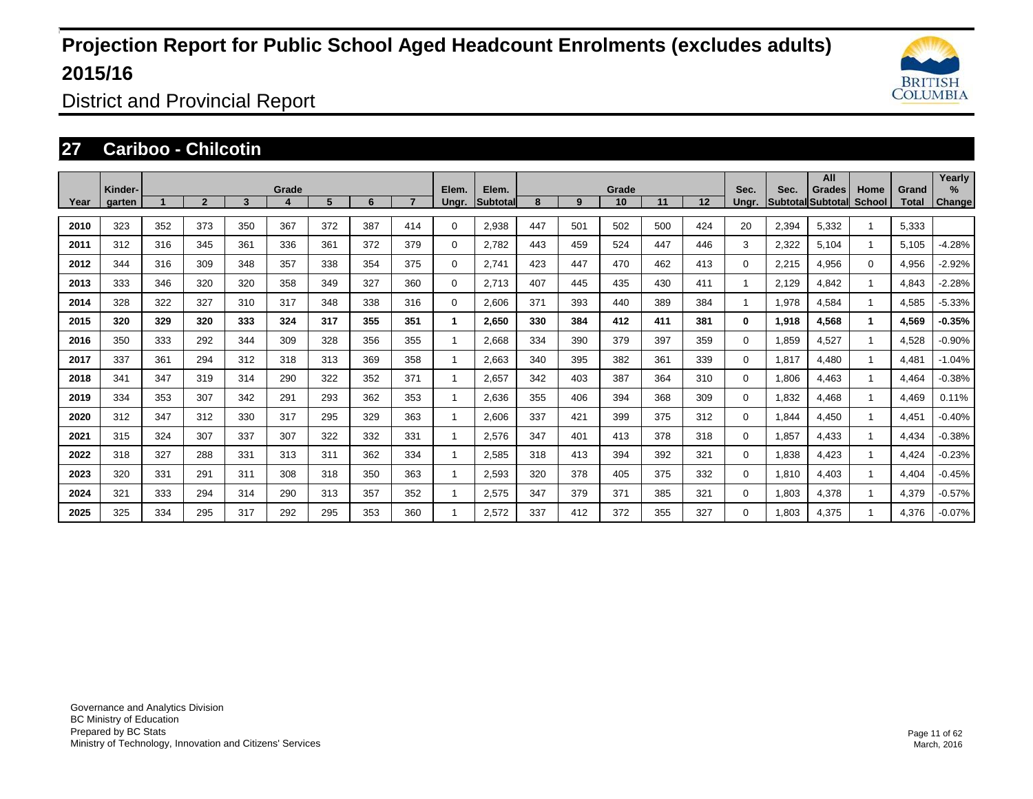

District and Provincial Report

### **27 Cariboo - Chilcotin**

|      |                   |     |                |     |            |     |     |     |                |                           |     |     | Grade |     |     |                |       | All                                |                       |                | Yearly      |
|------|-------------------|-----|----------------|-----|------------|-----|-----|-----|----------------|---------------------------|-----|-----|-------|-----|-----|----------------|-------|------------------------------------|-----------------------|----------------|-------------|
| Year | Kinder-<br>garten |     | $\overline{2}$ | 3   | Grade<br>4 | 5   | 6   |     | Elem.<br>Ungr. | Elem.<br><b>Subtotall</b> | 8   | 9   | 10    | 11  | 12  | Sec.<br>Unar.  | Sec.  | Grades<br><b>SubtotallSubtotal</b> | Home<br><b>School</b> | Grand<br>Total | %<br>Change |
| 2010 | 323               | 352 | 373            | 350 | 367        | 372 | 387 | 414 | $\Omega$       | 2,938                     | 447 | 501 | 502   | 500 | 424 | 20             | 2,394 | 5,332                              |                       | 5,333          |             |
| 2011 | 312               | 316 | 345            | 361 | 336        | 361 | 372 | 379 | $\Omega$       | 2.782                     | 443 | 459 | 524   | 447 | 446 | 3              | 2,322 | 5,104                              |                       | 5,105          | $-4.28%$    |
| 2012 | 344               | 316 | 309            | 348 | 357        | 338 | 354 | 375 | $\Omega$       | 2,741                     | 423 | 447 | 470   | 462 | 413 | 0              | 2,215 | 4,956                              | $\Omega$              | 4,956          | $-2.92%$    |
| 2013 | 333               | 346 | 320            | 320 | 358        | 349 | 327 | 360 | 0              | 2.713                     | 407 | 445 | 435   | 430 | 411 | -1             | 2.129 | 4.842                              | $\blacktriangleleft$  | 4,843          | $-2.28%$    |
| 2014 | 328               | 322 | 327            | 310 | 317        | 348 | 338 | 316 | $\Omega$       | 2,606                     | 371 | 393 | 440   | 389 | 384 | $\overline{1}$ | 1,978 | 4,584                              | $\blacktriangleleft$  | 4,585          | $-5.33%$    |
| 2015 | 320               | 329 | 320            | 333 | 324        | 317 | 355 | 351 | 1              | 2,650                     | 330 | 384 | 412   | 411 | 381 | $\bf{0}$       | 1,918 | 4,568                              | $\mathbf{1}$          | 4,569          | $-0.35%$    |
| 2016 | 350               | 333 | 292            | 344 | 309        | 328 | 356 | 355 |                | 2,668                     | 334 | 390 | 379   | 397 | 359 | 0              | 1,859 | 4,527                              | $\overline{1}$        | 4,528          | $-0.90%$    |
| 2017 | 337               | 361 | 294            | 312 | 318        | 313 | 369 | 358 |                | 2,663                     | 340 | 395 | 382   | 361 | 339 | $\Omega$       | 1,817 | 4,480                              | $\mathbf{1}$          | 4,481          | $-1.04%$    |
| 2018 | 341               | 347 | 319            | 314 | 290        | 322 | 352 | 371 |                | 2,657                     | 342 | 403 | 387   | 364 | 310 | 0              | 1,806 | 4,463                              | $\mathbf{1}$          | 4,464          | $-0.38%$    |
| 2019 | 334               | 353 | 307            | 342 | 291        | 293 | 362 | 353 |                | 2,636                     | 355 | 406 | 394   | 368 | 309 | 0              | 1,832 | 4,468                              |                       | 4,469          | 0.11%       |
| 2020 | 312               | 347 | 312            | 330 | 317        | 295 | 329 | 363 |                | 2,606                     | 337 | 421 | 399   | 375 | 312 | 0              | 1,844 | 4,450                              |                       | 4,451          | $-0.40%$    |
| 2021 | 315               | 324 | 307            | 337 | 307        | 322 | 332 | 331 |                | 2,576                     | 347 | 401 | 413   | 378 | 318 | 0              | 1,857 | 4,433                              | $\mathbf{1}$          | 4,434          | $-0.38%$    |
| 2022 | 318               | 327 | 288            | 331 | 313        | 311 | 362 | 334 |                | 2,585                     | 318 | 413 | 394   | 392 | 321 | 0              | 1,838 | 4,423                              |                       | 4,424          | $-0.23%$    |
| 2023 | 320               | 331 | 291            | 311 | 308        | 318 | 350 | 363 |                | 2,593                     | 320 | 378 | 405   | 375 | 332 | 0              | 1,810 | 4,403                              |                       | 4,404          | $-0.45%$    |
| 2024 | 321               | 333 | 294            | 314 | 290        | 313 | 357 | 352 |                | 2,575                     | 347 | 379 | 371   | 385 | 321 | 0              | 1.803 | 4,378                              |                       | 4,379          | $-0.57%$    |
| 2025 | 325               | 334 | 295            | 317 | 292        | 295 | 353 | 360 |                | 2,572                     | 337 | 412 | 372   | 355 | 327 | 0              | 1.803 | 4,375                              |                       | 4,376          | $-0.07%$    |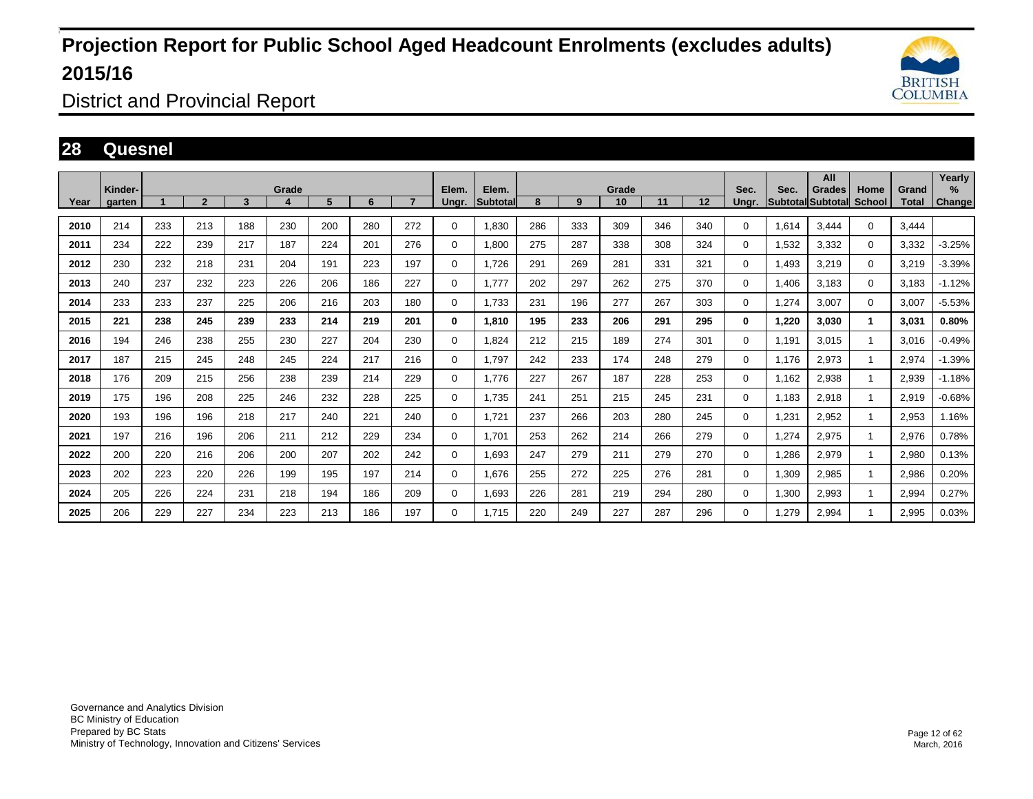

District and Provincial Report

### **28 Quesnel**

|      | Kinder- |     |                |     | Grade |     |     |                | Elem.       | Elem.           |     |     | Grade |     |     | Sec.           | Sec.  | All<br>Grades            | Home          | Grand        | Yearly<br>$\frac{9}{6}$ |
|------|---------|-----|----------------|-----|-------|-----|-----|----------------|-------------|-----------------|-----|-----|-------|-----|-----|----------------|-------|--------------------------|---------------|--------------|-------------------------|
| Year | garten  |     | $\overline{2}$ | 3   |       | 5   | 6   | $\overline{ }$ | Ungr.       | <b>Subtotal</b> | 8   | 9   | 10    | 11  | 12  | Unar.          |       | <b>Subtotal Subtotal</b> | <b>School</b> | <b>Total</b> | <b>Change</b>           |
| 2010 | 214     | 233 | 213            | 188 | 230   | 200 | 280 | 272            | 0           | 1.830           | 286 | 333 | 309   | 346 | 340 | 0              | 1.614 | 3.444                    | $\Omega$      | 3.444        |                         |
| 2011 | 234     | 222 | 239            | 217 | 187   | 224 | 201 | 276            | 0           | 1,800           | 275 | 287 | 338   | 308 | 324 | 0              | 1,532 | 3,332                    | $\mathbf 0$   | 3,332        | $-3.25%$                |
| 2012 | 230     | 232 | 218            | 231 | 204   | 191 | 223 | 197            | $\Omega$    | 1,726           | 291 | 269 | 281   | 331 | 321 | 0              | 1,493 | 3,219                    | $\mathbf 0$   | 3,219        | $-3.39%$                |
| 2013 | 240     | 237 | 232            | 223 | 226   | 206 | 186 | 227            | 0           | 1.777           | 202 | 297 | 262   | 275 | 370 | 0              | 1.406 | 3,183                    | $\mathbf 0$   | 3.183        | $-1.12%$                |
| 2014 | 233     | 233 | 237            | 225 | 206   | 216 | 203 | 180            | $\Omega$    | 1,733           | 231 | 196 | 277   | 267 | 303 | 0              | 1,274 | 3,007                    | $\mathbf 0$   | 3,007        | $-5.53%$                |
| 2015 | 221     | 238 | 245            | 239 | 233   | 214 | 219 | 201            | $\bf{0}$    | 1.810           | 195 | 233 | 206   | 291 | 295 | 0              | 1.220 | 3.030                    | $\mathbf{1}$  | 3,031        | 0.80%                   |
| 2016 | 194     | 246 | 238            | 255 | 230   | 227 | 204 | 230            | $\mathbf 0$ | 1,824           | 212 | 215 | 189   | 274 | 301 | 0              | 1.191 | 3,015                    |               | 3,016        | $-0.49%$                |
| 2017 | 187     | 215 | 245            | 248 | 245   | 224 | 217 | 216            | $\Omega$    | 1,797           | 242 | 233 | 174   | 248 | 279 | 0              | 1,176 | 2,973                    | $\mathbf{1}$  | 2,974        | $-1.39%$                |
| 2018 | 176     | 209 | 215            | 256 | 238   | 239 | 214 | 229            | $\mathbf 0$ | 1.776           | 227 | 267 | 187   | 228 | 253 | 0              | 1,162 | 2,938                    | 1             | 2,939        | $-1.18%$                |
| 2019 | 175     | 196 | 208            | 225 | 246   | 232 | 228 | 225            | $\mathbf 0$ | 1,735           | 241 | 251 | 215   | 245 | 231 | 0              | 1,183 | 2,918                    | $\mathbf{1}$  | 2,919        | $-0.68%$                |
| 2020 | 193     | 196 | 196            | 218 | 217   | 240 | 221 | 240            | $\mathbf 0$ | 1.721           | 237 | 266 | 203   | 280 | 245 | $\overline{0}$ | 1,231 | 2,952                    |               | 2,953        | 1.16%                   |
| 2021 | 197     | 216 | 196            | 206 | 211   | 212 | 229 | 234            | $\mathbf 0$ | 1.701           | 253 | 262 | 214   | 266 | 279 | 0              | 1,274 | 2,975                    | $\mathbf{1}$  | 2,976        | 0.78%                   |
| 2022 | 200     | 220 | 216            | 206 | 200   | 207 | 202 | 242            | $\mathbf 0$ | 1,693           | 247 | 279 | 211   | 279 | 270 | 0              | 1,286 | 2,979                    |               | 2,980        | 0.13%                   |
| 2023 | 202     | 223 | 220            | 226 | 199   | 195 | 197 | 214            | $\mathbf 0$ | 1.676           | 255 | 272 | 225   | 276 | 281 | $\overline{0}$ | 1,309 | 2,985                    |               | 2,986        | 0.20%                   |
| 2024 | 205     | 226 | 224            | 231 | 218   | 194 | 186 | 209            | $\mathbf 0$ | 1,693           | 226 | 281 | 219   | 294 | 280 | 0              | 1,300 | 2,993                    |               | 2,994        | 0.27%                   |
| 2025 | 206     | 229 | 227            | 234 | 223   | 213 | 186 | 197            | 0           | 1,715           | 220 | 249 | 227   | 287 | 296 | 0              | 1.279 | 2,994                    |               | 2,995        | 0.03%                   |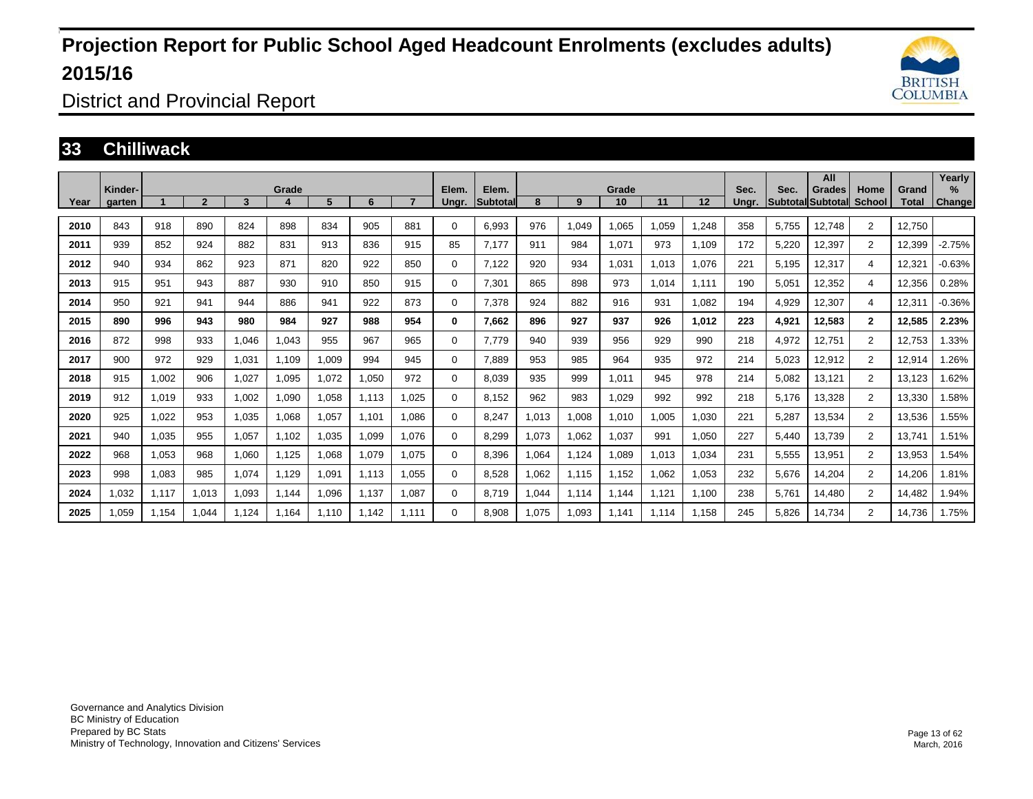

District and Provincial Report

### **33 Chilliwack**

| Year | Kinder-<br>garten |       | $\overline{2}$ | 3     | Grade<br>4 | 5     | 6     |       | Elem.<br>Ungr. | Elem.<br>Subtotal | 8      | 9     | Grade<br>10 | 11    | 12    | Sec.<br>Unar. | Sec.  | All<br>Grades<br><b>Subtotal Subtotal</b> | Home<br>School | Grand<br>Total | Yearly<br>$\%$<br>Change |
|------|-------------------|-------|----------------|-------|------------|-------|-------|-------|----------------|-------------------|--------|-------|-------------|-------|-------|---------------|-------|-------------------------------------------|----------------|----------------|--------------------------|
| 2010 | 843               | 918   | 890            | 824   | 898        | 834   | 905   | 881   | 0              | 6.993             | 976    | 1,049 | 1.065       | .059  | 1.248 | 358           | 5.755 | 12.748                                    | 2              | 12.750         |                          |
|      |                   |       |                |       |            |       |       |       |                |                   |        |       |             |       |       |               |       |                                           |                |                |                          |
| 2011 | 939               | 852   | 924            | 882   | 831        | 913   | 836   | 915   | 85             | 7.177             | 911    | 984   | 1,071       | 973   | 1.109 | 172           | 5,220 | 12,397                                    | $\overline{2}$ | 12,399         | $-2.75%$                 |
| 2012 | 940               | 934   | 862            | 923   | 871        | 820   | 922   | 850   | 0              | 7,122             | 920    | 934   | 1,031       | 1,013 | 1,076 | 221           | 5,195 | 12,317                                    | 4              | 12,321         | $-0.63%$                 |
| 2013 | 915               | 951   | 943            | 887   | 930        | 910   | 850   | 915   | 0              | 7.301             | 865    | 898   | 973         | 1.014 | 1.111 | 190           | 5,051 | 12,352                                    | 4              | 12,356         | 0.28%                    |
| 2014 | 950               | 921   | 941            | 944   | 886        | 941   | 922   | 873   | 0              | 7,378             | 924    | 882   | 916         | 931   | 1,082 | 194           | 4,929 | 12,307                                    | 4              | 12,311         | $-0.36%$                 |
| 2015 | 890               | 996   | 943            | 980   | 984        | 927   | 988   | 954   | 0              | 7.662             | 896    | 927   | 937         | 926   | 1.012 | 223           | 4,921 | 12,583                                    | $\overline{2}$ | 12,585         | 2.23%                    |
| 2016 | 872               | 998   | 933            | 1.046 | 1.043      | 955   | 967   | 965   | 0              | 7.779             | 940    | 939   | 956         | 929   | 990   | 218           | 4,972 | 12,751                                    | $\overline{2}$ | 12,753         | 1.33%                    |
| 2017 | 900               | 972   | 929            | 1,031 | 1,109      | 1,009 | 994   | 945   | 0              | 7,889             | 953    | 985   | 964         | 935   | 972   | 214           | 5,023 | 12,912                                    | 2              | 12,914         | 1.26%                    |
| 2018 | 915               | 1,002 | 906            | 1,027 | 1.095      | 1,072 | 1,050 | 972   | 0              | 8.039             | 935    | 999   | 1,011       | 945   | 978   | 214           | 5,082 | 13,121                                    | $\overline{2}$ | 13,123         | 1.62%                    |
| 2019 | 912               | 1,019 | 933            | 1,002 | 1,090      | 1,058 | 1,113 | 1,025 | 0              | 8,152             | 962    | 983   | 1,029       | 992   | 992   | 218           | 5,176 | 13,328                                    | $\overline{2}$ | 13,330         | 1.58%                    |
| 2020 | 925               | 1,022 | 953            | 1,035 | 1,068      | 1,057 | 1,101 | 1.086 | 0              | 8,247             | 1,013  | 1,008 | 1,010       | 1.005 | 1,030 | 221           | 5,287 | 13,534                                    | $\overline{2}$ | 13,536         | 1.55%                    |
| 2021 | 940               | 1,035 | 955            | 1,057 | 1.102      | 1,035 | 1,099 | 1.076 | 0              | 8.299             | 1.073  | 1,062 | 1.037       | 991   | 1,050 | 227           | 5,440 | 13,739                                    | $\overline{2}$ | 13,741         | 1.51%                    |
| 2022 | 968               | 1,053 | 968            | 1,060 | 1,125      | 1,068 | 1,079 | 1,075 | 0              | 8,396             | 064. ا | 1,124 | 1,089       | 1,013 | 1,034 | 231           | 5,555 | 13,951                                    | $\overline{2}$ | 13,953         | 1.54%                    |
| 2023 | 998               | 1.083 | 985            | 1.074 | 1.129      | 1,091 | 1,113 | 1.055 | 0              | 8,528             | 1,062  | 1.115 | 1.152       | 1.062 | 1,053 | 232           | 5,676 | 14,204                                    | $\overline{2}$ | 14,206         | 1.81%                    |
| 2024 | 1,032             | 1.117 | 1,013          | 1,093 | 1.144      | 1,096 | 1,137 | 1.087 | 0              | 8.719             | .044   | 1.114 | 1.144       | 1.121 | 1.100 | 238           | 5.761 | 14,480                                    | $\overline{2}$ | 14.482         | 1.94%                    |
| 2025 | 1,059             | 1,154 | 1,044          | 1.124 | 1.164      | 1,110 | 1,142 | 1,111 | 0              | 8,908             | 1,075  | 1,093 | 1,141       | 1.114 | 1,158 | 245           | 5,826 | 14,734                                    | $\overline{2}$ | 14,736         | 1.75%                    |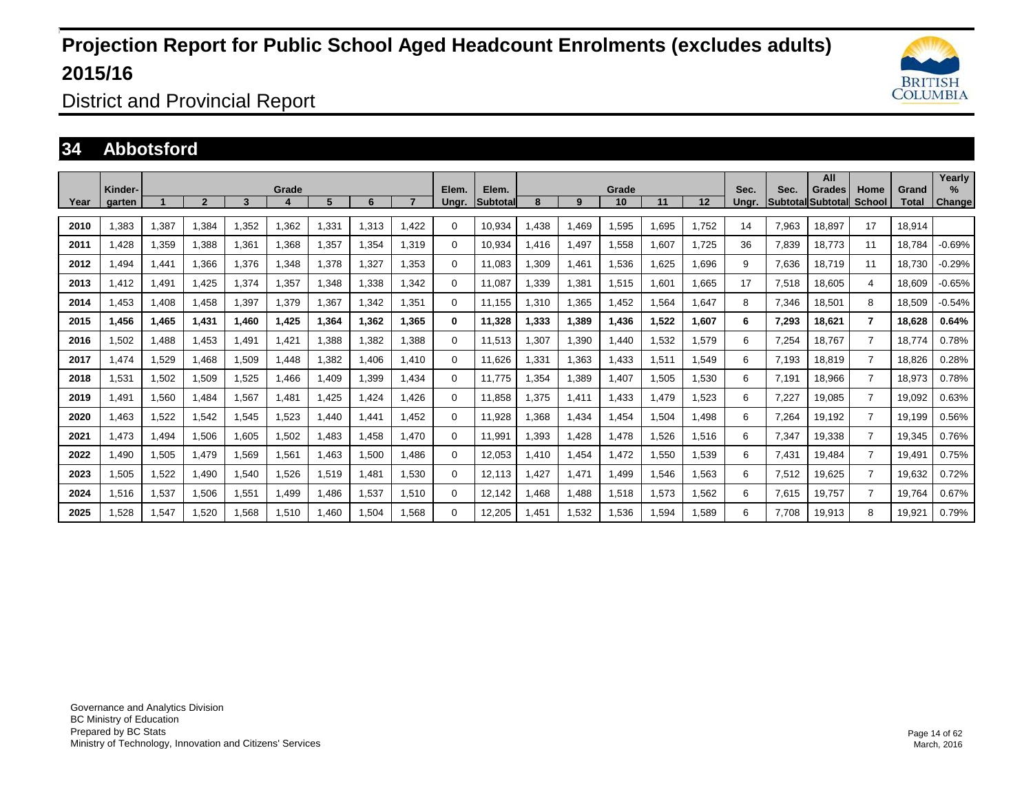

District and Provincial Report

### **34 Abbotsford**

|      | Kinder- |       |                |       | Grade |       |       |       | Elem.    | Elem.    |       |       | Grade |       |       | Sec.  | Sec.  | All<br>Grades            | Home           | Grand  | Yearly<br>$\%$ |
|------|---------|-------|----------------|-------|-------|-------|-------|-------|----------|----------|-------|-------|-------|-------|-------|-------|-------|--------------------------|----------------|--------|----------------|
| Year | aarten  |       | $\overline{2}$ | 3     | 4     | 5     | 6     |       | Ungr.    | Subtotal | 8     | 9     | 10    | 11    | 12    | Ungr. |       | <b>Subtotal Subtotal</b> | School         | Total  | Change         |
| 2010 | .383    | 1,387 | .384           | 1.352 | .362  | ,331  | 1,313 | 1.422 | 0        | 10.934   | .438  | 1.469 | ,595  | ,695  | 1.752 | 14    | 7,963 | 18.897                   | 17             | 18,914 |                |
| 2011 | .428    | 1,359 | .388           | .361  | 1,368 | .357  | 1,354 | 1.319 | 0        | 10,934   | .416  | 1,497 | 1,558 | ,607  | 1.725 | 36    | 7,839 | 18,773                   | 11             | 18.784 | $-0.69%$       |
| 2012 | .494    | 1,441 | .366           | 1.376 | 1.348 | 1,378 | 1.327 | 1.353 | 0        | 11.083   | .309  | 1,461 | 1,536 | .625  | 1.696 | 9     | 7.636 | 18.719                   | 11             | 18.730 | $-0.29%$       |
| 2013 | .412    | 1,491 | 1,425          | 1,374 | 1,357 | .348  | 1,338 | 1.342 | 0        | 11.087   | .339  | 1,381 | 1,515 | .601  | 1,665 | 17    | 7,518 | 18,605                   | 4              | 18.609 | $-0.65%$       |
| 2014 | .453    | 1,408 | 1,458          | 1,397 | 1,379 | 1,367 | 1,342 | 1,351 | $\Omega$ | 11,155   | .310  | 1,365 | 1,452 | .564  | 1,647 | 8     | 7,346 | 18,501                   | 8              | 18,509 | $-0.54%$       |
| 2015 | 1,456   | 1,465 | 1,431          | 1,460 | 1,425 | 1,364 | 1,362 | 1,365 | 0        | 11,328   | 1,333 | 1,389 | 1,436 | 1,522 | 1,607 | 6     | 7,293 | 18,621                   | $\overline{7}$ | 18,628 | 0.64%          |
| 2016 | 1,502   | 1,488 | 1,453          | 1.491 | 1.421 | 388,  | 1,382 | 1.388 | 0        | 11,513   | .307  | 1,390 | 1.440 | .532  | 1,579 | 6     | 7,254 | 18.767                   | $\overline{7}$ | 18.774 | 0.78%          |
| 2017 | .474    | 1,529 | 1,468          | 1,509 | 1.448 | ,382  | 1,406 | 1.410 | $\Omega$ | 11,626   | .331  | 1,363 | 1,433 | .511  | 1,549 | 6     | 7,193 | 18,819                   | $\overline{7}$ | 18,826 | 0.28%          |
| 2018 | 531. ا  | 1,502 | 1,509          | 1,525 | 1,466 | 1,409 | 1,399 | 1,434 | 0        | 11,775   | .354  | 1,389 | 1,407 | ,505  | 1,530 | 6     | 7,191 | 18,966                   | $\overline{7}$ | 18,973 | 0.78%          |
| 2019 | .491    | 1,560 | .484           | 1,567 | 1.481 | 1,425 | 1,424 | 1.426 | 0        | 11.858   | 1,375 | 1,411 | 1,433 | ,479  | 1,523 | 6     | 7,227 | 19,085                   | $\overline{7}$ | 19,092 | 0.63%          |
| 2020 | .463    | 1,522 | 1,542          | 1,545 | .523  | 1,440 | 1,441 | 1,452 | 0        | 11,928   | .368  | 1,434 | 1,454 | ,504  | 1,498 | 6     | 7,264 | 19,192                   | $\overline{7}$ | 19,199 | 0.56%          |
| 2021 | 1,473   | 1,494 | 1,506          | 1,605 | 1,502 | 1,483 | 1,458 | 1,470 | 0        | 11,991   | 1,393 | 1,428 | 1,478 | .526  | 1,516 | 6     | 7,347 | 19,338                   | $\overline{7}$ | 19,345 | 0.76%          |
| 2022 | 1,490   | 1,505 | 1,479          | 1,569 | 1,561 | 1,463 | 1,500 | 1.486 | 0        | 12,053   | .410  | 1.454 | 1,472 | .550  | 1,539 | 6     | 7,431 | 19,484                   | $\overline{7}$ | 19,491 | 0.75%          |
| 2023 | 1,505   | 1,522 | 1.490          | 1,540 | 1,526 | 1,519 | 1,481 | 1,530 | 0        | 12.113   | ,427  | 1.471 | 1.499 | .546  | 1,563 | 6     | 7,512 | 19,625                   | $\overline{7}$ | 19,632 | 0.72%          |
| 2024 | 1,516   | 1,537 | 1.506          | 1.551 | 1.499 | 1,486 | 1,537 | 1,510 | 0        | 12.142   | .468  | 1.488 | 1,518 | 1,573 | 1,562 | 6     | 7,615 | 19,757                   | $\overline{7}$ | 19.764 | 0.67%          |
| 2025 | .528    | 1,547 | 1,520          | 1.568 | 1,510 | 1,460 | 1,504 | .568  | 0        | 12,205   | .451  | 1,532 | 1,536 | .594  | 1,589 | 6     | 7,708 | 19,913                   | 8              | 19,921 | 0.79%          |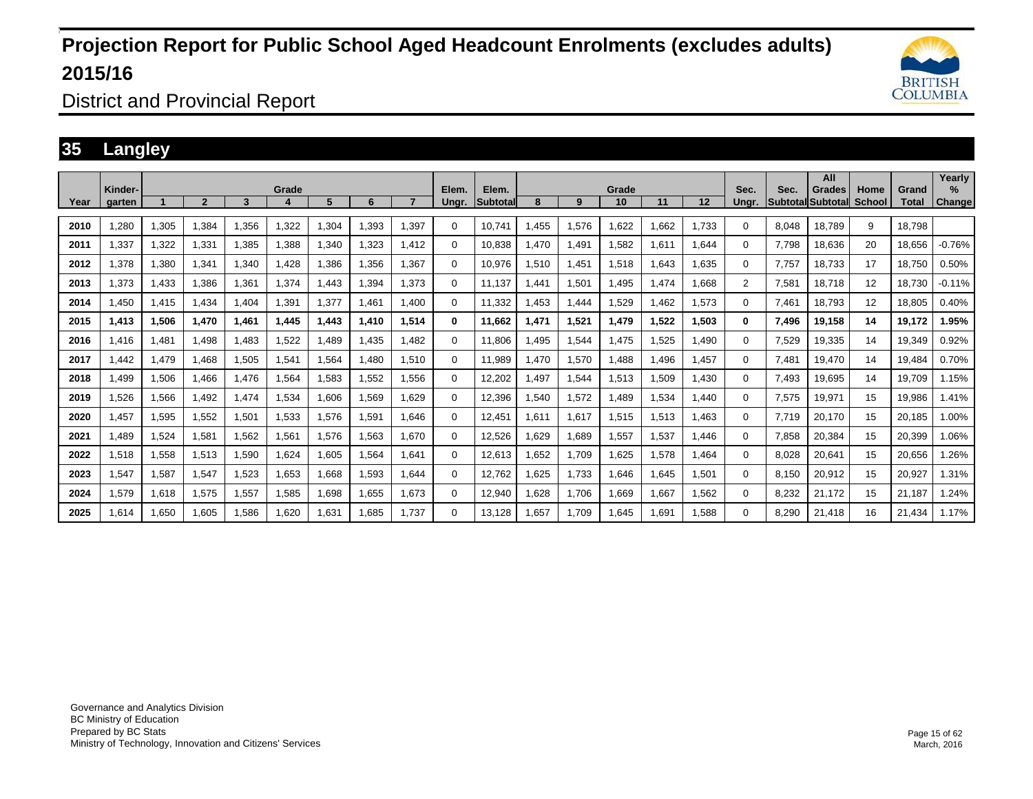

District and Provincial Report

### **35 Langley**

|      | Kinder-     |       |                |       | Grade |       |       |       | Elem.    | Elem.           |       |       | Grade |        |        | Sec.           | Sec.  | All<br>Grades     | Home          | Grand  | Yearly<br>$\%$ |
|------|-------------|-------|----------------|-------|-------|-------|-------|-------|----------|-----------------|-------|-------|-------|--------|--------|----------------|-------|-------------------|---------------|--------|----------------|
| Year | garten      |       | $\overline{2}$ | 3     |       | 5     | 6     |       | Ungr.    | <b>Subtotal</b> | 8     | 9     | 10    | 11     | 12     | Unar.          |       | Subtotal Subtotal | <b>School</b> | Total  | <b>Change</b>  |
| 2010 | ,280        | 1,305 | 1.384          | 1.356 | .322  | ,304  | 1.393 | .397  | $\Omega$ | 10.741          | .455  | 1,576 | 1,622 | .662   | .733   | 0              | 8.048 | 18.789            | 9             | 18.798 |                |
| 2011 | 1,337       | 1,322 | 1,331          | 1,385 | ,388  | ,340  | 1,323 | 1.412 | $\Omega$ | 10,838          | 1,470 | 1,491 | 1,582 | 611. ا | .644   | $\Omega$       | 7,798 | 18,636            | 20            | 18,656 | $-0.76%$       |
| 2012 | 1,378       | 1,380 | 1,341          | 1,340 | 1.428 | ,386  | ,356  | .367  | 0        | 10,976          | ,510  | 1,451 | 1,518 | .643   | .635   | 0              | 7.757 | 18.733            | 17            | 18.750 | 0.50%          |
| 2013 | 1,373       | 1,433 | 1,386          | 1,361 | 1,374 | .443  | .394  | 1.373 | $\Omega$ | 11,137          | 1.441 | 1,501 | 1,495 | 1.474  | .668   | $\overline{2}$ | 7,581 | 18,718            | 12            | 18.730 | $-0.11%$       |
| 2014 | .450        | 1,415 | 1,434          | 1.404 | 1,391 | 1,377 | 1.461 | 1.400 | $\Omega$ | 11.332          | .453  | 1,444 | 1,529 | .462   | 1,573  | 0              | 7.461 | 18.793            | 12            | 18,805 | 0.40%          |
| 2015 | 1,413       | 1,506 | 1,470          | 1,461 | 1,445 | 1,443 | 1,410 | 1,514 | 0        | 11,662          | 1,471 | 1,521 | 1,479 | 1,522  | 1,503  | 0              | 7,496 | 19,158            | 14            | 19,172 | 1.95%          |
| 2016 | 1.416       | 1,481 | 1,498          | 1.483 | 1.522 | ,489  | 1,435 | 1.482 | $\Omega$ | 11,806          | .495  | 1,544 | 1,475 | ,525   | 490, ا | 0              | 7,529 | 19,335            | 14            | 19,349 | 0.92%          |
| 2017 | .442        | 1,479 | 1,468          | 1,505 | 1,541 | .564  | ,480  | 1,510 | $\Omega$ | 11,989          | 1,470 | 1,570 | 1,488 | .496   | 1,457  | $\Omega$       | 7,481 | 19,470            | 14            | 19,484 | 0.70%          |
| 2018 | <b>.499</b> | 1,506 | 1,466          | 1,476 | 1,564 | 1,583 | 1,552 | 1.556 | $\Omega$ | 12,202          | .497  | 1,544 | 1,513 | ,509   | 1,430  | $\Omega$       | 7,493 | 19,695            | 14            | 19,709 | 1.15%          |
| 2019 | 526.        | 1,566 | 1,492          | 1,474 | 1,534 | 1,606 | 1,569 | 1.629 | $\Omega$ | 12,396          | 540.  | 1,572 | 1,489 | 1,534  | 440. ا | $\Omega$       | 7,575 | 19,971            | 15            | 19,986 | 1.41%          |
| 2020 | 1.457       | 1,595 | 1,552          | 1,501 | 1,533 | 1,576 | 1,591 | 1.646 | $\Omega$ | 12,451          | 1,611 | 1,617 | 1,515 | 1,513  | 1,463  | 0              | 7.719 | 20,170            | 15            | 20,185 | 1.00%          |
| 2021 | .489        | 1,524 | 1,581          | 1,562 | 1,561 | 1,576 | 1,563 | 1.670 | 0        | 12,526          | .629  | 1,689 | 1,557 | 1,537  | 1,446  | 0              | 7,858 | 20,384            | 15            | 20,399 | 1.06%          |
| 2022 | 1,518       | 1,558 | 1,513          | 1,590 | 1,624 | 1,605 | 1,564 | 1.641 | 0        | 12,613          | .652  | 1,709 | 1,625 | 1,578  | 464. ا | $\Omega$       | 8,028 | 20,641            | 15            | 20,656 | 1.26%          |
| 2023 | 1,547       | 1,587 | 1,547          | 1,523 | 1,653 | 1.668 | 1,593 | 1.644 | 0        | 12,762          | ,625  | 1,733 | 1.646 | .645   | 1,501  | $\Omega$       | 8.150 | 20,912            | 15            | 20,927 | 1.31%          |
| 2024 | 1,579       | 1,618 | 1,575          | 1,557 | 1,585 | 1,698 | 1,655 | 1,673 | $\Omega$ | 12,940          | 1,628 | 1,706 | 1,669 | 1,667  | 1,562  | $\Omega$       | 8,232 | 21,172            | 15            | 21,187 | 1.24%          |
| 2025 | 1,614       | 1,650 | 1,605          | 1,586 | 1,620 | .631  | 1.685 | 1.737 | 0        | 13,128          | 1,657 | 1.709 | 1.645 | 1.691  | 1,588  | 0              | 8,290 | 21,418            | 16            | 21.434 | 1.17%          |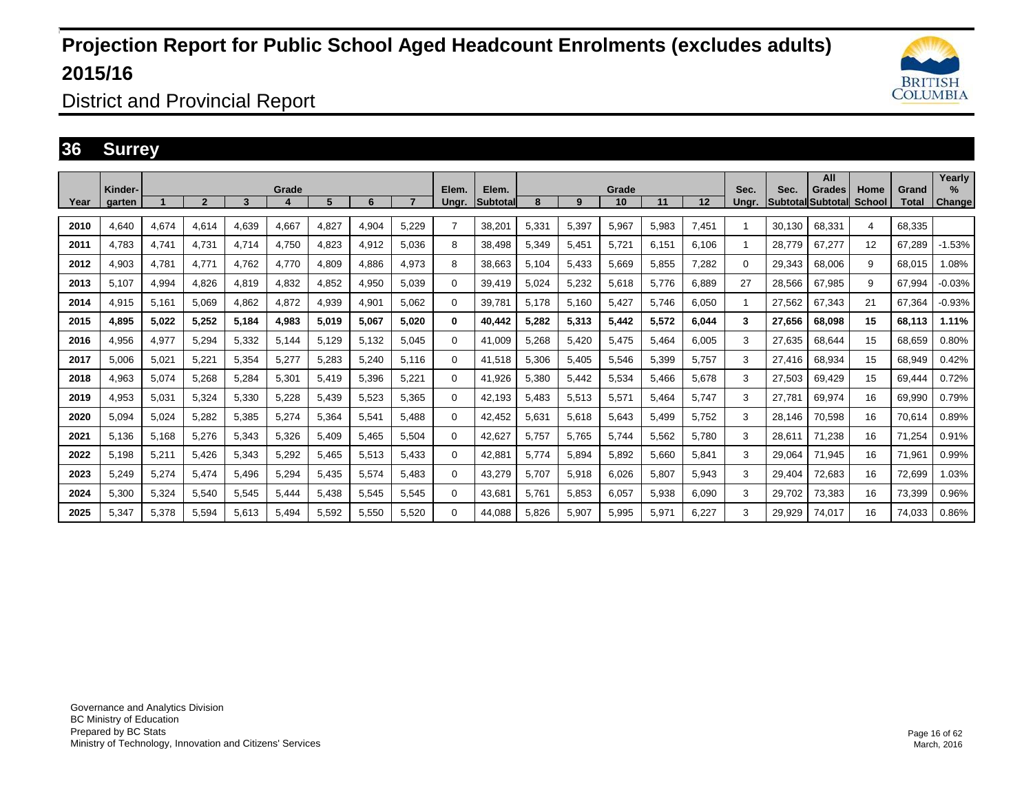

District and Provincial Report

#### **36 Surrey**

|      | Kinder- |       |                |       | Grade |       |       |       | Elem.    | Elem.    |       |       | Grade |       |       | Sec.  | Sec.   | All<br>Grades            | Home   | Grand  | Yearly<br>$\%$ |
|------|---------|-------|----------------|-------|-------|-------|-------|-------|----------|----------|-------|-------|-------|-------|-------|-------|--------|--------------------------|--------|--------|----------------|
| Year | garten  |       | $\overline{2}$ | 3     |       | 5     | 6     |       | Ungr.    | Subtotal | 8     | 9     | 10    | 11    | 12    | Ungr. |        | <b>Subtotal Subtotal</b> | School | Total  | <b>Change</b>  |
| 2010 | 4.640   | 4,674 | 4,614          | 4.639 | 4,667 | 4,827 | 4,904 | 5.229 |          | 38,201   | 5,33' | 5,397 | 5,967 | 5,983 | 7,451 |       | 30,130 | 68,331                   | 4      | 68,335 |                |
| 2011 | 4.783   | 4,741 | 4.731          | 4.714 | 4.750 | 4,823 | 4,912 | 5.036 | 8        | 38.498   | 5,349 | 5,451 | 5,721 | 6.151 | 6,106 |       | 28.779 | 67.277                   | 12     | 67.289 | $-1.53%$       |
| 2012 | 4,903   | 4,781 | 4.771          | 4.762 | 4.770 | 4,809 | 4,886 | 4,973 | 8        | 38,663   | 5,104 | 5,433 | 5,669 | 5,855 | 7,282 | 0     | 29,343 | 68,006                   | 9      | 68,015 | 1.08%          |
| 2013 | 5.107   | 4,994 | 4,826          | 4.819 | 4,832 | 4,852 | 4,950 | 5.039 | 0        | 39.419   | 5.024 | 5,232 | 5.618 | 5.776 | 6,889 | 27    | 28.566 | 67,985                   | 9      | 67.994 | $-0.03%$       |
| 2014 | 4,915   | 5,161 | 5,069          | 4,862 | 4,872 | 4,939 | 4,901 | 5,062 | $\Omega$ | 39,781   | 5,178 | 5,160 | 5,427 | 5.746 | 6,050 |       | 27,562 | 67,343                   | 21     | 67,364 | $-0.93%$       |
| 2015 | 4,895   | 5,022 | 5,252          | 5.184 | 4,983 | 5,019 | 5,067 | 5.020 | 0        | 40,442   | 5,282 | 5,313 | 5,442 | 5,572 | 6,044 | 3     | 27.656 | 68,098                   | 15     | 68.113 | 1.11%          |
| 2016 | 4,956   | 4,977 | 5,294          | 5,332 | 5,144 | 5,129 | 5,132 | 5.045 | 0        | 41,009   | 5,268 | 5,420 | 5,475 | 5.464 | 6,005 | 3     | 27.635 | 68,644                   | 15     | 68,659 | 0.80%          |
| 2017 | 5.006   | 5,021 | 5,221          | 5,354 | 5,277 | 5,283 | 5,240 | 5.116 | $\Omega$ | 41,518   | 5,306 | 5,405 | 5,546 | 5,399 | 5,757 | 3     | 27.416 | 68,934                   | 15     | 68,949 | 0.42%          |
| 2018 | 4,963   | 5,074 | 5,268          | 5.284 | 5,301 | 5.419 | 5,396 | 5.221 | $\Omega$ | 41,926   | 5,380 | 5,442 | 5,534 | 5.466 | 5,678 | 3     | 27.503 | 69,429                   | 15     | 69.444 | 0.72%          |
| 2019 | 4,953   | 5,031 | 5,324          | 5,330 | 5,228 | 5,439 | 5,523 | 5,365 | $\Omega$ | 42,193   | 5,483 | 5,513 | 5,571 | 5.464 | 5,747 | 3     | 27.781 | 69,974                   | 16     | 69,990 | 0.79%          |
| 2020 | 5.094   | 5,024 | 5,282          | 5,385 | 5,274 | 5,364 | 5,541 | 5.488 | 0        | 42,452   | 5,631 | 5,618 | 5,643 | 5.499 | 5,752 | 3     | 28.146 | 70,598                   | 16     | 70,614 | 0.89%          |
| 2021 | 5,136   | 5,168 | 5,276          | 5,343 | 5,326 | 5,409 | 5,465 | 5.504 | $\Omega$ | 42,627   | 5,757 | 5,765 | 5,744 | 5,562 | 5,780 | 3     | 28,611 | 71.238                   | 16     | 71,254 | 0.91%          |
| 2022 | 5.198   | 5,211 | 5.426          | 5,343 | 5,292 | 5,465 | 5,513 | 5,433 | 0        | 42,881   | 5,774 | 5,894 | 5,892 | 5,660 | 5,841 | 3     | 29,064 | 71,945                   | 16     | 71,961 | 0.99%          |
| 2023 | 5,249   | 5,274 | 5,474          | 5,496 | 5,294 | 5,435 | 5,574 | 5,483 | $\Omega$ | 43,279   | 5,707 | 5,918 | 6,026 | 5,807 | 5,943 | 3     | 29,404 | 72,683                   | 16     | 72,699 | 1.03%          |
| 2024 | 5,300   | 5,324 | 5,540          | 5,545 | 5,444 | 5,438 | 5,545 | 5,545 | 0        | 43,681   | 5,761 | 5,853 | 6,057 | 5,938 | 6,090 | 3     | 29,702 | 73,383                   | 16     | 73,399 | 0.96%          |
| 2025 | 5.347   | 5,378 | 5,594          | 5.613 | 5,494 | 5.592 | 5,550 | 5.520 | 0        | 44.088   | 5,826 | 5,907 | 5,995 | 5,971 | 6,227 | 3     | 29.929 | 74,017                   | 16     | 74.033 | 0.86%          |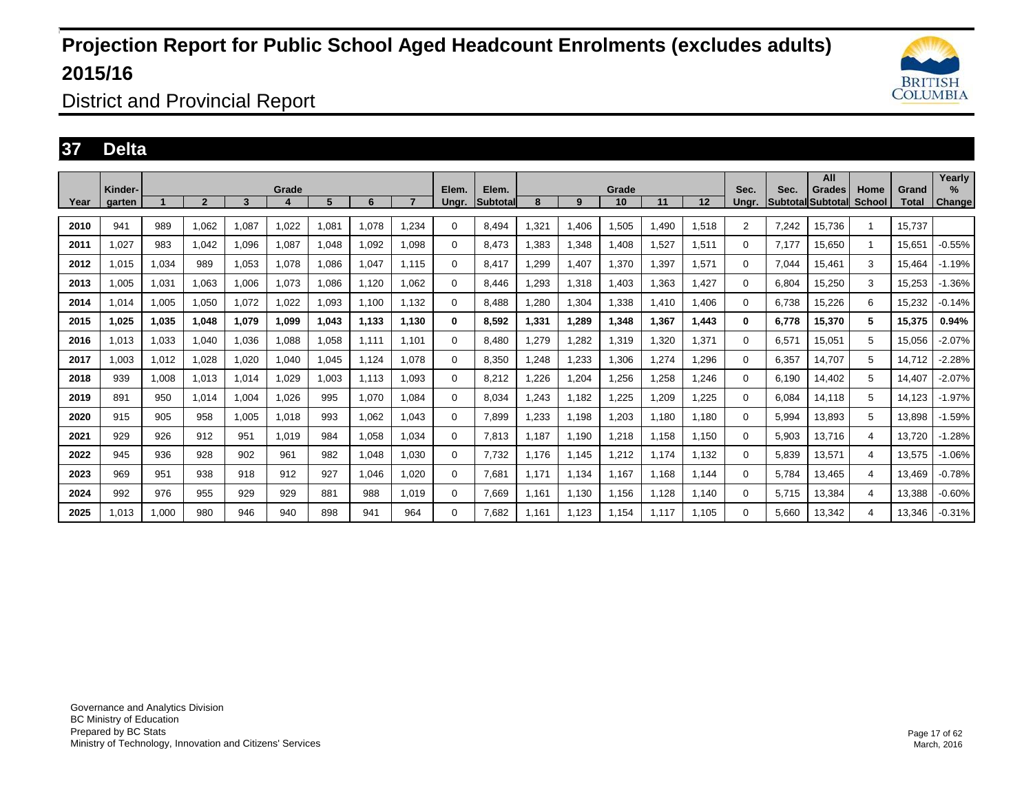

District and Provincial Report

#### **37 Delta**

|      |                   |       |                |       |            |       |       |       |                |                   |       |       | Grade |       |       |               |       | All                                        |                |                | Yearly         |
|------|-------------------|-------|----------------|-------|------------|-------|-------|-------|----------------|-------------------|-------|-------|-------|-------|-------|---------------|-------|--------------------------------------------|----------------|----------------|----------------|
| Year | Kinder-<br>aarten |       | $\overline{2}$ | 3     | Grade<br>4 | 5     | 6     |       | Elem.<br>Ungr. | Elem.<br>Subtotal | 8     | 9     | 10    | 11    | 12    | Sec.<br>Unar. | Sec.  | Grades<br><b>Subtotal Subtotall School</b> | Home           | Grand<br>Total | $\%$<br>Change |
| 2010 | 941               | 989   | 1,062          | 1,087 | 0.022      | .081  | 1,078 | .234  | $\Omega$       | 8,494             | .321  | 1,406 | 1,505 | 1,490 | 1,518 | 2             | 7,242 | 15,736                                     |                | 15.737         |                |
| 2011 | 1.027             | 983   | 1.042          | 1.096 | 1.087      | .048  | 1,092 | 1.098 | 0              | 8.473             | .383  | 1,348 | 1,408 | 1,527 | 1,511 | 0             | 7.177 | 15.650                                     | 1              | 15.651         | $-0.55%$       |
| 2012 | 1,015             | 1,034 | 989            | 1,053 | 1,078      | ,086  | 1,047 | 1.115 | 0              | 8,417             | ,299  | 1,407 | 1,370 | ,397  | 1,571 | 0             | 7,044 | 15,461                                     | 3              | 15,464         | $-1.19%$       |
| 2013 | 1,005             | 1,031 | 1,063          | 1.006 | 1,073      | ,086  | 1,120 | .062  | 0              | 8.446             | ,293  | 1,318 | 1,403 | 1,363 | 1,427 | 0             | 6,804 | 15,250                                     | 3              | 15,253         | $-1.36%$       |
| 2014 | 1,014             | 1,005 | 1,050          | 1,072 | 1,022      | 1,093 | 1,100 | 1,132 | 0              | 8,488             | ,280  | 1,304 | 1,338 | 1,410 | 1,406 | 0             | 6,738 | 15,226                                     | 6              | 15,232         | $-0.14%$       |
| 2015 | 1.025             | 1,035 | 1,048          | 1,079 | 1.099      | 1.043 | 1.133 | 1.130 | 0              | 8,592             | 1,331 | 1,289 | 1,348 | 1,367 | 1,443 | $\bf{0}$      | 6,778 | 15,370                                     | 5              | 15,375         | 0.94%          |
| 2016 | 1,013             | 1,033 | 1,040          | 1,036 | 1,088      | 0.058 | 1,111 | 1,101 | $\Omega$       | 8,480             | ,279  | 1,282 | 1,319 | 1,320 | 1,371 | 0             | 6,571 | 15,051                                     | 5              | 15,056         | $-2.07\%$      |
| 2017 | 1,003             | 1,012 | 1,028          | 1,020 | 1,040      | .045  | 1,124 | 1.078 | 0              | 8,350             | ,248  | 1,233 | 1,306 | ,274  | 1,296 | 0             | 6,357 | 14,707                                     | 5              | 14,712         | $-2.28%$       |
| 2018 | 939               | 1,008 | 1,013          | 1,014 | 1,029      | 1,003 | 1,113 | 1,093 | 0              | 8,212             | ,226  | 1,204 | 1,256 | ,258  | 1,246 | 0             | 6,190 | 14,402                                     | 5              | 14,407         | $-2.07%$       |
| 2019 | 891               | 950   | 1.014          | 1.004 | 1.026      | 995   | 1.070 | 1.084 | 0              | 8,034             | .243  | 1,182 | 1,225 | 1,209 | 1,225 | 0             | 6.084 | 14,118                                     | 5              | 14,123         | $-1.97%$       |
| 2020 | 915               | 905   | 958            | 1,005 | 1,018      | 993   | 1,062 | 1,043 | $\Omega$       | 7,899             | ,233  | 1,198 | 1,203 | 1,180 | 1,180 | 0             | 5,994 | 13,893                                     | 5              | 13,898         | $-1.59%$       |
| 2021 | 929               | 926   | 912            | 951   | 1.019      | 984   | 1,058 | 1.034 | 0              | 7.813             | 1.187 | 1.190 | 1,218 | 1.158 | 1,150 | 0             | 5,903 | 13.716                                     | 4              | 13.720         | $-1.28%$       |
| 2022 | 945               | 936   | 928            | 902   | 961        | 982   | 1,048 | 1,030 | 0              | 7,732             | 1,176 | 1,145 | 1,212 | 1,174 | 1,132 | 0             | 5,839 | 13,571                                     | 4              | 13,575         | $-1.06%$       |
| 2023 | 969               | 951   | 938            | 918   | 912        | 927   | 1.046 | 1.020 | 0              | 7.681             | 1.171 | 1.134 | 1,167 | 1.168 | 1,144 | 0             | 5.784 | 13.465                                     | 4              | 13.469         | $-0.78%$       |
| 2024 | 992               | 976   | 955            | 929   | 929        | 881   | 988   | 1,019 | 0              | 7,669             | 1,161 | 1,130 | 1,156 | 1,128 | 1,140 | 0             | 5,715 | 13,384                                     | $\overline{4}$ | 13,388         | $-0.60%$       |
| 2025 | 1.013             | 1.000 | 980            | 946   | 940        | 898   | 941   | 964   | 0              | 7.682             | 1.161 | 1,123 | 1.154 | 1.117 | 1,105 | 0             | 5.660 | 13,342                                     | $\overline{4}$ | 13,346         | $-0.31%$       |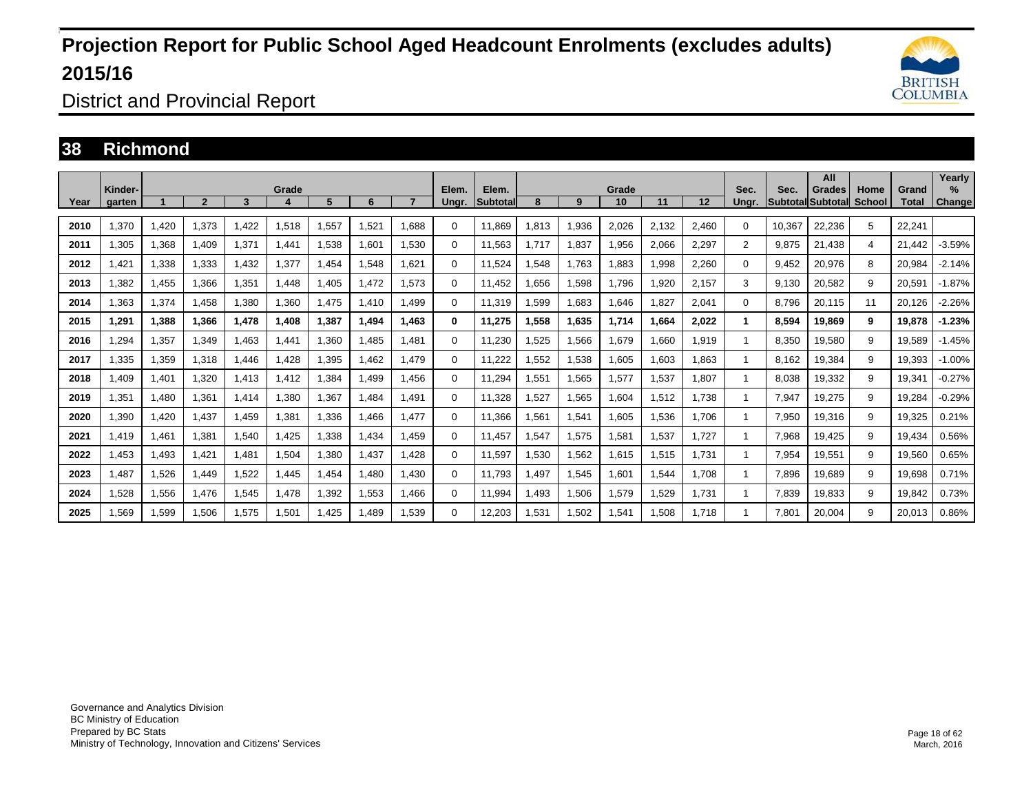

District and Provincial Report

### **38 Richmond**

| Year | Kinder-<br>garten |       | $\overline{\mathbf{c}}$ | 3     | Grade<br>4 | 5.    | 6     |       | Elem.<br>Ungr. | Elem.<br><b>Subtotal</b> | 8         | 9     | Grade<br>10 | 11    | 12    | Sec.<br>Unar.  | Sec.   | All<br>Grades<br>Subtotal Subtotal | Home<br>School | Grand<br>Total | Yearly<br>$\%$<br>Change |
|------|-------------------|-------|-------------------------|-------|------------|-------|-------|-------|----------------|--------------------------|-----------|-------|-------------|-------|-------|----------------|--------|------------------------------------|----------------|----------------|--------------------------|
|      |                   |       |                         |       |            |       |       |       |                |                          |           |       |             |       |       |                |        |                                    |                |                |                          |
| 2010 | 1,370             | 1,420 | 1,373                   | 1.422 | 1,518      | 1,557 | 1,521 | 1.688 | $\Omega$       | 11.869                   | 1,813     | 1,936 | 2,026       | 2,132 | 2,460 | $\Omega$       | 10,367 | 22,236                             | 5              | 22,241         |                          |
| 2011 | 1.305             | 1,368 | 1.409                   | 1,371 | 1.441      | 1.538 | 1.601 | 1.530 | $\Omega$       | 11.563                   | 1.717     | 1,837 | 1,956       | 2,066 | 2,297 | $\overline{2}$ | 9.875  | 21.438                             | 4              | 21.442         | $-3.59%$                 |
| 2012 | 421. ا            | 1,338 | 1,333                   | 1,432 | 1,377      | 1,454 | 1,548 | 1,621 | $\Omega$       | 11,524                   | 548.      | 1,763 | 1,883       | 998.  | 2,260 | $\Omega$       | 9,452  | 20,976                             | 8              | 20,984         | $-2.14%$                 |
| 2013 | .382              | 1,455 | 1,366                   | 1,351 | 1.448      | 1,405 | 1.472 | 1.573 | $\Omega$       | 11,452                   | 1.656     | 1,598 | 1,796       | 1.920 | 2,157 | 3              | 9.130  | 20,582                             | 9              | 20,591         | $-1.87%$                 |
| 2014 | .363              | 1,374 | 1,458                   | 1,380 | 1,360      | 1,475 | 1.410 | 1.499 | $\Omega$       | 11,319                   | 1,599     | 1,683 | 1,646       | 1.827 | 2,041 | 0              | 8,796  | 20,115                             | 11             | 20,126         | $-2.26%$                 |
| 2015 | 1,291             | 1,388 | 1.366                   | 1,478 | 1.408      | 1.387 | 1.494 | 1.463 | 0              | 11,275                   | .558<br>1 | 1,635 | 1.714       | 1.664 | 2,022 | 1              | 8,594  | 19.869                             | 9              | 19.878         | $-1.23%$                 |
| 2016 | .294              | 1,357 | 1,349                   | 1,463 | 1.441      | 1,360 | 1.485 | 1.481 | $\Omega$       | 11,230                   | .525      | 1,566 | 1,679       | .660  | 1,919 | 1              | 8,350  | 19,580                             | 9              | 19,589         | $-1.45%$                 |
| 2017 | 1,335             | 1,359 | 1,318                   | 1.446 | 1.428      | 1,395 | 1.462 | 1.479 | $\Omega$       | 11,222                   | 1,552     | 1,538 | 1.605       | .603  | 1,863 | 1              | 8.162  | 19,384                             | 9              | 19,393         | $-1.00%$                 |
| 2018 | A09,              | 1,401 | 1,320                   | 1,413 | 1,412      | ,384  | 1,499 | 1,456 | $\Omega$       | 11,294                   | 1,551     | 1,565 | 1,577       | .537  | 1,807 | 1              | 8,038  | 19,332                             | 9              | 19,341         | $-0.27%$                 |
| 2019 | 1,351             | 1,480 | 1,361                   | 1,414 | 1.380      | 1,367 | .484  | .491  | 0              | 11,328                   | 1,527     | 1,565 | 1,604       | 1,512 | 1,738 | 1              | 7,947  | 19,275                             | 9              | 19,284         | $-0.29%$                 |
| 2020 | 1,390             | 1,420 | 1,437                   | 1,459 | 1,381      | 1,336 | ,466  | .477  | $\Omega$       | 11,366                   | 1,561     | 1,541 | 1,605       | 1,536 | 1,706 |                | 7,950  | 19,316                             | 9              | 19,325         | 0.21%                    |
| 2021 | 1,419             | 1,461 | 1,381                   | 1,540 | 1,425      | 1,338 | 1,434 | 1.459 | $\Omega$       | 11,457                   | 1,547     | 1,575 | 1,581       | 1,537 | 1,727 |                | 7,968  | 19,425                             | 9              | 19,434         | 0.56%                    |
| 2022 | .453              | 1,493 | 1.421                   | 1,481 | 1,504      | 1,380 | 1.437 | 1.428 | $\Omega$       | 11,597                   | 1,530     | 1,562 | 1,615       | 1,515 | 1,731 |                | 7,954  | 19,551                             | 9              | 19,560         | 0.65%                    |
| 2023 | .487              | 1,526 | 1,449                   | 1,522 | .445       | 1,454 | 1,480 | 1,430 | $\Omega$       | 11,793                   | ,497      | 1,545 | 1,601       | .544  | 1,708 |                | 7,896  | 19,689                             | 9              | 19,698         | 0.71%                    |
| 2024 | 1,528             | 1,556 | 1.476                   | 1,545 | 1.478      | 1,392 | 1.553 | 1.466 | 0              | 11.994                   | I,493     | 1,506 | 1,579       | 1,529 | 1,731 |                | 7.839  | 19,833                             | 9              | 19,842         | 0.73%                    |
| 2025 | .569              | 1,599 | 1,506                   | 1,575 | 1,501      | 1,425 | .489  | .539  | 0              | 12,203                   | 1,531     | 1,502 | 1,541       | 1,508 | 1,718 |                | 7.801  | 20,004                             | 9              | 20,013         | 0.86%                    |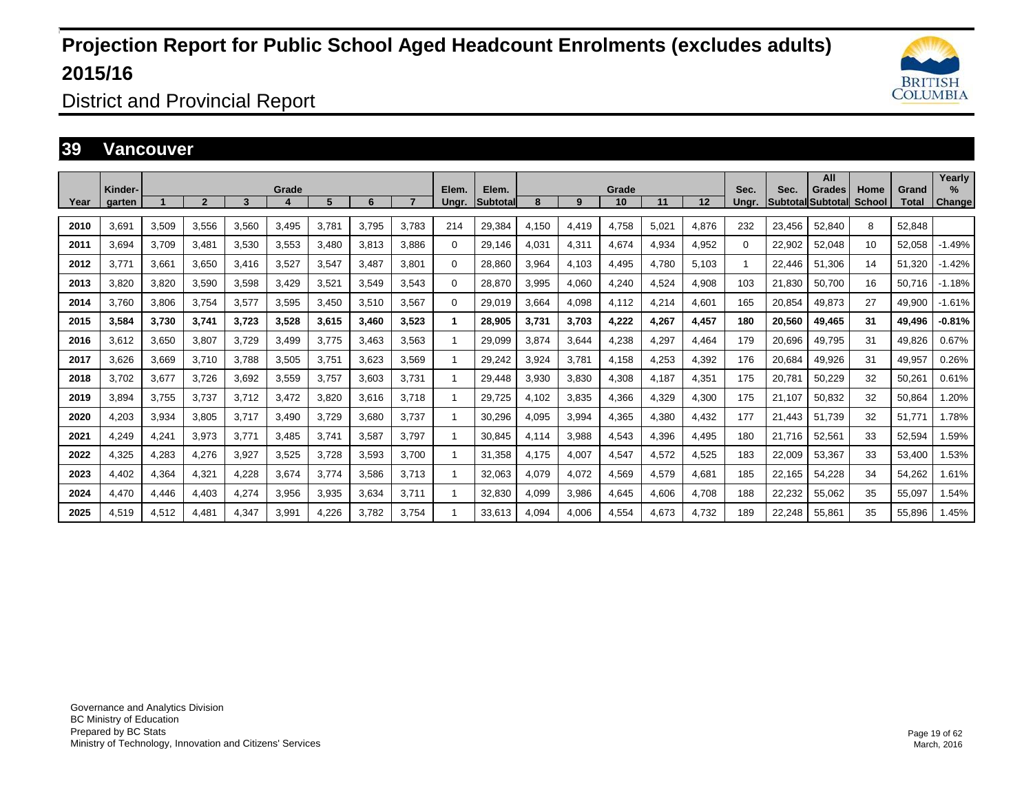

District and Provincial Report

#### **39 Vancouver**

| Year | Kinder-<br>aarten |       | $\overline{2}$ | 3     | Grade | 5.    | 6     |       | Elem.<br>Unar. | Elem.<br><b>Subtotal</b> | 8     | 9     | Grade<br>10 | 11    | 12    | Sec.<br>Unar. | Sec.   | All<br>Grades<br><b>Subtotal Subtotal</b> | Home<br>School | Grand<br>Total | Yearly<br>$\%$<br>Change |
|------|-------------------|-------|----------------|-------|-------|-------|-------|-------|----------------|--------------------------|-------|-------|-------------|-------|-------|---------------|--------|-------------------------------------------|----------------|----------------|--------------------------|
| 2010 | 3.691             | 3,509 | 3,556          | 3,560 | 3,495 | 3.781 | 3.795 | 3,783 | 214            | 29,384                   | 4.150 | 4,419 | 4,758       | 5,021 | 4,876 | 232           | 23,456 | 52,840                                    | 8              | 52.848         |                          |
| 2011 | 3,694             | 3,709 | 3,481          | 3,530 | 3,553 | 3,480 | 3,813 | 3,886 | $\Omega$       | 29,146                   | 4,031 | 4,311 | 4,674       | 4,934 | 4,952 | $\Omega$      | 22,902 | 52,048                                    | 10             | 52,058         | $-1.49%$                 |
| 2012 | 3,771             | 3,661 | 3,650          | 3,416 | 3,527 | 3,547 | 3.487 | 3.801 | $\Omega$       | 28,860                   | 3,964 | 4,103 | 4,495       | 4.780 | 5,103 |               | 22.446 | 51,306                                    | 14             | 51,320         | $-1.42%$                 |
| 2013 | 3.820             | 3,820 | 3,590          | 3,598 | 3,429 | 3,521 | 3,549 | 3.543 | $\Omega$       | 28,870                   | 3,995 | 4,060 | 4,240       | 4,524 | 4,908 | 103           | 21.830 | 50.700                                    | 16             | 50.716         | $-1.18%$                 |
| 2014 | 3,760             | 3,806 | 3,754          | 3,577 | 3,595 | 3,450 | 3,510 | 3,567 | $\Omega$       | 29,019                   | 3,664 | 4,098 | 4,112       | 4,214 | 4,601 | 165           | 20,854 | 49,873                                    | 27             | 49,900         | $-1.61%$                 |
| 2015 | 3,584             | 3,730 | 3,741          | 3.723 | 3,528 | 3,615 | 3.460 | 3,523 | 1              | 28,905                   | 3,731 | 3,703 | 4,222       | 4.267 | 4,457 | 180           | 20.560 | 49,465                                    | 31             | 49.496         | $-0.81%$                 |
| 2016 | 3,612             | 3,650 | 3,807          | 3,729 | 3,499 | 3,775 | 3,463 | 3,563 | -1             | 29,099                   | 3,874 | 3,644 | 4,238       | 4,297 | 4,464 | 179           | 20,696 | 49,795                                    | 31             | 49,826         | 0.67%                    |
| 2017 | 3,626             | 3,669 | 3,710          | 3,788 | 3,505 | 3,751 | 3,623 | 3,569 | 1              | 29,242                   | 3,924 | 3,781 | 4,158       | 4,253 | 4,392 | 176           | 20,684 | 49,926                                    | 31             | 49,957         | 0.26%                    |
| 2018 | 3.702             | 3,677 | 3,726          | 3.692 | 3,559 | 3.757 | 3.603 | 3,731 | 1              | 29,448                   | 3,930 | 3,830 | 4,308       | 4,187 | 4,351 | 175           | 20,781 | 50,229                                    | 32             | 50,261         | 0.61%                    |
| 2019 | 3,894             | 3,755 | 3,737          | 3,712 | 3,472 | 3,820 | 3,616 | 3.718 | 1              | 29,725                   | 4,102 | 3,835 | 4,366       | 4,329 | 4,300 | 175           | 21,107 | 50,832                                    | 32             | 50,864         | 1.20%                    |
| 2020 | 4,203             | 3,934 | 3,805          | 3.717 | 3.490 | 3,729 | 3.680 | 3,737 | 1              | 30,296                   | 4.095 | 3,994 | 4,365       | 4.380 | 4,432 | 177           | 21,443 | 51.739                                    | 32             | 51.771         | 1.78%                    |
| 2021 | 4,249             | 4,241 | 3,973          | 3.771 | 3.485 | 3.741 | 3,587 | 3.797 | 1              | 30.845                   | 4.114 | 3,988 | 4,543       | 4,396 | 4,495 | 180           | 21,716 | 52,561                                    | 33             | 52,594         | 1.59%                    |
| 2022 | 4,325             | 4,283 | 4,276          | 3,927 | 3,525 | 3.728 | 3,593 | 3.700 | $\mathbf{1}$   | 31.358                   | 4.175 | 4,007 | 4,547       | 4,572 | 4,525 | 183           | 22,009 | 53,367                                    | 33             | 53,400         | 1.53%                    |
| 2023 | 4,402             | 4,364 | 4,321          | 4,228 | 3,674 | 3,774 | 3,586 | 3.713 | 1              | 32,063                   | 4,079 | 4,072 | 4,569       | 4,579 | 4,681 | 185           | 22,165 | 54,228                                    | 34             | 54,262         | 1.61%                    |
| 2024 | 4,470             | 4,446 | 4.403          | 4.274 | 3,956 | 3,935 | 3.634 | 3.711 | 1              | 32,830                   | 4.099 | 3,986 | 4.645       | 4.606 | 4,708 | 188           | 22,232 | 55,062                                    | 35             | 55,097         | 1.54%                    |
| 2025 | 4,519             | 4,512 | 4,481          | 4,347 | 3,991 | 4,226 | 3,782 | 3,754 | 1              | 33,613                   | 4.094 | 4,006 | 4,554       | 4,673 | 4,732 | 189           | 22,248 | 55,861                                    | 35             | 55,896         | 1.45%                    |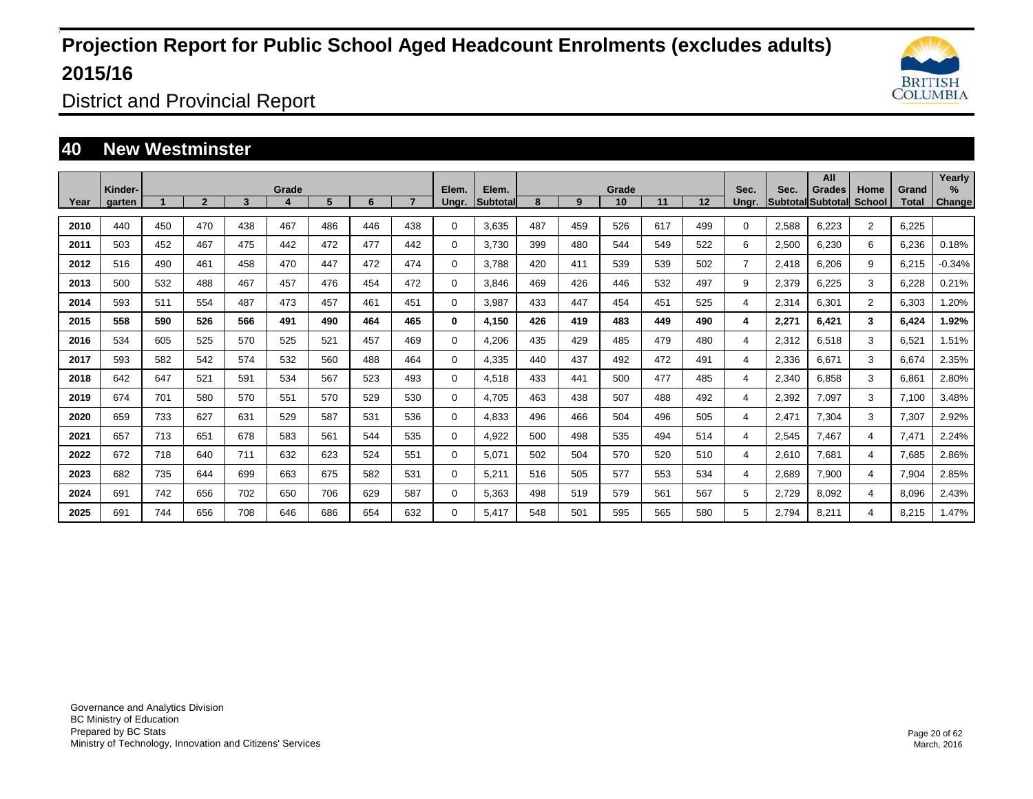

District and Provincial Report

### **40 New Westminster**

|      | Kinder- |     |              |     | Grade |     |     |     | Elem.       | Elem.    |     |     | Grade |     |     | Sec.           | Sec.  | All<br>Grades                    | Home           | Grand | Yearly<br>$\%$ |
|------|---------|-----|--------------|-----|-------|-----|-----|-----|-------------|----------|-----|-----|-------|-----|-----|----------------|-------|----------------------------------|----------------|-------|----------------|
| Year | garten  |     | $\mathbf{2}$ | 3   |       | 5   | 6   |     | Unar.       | Subtotal | 8   | 9   | 10    | 11  | 12  | Unar.          |       | <b>SubtotallSubtotall School</b> |                | Total | <b>Change</b>  |
| 2010 | 440     | 450 | 470          | 438 | 467   | 486 | 446 | 438 | 0           | 3.635    | 487 | 459 | 526   | 617 | 499 | 0              | 2,588 | 6,223                            | $\overline{2}$ | 6,225 |                |
| 2011 | 503     | 452 | 467          | 475 | 442   | 472 | 477 | 442 | 0           | 3,730    | 399 | 480 | 544   | 549 | 522 | 6              | 2,500 | 6,230                            | 6              | 6,236 | 0.18%          |
| 2012 | 516     | 490 | 461          | 458 | 470   | 447 | 472 | 474 | 0           | 3.788    | 420 | 411 | 539   | 539 | 502 | $\overline{7}$ | 2,418 | 6,206                            | 9              | 6,215 | $-0.34%$       |
| 2013 | 500     | 532 | 488          | 467 | 457   | 476 | 454 | 472 | $\mathbf 0$ | 3.846    | 469 | 426 | 446   | 532 | 497 | 9              | 2,379 | 6,225                            | 3              | 6,228 | 0.21%          |
| 2014 | 593     | 511 | 554          | 487 | 473   | 457 | 461 | 451 | $\Omega$    | 3,987    | 433 | 447 | 454   | 451 | 525 | 4              | 2,314 | 6,301                            | $\overline{2}$ | 6,303 | 1.20%          |
| 2015 | 558     | 590 | 526          | 566 | 491   | 490 | 464 | 465 | 0           | 4,150    | 426 | 419 | 483   | 449 | 490 | 4              | 2,271 | 6,421                            | 3              | 6,424 | 1.92%          |
| 2016 | 534     | 605 | 525          | 570 | 525   | 521 | 457 | 469 | 0           | 4,206    | 435 | 429 | 485   | 479 | 480 | 4              | 2,312 | 6,518                            | 3              | 6,521 | 1.51%          |
| 2017 | 593     | 582 | 542          | 574 | 532   | 560 | 488 | 464 | 0           | 4,335    | 440 | 437 | 492   | 472 | 491 | 4              | 2,336 | 6,671                            | 3              | 6,674 | 2.35%          |
| 2018 | 642     | 647 | 521          | 591 | 534   | 567 | 523 | 493 | 0           | 4,518    | 433 | 441 | 500   | 477 | 485 | 4              | 2,340 | 6,858                            | 3              | 6,861 | 2.80%          |
| 2019 | 674     | 701 | 580          | 570 | 551   | 570 | 529 | 530 | 0           | 4,705    | 463 | 438 | 507   | 488 | 492 | 4              | 2,392 | 7,097                            | 3              | 7.100 | 3.48%          |
| 2020 | 659     | 733 | 627          | 631 | 529   | 587 | 531 | 536 | $\mathbf 0$ | 4.833    | 496 | 466 | 504   | 496 | 505 | 4              | 2,471 | 7,304                            | 3              | 7.307 | 2.92%          |
| 2021 | 657     | 713 | 651          | 678 | 583   | 561 | 544 | 535 | $\mathbf 0$ | 4,922    | 500 | 498 | 535   | 494 | 514 | 4              | 2,545 | 7.467                            | 4              | 7.471 | 2.24%          |
| 2022 | 672     | 718 | 640          | 711 | 632   | 623 | 524 | 551 | 0           | 5.071    | 502 | 504 | 570   | 520 | 510 | 4              | 2,610 | 7,681                            | $\overline{4}$ | 7,685 | 2.86%          |
| 2023 | 682     | 735 | 644          | 699 | 663   | 675 | 582 | 531 | 0           | 5,211    | 516 | 505 | 577   | 553 | 534 | 4              | 2,689 | 7,900                            | 4              | 7,904 | 2.85%          |
| 2024 | 691     | 742 | 656          | 702 | 650   | 706 | 629 | 587 | 0           | 5,363    | 498 | 519 | 579   | 561 | 567 | 5              | 2,729 | 8,092                            | $\overline{4}$ | 8,096 | 2.43%          |
| 2025 | 691     | 744 | 656          | 708 | 646   | 686 | 654 | 632 | 0           | 5,417    | 548 | 501 | 595   | 565 | 580 | 5              | 2,794 | 8,211                            | $\overline{4}$ | 8,215 | 1.47%          |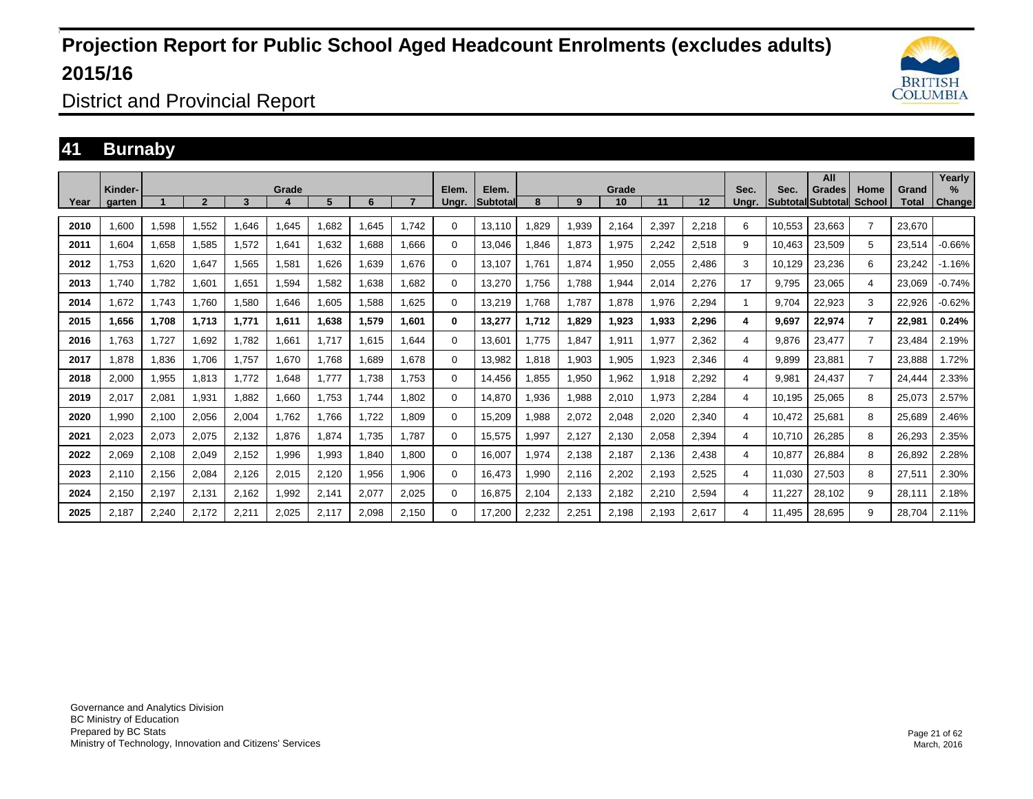

District and Provincial Report

### **41 Burnaby**

| Year | Kinder-<br>aarten |       | $\overline{\mathbf{c}}$ | 3     | Grade | 5.    | 6     |       | Elem.<br>Unar. | Elem.<br><b>Subtotal</b> | 8     | 9     | Grade<br>10 | 11    | 12    | Sec.<br>Unar. | Sec.   | All<br>Grades<br><b>Subtotal Subtotal</b> | Home<br>School | Grand<br>Total | Yearly<br>$\%$<br>Change |
|------|-------------------|-------|-------------------------|-------|-------|-------|-------|-------|----------------|--------------------------|-------|-------|-------------|-------|-------|---------------|--------|-------------------------------------------|----------------|----------------|--------------------------|
|      |                   |       |                         |       |       |       |       |       |                |                          |       |       |             |       |       |               |        |                                           |                |                |                          |
| 2010 | 1,600             | 1,598 | 1,552                   | 1,646 | 1,645 | .682  | 1,645 | 1.742 | $\Omega$       | 13,110                   | .829  | 1,939 | 2,164       | 2,397 | 2,218 | 6             | 10,553 | 23,663                                    | $\overline{7}$ | 23,670         |                          |
| 2011 | 1.604             | 1,658 | 1,585                   | 1,572 | 1,641 | 1,632 | 1.688 | 1.666 | $\Omega$       | 13.046                   | .846  | 1,873 | 1,975       | 2,242 | 2,518 | 9             | 10.463 | 23,509                                    | 5              | 23,514         | $-0.66%$                 |
| 2012 | 1.753             | 1,620 | 1,647                   | 1,565 | 1,581 | 1,626 | 1.639 | 1.676 | $\Omega$       | 13,107                   | 1.761 | 1,874 | 1,950       | 2,055 | 2,486 | 3             | 10.129 | 23,236                                    | 6              | 23,242         | $-1.16%$                 |
| 2013 | 1.740             | 1,782 | 1,601                   | 1,651 | 1,594 | 1,582 | 1,638 | 1.682 | $\Omega$       | 13,270                   | 1.756 | 1,788 | 1,944       | 2,014 | 2,276 | 17            | 9,795  | 23,065                                    | 4              | 23,069         | $-0.74%$                 |
| 2014 | 1.672             | 1.743 | 1.760                   | 1,580 | 1,646 | 1,605 | .588  | 1.625 | 0              | 13,219                   | 1.768 | 1.787 | 1,878       | 1.976 | 2,294 |               | 9.704  | 22,923                                    | 3              | 22,926         | $-0.62%$                 |
| 2015 | 1,656             | 1,708 | 1,713                   | 1,771 | 1,611 | 1,638 | 1,579 | 1.601 | 0              | 13,277                   | 1.712 | 1,829 | 1,923       | 1,933 | 2,296 | 4             | 9,697  | 22,974                                    | $\overline{7}$ | 22,981         | 0.24%                    |
| 2016 | 1.763             | 1,727 | 1,692                   | 1.782 | 1,661 | 1.717 | 1,615 | 1.644 | $\Omega$       | 13,601                   | 1.775 | 1,847 | 1,911       | 1,977 | 2,362 | 4             | 9,876  | 23,477                                    | $\overline{7}$ | 23,484         | 2.19%                    |
| 2017 | 1,878             | 1,836 | 1.706                   | 1.757 | 1.670 | 1.768 | 1.689 | 1.678 | $\Omega$       | 13,982                   | 1,818 | 1,903 | 1,905       | .923  | 2,346 | 4             | 9.899  | 23,881                                    | $\overline{7}$ | 23,888         | 1.72%                    |
| 2018 | 2,000             | 1,955 | 1,813                   | 1.772 | 1,648 | 1.777 | 1,738 | 1.753 | $\Omega$       | 14,456                   | ,855  | 1,950 | 1,962       | 1,918 | 2,292 | 4             | 9,981  | 24,437                                    | $\overline{7}$ | 24,444         | 2.33%                    |
| 2019 | 2,017             | 2,081 | 1,931                   | 1,882 | 1,660 | 1.753 | 1.744 | 1.802 | $\Omega$       | 14,870                   | 1,936 | 1,988 | 2,010       | 1,973 | 2,284 | 4             | 10,195 | 25,065                                    | 8              | 25,073         | 2.57%                    |
| 2020 | 1,990             | 2,100 | 2,056                   | 2,004 | 1,762 | 1.766 | 1,722 | 1.809 | $\Omega$       | 15,209                   | 1,988 | 2,072 | 2,048       | 2,020 | 2,340 | 4             | 10,472 | 25,681                                    | 8              | 25,689         | 2.46%                    |
| 2021 | 2,023             | 2,073 | 2,075                   | 2,132 | 1,876 | 1,874 | 1.735 | 1.787 | $\Omega$       | 15,575                   | 1.997 | 2,127 | 2,130       | 2,058 | 2,394 | 4             | 10.710 | 26,285                                    | 8              | 26,293         | 2.35%                    |
| 2022 | 2,069             | 2,108 | 2,049                   | 2,152 | 1,996 | 1,993 | 1,840 | 1,800 | 0              | 16,007                   | 1,974 | 2,138 | 2,187       | 2,136 | 2,438 | 4             | 10,877 | 26,884                                    | 8              | 26,892         | 2.28%                    |
| 2023 | 2,110             | 2,156 | 2,084                   | 2,126 | 2,015 | 2,120 | 1,956 | 1,906 | $\Omega$       | 16,473                   | 1,990 | 2,116 | 2,202       | 2,193 | 2,525 | 4             | 11.030 | 27,503                                    | 8              | 27,511         | 2.30%                    |
| 2024 | 2,150             | 2,197 | 2,131                   | 2,162 | 1,992 | 2,141 | 2,077 | 2,025 | $\Omega$       | 16,875                   | 2,104 | 2,133 | 2,182       | 2,210 | 2,594 | 4             | 11,227 | 28,102                                    | 9              | 28,111         | 2.18%                    |
| 2025 | 2,187             | 2,240 | 2,172                   | 2,211 | 2,025 | 2,117 | 2,098 | 2,150 | 0              | 17,200                   | 2,232 | 2,251 | 2,198       | 2,193 | 2,617 | 4             | 11.495 | 28,695                                    | 9              | 28.704         | 2.11%                    |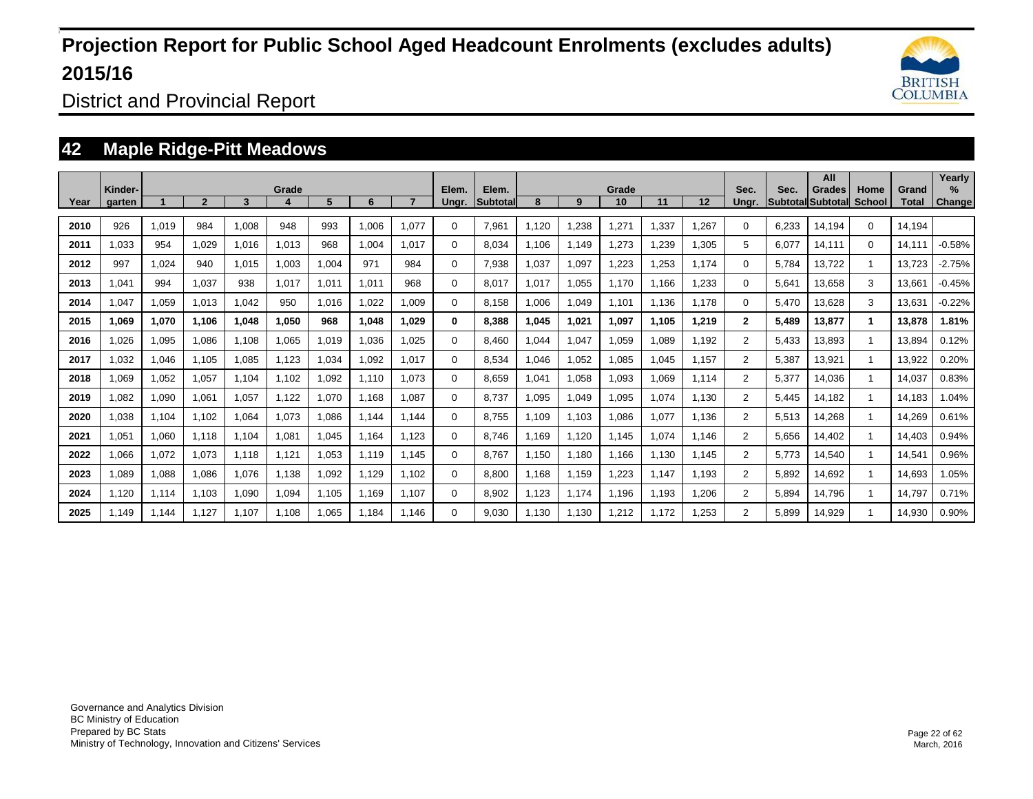

District and Provincial Report

### **42 Maple Ridge-Pitt Meadows**

|      | Kinder- |       |                |       | Grade |       |       |       | Elem.    | Elem.           |            |       | Grade |       |       | Sec.           | Sec.  | All<br>Grades     | Home          | Grand  | Yearly<br>$\%$ |
|------|---------|-------|----------------|-------|-------|-------|-------|-------|----------|-----------------|------------|-------|-------|-------|-------|----------------|-------|-------------------|---------------|--------|----------------|
| Year | garten  |       | $\overline{2}$ | 3     |       | 5     | 6     |       | Ungr.    | <b>Subtotal</b> | 8          | 9     | 10    | 11    | 12    | Unar.          |       | Subtotal Subtotal | <b>School</b> | Total  | <b>Change</b>  |
| 2010 | 926     | 1,019 | 984            | 1.008 | 948   | 993   | 1.006 | 1.077 | $\Omega$ | 7,961           | 1.120      | 1,238 | 1,271 | .337  | 1.267 | 0              | 6.233 | 14.194            | $\Omega$      | 14,194 |                |
| 2011 | 1,033   | 954   | 1,029          | 1,016 | 1,013 | 968   | 1,004 | 1.017 | $\Omega$ | 8,034           | 1,106      | 1,149 | 1,273 | ,239  | .305  | 5              | 6,077 | 14,111            | $\Omega$      | 14,111 | $-0.58%$       |
| 2012 | 997     | 1,024 | 940            | 1.015 | 1.003 | 1,004 | 971   | 984   | 0        | 7,938           | 1,037      | 1,097 | 1,223 | ,253  | 1.174 | 0              | 5.784 | 13,722            |               | 13.723 | $-2.75%$       |
| 2013 | 041. ا  | 994   | 1,037          | 938   | 1,017 | 1,011 | 1,011 | 968   | $\Omega$ | 8,017           | 1,017      | 1,055 | 1,170 | 166.  | 1,233 | $\Omega$       | 5,641 | 13,658            | 3             | 13,661 | $-0.45%$       |
| 2014 | 1,047   | 1,059 | 1.013          | 1.042 | 950   | 1.016 | 1.022 | 1.009 | $\Omega$ | 8.158           | 1.006      | 1,049 | 1,101 | 1.136 | 1.178 | 0              | 5.470 | 13.628            | 3             | 13.631 | $-0.22%$       |
| 2015 | 1,069   | 1,070 | 1,106          | 1,048 | 1.050 | 968   | 1,048 | 1.029 | 0        | 8,388           | 045. ا     | 1,021 | 1,097 | 1,105 | 1,219 | $\mathbf{2}$   | 5,489 | 13,877            | 1             | 13,878 | 1.81%          |
| 2016 | 1,026   | 1,095 | 1,086          | 1.108 | 1.065 | 1.019 | 1,036 | 1.025 | $\Omega$ | 8.460           | 1.044      | 1,047 | 1,059 | .089  | 1.192 | $\overline{2}$ | 5,433 | 13,893            |               | 13,894 | 0.12%          |
| 2017 | 1,032   | 1,046 | 1,105          | 1,085 | 1,123 | ,034  | 1,092 | 1,017 | $\Omega$ | 8,534           | 1,046<br>1 | 1,052 | 1,085 | .045  | 1,157 | $\overline{2}$ | 5,387 | 13,921            |               | 13,922 | 0.20%          |
| 2018 | 1.069   | 1,052 | 1,057          | 1.104 | 1.102 | 1,092 | 1.110 | 1.073 | $\Omega$ | 8,659           | 1.041      | 1,058 | 1,093 | 1.069 | 1,114 | $\overline{2}$ | 5,377 | 14,036            | $\mathbf{1}$  | 14,037 | 0.83%          |
| 2019 | 1,082   | 1,090 | 1,061          | 1,057 | 1,122 | 1,070 | 1.168 | 1,087 | $\Omega$ | 8,737           | 1,095      | 1,049 | 1,095 | 1,074 | 1,130 | $\overline{2}$ | 5,445 | 14,182            | $\mathbf{1}$  | 14,183 | 1.04%          |
| 2020 | 1,038   | 1,104 | 1,102          | 1,064 | 1,073 | 1,086 | 1.144 | 1.144 | $\Omega$ | 8.755           | 1.109      | 1,103 | 1,086 | 1,077 | 1,136 | $\overline{2}$ | 5,513 | 14,268            | $\mathbf{1}$  | 14,269 | 0.61%          |
| 2021 | 1,051   | 1,060 | 1,118          | 1,104 | 1,081 | 1.045 | 1.164 | 1.123 | $\Omega$ | 8,746           | 1.169      | 1,120 | 1,145 | 1.074 | 1,146 | $\overline{2}$ | 5,656 | 14,402            | $\mathbf{1}$  | 14,403 | 0.94%          |
| 2022 | 1,066   | 1,072 | 1,073          | 1,118 | 1,121 | 1,053 | 1,119 | 1.145 | 0        | 8.767           | 1,150      | 1,180 | 1.166 | 1,130 | 1,145 | $\overline{2}$ | 5.773 | 14,540            |               | 14,541 | 0.96%          |
| 2023 | 1,089   | 1,088 | 1,086          | 1,076 | 1.138 | ,092  | 1,129 | 1.102 | 0        | 8,800           | 1.168      | 1,159 | 1,223 | 1.147 | 1,193 | $\overline{2}$ | 5,892 | 14,692            | $\mathbf{1}$  | 14,693 | 1.05%          |
| 2024 | 1,120   | 1,114 | 1,103          | 1,090 | 1,094 | 1,105 | 1,169 | 1,107 | $\Omega$ | 8,902           | 1,123      | 1,174 | 1,196 | 1,193 | 1,206 | $\overline{2}$ | 5,894 | 14,796            | 1             | 14,797 | 0.71%          |
| 2025 | 1.149   | 1,144 | 1,127          | 1.107 | 1.108 | 1,065 | 1.184 | 1,146 | 0        | 9,030           | 1,130      | 1,130 | 1,212 | 1.172 | .253  | $\overline{2}$ | 5.899 | 14,929            |               | 14,930 | 0.90%          |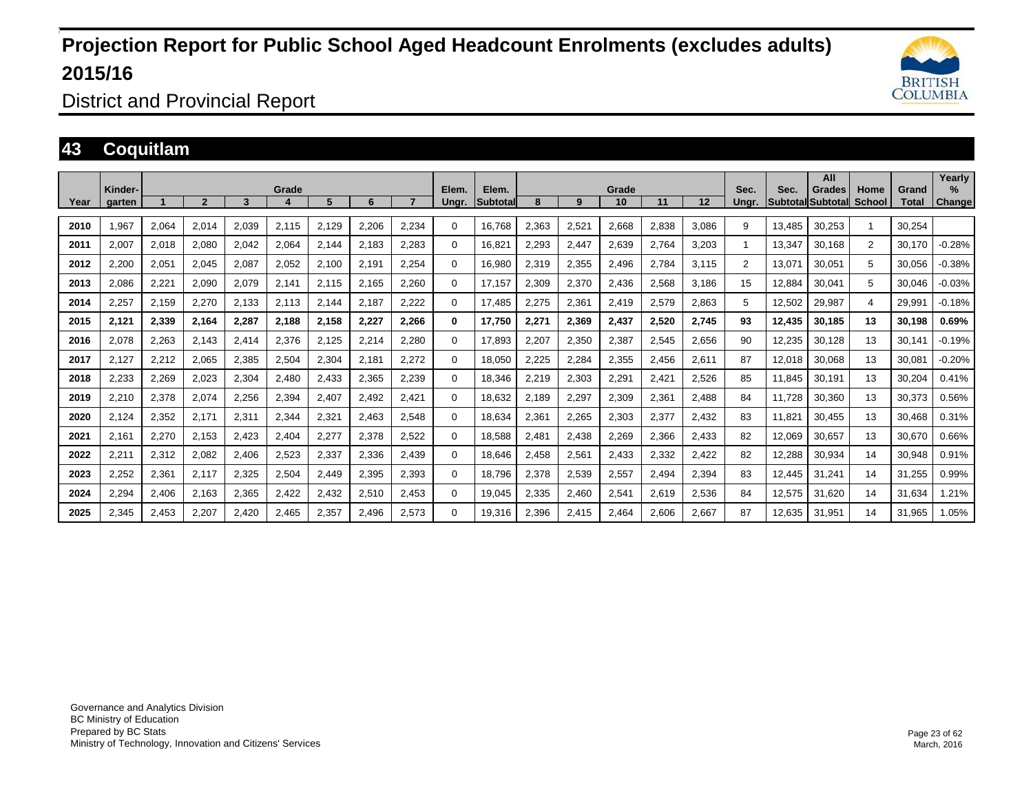

District and Provincial Report

### **43 Coquitlam**

|      | Kinder- |       |                          |       | Grade |       |       |       | Elem.    | Elem.    |       |       | Grade |       |       | Sec.  | Sec.   | All<br><b>Grades</b>     | Home           | Grand  | Yearly<br>$\%$ |
|------|---------|-------|--------------------------|-------|-------|-------|-------|-------|----------|----------|-------|-------|-------|-------|-------|-------|--------|--------------------------|----------------|--------|----------------|
| Year | garten  |       | $\overline{\phantom{a}}$ | 3     | д     | 5     | 6     |       | Unar.    | Subtotal | 8     | 9     | 10    | 11    | 12    | Unar. |        | <b>SubtotallSubtotal</b> | School         | Total  | Change         |
| 2010 | .967    | 2,064 | 2,014                    | 2,039 | 2,115 | 2,129 | 2,206 | 2,234 | $\Omega$ | 16.768   | 2,363 | 2,521 | 2,668 | 2,838 | 3,086 | 9     | 13.485 | 30,253                   | $\overline{1}$ | 30.254 |                |
| 2011 | 2,007   | 2,018 | 2,080                    | 2,042 | 2,064 | 2,144 | 2,183 | 2,283 | $\Omega$ | 16,821   | 2,293 | 2,447 | 2,639 | 2,764 | 3,203 |       | 13.347 | 30.168                   | 2              | 30.170 | $-0.28%$       |
| 2012 | 2,200   | 2,051 | 2,045                    | 2,087 | 2,052 | 2,100 | 2,191 | 2,254 | $\Omega$ | 16,980   | 2,319 | 2,355 | 2,496 | 2,784 | 3,115 | 2     | 13,071 | 30,051                   | 5              | 30,056 | $-0.38%$       |
| 2013 | 2,086   | 2,221 | 2,090                    | 2,079 | 2,141 | 2,115 | 2,165 | 2,260 | $\Omega$ | 17.157   | 2,309 | 2,370 | 2,436 | 2,568 | 3.186 | 15    | 12,884 | 30,041                   | 5              | 30.046 | $-0.03%$       |
| 2014 | 2,257   | 2,159 | 2,270                    | 2,133 | 2,113 | 2,144 | 2,187 | 2,222 | $\Omega$ | 17,485   | 2,275 | 2,361 | 2,419 | 2,579 | 2,863 | 5     | 12,502 | 29,987                   | 4              | 29,991 | $-0.18%$       |
| 2015 | 2,121   | 2,339 | 2,164                    | 2.287 | 2,188 | 2,158 | 2.227 | 2.266 | 0        | 17.750   | 2.271 | 2,369 | 2,437 | 2.520 | 2.745 | 93    | 12.435 | 30.185                   | 13             | 30.198 | 0.69%          |
| 2016 | 2,078   | 2,263 | 2,143                    | 2,414 | 2,376 | 2,125 | 2,214 | 2,280 | $\Omega$ | 17,893   | 2,207 | 2,350 | 2,387 | 2,545 | 2,656 | 90    | 12,235 | 30,128                   | 13             | 30,141 | $-0.19%$       |
| 2017 | 2,127   | 2,212 | 2,065                    | 2,385 | 2,504 | 2,304 | 2,181 | 2,272 | 0        | 18,050   | 2,225 | 2,284 | 2,355 | 2,456 | 2,611 | 87    | 12,018 | 30,068                   | 13             | 30,081 | $-0.20%$       |
| 2018 | 2,233   | 2,269 | 2,023                    | 2,304 | 2,480 | 2,433 | 2,365 | 2,239 | $\Omega$ | 18,346   | 2,219 | 2,303 | 2,291 | 2,421 | 2,526 | 85    | 11,845 | 30,191                   | 13             | 30,204 | 0.41%          |
| 2019 | 2,210   | 2,378 | 2,074                    | 2,256 | 2,394 | 2,407 | 2,492 | 2,421 | 0        | 18,632   | 2,189 | 2,297 | 2,309 | 2,361 | 2,488 | 84    | 11.728 | 30,360                   | 13             | 30,373 | 0.56%          |
| 2020 | 2,124   | 2,352 | 2,171                    | 2,311 | 2,344 | 2,321 | 2,463 | 2,548 | $\Omega$ | 18,634   | 2,361 | 2,265 | 2,303 | 2,377 | 2,432 | 83    | 11,821 | 30,455                   | 13             | 30,468 | 0.31%          |
| 2021 | 2,161   | 2,270 | 2,153                    | 2,423 | 2,404 | 2,277 | 2,378 | 2,522 | $\Omega$ | 18,588   | 2,481 | 2,438 | 2,269 | 2,366 | 2,433 | 82    | 12,069 | 30,657                   | 13             | 30,670 | 0.66%          |
| 2022 | 2,211   | 2,312 | 2,082                    | 2,406 | 2,523 | 2,337 | 2,336 | 2,439 | $\Omega$ | 18,646   | 2,458 | 2,561 | 2,433 | 2,332 | 2,422 | 82    | 12,288 | 30,934                   | 14             | 30,948 | 0.91%          |
| 2023 | 2,252   | 2,361 | 2,117                    | 2,325 | 2,504 | 2,449 | 2,395 | 2,393 | $\Omega$ | 18,796   | 2,378 | 2,539 | 2,557 | 2,494 | 2,394 | 83    | 12,445 | 31,241                   | 14             | 31,255 | 0.99%          |
| 2024 | 2,294   | 2,406 | 2,163                    | 2,365 | 2,422 | 2,432 | 2,510 | 2,453 | 0        | 19,045   | 2,335 | 2,460 | 2,541 | 2,619 | 2,536 | 84    | 12,575 | 31,620                   | 14             | 31,634 | .21%           |
| 2025 | 2,345   | 2,453 | 2,207                    | 2.420 | 2,465 | 2,357 | 2,496 | 2,573 | 0        | 19,316   | 2,396 | 2,415 | 2,464 | 2,606 | 2,667 | 87    | 12.635 | 31,951                   | 14             | 31,965 | 1.05%          |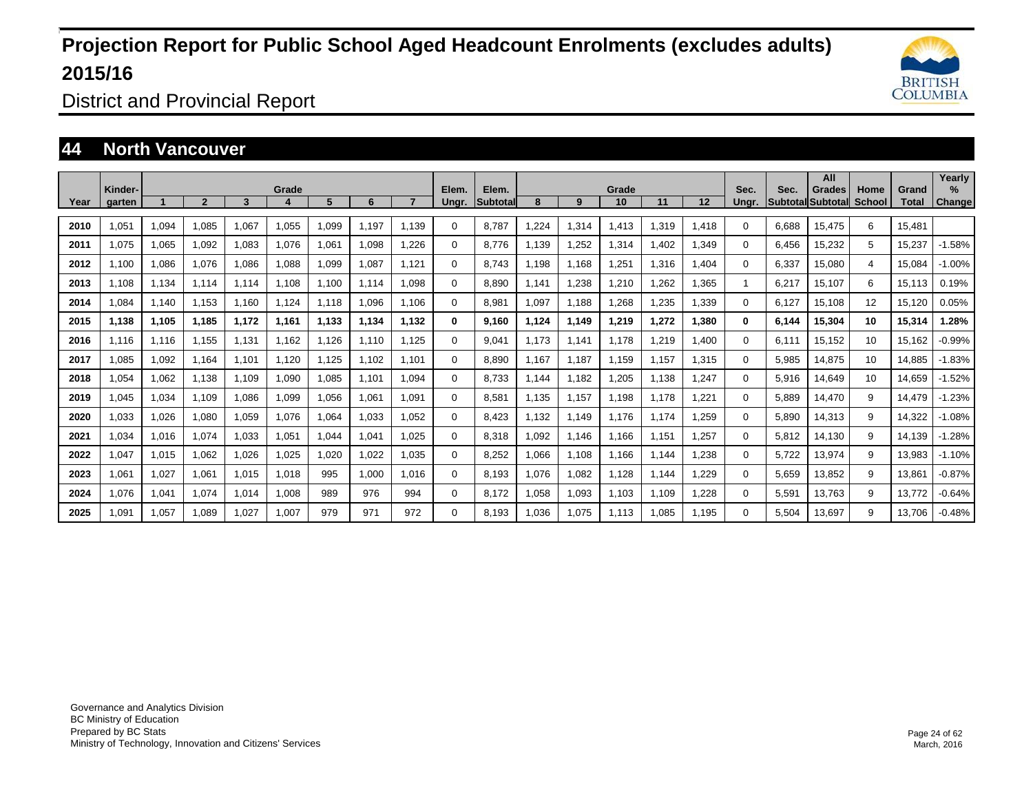

District and Provincial Report

### **44 North Vancouver**

|      | Kinder- |       |                |       |       |       |       |       |                | Elem.           |       |       | Grade |       |       | Sec.  | Sec.  | All                         | Home   |                | Yearly<br>% |
|------|---------|-------|----------------|-------|-------|-------|-------|-------|----------------|-----------------|-------|-------|-------|-------|-------|-------|-------|-----------------------------|--------|----------------|-------------|
| Year | garten  |       | $\overline{2}$ | 3     | Grade | 5     | 6     |       | Elem.<br>Ungr. | <b>Subtotal</b> | 8     | 9     | 10    | 11    | 12    | Ungr. |       | Grades<br>Subtotal Subtotal | School | Grand<br>Total | Change      |
| 2010 | 1,051   | 1,094 | 1,085          | 1.067 | 1,055 | 1,099 | 1.197 | 1.139 | 0              | 8.787           | .224  | 1,314 | 1,413 | 1,319 | 1,418 | 0     | 6.688 | 15.475                      | 6      | 15.481         |             |
| 2011 | 1,075   | 1,065 | 1,092          | 1,083 | 1,076 | 1,061 | 1,098 | 1.226 | $\Omega$       | 8,776           | 1,139 | 1,252 | 1,314 | 1,402 | 1,349 | 0     | 6,456 | 15,232                      | 5      | 15,237         | $-1.58%$    |
| 2012 | 1.100   | 1,086 | 1.076          | 1.086 | 1.088 | 1,099 | 1.087 | 1.121 | $\Omega$       | 8.743           | 1.198 | 1.168 | 1,251 | 1.316 | 1.404 | 0     | 6.337 | 15.080                      | 4      | 15.084         | $-1.00%$    |
| 2013 | 1.108   | 1,134 | 1.114          | 1.114 | 1.108 | 1.100 | 1,114 | 1.098 | $\Omega$       | 8.890           | 1.141 | 1,238 | 1,210 | .262  | 1,365 |       | 6,217 | 15,107                      | 6      | 15,113         | 0.19%       |
| 2014 | 1,084   | 1,140 | 1,153          | 1,160 | 1,124 | 1.118 | 1,096 | 1.106 | $\Omega$       | 8,981           | 1,097 | 1.188 | 1,268 | ,235  | 1,339 | 0     | 6,127 | 15,108                      | 12     | 15,120         | 0.05%       |
| 2015 | 1,138   | 1,105 | 1,185          | 1,172 | 1,161 | 1,133 | 1,134 | 1,132 | 0              | 9,160           | 1,124 | 1,149 | 1,219 | 1,272 | 1,380 | 0     | 6,144 | 15,304                      | 10     | 15,314         | 1.28%       |
| 2016 | 1,116   | 1,116 | 1,155          | 1.131 | 1.162 | 1.126 | 1.110 | 1.125 | 0              | 9,041           | 1.173 | 1.141 | 1.178 | 1.219 | 1,400 | 0     | 6.111 | 15,152                      | 10     | 15,162         | $-0.99%$    |
| 2017 | 1.085   | 1,092 | 1.164          | 1.101 | 1.120 | 1,125 | 1.102 | 1.101 | $\Omega$       | 8,890           | 1.167 | 1,187 | 1,159 | 1.157 | 1,315 | 0     | 5,985 | 14,875                      | 10     | 14,885         | $-1.83%$    |
| 2018 | 1,054   | 1,062 | 1,138          | 1,109 | 1,090 | 1,085 | 1,101 | 1,094 | $\Omega$       | 8,733           | 1.144 | 1,182 | 1,205 | 1,138 | 1,247 | 0     | 5,916 | 14,649                      | 10     | 14,659         | $-1.52%$    |
| 2019 | 1,045   | 1,034 | 1.109          | 1,086 | 1,099 | 1,056 | 1,061 | 1,091 | 0              | 8,581           | 1.135 | 1,157 | 1,198 | 1,178 | 1,221 | 0     | 5,889 | 14,470                      | 9      | 14,479         | $-1.23%$    |
| 2020 | 1,033   | 1,026 | 1,080          | 1,059 | 1,076 | 1,064 | 1,033 | 1,052 | 0              | 8,423           | 1,132 | 1,149 | 1,176 | 1,174 | 1,259 | 0     | 5,890 | 14,313                      | 9      | 14,322         | $-1.08%$    |
| 2021 | 1,034   | 1,016 | 1,074          | 1,033 | 1,051 | 1,044 | 1,041 | 1,025 | 0              | 8,318           | 1.092 | 1.146 | 1,166 | 1,151 | 1,257 | 0     | 5,812 | 14,130                      | 9      | 14,139         | $-1.28%$    |
| 2022 | 1,047   | 1,015 | 1,062          | 1,026 | 1,025 | 1.020 | 1,022 | 1.035 | 0              | 8,252           | 1,066 | 1,108 | 1.166 | 1,144 | 1,238 | 0     | 5.722 | 13,974                      | 9      | 13,983         | $-1.10%$    |
| 2023 | 1,061   | 1,027 | 1.061          | 1,015 | 1,018 | 995   | 1.000 | 1.016 | 0              | 8.193           | 1,076 | 1,082 | 1,128 | 1,144 | 1,229 | 0     | 5,659 | 13,852                      | 9      | 13,861         | $-0.87%$    |
| 2024 | 1,076   | 1,041 | 1.074          | 1,014 | 1,008 | 989   | 976   | 994   | 0              | 8,172           | 1,058 | 1,093 | 1,103 | 1,109 | 1,228 | 0     | 5,591 | 13,763                      | 9      | 13.772         | $-0.64%$    |
| 2025 | 1,091   | 1,057 | 1,089          | 1,027 | 1,007 | 979   | 971   | 972   | 0              | 8,193           | 1,036 | 1,075 | 1,113 | 1,085 | 1,195 | 0     | 5,504 | 13,697                      | 9      | 13.706         | $-0.48%$    |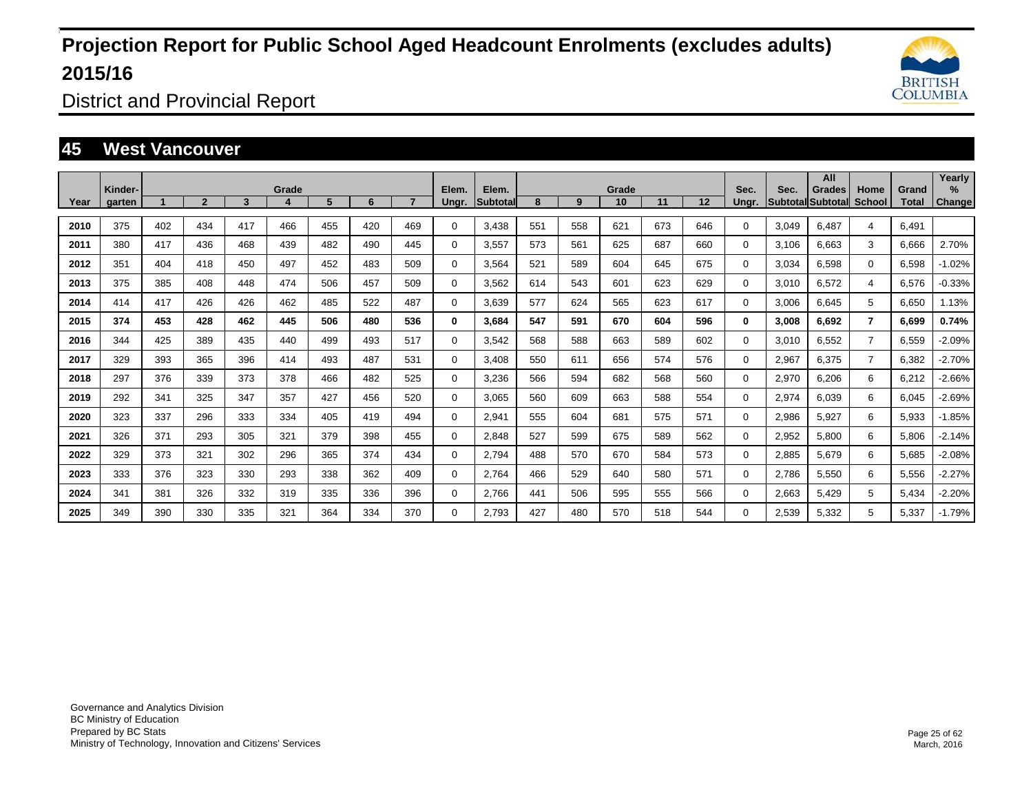

District and Provincial Report

### **45 West Vancouver**

|      |                   |     |                |     |       |     |     |     |                |                          |     |     |             |     |     |               |       | All                                |                |                       | Yearly         |
|------|-------------------|-----|----------------|-----|-------|-----|-----|-----|----------------|--------------------------|-----|-----|-------------|-----|-----|---------------|-------|------------------------------------|----------------|-----------------------|----------------|
| Year | Kinder-<br>garten |     | $\overline{2}$ | 3   | Grade | 5   | 6   |     | Elem.<br>Ungr. | Elem.<br><b>Subtotal</b> | 8   | 9   | Grade<br>10 | 11  | 12  | Sec.<br>Unar. | Sec.  | Grades<br><b>Subtotal Subtotal</b> | Home<br>School | Grand<br><b>Total</b> | $\%$<br>Change |
|      |                   |     |                |     |       |     |     |     |                |                          |     |     |             |     |     |               |       |                                    |                |                       |                |
| 2010 | 375               | 402 | 434            | 417 | 466   | 455 | 420 | 469 | $\Omega$       | 3.438                    | 551 | 558 | 621         | 673 | 646 | $\Omega$      | 3,049 | 6.487                              | $\overline{4}$ | 6.491                 |                |
| 2011 | 380               | 417 | 436            | 468 | 439   | 482 | 490 | 445 | $\Omega$       | 3.557                    | 573 | 561 | 625         | 687 | 660 | 0             | 3.106 | 6.663                              | 3              | 6,666                 | 2.70%          |
| 2012 | 351               | 404 | 418            | 450 | 497   | 452 | 483 | 509 | $\Omega$       | 3,564                    | 521 | 589 | 604         | 645 | 675 | $\Omega$      | 3,034 | 6,598                              | $\Omega$       | 6,598                 | $-1.02%$       |
| 2013 | 375               | 385 | 408            | 448 | 474   | 506 | 457 | 509 | $\mathbf 0$    | 3.562                    | 614 | 543 | 601         | 623 | 629 | $\mathbf{0}$  | 3,010 | 6,572                              | $\overline{4}$ | 6,576                 | $-0.33%$       |
| 2014 | 414               | 417 | 426            | 426 | 462   | 485 | 522 | 487 | $\Omega$       | 3,639                    | 577 | 624 | 565         | 623 | 617 | $\Omega$      | 3,006 | 6,645                              | 5              | 6,650                 | 1.13%          |
| 2015 | 374               | 453 | 428            | 462 | 445   | 506 | 480 | 536 | $\bf{0}$       | 3,684                    | 547 | 591 | 670         | 604 | 596 | $\mathbf{0}$  | 3,008 | 6,692                              | $\overline{7}$ | 6,699                 | 0.74%          |
| 2016 | 344               | 425 | 389            | 435 | 440   | 499 | 493 | 517 | $\Omega$       | 3,542                    | 568 | 588 | 663         | 589 | 602 | $\Omega$      | 3,010 | 6,552                              | $\overline{7}$ | 6,559                 | -2.09%         |
| 2017 | 329               | 393 | 365            | 396 | 414   | 493 | 487 | 531 | $\mathbf 0$    | 3,408                    | 550 | 611 | 656         | 574 | 576 | $\mathbf{0}$  | 2,967 | 6,375                              | $\overline{7}$ | 6,382                 | -2.70%         |
| 2018 | 297               | 376 | 339            | 373 | 378   | 466 | 482 | 525 | $\Omega$       | 3,236                    | 566 | 594 | 682         | 568 | 560 | $\Omega$      | 2,970 | 6,206                              | 6              | 6,212                 | $-2.66%$       |
| 2019 | 292               | 341 | 325            | 347 | 357   | 427 | 456 | 520 | $\mathbf 0$    | 3.065                    | 560 | 609 | 663         | 588 | 554 | 0             | 2,974 | 6,039                              | 6              | 6,045                 | $-2.69%$       |
| 2020 | 323               | 337 | 296            | 333 | 334   | 405 | 419 | 494 | $\mathbf 0$    | 2,941                    | 555 | 604 | 681         | 575 | 571 | $\Omega$      | 2,986 | 5,927                              | 6              | 5,933                 | $-1.85%$       |
| 2021 | 326               | 371 | 293            | 305 | 321   | 379 | 398 | 455 | $\Omega$       | 2,848                    | 527 | 599 | 675         | 589 | 562 | $\Omega$      | 2,952 | 5,800                              | 6              | 5,806                 | $-2.14%$       |
| 2022 | 329               | 373 | 321            | 302 | 296   | 365 | 374 | 434 | $\mathbf 0$    | 2.794                    | 488 | 570 | 670         | 584 | 573 | $\Omega$      | 2,885 | 5,679                              | 6              | 5,685                 | $-2.08%$       |
| 2023 | 333               | 376 | 323            | 330 | 293   | 338 | 362 | 409 | $\mathbf 0$    | 2,764                    | 466 | 529 | 640         | 580 | 571 | 0             | 2,786 | 5,550                              | 6              | 5,556                 | $-2.27%$       |
| 2024 | 341               | 381 | 326            | 332 | 319   | 335 | 336 | 396 | $\mathbf 0$    | 2.766                    | 441 | 506 | 595         | 555 | 566 | 0             | 2,663 | 5,429                              | 5              | 5,434                 | $-2.20%$       |
| 2025 | 349               | 390 | 330            | 335 | 321   | 364 | 334 | 370 | 0              | 2,793                    | 427 | 480 | 570         | 518 | 544 | 0             | 2,539 | 5,332                              | 5              | 5,337                 | $-1.79%$       |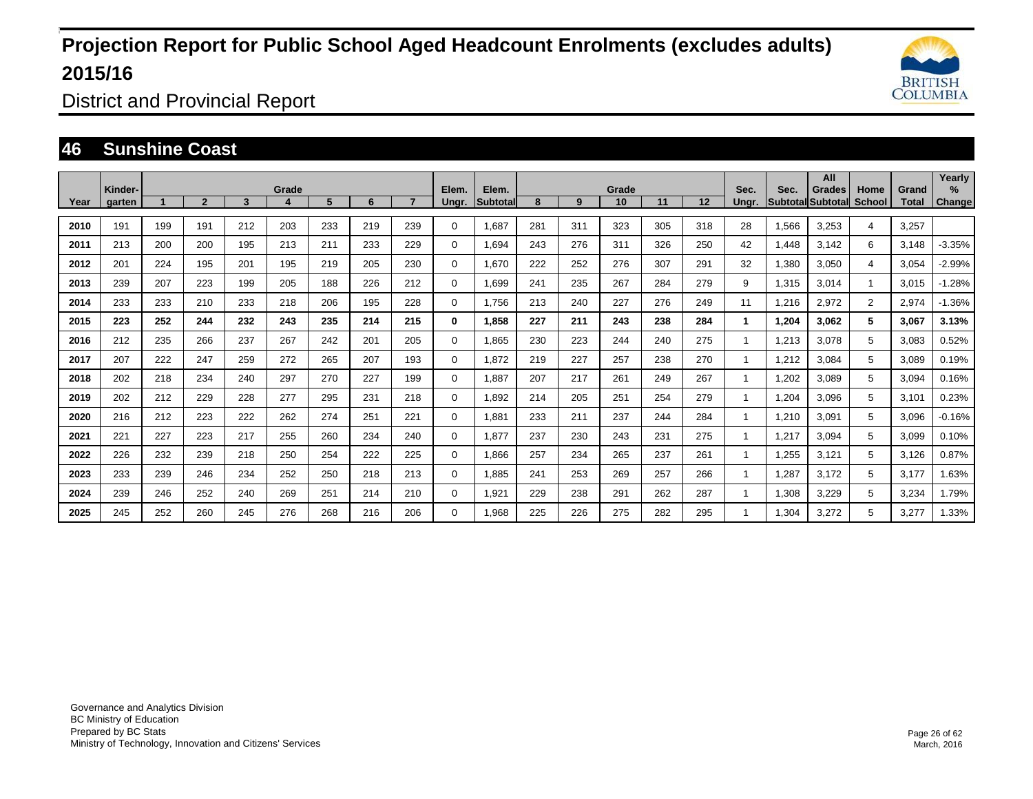

District and Provincial Report

### **46 Sunshine Coast**

|      | Kinder- |     |              |     | Grade |     |     |     | Elem.        | Elem.           |     |     | Grade |     |     | Sec.  | Sec.  | All<br>Grades            | Home           | Grand | Yearly<br>$\%$ |
|------|---------|-----|--------------|-----|-------|-----|-----|-----|--------------|-----------------|-----|-----|-------|-----|-----|-------|-------|--------------------------|----------------|-------|----------------|
| Year | garten  |     | $\mathbf{2}$ | 3   |       | 5.  | 6   |     | Unar.        | <b>Subtotal</b> | 8   | 9   | 10    | 11  | 12  | Unar. |       | <b>SubtotallSubtotal</b> | School         | Total | <b>Change</b>  |
| 2010 | 191     | 199 | 191          | 212 | 203   | 233 | 219 | 239 | $\Omega$     | 1,687           | 281 | 311 | 323   | 305 | 318 | 28    | 1,566 | 3,253                    | 4              | 3,257 |                |
| 2011 | 213     | 200 | 200          | 195 | 213   | 211 | 233 | 229 | $\Omega$     | 1,694           | 243 | 276 | 311   | 326 | 250 | 42    | 1,448 | 3,142                    | 6              | 3,148 | $-3.35%$       |
| 2012 | 201     | 224 | 195          | 201 | 195   | 219 | 205 | 230 | $\Omega$     | 1,670           | 222 | 252 | 276   | 307 | 291 | 32    | 1,380 | 3,050                    | 4              | 3,054 | $-2.99%$       |
| 2013 | 239     | 207 | 223          | 199 | 205   | 188 | 226 | 212 | $\Omega$     | 1.699           | 241 | 235 | 267   | 284 | 279 | 9     | 1,315 | 3,014                    | $\mathbf{1}$   | 3.015 | $-1.28%$       |
| 2014 | 233     | 233 | 210          | 233 | 218   | 206 | 195 | 228 | $\Omega$     | 1,756           | 213 | 240 | 227   | 276 | 249 | 11    | 1,216 | 2,972                    | $\overline{2}$ | 2,974 | $-1.36%$       |
| 2015 | 223     | 252 | 244          | 232 | 243   | 235 | 214 | 215 | $\mathbf{0}$ | 1,858           | 227 | 211 | 243   | 238 | 284 | 1     | 1,204 | 3,062                    | 5              | 3,067 | 3.13%          |
| 2016 | 212     | 235 | 266          | 237 | 267   | 242 | 201 | 205 | $\Omega$     | 1,865           | 230 | 223 | 244   | 240 | 275 |       | 1,213 | 3,078                    | 5              | 3,083 | 0.52%          |
| 2017 | 207     | 222 | 247          | 259 | 272   | 265 | 207 | 193 | $\mathbf 0$  | 1,872           | 219 | 227 | 257   | 238 | 270 |       | 1,212 | 3,084                    | 5              | 3,089 | 0.19%          |
| 2018 | 202     | 218 | 234          | 240 | 297   | 270 | 227 | 199 | 0            | 1.887           | 207 | 217 | 261   | 249 | 267 |       | 1,202 | 3.089                    | 5              | 3,094 | 0.16%          |
| 2019 | 202     | 212 | 229          | 228 | 277   | 295 | 231 | 218 | $\mathbf 0$  | 1,892           | 214 | 205 | 251   | 254 | 279 |       | 1,204 | 3,096                    | 5              | 3,101 | 0.23%          |
| 2020 | 216     | 212 | 223          | 222 | 262   | 274 | 251 | 221 | $\mathbf 0$  | 1.881           | 233 | 211 | 237   | 244 | 284 |       | 1,210 | 3,091                    | 5              | 3,096 | $-0.16%$       |
| 2021 | 221     | 227 | 223          | 217 | 255   | 260 | 234 | 240 | $\mathbf 0$  | 1,877           | 237 | 230 | 243   | 231 | 275 |       | 1,217 | 3,094                    | 5              | 3,099 | 0.10%          |
| 2022 | 226     | 232 | 239          | 218 | 250   | 254 | 222 | 225 | $\mathbf 0$  | 1.866           | 257 | 234 | 265   | 237 | 261 |       | 1.255 | 3,121                    | 5              | 3.126 | 0.87%          |
| 2023 | 233     | 239 | 246          | 234 | 252   | 250 | 218 | 213 | $\mathbf 0$  | 1,885           | 241 | 253 | 269   | 257 | 266 |       | 1,287 | 3,172                    | 5              | 3,177 | 1.63%          |
| 2024 | 239     | 246 | 252          | 240 | 269   | 251 | 214 | 210 | $\mathbf 0$  | 1,921           | 229 | 238 | 291   | 262 | 287 |       | 1.308 | 3,229                    | 5              | 3,234 | 1.79%          |
| 2025 | 245     | 252 | 260          | 245 | 276   | 268 | 216 | 206 | $\Omega$     | 1,968           | 225 | 226 | 275   | 282 | 295 |       | 1,304 | 3,272                    | 5              | 3,277 | 1.33%          |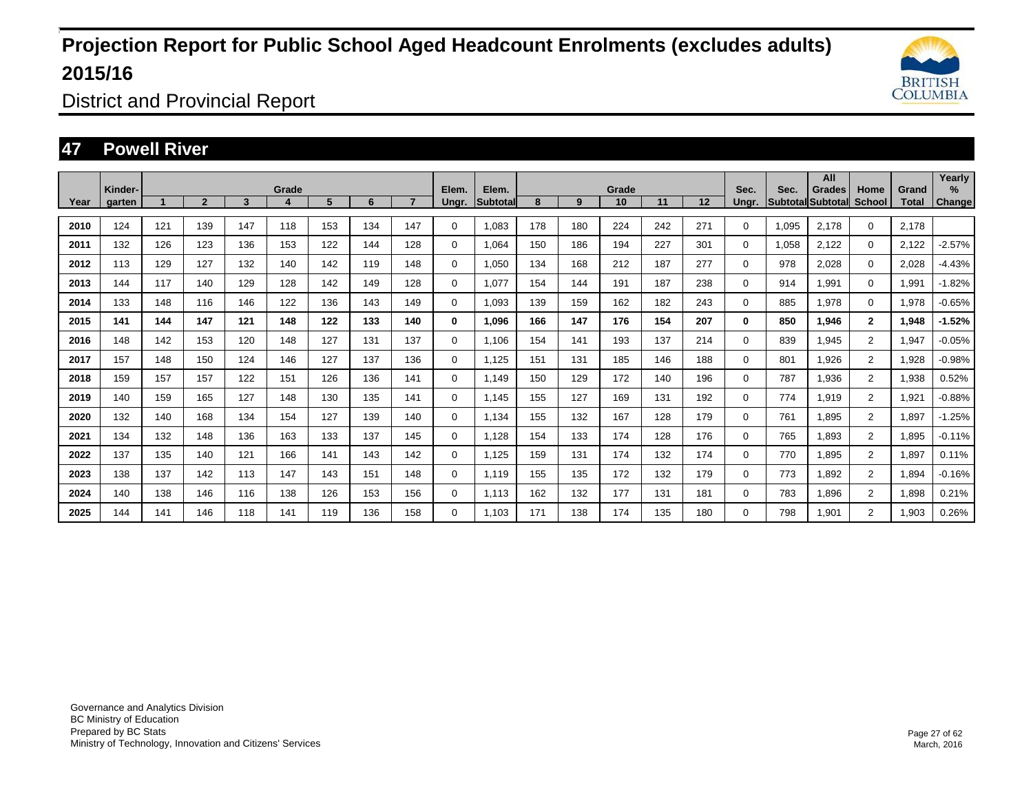

District and Provincial Report

### **47 Powell River**

|      | Kinder- |     |                |     | Grade |     |     |                | Elem.       | Elem.           |     |     | Grade |     |     | Sec.  | Sec.  | All<br>Grades     | Home           | Grand | Yearly<br>% |
|------|---------|-----|----------------|-----|-------|-----|-----|----------------|-------------|-----------------|-----|-----|-------|-----|-----|-------|-------|-------------------|----------------|-------|-------------|
| Year | garten  |     | $\overline{2}$ | 3   | 4     | 5   | 6   | $\overline{ }$ | Ungr.       | <b>Subtotal</b> | 8   | 9   | 10    | 11  | 12  | Ungr. |       | Subtotal Subtotal | School         | Total | Change      |
| 2010 | 124     | 121 | 139            | 147 | 118   | 153 | 134 | 147            | 0           | 1,083           | 178 | 180 | 224   | 242 | 271 | 0     | 1,095 | 2,178             | $\mathbf 0$    | 2,178 |             |
| 2011 | 132     | 126 | 123            | 136 | 153   | 122 | 144 | 128            | 0           | 1.064           | 150 | 186 | 194   | 227 | 301 | 0     | 1,058 | 2,122             | $\mathbf 0$    | 2,122 | $-2.57%$    |
| 2012 | 113     | 129 | 127            | 132 | 140   | 142 | 119 | 148            | $\mathbf 0$ | 1.050           | 134 | 168 | 212   | 187 | 277 | 0     | 978   | 2.028             | $\mathbf 0$    | 2,028 | $-4.43%$    |
| 2013 | 144     | 117 | 140            | 129 | 128   | 142 | 149 | 128            | 0           | 1.077           | 154 | 144 | 191   | 187 | 238 | 0     | 914   | 1,991             | $\mathbf 0$    | 1,991 | $-1.82%$    |
| 2014 | 133     | 148 | 116            | 146 | 122   | 136 | 143 | 149            | 0           | 1,093           | 139 | 159 | 162   | 182 | 243 | 0     | 885   | 1,978             | $\mathbf 0$    | 1,978 | $-0.65%$    |
| 2015 | 141     | 144 | 147            | 121 | 148   | 122 | 133 | 140            | 0           | 1,096           | 166 | 147 | 176   | 154 | 207 | 0     | 850   | 1,946             | $\overline{2}$ | 1,948 | $-1.52%$    |
| 2016 | 148     | 142 | 153            | 120 | 148   | 127 | 131 | 137            | 0           | 1.106           | 154 | 141 | 193   | 137 | 214 | 0     | 839   | 1,945             | $\overline{2}$ | 1,947 | $-0.05%$    |
| 2017 | 157     | 148 | 150            | 124 | 146   | 127 | 137 | 136            | 0           | 1,125           | 151 | 131 | 185   | 146 | 188 | 0     | 801   | 1,926             | $\overline{2}$ | 1,928 | $-0.98%$    |
| 2018 | 159     | 157 | 157            | 122 | 151   | 126 | 136 | 141            | $\mathbf 0$ | 1,149           | 150 | 129 | 172   | 140 | 196 | 0     | 787   | 1,936             | $\overline{2}$ | 1,938 | 0.52%       |
| 2019 | 140     | 159 | 165            | 127 | 148   | 130 | 135 | 141            | $\mathbf 0$ | 1.145           | 155 | 127 | 169   | 131 | 192 | 0     | 774   | 1,919             | $\overline{2}$ | 1,921 | $-0.88%$    |
| 2020 | 132     | 140 | 168            | 134 | 154   | 127 | 139 | 140            | $\mathbf 0$ | 1,134           | 155 | 132 | 167   | 128 | 179 | 0     | 761   | 1,895             | $\overline{2}$ | 1,897 | $-1.25%$    |
| 2021 | 134     | 132 | 148            | 136 | 163   | 133 | 137 | 145            | 0           | 1,128           | 154 | 133 | 174   | 128 | 176 | 0     | 765   | 1,893             | $\overline{2}$ | 1,895 | $-0.11%$    |
| 2022 | 137     | 135 | 140            | 121 | 166   | 141 | 143 | 142            | $\mathbf 0$ | 1.125           | 159 | 131 | 174   | 132 | 174 | 0     | 770   | 1,895             | $\overline{2}$ | 1,897 | 0.11%       |
| 2023 | 138     | 137 | 142            | 113 | 147   | 143 | 151 | 148            | $\mathbf 0$ | 1.119           | 155 | 135 | 172   | 132 | 179 | 0     | 773   | 1,892             | $\overline{2}$ | 1,894 | $-0.16%$    |
| 2024 | 140     | 138 | 146            | 116 | 138   | 126 | 153 | 156            | 0           | 1.113           | 162 | 132 | 177   | 131 | 181 | 0     | 783   | 1,896             | $\overline{2}$ | 1,898 | 0.21%       |
| 2025 | 144     | 141 | 146            | 118 | 141   | 119 | 136 | 158            | 0           | 1,103           | 171 | 138 | 174   | 135 | 180 | 0     | 798   | 1,901             | $\overline{2}$ | 1,903 | 0.26%       |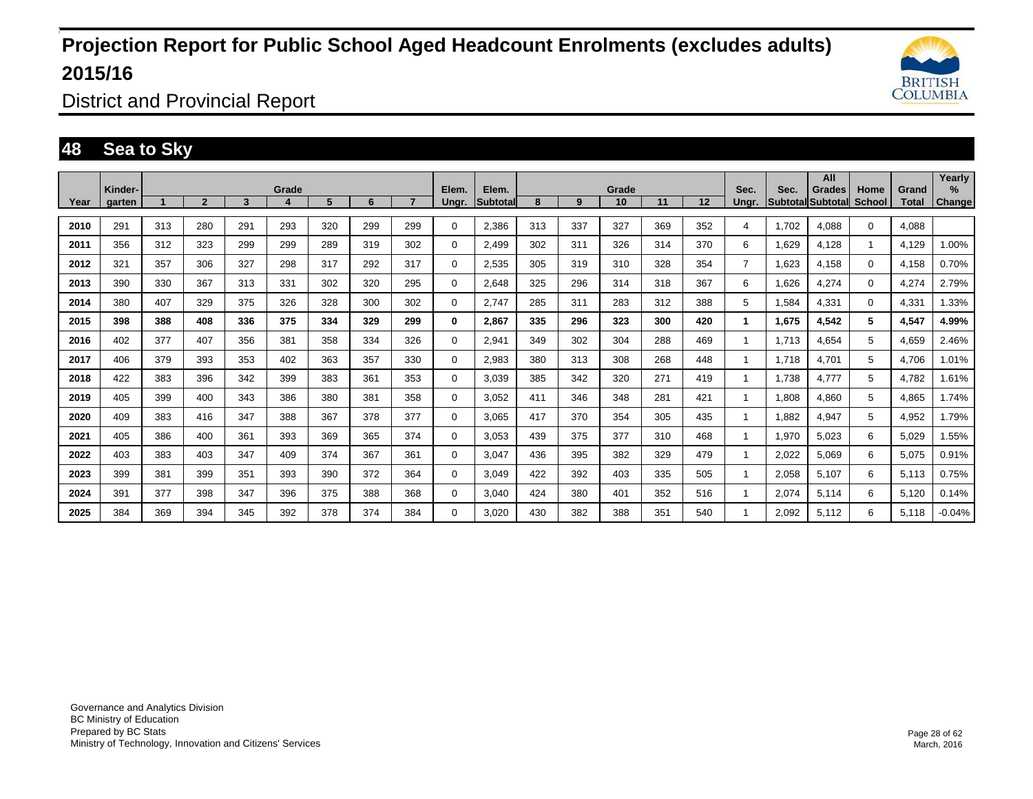

District and Provincial Report

### **48 Sea to Sky**

|      | Kinder- |     |                |     | Grade |     |     |     | Elem.       | Elem.           |     |     | Grade |     |     | Sec.           | Sec.  | All<br>Grades            | Home         | Grand | Yearly<br>% |
|------|---------|-----|----------------|-----|-------|-----|-----|-----|-------------|-----------------|-----|-----|-------|-----|-----|----------------|-------|--------------------------|--------------|-------|-------------|
| Year | garten  |     | $\overline{2}$ | 3   |       | 5   | 6   |     | Unar.       | <b>Subtotal</b> | 8   | 9   | 10    | 11  | 12  | Unar.          |       | Subtotal Subtotal School |              | Total | Change      |
| 2010 | 291     | 313 | 280            | 291 | 293   | 320 | 299 | 299 | $\Omega$    | 2,386           | 313 | 337 | 327   | 369 | 352 | 4              | 1,702 | 4,088                    | $\Omega$     | 4,088 |             |
| 2011 | 356     | 312 | 323            | 299 | 299   | 289 | 319 | 302 | 0           | 2,499           | 302 | 311 | 326   | 314 | 370 | 6              | 1,629 | 4,128                    | $\mathbf{1}$ | 4,129 | 1.00%       |
| 2012 | 321     | 357 | 306            | 327 | 298   | 317 | 292 | 317 | $\mathbf 0$ | 2,535           | 305 | 319 | 310   | 328 | 354 | $\overline{7}$ | 1,623 | 4,158                    | 0            | 4,158 | 0.70%       |
| 2013 | 390     | 330 | 367            | 313 | 331   | 302 | 320 | 295 | 0           | 2,648           | 325 | 296 | 314   | 318 | 367 | 6              | 1,626 | 4,274                    | $\Omega$     | 4,274 | 2.79%       |
| 2014 | 380     | 407 | 329            | 375 | 326   | 328 | 300 | 302 | 0           | 2.747           | 285 | 311 | 283   | 312 | 388 | 5              | 1,584 | 4,331                    | $\mathbf 0$  | 4,331 | 1.33%       |
| 2015 | 398     | 388 | 408            | 336 | 375   | 334 | 329 | 299 | 0           | 2,867           | 335 | 296 | 323   | 300 | 420 | 1              | 1,675 | 4,542                    | 5            | 4,547 | 4.99%       |
| 2016 | 402     | 377 | 407            | 356 | 381   | 358 | 334 | 326 | $\Omega$    | 2,941           | 349 | 302 | 304   | 288 | 469 | 1              | 1.713 | 4,654                    | 5            | 4,659 | 2.46%       |
| 2017 | 406     | 379 | 393            | 353 | 402   | 363 | 357 | 330 | $\Omega$    | 2,983           | 380 | 313 | 308   | 268 | 448 | 1              | 1.718 | 4,701                    | 5            | 4,706 | 1.01%       |
| 2018 | 422     | 383 | 396            | 342 | 399   | 383 | 361 | 353 | $\Omega$    | 3,039           | 385 | 342 | 320   | 271 | 419 | $\mathbf{1}$   | 1,738 | 4,777                    | 5            | 4,782 | 1.61%       |
| 2019 | 405     | 399 | 400            | 343 | 386   | 380 | 381 | 358 | $\mathbf 0$ | 3,052           | 411 | 346 | 348   | 281 | 421 | 1              | 808,1 | 4,860                    | 5            | 4,865 | 1.74%       |
| 2020 | 409     | 383 | 416            | 347 | 388   | 367 | 378 | 377 | $\Omega$    | 3,065           | 417 | 370 | 354   | 305 | 435 | 1              | ,882  | 4,947                    | 5            | 4,952 | 1.79%       |
| 2021 | 405     | 386 | 400            | 361 | 393   | 369 | 365 | 374 | 0           | 3.053           | 439 | 375 | 377   | 310 | 468 | 1              | 1,970 | 5,023                    | 6            | 5,029 | 1.55%       |
| 2022 | 403     | 383 | 403            | 347 | 409   | 374 | 367 | 361 | 0           | 3,047           | 436 | 395 | 382   | 329 | 479 | 1              | 2,022 | 5,069                    | 6            | 5,075 | 0.91%       |
| 2023 | 399     | 381 | 399            | 351 | 393   | 390 | 372 | 364 | $\Omega$    | 3,049           | 422 | 392 | 403   | 335 | 505 | $\mathbf{1}$   | 2,058 | 5,107                    | 6            | 5,113 | 0.75%       |
| 2024 | 391     | 377 | 398            | 347 | 396   | 375 | 388 | 368 | $\Omega$    | 3,040           | 424 | 380 | 401   | 352 | 516 | $\mathbf{1}$   | 2,074 | 5,114                    | 6            | 5,120 | 0.14%       |
| 2025 | 384     | 369 | 394            | 345 | 392   | 378 | 374 | 384 | $\mathbf 0$ | 3.020           | 430 | 382 | 388   | 351 | 540 |                | 2.092 | 5,112                    | 6            | 5,118 | $-0.04%$    |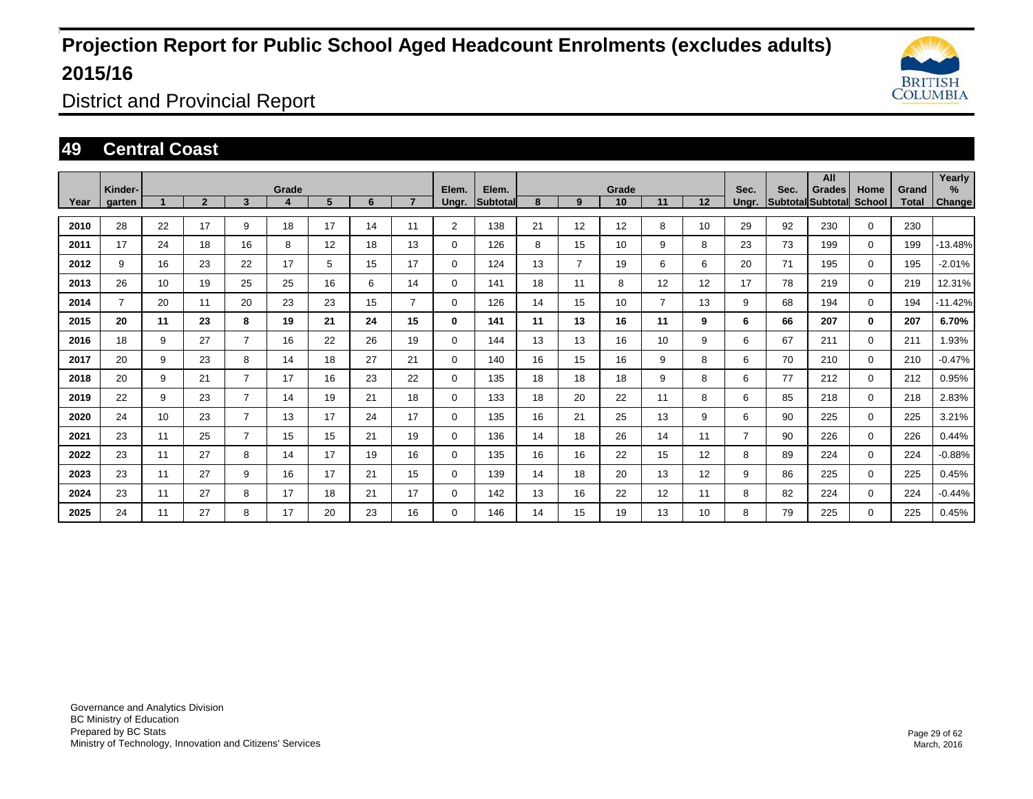

District and Provincial Report

### **49 Central Coast**

|      | Kinder- |    |                |                | Grade |    |    |                | Elem.          | Elem.    |    |                | Grade |                |    | Sec.           | Sec. | All<br>Grades            | Home        | Grand | Yearly<br>% |
|------|---------|----|----------------|----------------|-------|----|----|----------------|----------------|----------|----|----------------|-------|----------------|----|----------------|------|--------------------------|-------------|-------|-------------|
| Year | garten  |    | $\overline{2}$ | 3              |       | 5  | 6  | $\overline{7}$ | Ungr.          | Subtotal | 8  | 9              | 10    | 11             | 12 | Unar.          |      | Subtotal Subtotal School |             | Total | Change      |
| 2010 | 28      | 22 | 17             | 9              | 18    | 17 | 14 | 11             | $\overline{2}$ | 138      | 21 | 12             | 12    | 8              | 10 | 29             | 92   | 230                      | $\mathbf 0$ | 230   |             |
| 2011 | 17      | 24 | 18             | 16             | 8     | 12 | 18 | 13             | $\Omega$       | 126      | 8  | 15             | 10    | 9              | 8  | 23             | 73   | 199                      | $\mathbf 0$ | 199   | $-13.48%$   |
| 2012 | 9       | 16 | 23             | 22             | 17    | 5  | 15 | 17             | 0              | 124      | 13 | $\overline{7}$ | 19    | 6              | 6  | 20             | 71   | 195                      | $\mathbf 0$ | 195   | $-2.01%$    |
| 2013 | 26      | 10 | 19             | 25             | 25    | 16 | 6  | 14             | $\Omega$       | 141      | 18 | 11             | 8     | 12             | 12 | 17             | 78   | 219                      | $\Omega$    | 219   | 12.31%      |
| 2014 |         | 20 | 11             | 20             | 23    | 23 | 15 | $\overline{7}$ | $\mathbf 0$    | 126      | 14 | 15             | 10    | $\overline{7}$ | 13 | 9              | 68   | 194                      | $\mathbf 0$ | 194   | $-11.42%$   |
| 2015 | 20      | 11 | 23             | 8              | 19    | 21 | 24 | 15             | $\bf{0}$       | 141      | 11 | 13             | 16    | 11             | 9  | 6              | 66   | 207                      | $\bf{0}$    | 207   | 6.70%       |
| 2016 | 18      | 9  | 27             | 7              | 16    | 22 | 26 | 19             | $\mathbf 0$    | 144      | 13 | 13             | 16    | 10             | 9  | 6              | 67   | 211                      | $\mathbf 0$ | 211   | 1.93%       |
| 2017 | 20      | 9  | 23             | 8              | 14    | 18 | 27 | 21             | $\mathbf 0$    | 140      | 16 | 15             | 16    | 9              | 8  | 6              | 70   | 210                      | $\Omega$    | 210   | $-0.47%$    |
| 2018 | 20      | 9  | 21             | 7              | 17    | 16 | 23 | 22             | $\mathbf 0$    | 135      | 18 | 18             | 18    | 9              | 8  | 6              | 77   | 212                      | $\Omega$    | 212   | 0.95%       |
| 2019 | 22      | 9  | 23             | $\overline{7}$ | 14    | 19 | 21 | 18             | $\Omega$       | 133      | 18 | 20             | 22    | 11             | 8  | 6              | 85   | 218                      | $\Omega$    | 218   | 2.83%       |
| 2020 | 24      | 10 | 23             | $\overline{7}$ | 13    | 17 | 24 | 17             | $\mathbf 0$    | 135      | 16 | 21             | 25    | 13             | 9  | 6              | 90   | 225                      | $\mathbf 0$ | 225   | 3.21%       |
| 2021 | 23      | 11 | 25             | 7              | 15    | 15 | 21 | 19             | $\mathbf 0$    | 136      | 14 | 18             | 26    | 14             | 11 | $\overline{7}$ | 90   | 226                      | $\mathbf 0$ | 226   | 0.44%       |
| 2022 | 23      | 11 | 27             | 8              | 14    | 17 | 19 | 16             | $\mathbf 0$    | 135      | 16 | 16             | 22    | 15             | 12 | 8              | 89   | 224                      | $\mathbf 0$ | 224   | $-0.88%$    |
| 2023 | 23      | 11 | 27             | 9              | 16    | 17 | 21 | 15             | $\mathbf 0$    | 139      | 14 | 18             | 20    | 13             | 12 | 9              | 86   | 225                      | $\mathbf 0$ | 225   | 0.45%       |
| 2024 | 23      | 11 | 27             | 8              | 17    | 18 | 21 | 17             | 0              | 142      | 13 | 16             | 22    | 12             | 11 | 8              | 82   | 224                      | $\mathbf 0$ | 224   | $-0.44%$    |
| 2025 | 24      | 11 | 27             | 8              | 17    | 20 | 23 | 16             | $\mathbf 0$    | 146      | 14 | 15             | 19    | 13             | 10 | 8              | 79   | 225                      | $\mathbf 0$ | 225   | 0.45%       |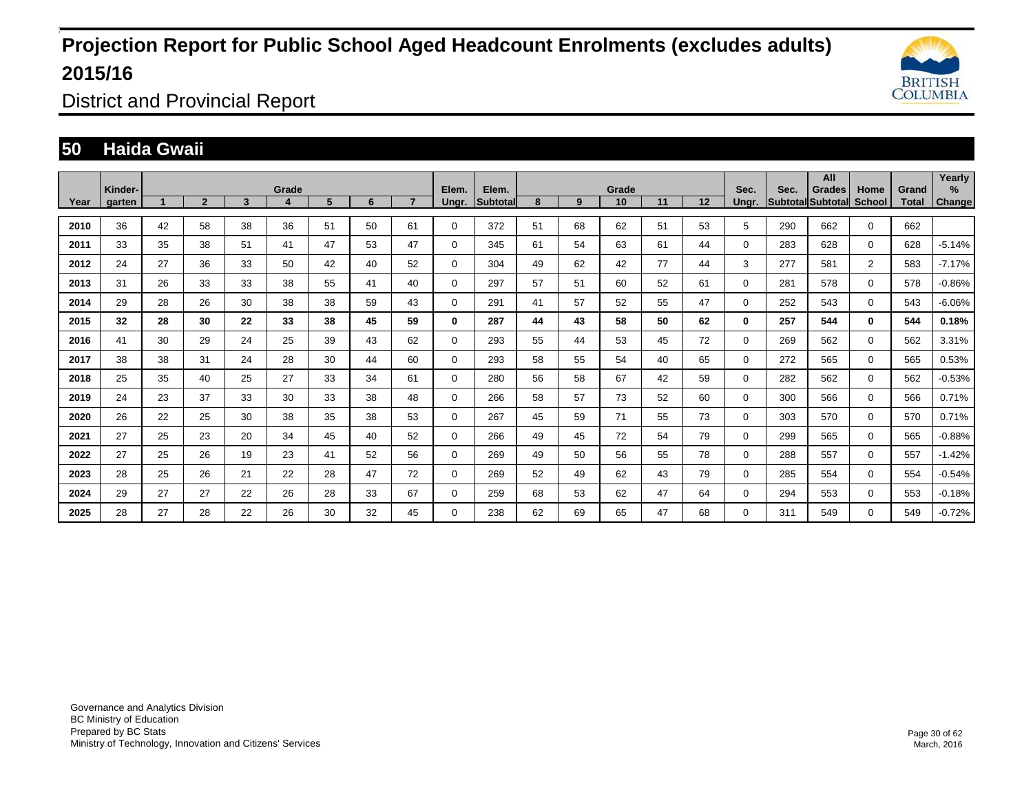

District and Provincial Report

### **50 Haida Gwaii**

|      | Kinder- |    |                |    | Grade |    |    |                | Elem.       | Elem.           |    |    | Grade |    |    | Sec.     | Sec. | All<br>Grades            | Home           | Grand | Yearly<br>% |
|------|---------|----|----------------|----|-------|----|----|----------------|-------------|-----------------|----|----|-------|----|----|----------|------|--------------------------|----------------|-------|-------------|
| Year | garten  |    | $\overline{2}$ | 3  | 4     | 5  | 6  | $\overline{ }$ | Ungr.       | <b>Subtotal</b> | 8  | 9  | 10    | 11 | 12 | Ungr.    |      | Subtotal Subtotal School |                | Total | Change      |
| 2010 | 36      | 42 | 58             | 38 | 36    | 51 | 50 | 61             | 0           | 372             | 51 | 68 | 62    | 51 | 53 | 5        | 290  | 662                      | $\mathbf 0$    | 662   |             |
| 2011 | 33      | 35 | 38             | 51 | 41    | 47 | 53 | 47             | 0           | 345             | 61 | 54 | 63    | 61 | 44 | 0        | 283  | 628                      | $\Omega$       | 628   | $-5.14%$    |
| 2012 | 24      | 27 | 36             | 33 | 50    | 42 | 40 | 52             | $\mathbf 0$ | 304             | 49 | 62 | 42    | 77 | 44 | 3        | 277  | 581                      | $\overline{2}$ | 583   | $-7.17%$    |
| 2013 | 31      | 26 | 33             | 33 | 38    | 55 | 41 | 40             | 0           | 297             | 57 | 51 | 60    | 52 | 61 | 0        | 281  | 578                      | $\mathbf 0$    | 578   | $-0.86%$    |
| 2014 | 29      | 28 | 26             | 30 | 38    | 38 | 59 | 43             | 0           | 291             | 41 | 57 | 52    | 55 | 47 | $\Omega$ | 252  | 543                      | $\Omega$       | 543   | $-6.06%$    |
| 2015 | 32      | 28 | 30             | 22 | 33    | 38 | 45 | 59             | 0           | 287             | 44 | 43 | 58    | 50 | 62 | 0        | 257  | 544                      | $\bf{0}$       | 544   | 0.18%       |
| 2016 | 41      | 30 | 29             | 24 | 25    | 39 | 43 | 62             | 0           | 293             | 55 | 44 | 53    | 45 | 72 | 0        | 269  | 562                      | $\mathbf 0$    | 562   | 3.31%       |
| 2017 | 38      | 38 | 31             | 24 | 28    | 30 | 44 | 60             | $\mathbf 0$ | 293             | 58 | 55 | 54    | 40 | 65 | 0        | 272  | 565                      | $\Omega$       | 565   | 0.53%       |
| 2018 | 25      | 35 | 40             | 25 | 27    | 33 | 34 | 61             | 0           | 280             | 56 | 58 | 67    | 42 | 59 | 0        | 282  | 562                      | $\Omega$       | 562   | $-0.53%$    |
| 2019 | 24      | 23 | 37             | 33 | 30    | 33 | 38 | 48             | 0           | 266             | 58 | 57 | 73    | 52 | 60 | 0        | 300  | 566                      | $\mathbf 0$    | 566   | 0.71%       |
| 2020 | 26      | 22 | 25             | 30 | 38    | 35 | 38 | 53             | $\mathbf 0$ | 267             | 45 | 59 | 71    | 55 | 73 | 0        | 303  | 570                      | $\Omega$       | 570   | 0.71%       |
| 2021 | 27      | 25 | 23             | 20 | 34    | 45 | 40 | 52             | 0           | 266             | 49 | 45 | 72    | 54 | 79 | 0        | 299  | 565                      | $\mathbf 0$    | 565   | $-0.88%$    |
| 2022 | 27      | 25 | 26             | 19 | 23    | 41 | 52 | 56             | 0           | 269             | 49 | 50 | 56    | 55 | 78 | 0        | 288  | 557                      | $\mathbf 0$    | 557   | $-1.42%$    |
| 2023 | 28      | 25 | 26             | 21 | 22    | 28 | 47 | 72             | 0           | 269             | 52 | 49 | 62    | 43 | 79 | 0        | 285  | 554                      | $\mathbf 0$    | 554   | $-0.54%$    |
| 2024 | 29      | 27 | 27             | 22 | 26    | 28 | 33 | 67             | 0           | 259             | 68 | 53 | 62    | 47 | 64 | 0        | 294  | 553                      | $\mathbf 0$    | 553   | $-0.18%$    |
| 2025 | 28      | 27 | 28             | 22 | 26    | 30 | 32 | 45             | 0           | 238             | 62 | 69 | 65    | 47 | 68 | 0        | 311  | 549                      | 0              | 549   | $-0.72%$    |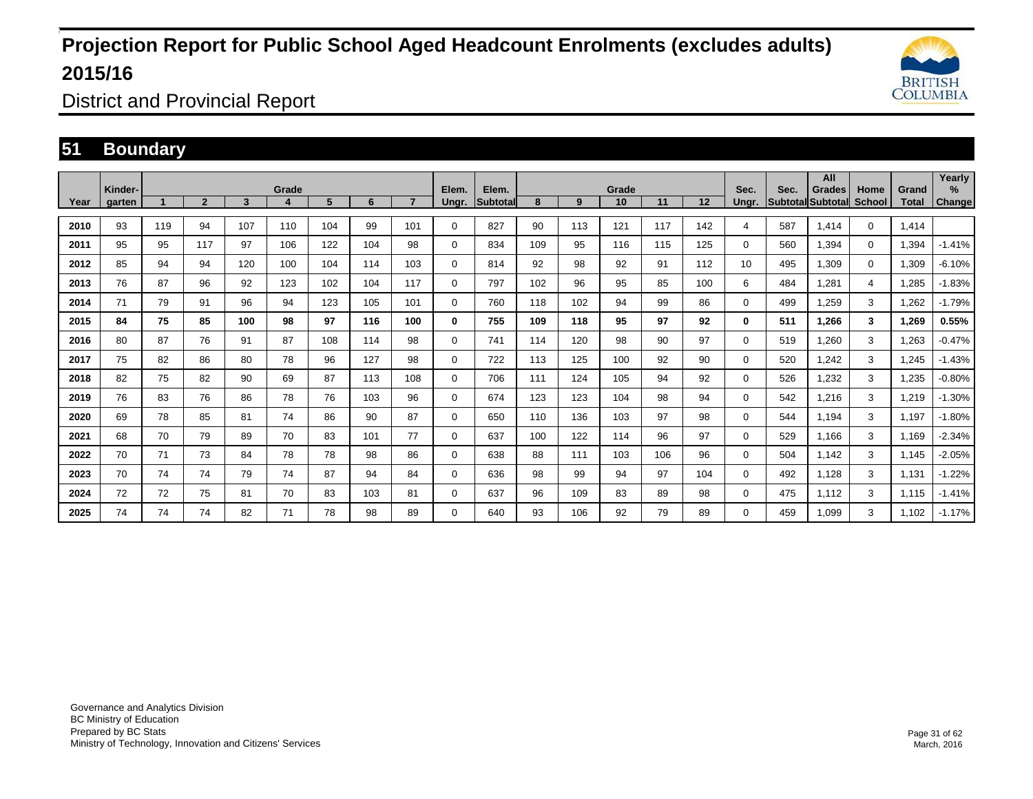

District and Provincial Report

### **51 Boundary**

|      | Kinder- |     |                |     | Grade |     |     |     | Elem.       | Elem.    |     |     | Grade |     |     | Sec.     | Sec. | All<br>Grades            | Home          | Grand | Yearly<br>% |
|------|---------|-----|----------------|-----|-------|-----|-----|-----|-------------|----------|-----|-----|-------|-----|-----|----------|------|--------------------------|---------------|-------|-------------|
| Year | garten  |     | $\overline{2}$ | 3   | 4     | 5   | 6   |     | Ungr.       | Subtotal | 8   | 9   | 10    | 11  | 12  | Unar.    |      | <b>Subtotal Subtotal</b> | <b>School</b> | Total | Change      |
| 2010 | 93      | 119 | 94             | 107 | 110   | 104 | 99  | 101 | $\Omega$    | 827      | 90  | 113 | 121   | 117 | 142 | 4        | 587  | 1,414                    | $\mathbf 0$   | 1.414 |             |
| 2011 | 95      | 95  | 117            | 97  | 106   | 122 | 104 | 98  | 0           | 834      | 109 | 95  | 116   | 115 | 125 | 0        | 560  | 1,394                    | $\mathbf 0$   | 1,394 | $-1.41%$    |
| 2012 | 85      | 94  | 94             | 120 | 100   | 104 | 114 | 103 | $\Omega$    | 814      | 92  | 98  | 92    | 91  | 112 | 10       | 495  | 1,309                    | $\mathbf 0$   | 1,309 | $-6.10%$    |
| 2013 | 76      | 87  | 96             | 92  | 123   | 102 | 104 | 117 | 0           | 797      | 102 | 96  | 95    | 85  | 100 | 6        | 484  | 1.281                    | 4             | 1,285 | $-1.83%$    |
| 2014 | 71      | 79  | 91             | 96  | 94    | 123 | 105 | 101 | $\Omega$    | 760      | 118 | 102 | 94    | 99  | 86  | 0        | 499  | 1,259                    | 3             | 1,262 | $-1.79%$    |
| 2015 | 84      | 75  | 85             | 100 | 98    | 97  | 116 | 100 | $\bf{0}$    | 755      | 109 | 118 | 95    | 97  | 92  | 0        | 511  | 1.266                    | $\mathbf{3}$  | 1,269 | 0.55%       |
| 2016 | 80      | 87  | 76             | 91  | 87    | 108 | 114 | 98  | $\Omega$    | 741      | 114 | 120 | 98    | 90  | 97  | 0        | 519  | 1.260                    | 3             | 1,263 | $-0.47%$    |
| 2017 | 75      | 82  | 86             | 80  | 78    | 96  | 127 | 98  | $\Omega$    | 722      | 113 | 125 | 100   | 92  | 90  | 0        | 520  | 1,242                    | 3             | 1,245 | $-1.43%$    |
| 2018 | 82      | 75  | 82             | 90  | 69    | 87  | 113 | 108 | $\Omega$    | 706      | 111 | 124 | 105   | 94  | 92  | 0        | 526  | 1,232                    | 3             | 1,235 | $-0.80%$    |
| 2019 | 76      | 83  | 76             | 86  | 78    | 76  | 103 | 96  | $\Omega$    | 674      | 123 | 123 | 104   | 98  | 94  | 0        | 542  | 1,216                    | 3             | 1,219 | $-1.30%$    |
| 2020 | 69      | 78  | 85             | 81  | 74    | 86  | 90  | 87  | $\mathbf 0$ | 650      | 110 | 136 | 103   | 97  | 98  | $\Omega$ | 544  | 1,194                    | 3             | 1,197 | $-1.80%$    |
| 2021 | 68      | 70  | 79             | 89  | 70    | 83  | 101 | 77  | $\Omega$    | 637      | 100 | 122 | 114   | 96  | 97  | 0        | 529  | 1.166                    | 3             | 1,169 | $-2.34%$    |
| 2022 | 70      | 71  | 73             | 84  | 78    | 78  | 98  | 86  | $\Omega$    | 638      | 88  | 111 | 103   | 106 | 96  | 0        | 504  | 1.142                    | 3             | 1,145 | $-2.05%$    |
| 2023 | 70      | 74  | 74             | 79  | 74    | 87  | 94  | 84  | $\mathbf 0$ | 636      | 98  | 99  | 94    | 97  | 104 | $\Omega$ | 492  | 1.128                    | 3             | 1.131 | $-1.22%$    |
| 2024 | 72      | 72  | 75             | 81  | 70    | 83  | 103 | 81  | $\mathbf 0$ | 637      | 96  | 109 | 83    | 89  | 98  | 0        | 475  | 1.112                    | 3             | 1.115 | $-1.41%$    |
| 2025 | 74      | 74  | 74             | 82  | 71    | 78  | 98  | 89  | $\Omega$    | 640      | 93  | 106 | 92    | 79  | 89  | 0        | 459  | 1,099                    | 3             | 1,102 | $-1.17%$    |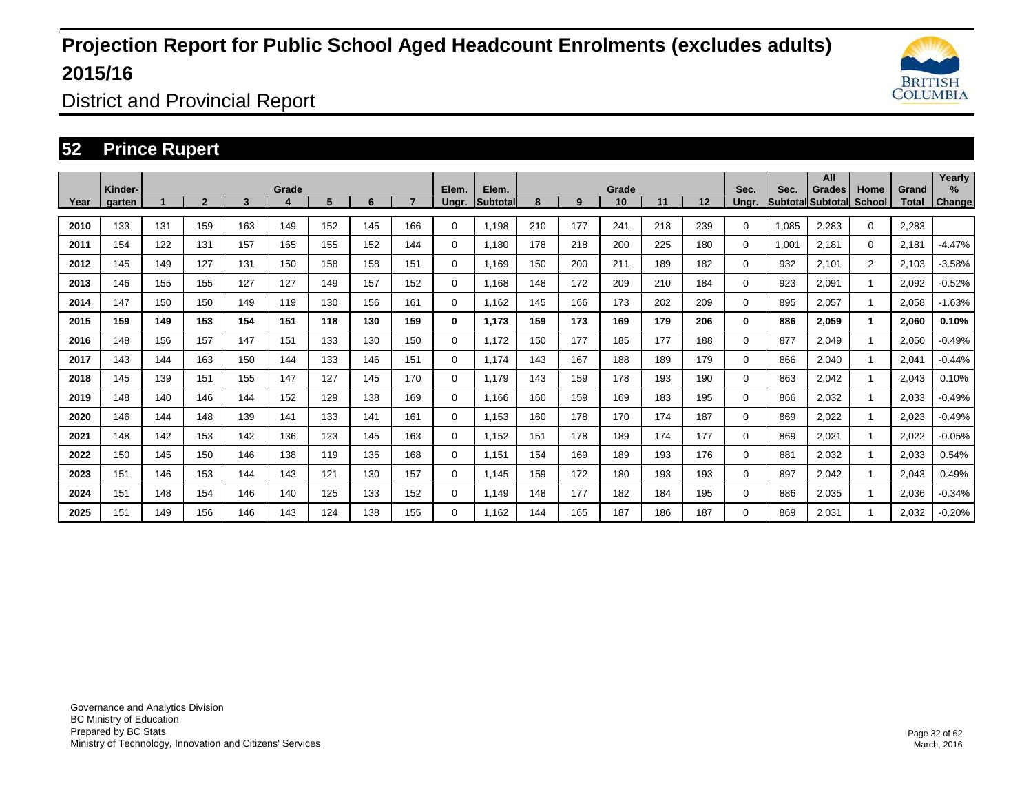

District and Provincial Report

### **52 Prince Rupert**

|      | Kinder- |     |                |     | Grade |     |     |     | Elem.       | Elem.    |     |     | Grade |     |     | Sec.  | Sec.  | All<br>Grades     | Home           | Grand | Yearly<br>$\%$ |
|------|---------|-----|----------------|-----|-------|-----|-----|-----|-------------|----------|-----|-----|-------|-----|-----|-------|-------|-------------------|----------------|-------|----------------|
| Year | garten  |     | $\overline{2}$ | 3   |       | 5   | 6   |     | Ungr.       | Subtotal | 8   | 9   | 10    | 11  | 12  | Ungr. |       | Subtotal Subtotal | <b>School</b>  | Total | Change         |
| 2010 | 133     | 131 | 159            | 163 | 149   | 152 | 145 | 166 | 0           | 1,198    | 210 | 177 | 241   | 218 | 239 | 0     | 1,085 | 2,283             | $\mathbf 0$    | 2,283 |                |
| 2011 | 154     | 122 | 131            | 157 | 165   | 155 | 152 | 144 | $\Omega$    | 1.180    | 178 | 218 | 200   | 225 | 180 | 0     | 1,001 | 2,181             | $\mathbf 0$    | 2,181 | $-4.47%$       |
| 2012 | 145     | 149 | 127            | 131 | 150   | 158 | 158 | 151 | $\Omega$    | 1,169    | 150 | 200 | 211   | 189 | 182 | 0     | 932   | 2,101             | $\overline{2}$ | 2,103 | $-3.58%$       |
| 2013 | 146     | 155 | 155            | 127 | 127   | 149 | 157 | 152 | 0           | 1.168    | 148 | 172 | 209   | 210 | 184 | 0     | 923   | 2,091             |                | 2,092 | $-0.52%$       |
| 2014 | 147     | 150 | 150            | 149 | 119   | 130 | 156 | 161 | $\Omega$    | 1,162    | 145 | 166 | 173   | 202 | 209 | 0     | 895   | 2,057             |                | 2,058 | $-1.63%$       |
| 2015 | 159     | 149 | 153            | 154 | 151   | 118 | 130 | 159 | 0           | 1.173    | 159 | 173 | 169   | 179 | 206 | 0     | 886   | 2,059             |                | 2,060 | 0.10%          |
| 2016 | 148     | 156 | 157            | 147 | 151   | 133 | 130 | 150 | $\mathbf 0$ | 1.172    | 150 | 177 | 185   | 177 | 188 | 0     | 877   | 2,049             |                | 2,050 | $-0.49%$       |
| 2017 | 143     | 144 | 163            | 150 | 144   | 133 | 146 | 151 | $\Omega$    | 1.174    | 143 | 167 | 188   | 189 | 179 | 0     | 866   | 2,040             |                | 2,041 | $-0.44%$       |
| 2018 | 145     | 139 | 151            | 155 | 147   | 127 | 145 | 170 | 0           | 1.179    | 143 | 159 | 178   | 193 | 190 | 0     | 863   | 2,042             | 1              | 2,043 | 0.10%          |
| 2019 | 148     | 140 | 146            | 144 | 152   | 129 | 138 | 169 | $\Omega$    | 1,166    | 160 | 159 | 169   | 183 | 195 | 0     | 866   | 2,032             | $\mathbf{1}$   | 2,033 | $-0.49%$       |
| 2020 | 146     | 144 | 148            | 139 | 141   | 133 | 141 | 161 | $\mathbf 0$ | 1,153    | 160 | 178 | 170   | 174 | 187 | 0     | 869   | 2,022             |                | 2,023 | $-0.49%$       |
| 2021 | 148     | 142 | 153            | 142 | 136   | 123 | 145 | 163 | $\Omega$    | 1,152    | 151 | 178 | 189   | 174 | 177 | 0     | 869   | 2,021             | $\overline{1}$ | 2,022 | $-0.05%$       |
| 2022 | 150     | 145 | 150            | 146 | 138   | 119 | 135 | 168 | $\mathbf 0$ | 1,151    | 154 | 169 | 189   | 193 | 176 | 0     | 881   | 2,032             | $\mathbf{1}$   | 2,033 | 0.54%          |
| 2023 | 151     | 146 | 153            | 144 | 143   | 121 | 130 | 157 | $\Omega$    | 1,145    | 159 | 172 | 180   | 193 | 193 | 0     | 897   | 2,042             |                | 2,043 | 0.49%          |
| 2024 | 151     | 148 | 154            | 146 | 140   | 125 | 133 | 152 | $\Omega$    | 1.149    | 148 | 177 | 182   | 184 | 195 | 0     | 886   | 2,035             |                | 2,036 | $-0.34%$       |
| 2025 | 151     | 149 | 156            | 146 | 143   | 124 | 138 | 155 | $\Omega$    | 1.162    | 144 | 165 | 187   | 186 | 187 | 0     | 869   | 2,031             |                | 2,032 | $-0.20%$       |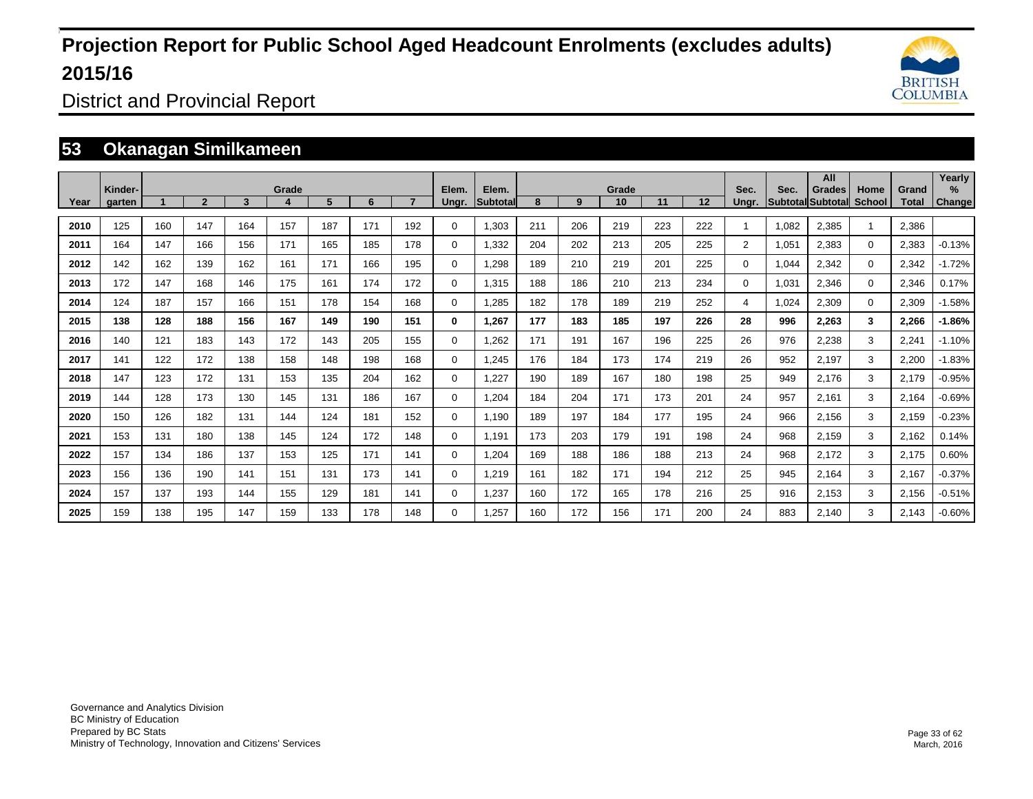

District and Provincial Report

### **53 Okanagan Similkameen**

|      | Kinder- |     |                |     | Grade |     |     |     | Elem.       | Elem.    |     |     | Grade |     |                   | Sec.           | Sec.  | All<br>Grades            | Home                    | Grand        | Yearly<br>$\%$ |
|------|---------|-----|----------------|-----|-------|-----|-----|-----|-------------|----------|-----|-----|-------|-----|-------------------|----------------|-------|--------------------------|-------------------------|--------------|----------------|
| Year | garten  |     | $\overline{2}$ | 3   | 4     | 5   | 6   |     | Ungr.       | Subtotal | 8   | 9   | 10    | 11  | $12 \overline{ }$ | Ungr.          |       | <b>SubtotallSubtotal</b> | <b>School</b>           | <b>Total</b> | Change         |
| 2010 | 125     | 160 | 147            | 164 | 157   | 187 | 171 | 192 | $\Omega$    | 1,303    | 211 | 206 | 219   | 223 | 222               |                | 1,082 | 2,385                    | $\overline{1}$          | 2,386        |                |
| 2011 | 164     | 147 | 166            | 156 | 171   | 165 | 185 | 178 | 0           | 1,332    | 204 | 202 | 213   | 205 | 225               | $\overline{2}$ | 1,051 | 2,383                    | $\mathbf 0$             | 2,383        | $-0.13%$       |
| 2012 | 142     | 162 | 139            | 162 | 161   | 171 | 166 | 195 | $\Omega$    | 1,298    | 189 | 210 | 219   | 201 | 225               | $\Omega$       | 1,044 | 2,342                    | $\mathbf 0$             | 2,342        | $-1.72%$       |
| 2013 | 172     | 147 | 168            | 146 | 175   | 161 | 174 | 172 | $\mathbf 0$ | 1,315    | 188 | 186 | 210   | 213 | 234               | 0              | 1,031 | 2,346                    | $\mathbf{0}$            | 2,346        | 0.17%          |
| 2014 | 124     | 187 | 157            | 166 | 151   | 178 | 154 | 168 | $\Omega$    | 1,285    | 182 | 178 | 189   | 219 | 252               | $\overline{4}$ | 1,024 | 2,309                    | $\mathbf{0}$            | 2,309        | $-1.58%$       |
| 2015 | 138     | 128 | 188            | 156 | 167   | 149 | 190 | 151 | 0           | 1,267    | 177 | 183 | 185   | 197 | 226               | 28             | 996   | 2,263                    | $\overline{\mathbf{3}}$ | 2,266        | $-1.86%$       |
| 2016 | 140     | 121 | 183            | 143 | 172   | 143 | 205 | 155 | $\Omega$    | 1,262    | 171 | 191 | 167   | 196 | 225               | 26             | 976   | 2,238                    | 3                       | 2,241        | $-1.10%$       |
| 2017 | 141     | 122 | 172            | 138 | 158   | 148 | 198 | 168 | $\mathbf 0$ | 1,245    | 176 | 184 | 173   | 174 | 219               | 26             | 952   | 2,197                    | 3                       | 2,200        | $-1.83%$       |
| 2018 | 147     | 123 | 172            | 131 | 153   | 135 | 204 | 162 | $\mathbf 0$ | 1,227    | 190 | 189 | 167   | 180 | 198               | 25             | 949   | 2,176                    | 3                       | 2,179        | $-0.95%$       |
| 2019 | 144     | 128 | 173            | 130 | 145   | 131 | 186 | 167 | $\mathbf 0$ | 1,204    | 184 | 204 | 171   | 173 | 201               | 24             | 957   | 2,161                    | 3                       | 2,164        | $-0.69%$       |
| 2020 | 150     | 126 | 182            | 131 | 144   | 124 | 181 | 152 | $\mathbf 0$ | 1,190    | 189 | 197 | 184   | 177 | 195               | 24             | 966   | 2,156                    | 3                       | 2,159        | $-0.23%$       |
| 2021 | 153     | 131 | 180            | 138 | 145   | 124 | 172 | 148 | $\Omega$    | 1,191    | 173 | 203 | 179   | 191 | 198               | 24             | 968   | 2,159                    | 3                       | 2,162        | 0.14%          |
| 2022 | 157     | 134 | 186            | 137 | 153   | 125 | 171 | 141 | $\mathbf 0$ | 1,204    | 169 | 188 | 186   | 188 | 213               | 24             | 968   | 2,172                    | 3                       | 2,175        | 0.60%          |
| 2023 | 156     | 136 | 190            | 141 | 151   | 131 | 173 | 141 | $\mathbf 0$ | 1,219    | 161 | 182 | 171   | 194 | 212               | 25             | 945   | 2,164                    | 3                       | 2,167        | $-0.37%$       |
| 2024 | 157     | 137 | 193            | 144 | 155   | 129 | 181 | 141 | $\mathbf 0$ | 1,237    | 160 | 172 | 165   | 178 | 216               | 25             | 916   | 2,153                    | 3                       | 2,156        | $-0.51%$       |
| 2025 | 159     | 138 | 195            | 147 | 159   | 133 | 178 | 148 | 0           | 1,257    | 160 | 172 | 156   | 171 | 200               | 24             | 883   | 2,140                    | 3                       | 2,143        | $-0.60%$       |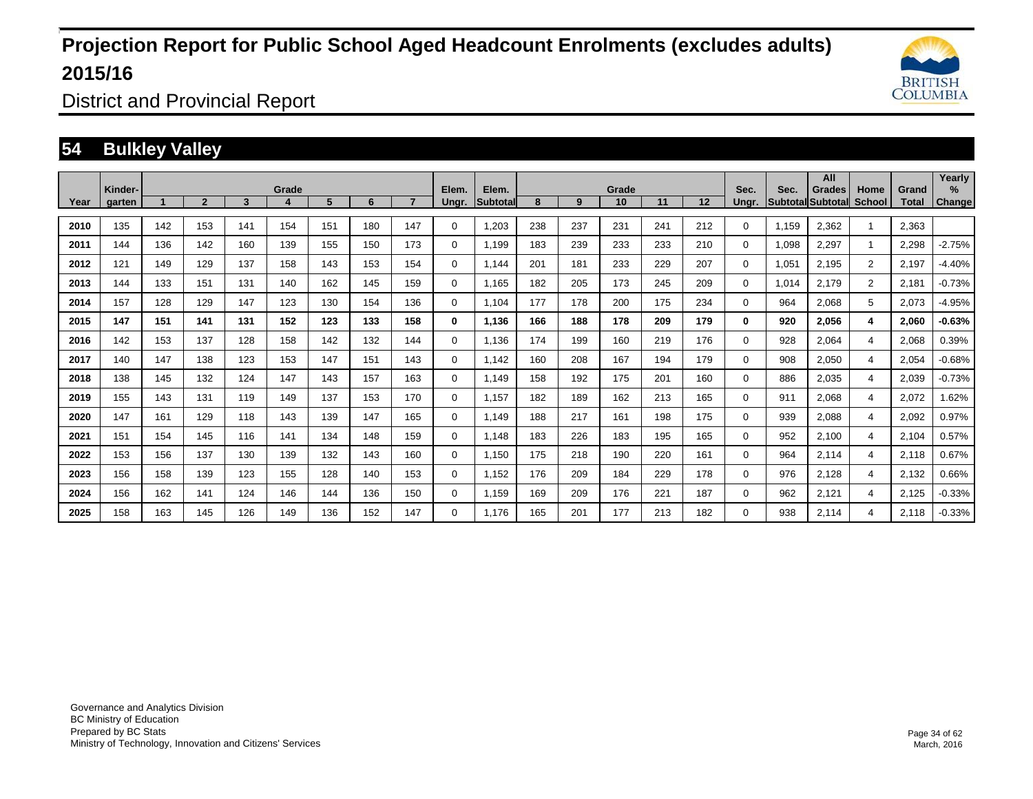

District and Provincial Report

### **54 Bulkley Valley**

|      | Kinder- |     |                |     | Grade |     |     |     | Elem.       | Elem.           |     |     | Grade |     |     | Sec.     | Sec.  | All<br>Grades            | Home           | Grand | Yearly<br>%   |
|------|---------|-----|----------------|-----|-------|-----|-----|-----|-------------|-----------------|-----|-----|-------|-----|-----|----------|-------|--------------------------|----------------|-------|---------------|
| Year | garten  |     | $\overline{2}$ | 3   | 4     | 5   | 6   |     | Ungr.       | <b>Subtotal</b> | 8   | 9   | 10    | 11  | 12  | Unar.    |       | <b>Subtotal Subtotal</b> | <b>School</b>  | Total | <b>Change</b> |
| 2010 | 135     | 142 | 153            | 141 | 154   | 151 | 180 | 147 | $\Omega$    | 1,203           | 238 | 237 | 231   | 241 | 212 | 0        | 1,159 | 2,362                    |                | 2,363 |               |
| 2011 | 144     | 136 | 142            | 160 | 139   | 155 | 150 | 173 | 0           | 1.199           | 183 | 239 | 233   | 233 | 210 | 0        | 1,098 | 2,297                    |                | 2,298 | $-2.75%$      |
| 2012 | 121     | 149 | 129            | 137 | 158   | 143 | 153 | 154 | 0           | 1,144           | 201 | 181 | 233   | 229 | 207 | 0        | 1,051 | 2,195                    | $\overline{2}$ | 2,197 | $-4.40%$      |
| 2013 | 144     | 133 | 151            | 131 | 140   | 162 | 145 | 159 | $\mathbf 0$ | 1.165           | 182 | 205 | 173   | 245 | 209 | 0        | 1,014 | 2,179                    | $\overline{2}$ | 2,181 | $-0.73%$      |
| 2014 | 157     | 128 | 129            | 147 | 123   | 130 | 154 | 136 | $\mathbf 0$ | 1.104           | 177 | 178 | 200   | 175 | 234 | 0        | 964   | 2,068                    | 5              | 2,073 | $-4.95%$      |
| 2015 | 147     | 151 | 141            | 131 | 152   | 123 | 133 | 158 | $\bf{0}$    | 1,136           | 166 | 188 | 178   | 209 | 179 | 0        | 920   | 2,056                    | 4              | 2,060 | $-0.63%$      |
| 2016 | 142     | 153 | 137            | 128 | 158   | 142 | 132 | 144 | $\mathbf 0$ | 1,136           | 174 | 199 | 160   | 219 | 176 | $\Omega$ | 928   | 2,064                    | $\overline{4}$ | 2,068 | 0.39%         |
| 2017 | 140     | 147 | 138            | 123 | 153   | 147 | 151 | 143 | $\mathbf 0$ | 1.142           | 160 | 208 | 167   | 194 | 179 | $\Omega$ | 908   | 2,050                    | $\overline{4}$ | 2,054 | $-0.68%$      |
| 2018 | 138     | 145 | 132            | 124 | 147   | 143 | 157 | 163 | 0           | 1.149           | 158 | 192 | 175   | 201 | 160 | 0        | 886   | 2,035                    | 4              | 2,039 | $-0.73%$      |
| 2019 | 155     | 143 | 131            | 119 | 149   | 137 | 153 | 170 | $\mathbf 0$ | 1.157           | 182 | 189 | 162   | 213 | 165 | 0        | 911   | 2,068                    | $\overline{4}$ | 2,072 | 1.62%         |
| 2020 | 147     | 161 | 129            | 118 | 143   | 139 | 147 | 165 | 0           | 1,149           | 188 | 217 | 161   | 198 | 175 | 0        | 939   | 2,088                    | 4              | 2,092 | 0.97%         |
| 2021 | 151     | 154 | 145            | 116 | 141   | 134 | 148 | 159 | 0           | 1,148           | 183 | 226 | 183   | 195 | 165 | 0        | 952   | 2,100                    | 4              | 2,104 | 0.57%         |
| 2022 | 153     | 156 | 137            | 130 | 139   | 132 | 143 | 160 | 0           | 1,150           | 175 | 218 | 190   | 220 | 161 | 0        | 964   | 2,114                    | 4              | 2,118 | 0.67%         |
| 2023 | 156     | 158 | 139            | 123 | 155   | 128 | 140 | 153 | 0           | 1,152           | 176 | 209 | 184   | 229 | 178 | 0        | 976   | 2,128                    | 4              | 2,132 | 0.66%         |
| 2024 | 156     | 162 | 141            | 124 | 146   | 144 | 136 | 150 | 0           | 1,159           | 169 | 209 | 176   | 221 | 187 | 0        | 962   | 2,121                    | $\overline{4}$ | 2,125 | $-0.33%$      |
| 2025 | 158     | 163 | 145            | 126 | 149   | 136 | 152 | 147 | 0           | 1.176           | 165 | 201 | 177   | 213 | 182 | 0        | 938   | 2,114                    | 4              | 2.118 | $-0.33%$      |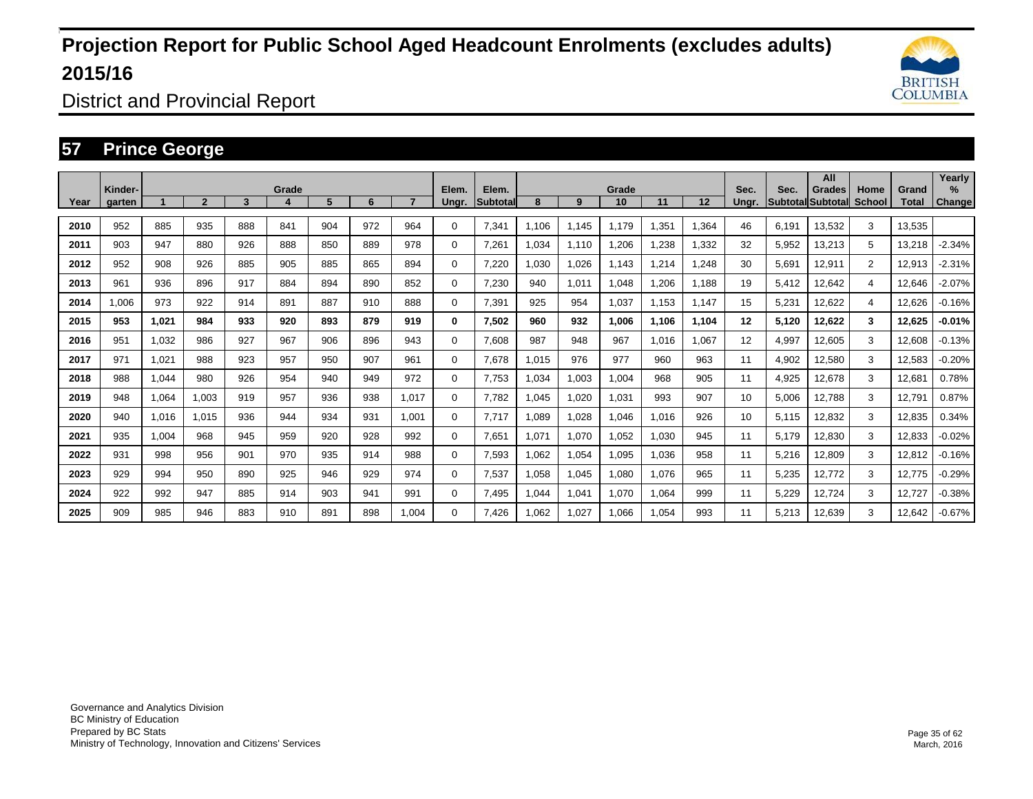

District and Provincial Report

### **57 Prince George**

|      |                   |       |                |     |       |     |     |       |                |                          |       |       |             |       |                   |               |       | All                                |                |                | Yearly                |
|------|-------------------|-------|----------------|-----|-------|-----|-----|-------|----------------|--------------------------|-------|-------|-------------|-------|-------------------|---------------|-------|------------------------------------|----------------|----------------|-----------------------|
| Year | Kinder-<br>garten |       | $\overline{2}$ | 3   | Grade | 5   | 6   |       | Elem.<br>Ungr. | Elem.<br><b>Subtotal</b> | 8     | 9     | Grade<br>10 | 11    | $12 \overline{ }$ | Sec.<br>Unar. | Sec.  | Grades<br><b>Subtotal Subtotal</b> | Home<br>School | Grand<br>Total | $\%$<br><b>Change</b> |
| 2010 | 952               | 885   | 935            | 888 | 841   | 904 | 972 | 964   | $\Omega$       | 7,341                    | 1.106 | 1.145 | 1.179       | 1,351 | 1,364             | 46            | 6.191 | 13,532                             | 3              | 13,535         |                       |
| 2011 | 903               | 947   | 880            | 926 | 888   | 850 | 889 | 978   | $\mathbf 0$    | 7,261                    | 1,034 | 1,110 | 1,206       | ,238  | 1,332             | 32            | 5,952 | 13,213                             | 5              | 13,218         | $-2.34%$              |
| 2012 | 952               | 908   | 926            | 885 | 905   | 885 | 865 | 894   | 0              | 7,220                    | 1,030 | 1,026 | 1,143       | 1,214 | 1,248             | 30            | 5,691 | 12,911                             | $\overline{2}$ | 12,913         | $-2.31%$              |
| 2013 | 961               | 936   | 896            | 917 | 884   | 894 | 890 | 852   | $\mathbf 0$    | 7,230                    | 940   | 1,011 | 1,048       | .206  | 1.188             | 19            | 5,412 | 12,642                             | 4              | 12,646         | $-2.07%$              |
| 2014 | 1,006             | 973   | 922            | 914 | 891   | 887 | 910 | 888   | $\Omega$       | 7,391                    | 925   | 954   | 1,037       | 1,153 | 1,147             | 15            | 5,231 | 12,622                             | 4              | 12,626         | $-0.16%$              |
| 2015 | 953               | 1,021 | 984            | 933 | 920   | 893 | 879 | 919   | $\mathbf 0$    | 7,502                    | 960   | 932   | 1,006       | 1.106 | 1,104             | 12            | 5,120 | 12,622                             | 3              | 12,625         | $-0.01%$              |
| 2016 | 951               | 1,032 | 986            | 927 | 967   | 906 | 896 | 943   | $\Omega$       | 7,608                    | 987   | 948   | 967         | 1,016 | 1,067             | 12            | 4,997 | 12,605                             | 3              | 12,608         | $-0.13%$              |
| 2017 | 971               | 1,021 | 988            | 923 | 957   | 950 | 907 | 961   | $\mathbf 0$    | 7,678                    | 1,015 | 976   | 977         | 960   | 963               | 11            | 4,902 | 12,580                             | 3              | 12,583         | $-0.20\%$             |
| 2018 | 988               | 1,044 | 980            | 926 | 954   | 940 | 949 | 972   | $\Omega$       | 7,753                    | 1,034 | 1,003 | 1,004       | 968   | 905               | 11            | 4,925 | 12,678                             | 3              | 12,681         | 0.78%                 |
| 2019 | 948               | 1,064 | 1,003          | 919 | 957   | 936 | 938 | 1,017 | $\mathbf 0$    | 7.782                    | 1,045 | 1,020 | 1,031       | 993   | 907               | 10            | 5,006 | 12,788                             | 3              | 12,791         | 0.87%                 |
| 2020 | 940               | 1,016 | 1,015          | 936 | 944   | 934 | 931 | 1,001 | $\Omega$       | 7,717                    | 1,089 | 1,028 | 1,046       | 1,016 | 926               | 10            | 5,115 | 12,832                             | 3              | 12,835         | 0.34%                 |
| 2021 | 935               | 1,004 | 968            | 945 | 959   | 920 | 928 | 992   | $\Omega$       | 7,651                    | 1,071 | 1,070 | 1,052       | 1,030 | 945               | 11            | 5,179 | 12,830                             | 3              | 12,833         | $-0.02%$              |
| 2022 | 931               | 998   | 956            | 901 | 970   | 935 | 914 | 988   | $\mathbf 0$    | 7,593                    | 1,062 | 1,054 | 1,095       | 1,036 | 958               | 11            | 5,216 | 12,809                             | 3              | 12,812         | $-0.16%$              |
| 2023 | 929               | 994   | 950            | 890 | 925   | 946 | 929 | 974   | $\mathbf 0$    | 7,537                    | 1,058 | 1,045 | 1,080       | 1,076 | 965               | 11            | 5,235 | 12,772                             | 3              | 12,775         | $-0.29%$              |
| 2024 | 922               | 992   | 947            | 885 | 914   | 903 | 941 | 991   | $\mathbf 0$    | 7.495                    | 1,044 | 1,041 | 1,070       | 1,064 | 999               | 11            | 5,229 | 12,724                             | 3              | 12,727         | -0.38%                |
| 2025 | 909               | 985   | 946            | 883 | 910   | 891 | 898 | 1,004 | $\Omega$       | 7,426                    | 1,062 | 1,027 | 1,066       | 1,054 | 993               | 11            | 5,213 | 12,639                             | 3              | 12,642         | $-0.67%$              |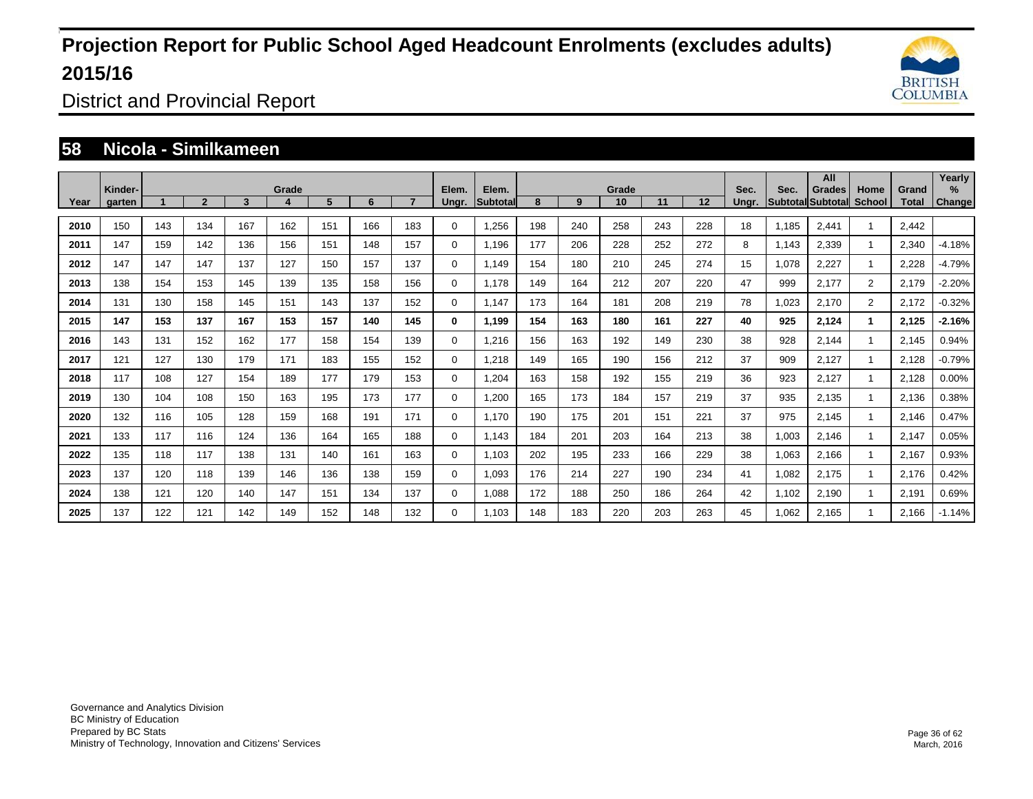

District and Provincial Report

### **58 Nicola - Similkameen**

|      | Kinder- |     |              |     | Grade |     |     |     | Elem.       | Elem.    |     |     | Grade |     |     | Sec.  | Sec.  | All<br>Grades            | Home                 | Grand | Yearly<br>$\%$ |
|------|---------|-----|--------------|-----|-------|-----|-----|-----|-------------|----------|-----|-----|-------|-----|-----|-------|-------|--------------------------|----------------------|-------|----------------|
| Year | garten  |     | $\mathbf{2}$ | 3   |       | 5   | 6   |     | Unar.       | Subtotal | 8   | 9   | 10    | 11  | 12  | Unar. |       | <b>Subtotal Subtotal</b> | <b>School</b>        | Total | <b>Change</b>  |
| 2010 | 150     | 143 | 134          | 167 | 162   | 151 | 166 | 183 | 0           | 1,256    | 198 | 240 | 258   | 243 | 228 | 18    | 1.185 | 2,441                    |                      | 2,442 |                |
| 2011 | 147     | 159 | 142          | 136 | 156   | 151 | 148 | 157 | 0           | 1.196    | 177 | 206 | 228   | 252 | 272 | 8     | 1.143 | 2,339                    | $\mathbf{1}$         | 2,340 | $-4.18%$       |
| 2012 | 147     | 147 | 147          | 137 | 127   | 150 | 157 | 137 | $\Omega$    | 1,149    | 154 | 180 | 210   | 245 | 274 | 15    | 1,078 | 2,227                    | $\blacktriangleleft$ | 2,228 | $-4.79%$       |
| 2013 | 138     | 154 | 153          | 145 | 139   | 135 | 158 | 156 | $\mathbf 0$ | 1.178    | 149 | 164 | 212   | 207 | 220 | 47    | 999   | 2,177                    | $\overline{2}$       | 2,179 | $-2.20%$       |
| 2014 | 131     | 130 | 158          | 145 | 151   | 143 | 137 | 152 | $\mathbf 0$ | 1,147    | 173 | 164 | 181   | 208 | 219 | 78    | 1,023 | 2,170                    | $\overline{2}$       | 2,172 | $-0.32%$       |
| 2015 | 147     | 153 | 137          | 167 | 153   | 157 | 140 | 145 | 0           | 1,199    | 154 | 163 | 180   | 161 | 227 | 40    | 925   | 2,124                    | $\mathbf{1}$         | 2,125 | $-2.16%$       |
| 2016 | 143     | 131 | 152          | 162 | 177   | 158 | 154 | 139 | $\Omega$    | 1,216    | 156 | 163 | 192   | 149 | 230 | 38    | 928   | 2,144                    | $\mathbf{1}$         | 2,145 | 0.94%          |
| 2017 | 121     | 127 | 130          | 179 | 171   | 183 | 155 | 152 | $\mathbf 0$ | 1,218    | 149 | 165 | 190   | 156 | 212 | 37    | 909   | 2,127                    | $\mathbf{1}$         | 2,128 | $-0.79%$       |
| 2018 | 117     | 108 | 127          | 154 | 189   | 177 | 179 | 153 | $\Omega$    | 1,204    | 163 | 158 | 192   | 155 | 219 | 36    | 923   | 2,127                    | $\mathbf{1}$         | 2,128 | 0.00%          |
| 2019 | 130     | 104 | 108          | 150 | 163   | 195 | 173 | 177 | $\Omega$    | 1,200    | 165 | 173 | 184   | 157 | 219 | 37    | 935   | 2,135                    |                      | 2,136 | 0.38%          |
| 2020 | 132     | 116 | 105          | 128 | 159   | 168 | 191 | 171 | $\mathbf 0$ | 1.170    | 190 | 175 | 201   | 151 | 221 | 37    | 975   | 2,145                    |                      | 2,146 | 0.47%          |
| 2021 | 133     | 117 | 116          | 124 | 136   | 164 | 165 | 188 | $\Omega$    | 1,143    | 184 | 201 | 203   | 164 | 213 | 38    | 1,003 | 2,146                    |                      | 2,147 | 0.05%          |
| 2022 | 135     | 118 | 117          | 138 | 131   | 140 | 161 | 163 | $\Omega$    | 1.103    | 202 | 195 | 233   | 166 | 229 | 38    | 1,063 | 2,166                    |                      | 2,167 | 0.93%          |
| 2023 | 137     | 120 | 118          | 139 | 146   | 136 | 138 | 159 | $\Omega$    | 1,093    | 176 | 214 | 227   | 190 | 234 | 41    | 1,082 | 2,175                    | $\mathbf{1}$         | 2,176 | 0.42%          |
| 2024 | 138     | 121 | 120          | 140 | 147   | 151 | 134 | 137 | $\Omega$    | 1.088    | 172 | 188 | 250   | 186 | 264 | 42    | 1,102 | 2,190                    | $\mathbf{1}$         | 2,191 | 0.69%          |
| 2025 | 137     | 122 | 121          | 142 | 149   | 152 | 148 | 132 | $\mathbf 0$ | 1.103    | 148 | 183 | 220   | 203 | 263 | 45    | 1,062 | 2,165                    |                      | 2.166 | $-1.14%$       |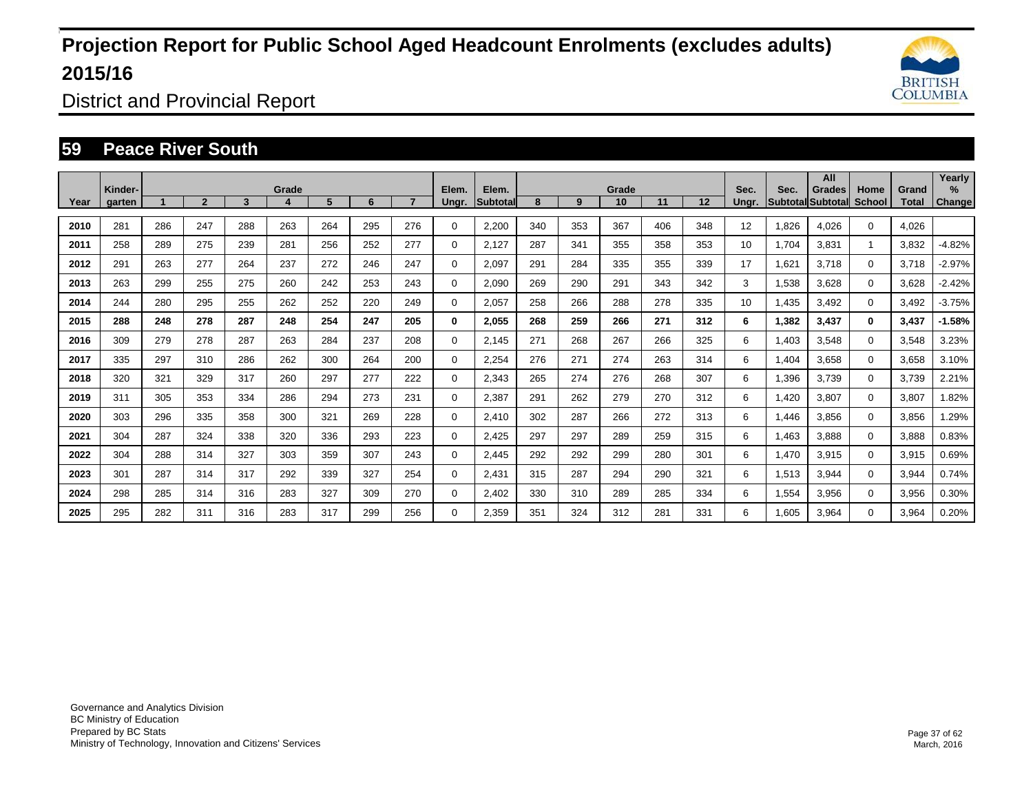

District and Provincial Report

### **59 Peace River South**

|      | Kinder- |     |                |     | Grade |     |     |     | Elem.       | Elem.    |     |     | Grade |     |     | Sec.  | Sec.  | All<br><b>Grades</b>     | Home        | Grand | Yearly<br>$\frac{9}{6}$ |
|------|---------|-----|----------------|-----|-------|-----|-----|-----|-------------|----------|-----|-----|-------|-----|-----|-------|-------|--------------------------|-------------|-------|-------------------------|
| Year | garten  |     | $\overline{2}$ | 3   | 4     | 5   | 6   |     | Ungr.       | Subtotal | 8   | 9   | 10    | 11  | 12  | Unar. |       | <b>Subtotal Subtotal</b> | School      | Total | Change                  |
| 2010 | 281     | 286 | 247            | 288 | 263   | 264 | 295 | 276 | 0           | 2,200    | 340 | 353 | 367   | 406 | 348 | 12    | 1.826 | 4.026                    | $\Omega$    | 4.026 |                         |
| 2011 | 258     | 289 | 275            | 239 | 281   | 256 | 252 | 277 | 0           | 2,127    | 287 | 341 | 355   | 358 | 353 | 10    | 1.704 | 3,831                    |             | 3,832 | $-4.82%$                |
| 2012 | 291     | 263 | 277            | 264 | 237   | 272 | 246 | 247 | 0           | 2,097    | 291 | 284 | 335   | 355 | 339 | 17    | 1,621 | 3,718                    | $\Omega$    | 3,718 | $-2.97%$                |
| 2013 | 263     | 299 | 255            | 275 | 260   | 242 | 253 | 243 | 0           | 2.090    | 269 | 290 | 291   | 343 | 342 | 3     | 1,538 | 3,628                    | $\mathbf 0$ | 3,628 | $-2.42%$                |
| 2014 | 244     | 280 | 295            | 255 | 262   | 252 | 220 | 249 | 0           | 2,057    | 258 | 266 | 288   | 278 | 335 | 10    | 1,435 | 3,492                    | $\Omega$    | 3,492 | $-3.75%$                |
| 2015 | 288     | 248 | 278            | 287 | 248   | 254 | 247 | 205 | 0           | 2.055    | 268 | 259 | 266   | 271 | 312 | 6     | 1,382 | 3,437                    | $\bf{0}$    | 3,437 | $-1.58%$                |
| 2016 | 309     | 279 | 278            | 287 | 263   | 284 | 237 | 208 | $\mathbf 0$ | 2,145    | 271 | 268 | 267   | 266 | 325 | 6     | 1,403 | 3,548                    | $\mathbf 0$ | 3,548 | 3.23%                   |
| 2017 | 335     | 297 | 310            | 286 | 262   | 300 | 264 | 200 | 0           | 2,254    | 276 | 271 | 274   | 263 | 314 | 6     | 1,404 | 3,658                    | $\Omega$    | 3,658 | 3.10%                   |
| 2018 | 320     | 321 | 329            | 317 | 260   | 297 | 277 | 222 | 0           | 2,343    | 265 | 274 | 276   | 268 | 307 | 6     | 1,396 | 3,739                    | $\mathbf 0$ | 3,739 | 2.21%                   |
| 2019 | 311     | 305 | 353            | 334 | 286   | 294 | 273 | 231 | 0           | 2,387    | 291 | 262 | 279   | 270 | 312 | 6     | 1,420 | 3,807                    | $\mathbf 0$ | 3,807 | 1.82%                   |
| 2020 | 303     | 296 | 335            | 358 | 300   | 321 | 269 | 228 | $\mathbf 0$ | 2,410    | 302 | 287 | 266   | 272 | 313 | 6     | 1,446 | 3,856                    | $\mathbf 0$ | 3,856 | 1.29%                   |
| 2021 | 304     | 287 | 324            | 338 | 320   | 336 | 293 | 223 | 0           | 2,425    | 297 | 297 | 289   | 259 | 315 | 6     | 1,463 | 3,888                    | $\mathbf 0$ | 3,888 | 0.83%                   |
| 2022 | 304     | 288 | 314            | 327 | 303   | 359 | 307 | 243 | 0           | 2,445    | 292 | 292 | 299   | 280 | 301 | 6     | 1,470 | 3,915                    | $\mathbf 0$ | 3,915 | 0.69%                   |
| 2023 | 301     | 287 | 314            | 317 | 292   | 339 | 327 | 254 | $\mathbf 0$ | 2,431    | 315 | 287 | 294   | 290 | 321 | 6     | 1,513 | 3.944                    | $\mathbf 0$ | 3,944 | 0.74%                   |
| 2024 | 298     | 285 | 314            | 316 | 283   | 327 | 309 | 270 | 0           | 2,402    | 330 | 310 | 289   | 285 | 334 | 6     | 1,554 | 3,956                    | $\mathbf 0$ | 3,956 | 0.30%                   |
| 2025 | 295     | 282 | 311            | 316 | 283   | 317 | 299 | 256 | 0           | 2,359    | 351 | 324 | 312   | 281 | 331 | 6     | 1,605 | 3,964                    | $\Omega$    | 3,964 | 0.20%                   |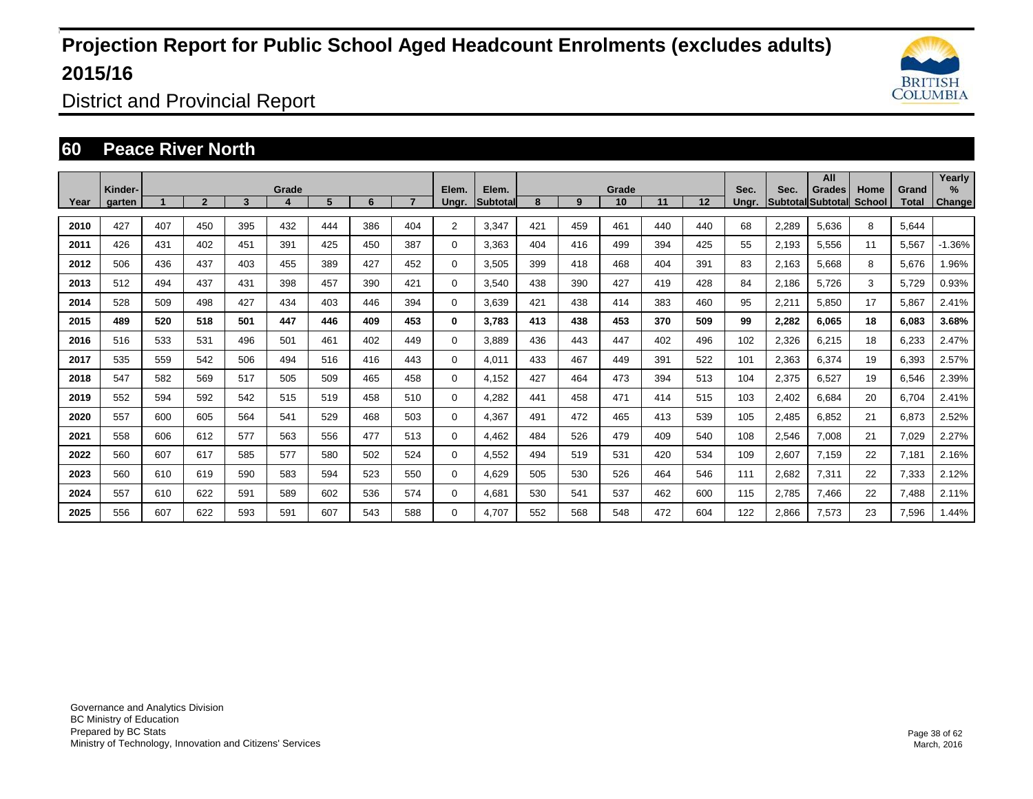

District and Provincial Report

### **60 Peace River North**

|      | Kinder- |     |                |     | Grade |     |     |     | Elem.    | Elem.    |     |     | Grade |     |     | Sec.  | Sec.  | All<br>Grades     | Home   | Grand | Yearly<br>% |
|------|---------|-----|----------------|-----|-------|-----|-----|-----|----------|----------|-----|-----|-------|-----|-----|-------|-------|-------------------|--------|-------|-------------|
| Year | garten  |     | $\overline{2}$ | 3   | 4     | 5   | 6   |     | Ungr.    | Subtotal | 8   | 9   | 10    | 11  | 12  | Unar. |       | Subtotal Subtotal | School | Total | Change      |
| 2010 | 427     | 407 | 450            | 395 | 432   | 444 | 386 | 404 | 2        | 3.347    | 421 | 459 | 461   | 440 | 440 | 68    | 2,289 | 5.636             | 8      | 5,644 |             |
| 2011 | 426     | 431 | 402            | 451 | 391   | 425 | 450 | 387 | 0        | 3.363    | 404 | 416 | 499   | 394 | 425 | 55    | 2,193 | 5,556             | 11     | 5,567 | $-1.36%$    |
| 2012 | 506     | 436 | 437            | 403 | 455   | 389 | 427 | 452 | 0        | 3,505    | 399 | 418 | 468   | 404 | 391 | 83    | 2,163 | 5,668             | 8      | 5,676 | 1.96%       |
| 2013 | 512     | 494 | 437            | 431 | 398   | 457 | 390 | 421 | 0        | 3,540    | 438 | 390 | 427   | 419 | 428 | 84    | 2,186 | 5.726             | 3      | 5,729 | 0.93%       |
| 2014 | 528     | 509 | 498            | 427 | 434   | 403 | 446 | 394 | $\Omega$ | 3,639    | 421 | 438 | 414   | 383 | 460 | 95    | 2,211 | 5,850             | 17     | 5,867 | 2.41%       |
| 2015 | 489     | 520 | 518            | 501 | 447   | 446 | 409 | 453 | 0        | 3.783    | 413 | 438 | 453   | 370 | 509 | 99    | 2,282 | 6,065             | 18     | 6,083 | 3.68%       |
| 2016 | 516     | 533 | 531            | 496 | 501   | 461 | 402 | 449 | 0        | 3.889    | 436 | 443 | 447   | 402 | 496 | 102   | 2,326 | 6,215             | 18     | 6,233 | 2.47%       |
| 2017 | 535     | 559 | 542            | 506 | 494   | 516 | 416 | 443 | $\Omega$ | 4,011    | 433 | 467 | 449   | 391 | 522 | 101   | 2,363 | 6,374             | 19     | 6,393 | 2.57%       |
| 2018 | 547     | 582 | 569            | 517 | 505   | 509 | 465 | 458 | 0        | 4,152    | 427 | 464 | 473   | 394 | 513 | 104   | 2,375 | 6,527             | 19     | 6,546 | 2.39%       |
| 2019 | 552     | 594 | 592            | 542 | 515   | 519 | 458 | 510 | 0        | 4,282    | 441 | 458 | 471   | 414 | 515 | 103   | 2,402 | 6,684             | 20     | 6,704 | 2.41%       |
| 2020 | 557     | 600 | 605            | 564 | 541   | 529 | 468 | 503 | 0        | 4,367    | 491 | 472 | 465   | 413 | 539 | 105   | 2,485 | 6,852             | 21     | 6,873 | 2.52%       |
| 2021 | 558     | 606 | 612            | 577 | 563   | 556 | 477 | 513 | 0        | 4.462    | 484 | 526 | 479   | 409 | 540 | 108   | 2,546 | 7,008             | 21     | 7,029 | 2.27%       |
| 2022 | 560     | 607 | 617            | 585 | 577   | 580 | 502 | 524 | 0        | 4,552    | 494 | 519 | 531   | 420 | 534 | 109   | 2,607 | 7,159             | 22     | 7,181 | 2.16%       |
| 2023 | 560     | 610 | 619            | 590 | 583   | 594 | 523 | 550 | 0        | 4.629    | 505 | 530 | 526   | 464 | 546 | 111   | 2,682 | 7,311             | 22     | 7,333 | 2.12%       |
| 2024 | 557     | 610 | 622            | 591 | 589   | 602 | 536 | 574 | 0        | 4,681    | 530 | 541 | 537   | 462 | 600 | 115   | 2,785 | 7,466             | 22     | 7.488 | 2.11%       |
| 2025 | 556     | 607 | 622            | 593 | 591   | 607 | 543 | 588 | 0        | 4,707    | 552 | 568 | 548   | 472 | 604 | 122   | 2,866 | 7,573             | 23     | 7,596 | 1.44%       |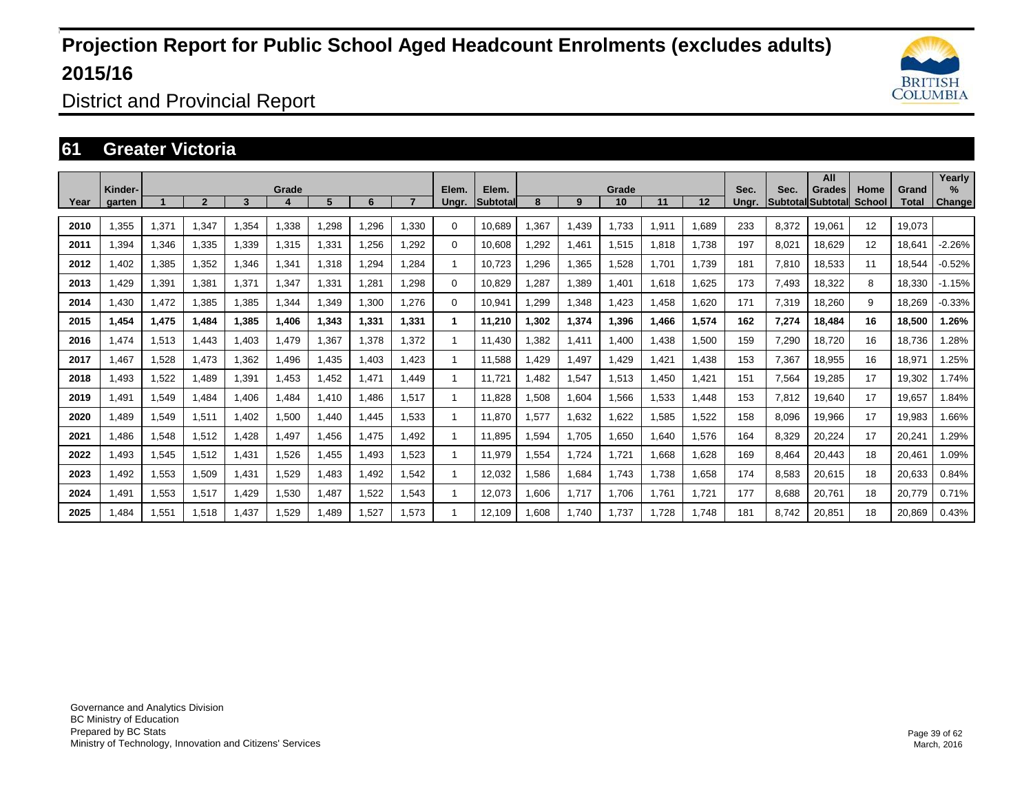

District and Provincial Report

### **61 Greater Victoria**

|      | Kinder-     |       | $\overline{2}$ | 3     | Grade | 5     | 6     |       | Elem.        | Elem.           | 8     |       | Grade |        |        | Sec.  | Sec.  | All<br>Grades            | Home   | Grand  | Yearly<br>$\%$ |
|------|-------------|-------|----------------|-------|-------|-------|-------|-------|--------------|-----------------|-------|-------|-------|--------|--------|-------|-------|--------------------------|--------|--------|----------------|
| Year | garten      |       |                |       |       |       |       |       | Ungr.        | <b>Subtotal</b> |       | 9     | 10    | 11     | 12     | Unar. |       | <b>Subtotal Subtotal</b> | School | Total  | <b>Change</b>  |
| 2010 | .355        | 1,371 | 1.347          | 1.354 | .338  | .298  | .296  | .330  | $\Omega$     | 10.689          | .367  | 1.439 | 1.733 | 911. ا | .689   | 233   | 8.372 | 19.061                   | 12     | 19.073 |                |
| 2011 | 1,394       | 1,346 | 1,335          | 1,339 | 1,315 | ,331  | ,256  | .292  | 0            | 10,608          | ,292  | 1,461 | 1,515 | .818   | 1,738  | 197   | 8,021 | 18,629                   | 12     | 18,641 | $-2.26%$       |
| 2012 | ,402        | 1,385 | 1,352          | 1,346 | 1,341 | 1,318 | ,294  | 1,284 | 1            | 10,723          | ,296  | 1,365 | 1,528 | 1.701  | 1,739  | 181   | 7,810 | 18,533                   | 11     | 18,544 | $-0.52%$       |
| 2013 | .429        | 1,391 | 1.381          | 1.371 | 1,347 | 1.331 | .281  | 1.298 | $\Omega$     | 10.829          | .287  | 1,389 | 1,401 | 1.618  | 1.625  | 173   | 7,493 | 18,322                   | 8      | 18.330 | $-1.15%$       |
| 2014 | 1,430       | 1,472 | 1,385          | 1,385 | 1,344 | ,349  | 1,300 | 1,276 | $\Omega$     | 10,941          | ,299  | 1,348 | 1,423 | .458   | 1,620  | 171   | 7,319 | 18,260                   | 9      | 18,269 | $-0.33%$       |
| 2015 | 1.454       | 1,475 | 1.484          | 1.385 | 1.406 | 1.343 | 1.331 | 1.331 | 1            | 11.210          | .302  | 1,374 | 1.396 | .466   | 1.574  | 162   | 7.274 | 18.484                   | 16     | 18,500 | 1.26%          |
| 2016 | 1.474       | 1,513 | 1.443          | 1.403 | 1.479 | 1,367 | 1,378 | 1.372 | $\mathbf{1}$ | 11,430          | .382  | 1,411 | 1,400 | .438   | 1,500  | 159   | 7,290 | 18,720                   | 16     | 18,736 | 1.28%          |
| 2017 | 1.467       | 1,528 | 1,473          | 1,362 | 1,496 | 1,435 | 1,403 | 1,423 | $\mathbf{1}$ | 11,588          | .429  | 1,497 | 1,429 | .421   | 1,438  | 153   | 7,367 | 18,955                   | 16     | 18,971 | 1.25%          |
| 2018 | 1.493       | 1,522 | 1.489          | 1,391 | 1.453 | ,452  | 1.471 | 1.449 | 1            | 11.721          | .482  | 1,547 | 1,513 | .450   | 1,421  | 151   | 7,564 | 19,285                   | 17     | 19,302 | 1.74%          |
| 2019 | .491        | 1,549 | 1,484          | 1,406 | 1.484 | 1,410 | 1,486 | 1,517 | 1            | 11,828          | 1,508 | 1,604 | 1,566 | 1,533  | 448. ا | 153   | 7,812 | 19,640                   | 17     | 19,657 | 1.84%          |
| 2020 | <b>.489</b> | 1,549 | 1,511          | 1,402 | 1,500 | 1.440 | .445  | 1.533 | 1            | 11.870          | 1,577 | 1,632 | 1,622 | 1,585  | 1,522  | 158   | 8,096 | 19,966                   | 17     | 19,983 | 1.66%          |
| 2021 | .486        | 1,548 | 1,512          | 1,428 | 1.497 | 1.456 | 1.475 | 1.492 | 1            | 11.895          | 1.594 | 1,705 | 1.650 | 1.640  | 1,576  | 164   | 8,329 | 20,224                   | 17     | 20,241 | 1.29%          |
| 2022 | .493        | 1,545 | 1,512          | 1,431 | 1,526 | 1,455 | 1,493 | .523  | $\mathbf{1}$ | 11,979          | 1,554 | 1,724 | 1,721 | 866,1  | 1,628  | 169   | 8,464 | 20,443                   | 18     | 20,461 | 1.09%          |
| 2023 | .492        | 1,553 | 1,509          | 1.431 | 1.529 | 1.483 | 1.492 | 1.542 | 1            | 12,032          | 1,586 | 1.684 | 1,743 | 1.738  | 1.658  | 174   | 8,583 | 20,615                   | 18     | 20,633 | 0.84%          |
| 2024 | .491        | 1,553 | 1,517          | 1,429 | 1,530 | 1.487 | 1,522 | .543  | 1            | 12,073          | .606  | 1.717 | 1,706 | 1.761  | 1.721  | 177   | 8.688 | 20,761                   | 18     | 20,779 | 0.71%          |
| 2025 | .484        | 1,551 | 1,518          | 1,437 | 1,529 | ,489  | 1,527 | .573  | 1            | 12,109          | .608  | 1,740 | 1,737 | 1.728  | 1,748  | 181   | 8.742 | 20,851                   | 18     | 20,869 | 0.43%          |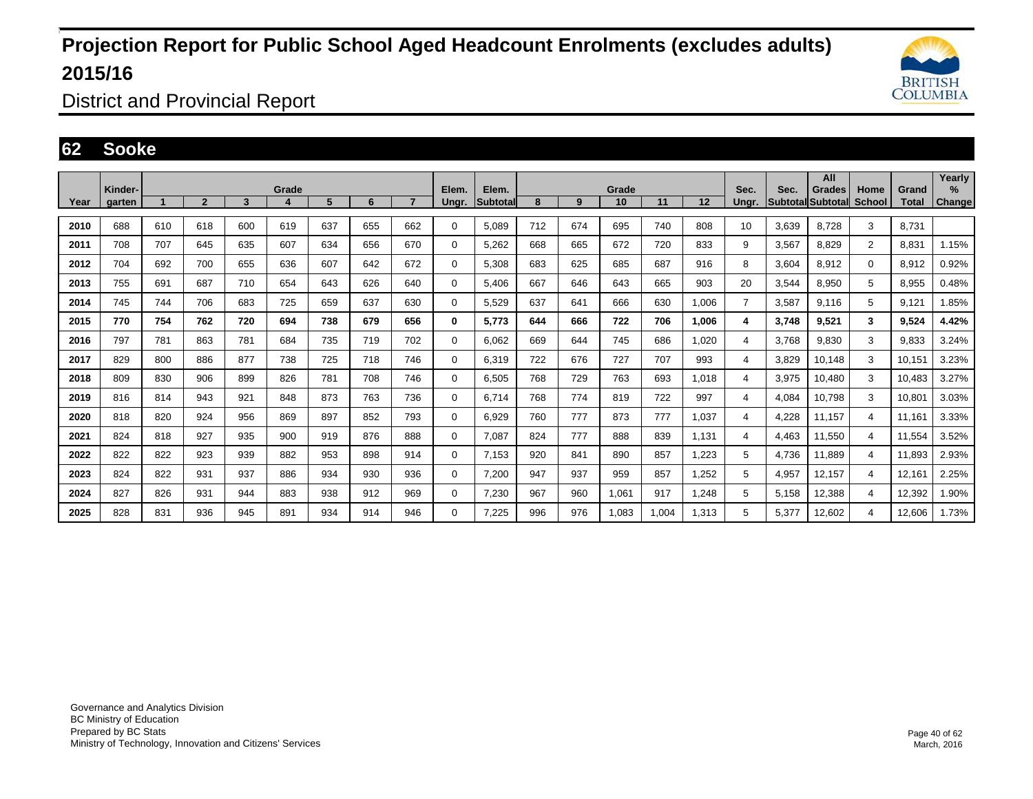

District and Provincial Report

#### **62 Sooke**

|      |                   |     |                |     |            |     |     |                |                |                          |     |     |             |       |       |               |       | All                                |                |                | Yearly      |
|------|-------------------|-----|----------------|-----|------------|-----|-----|----------------|----------------|--------------------------|-----|-----|-------------|-------|-------|---------------|-------|------------------------------------|----------------|----------------|-------------|
| Year | Kinder-<br>garten |     | $\overline{2}$ | 3   | Grade<br>4 | 5   | 6   | $\overline{7}$ | Elem.<br>Ungr. | Elem.<br><b>Subtotal</b> | 8   | 9   | Grade<br>10 | 11    | 12    | Sec.<br>Unar. | Sec.  | <b>Grades</b><br>Subtotal Subtotal | Home<br>School | Grand<br>Total | ℅<br>Change |
|      |                   |     |                |     |            |     |     |                |                |                          |     |     |             |       |       |               |       |                                    |                |                |             |
| 2010 | 688               | 610 | 618            | 600 | 619        | 637 | 655 | 662            | 0              | 5,089                    | 712 | 674 | 695         | 740   | 808   | 10            | 3,639 | 8,728                              | 3              | 8.731          |             |
| 2011 | 708               | 707 | 645            | 635 | 607        | 634 | 656 | 670            | 0              | 5,262                    | 668 | 665 | 672         | 720   | 833   | 9             | 3,567 | 8,829                              | $\overline{2}$ | 8,831          | 1.15%       |
| 2012 | 704               | 692 | 700            | 655 | 636        | 607 | 642 | 672            | 0              | 5,308                    | 683 | 625 | 685         | 687   | 916   | 8             | 3,604 | 8,912                              | 0              | 8,912          | 0.92%       |
| 2013 | 755               | 691 | 687            | 710 | 654        | 643 | 626 | 640            | 0              | 5,406                    | 667 | 646 | 643         | 665   | 903   | 20            | 3,544 | 8,950                              | 5              | 8,955          | 0.48%       |
| 2014 | 745               | 744 | 706            | 683 | 725        | 659 | 637 | 630            | 0              | 5,529                    | 637 | 641 | 666         | 630   | 1,006 | 7             | 3,587 | 9.116                              | 5              | 9.121          | 1.85%       |
| 2015 | 770               | 754 | 762            | 720 | 694        | 738 | 679 | 656            | 0              | 5,773                    | 644 | 666 | 722         | 706   | 1,006 | 4             | 3,748 | 9,521                              | 3              | 9,524          | 4.42%       |
| 2016 | 797               | 781 | 863            | 781 | 684        | 735 | 719 | 702            | 0              | 6,062                    | 669 | 644 | 745         | 686   | 1,020 | 4             | 3,768 | 9,830                              | 3              | 9,833          | 3.24%       |
| 2017 | 829               | 800 | 886            | 877 | 738        | 725 | 718 | 746            | 0              | 6.319                    | 722 | 676 | 727         | 707   | 993   | 4             | 3,829 | 10.148                             | 3              | 10.151         | 3.23%       |
| 2018 | 809               | 830 | 906            | 899 | 826        | 781 | 708 | 746            | 0              | 6,505                    | 768 | 729 | 763         | 693   | 1,018 | 4             | 3,975 | 10,480                             | 3              | 10,483         | 3.27%       |
| 2019 | 816               | 814 | 943            | 921 | 848        | 873 | 763 | 736            | 0              | 6,714                    | 768 | 774 | 819         | 722   | 997   | 4             | 4,084 | 10,798                             | 3              | 10,801         | 3.03%       |
| 2020 | 818               | 820 | 924            | 956 | 869        | 897 | 852 | 793            | 0              | 6,929                    | 760 | 777 | 873         | 777   | 1,037 | 4             | 4.228 | 11.157                             | 4              | 11.161         | 3.33%       |
| 2021 | 824               | 818 | 927            | 935 | 900        | 919 | 876 | 888            | 0              | 7.087                    | 824 | 777 | 888         | 839   | 1,131 | 4             | 4.463 | 11.550                             | 4              | 11.554         | 3.52%       |
| 2022 | 822               | 822 | 923            | 939 | 882        | 953 | 898 | 914            | 0              | 7,153                    | 920 | 841 | 890         | 857   | 1,223 | 5             | 4,736 | 11,889                             | 4              | 11,893         | 2.93%       |
| 2023 | 824               | 822 | 931            | 937 | 886        | 934 | 930 | 936            | 0              | 7,200                    | 947 | 937 | 959         | 857   | 1,252 | 5             | 4,957 | 12,157                             | 4              | 12,161         | 2.25%       |
| 2024 | 827               | 826 | 931            | 944 | 883        | 938 | 912 | 969            | 0              | 7,230                    | 967 | 960 | 1,061       | 917   | 1,248 | 5             | 5,158 | 12,388                             | 4              | 12,392         | 1.90%       |
| 2025 | 828               | 831 | 936            | 945 | 891        | 934 | 914 | 946            | 0              | 7,225                    | 996 | 976 | 1,083       | 1.004 | 1,313 | 5             | 5,377 | 12,602                             | 4              | 12.606         | 1.73%       |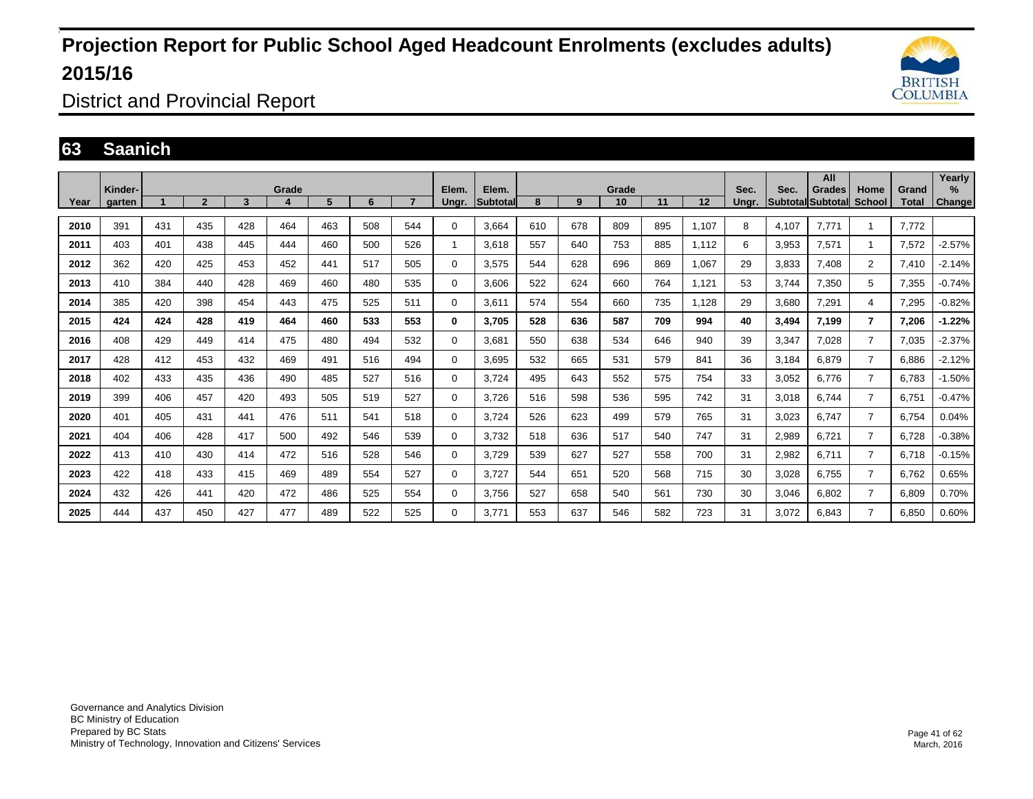

District and Provincial Report

### **63 Saanich**

|      | Kinder- |     |                |     | Grade |     |     |     | Elem.       | Elem.            |     |     | Grade |     |       | Sec.  | Sec.  | All<br>Grades             | Home           | Grand | Yearly<br>$\frac{9}{6}$ |
|------|---------|-----|----------------|-----|-------|-----|-----|-----|-------------|------------------|-----|-----|-------|-----|-------|-------|-------|---------------------------|----------------|-------|-------------------------|
| Year | garten  |     | $\overline{2}$ | 3   | 4     | 5   | 6   |     | Ungr.       | <b>Subtotall</b> | 8   | 9   | 10    | 11  | 12    | Unar. |       | <b>ISubtotallSubtotal</b> | School         | Total | Change                  |
| 2010 | 391     | 431 | 435            | 428 | 464   | 463 | 508 | 544 | $\Omega$    | 3.664            | 610 | 678 | 809   | 895 | 1.107 | 8     | 4.107 | 7.771                     |                | 7.772 |                         |
| 2011 | 403     | 401 | 438            | 445 | 444   | 460 | 500 | 526 |             | 3,618            | 557 | 640 | 753   | 885 | 1,112 | 6     | 3,953 | 7,571                     |                | 7,572 | $-2.57%$                |
| 2012 | 362     | 420 | 425            | 453 | 452   | 441 | 517 | 505 | $\Omega$    | 3,575            | 544 | 628 | 696   | 869 | 1,067 | 29    | 3,833 | 7,408                     | $\overline{2}$ | 7,410 | $-2.14%$                |
| 2013 | 410     | 384 | 440            | 428 | 469   | 460 | 480 | 535 | $\Omega$    | 3.606            | 522 | 624 | 660   | 764 | 1.121 | 53    | 3.744 | 7,350                     | 5              | 7,355 | $-0.74%$                |
| 2014 | 385     | 420 | 398            | 454 | 443   | 475 | 525 | 511 | $\Omega$    | 3,611            | 574 | 554 | 660   | 735 | 1.128 | 29    | 3,680 | 7,291                     | 4              | 7,295 | $-0.82%$                |
| 2015 | 424     | 424 | 428            | 419 | 464   | 460 | 533 | 553 | 0           | 3.705            | 528 | 636 | 587   | 709 | 994   | 40    | 3,494 | 7.199                     | $\overline{7}$ | 7.206 | $-1.22%$                |
| 2016 | 408     | 429 | 449            | 414 | 475   | 480 | 494 | 532 | $\Omega$    | 3,681            | 550 | 638 | 534   | 646 | 940   | 39    | 3,347 | 7,028                     | $\overline{7}$ | 7,035 | $-2.37%$                |
| 2017 | 428     | 412 | 453            | 432 | 469   | 491 | 516 | 494 | $\Omega$    | 3,695            | 532 | 665 | 531   | 579 | 841   | 36    | 3,184 | 6,879                     | $\overline{7}$ | 6,886 | $-2.12%$                |
| 2018 | 402     | 433 | 435            | 436 | 490   | 485 | 527 | 516 | $\Omega$    | 3.724            | 495 | 643 | 552   | 575 | 754   | 33    | 3,052 | 6,776                     | $\overline{7}$ | 6,783 | $-1.50%$                |
| 2019 | 399     | 406 | 457            | 420 | 493   | 505 | 519 | 527 | $\Omega$    | 3,726            | 516 | 598 | 536   | 595 | 742   | 31    | 3,018 | 6,744                     | $\overline{7}$ | 6,751 | $-0.47%$                |
| 2020 | 401     | 405 | 431            | 441 | 476   | 511 | 541 | 518 | $\mathbf 0$ | 3.724            | 526 | 623 | 499   | 579 | 765   | 31    | 3,023 | 6,747                     | $\overline{7}$ | 6,754 | 0.04%                   |
| 2021 | 404     | 406 | 428            | 417 | 500   | 492 | 546 | 539 | 0           | 3.732            | 518 | 636 | 517   | 540 | 747   | 31    | 2,989 | 6,721                     | $\overline{7}$ | 6,728 | $-0.38%$                |
| 2022 | 413     | 410 | 430            | 414 | 472   | 516 | 528 | 546 | $\Omega$    | 3,729            | 539 | 627 | 527   | 558 | 700   | 31    | 2,982 | 6,711                     | $\overline{7}$ | 6,718 | $-0.15%$                |
| 2023 | 422     | 418 | 433            | 415 | 469   | 489 | 554 | 527 | $\Omega$    | 3,727            | 544 | 651 | 520   | 568 | 715   | 30    | 3,028 | 6.755                     | $\overline{7}$ | 6,762 | 0.65%                   |
| 2024 | 432     | 426 | 441            | 420 | 472   | 486 | 525 | 554 | 0           | 3.756            | 527 | 658 | 540   | 561 | 730   | 30    | 3,046 | 6,802                     | $\overline{7}$ | 6,809 | 0.70%                   |
| 2025 | 444     | 437 | 450            | 427 | 477   | 489 | 522 | 525 | $\Omega$    | 3,771            | 553 | 637 | 546   | 582 | 723   | 31    | 3,072 | 6,843                     | $\overline{7}$ | 6,850 | 0.60%                   |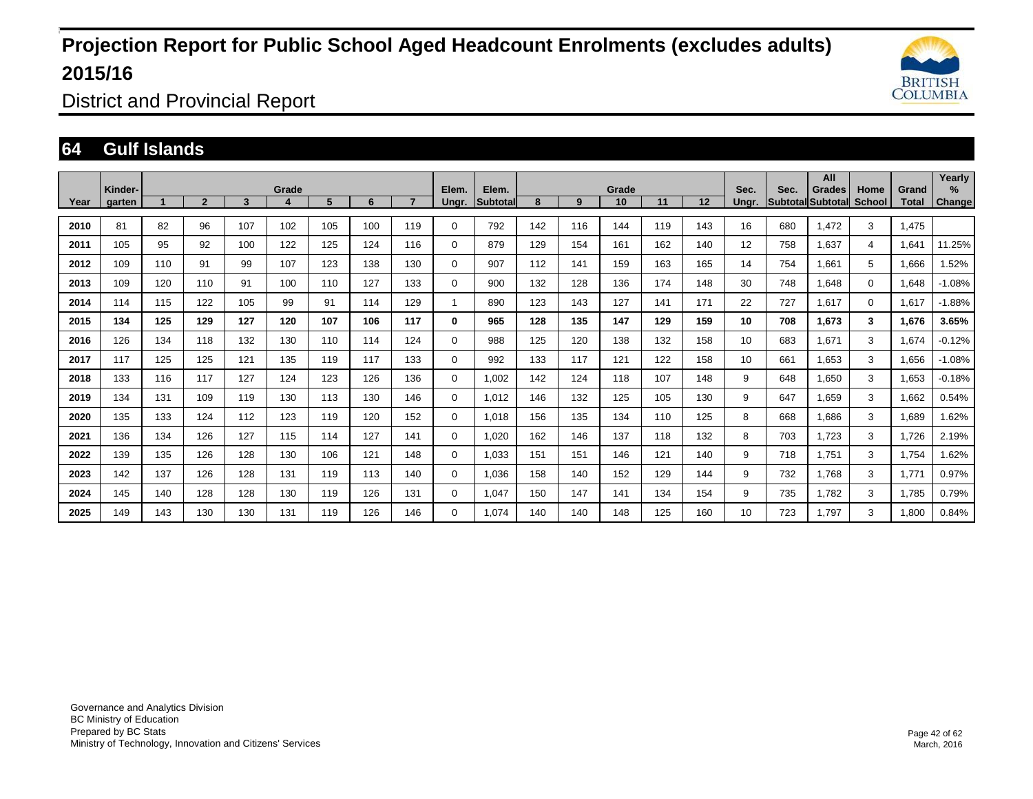

District and Provincial Report

### **64 Gulf Islands**

|      | Kinder- |     |                |     | Grade |     |     |     | Elem.       | Elem.           |     |     | Grade |     |     | Sec.            | Sec. | All<br>Grades     | Home          | Grand | Yearly<br>%   |
|------|---------|-----|----------------|-----|-------|-----|-----|-----|-------------|-----------------|-----|-----|-------|-----|-----|-----------------|------|-------------------|---------------|-------|---------------|
| Year | garten  |     | $\overline{2}$ | 3   | 4     | 5   | 6   |     | Ungr.       | <b>Subtotal</b> | 8   | 9   | 10    | 11  | 12  | Ungr.           |      | Subtotal Subtotal | <b>School</b> | Total | <b>Change</b> |
| 2010 | 81      | 82  | 96             | 107 | 102   | 105 | 100 | 119 | $\Omega$    | 792             | 142 | 116 | 144   | 119 | 143 | 16              | 680  | 1.472             | 3             | 1.475 |               |
| 2011 | 105     | 95  | 92             | 100 | 122   | 125 | 124 | 116 | 0           | 879             | 129 | 154 | 161   | 162 | 140 | 12              | 758  | 1.637             | 4             | 1,641 | 11.25%        |
| 2012 | 109     | 110 | 91             | 99  | 107   | 123 | 138 | 130 | 0           | 907             | 112 | 141 | 159   | 163 | 165 | 14              | 754  | 1,661             | 5             | 1,666 | 1.52%         |
| 2013 | 109     | 120 | 110            | 91  | 100   | 110 | 127 | 133 | 0           | 900             | 132 | 128 | 136   | 174 | 148 | 30              | 748  | 1.648             | $\mathbf 0$   | 1,648 | $-1.08%$      |
| 2014 | 114     | 115 | 122            | 105 | 99    | 91  | 114 | 129 |             | 890             | 123 | 143 | 127   | 141 | 171 | 22              | 727  | 1,617             | $\Omega$      | 1,617 | $-1.88%$      |
| 2015 | 134     | 125 | 129            | 127 | 120   | 107 | 106 | 117 | 0           | 965             | 128 | 135 | 147   | 129 | 159 | 10 <sup>1</sup> | 708  | 1,673             | 3             | 1,676 | 3.65%         |
| 2016 | 126     | 134 | 118            | 132 | 130   | 110 | 114 | 124 | $\mathbf 0$ | 988             | 125 | 120 | 138   | 132 | 158 | 10 <sup>1</sup> | 683  | 1,671             | 3             | 1,674 | $-0.12%$      |
| 2017 | 117     | 125 | 125            | 121 | 135   | 119 | 117 | 133 | $\mathbf 0$ | 992             | 133 | 117 | 121   | 122 | 158 | 10              | 661  | 1,653             | 3             | 1,656 | $-1.08%$      |
| 2018 | 133     | 116 | 117            | 127 | 124   | 123 | 126 | 136 | 0           | 1,002           | 142 | 124 | 118   | 107 | 148 | 9               | 648  | 1,650             | 3             | 1,653 | $-0.18%$      |
| 2019 | 134     | 131 | 109            | 119 | 130   | 113 | 130 | 146 | $\mathbf 0$ | 1.012           | 146 | 132 | 125   | 105 | 130 | 9               | 647  | 1,659             | 3             | 1,662 | 0.54%         |
| 2020 | 135     | 133 | 124            | 112 | 123   | 119 | 120 | 152 | 0           | 1,018           | 156 | 135 | 134   | 110 | 125 | 8               | 668  | 1,686             | 3             | 1,689 | 1.62%         |
| 2021 | 136     | 134 | 126            | 127 | 115   | 114 | 127 | 141 | 0           | 1,020           | 162 | 146 | 137   | 118 | 132 | 8               | 703  | 1,723             | 3             | 1,726 | 2.19%         |
| 2022 | 139     | 135 | 126            | 128 | 130   | 106 | 121 | 148 | 0           | 1,033           | 151 | 151 | 146   | 121 | 140 | 9               | 718  | 1.751             | 3             | 1,754 | 1.62%         |
| 2023 | 142     | 137 | 126            | 128 | 131   | 119 | 113 | 140 | $\mathbf 0$ | 1,036           | 158 | 140 | 152   | 129 | 144 | 9               | 732  | 1.768             | 3             | 1,771 | 0.97%         |
| 2024 | 145     | 140 | 128            | 128 | 130   | 119 | 126 | 131 | 0           | 1.047           | 150 | 147 | 141   | 134 | 154 | 9               | 735  | 1.782             | 3             | 1,785 | 0.79%         |
| 2025 | 149     | 143 | 130            | 130 | 131   | 119 | 126 | 146 | 0           | 1.074           | 140 | 140 | 148   | 125 | 160 | 10              | 723  | 1,797             | 3             | 1,800 | 0.84%         |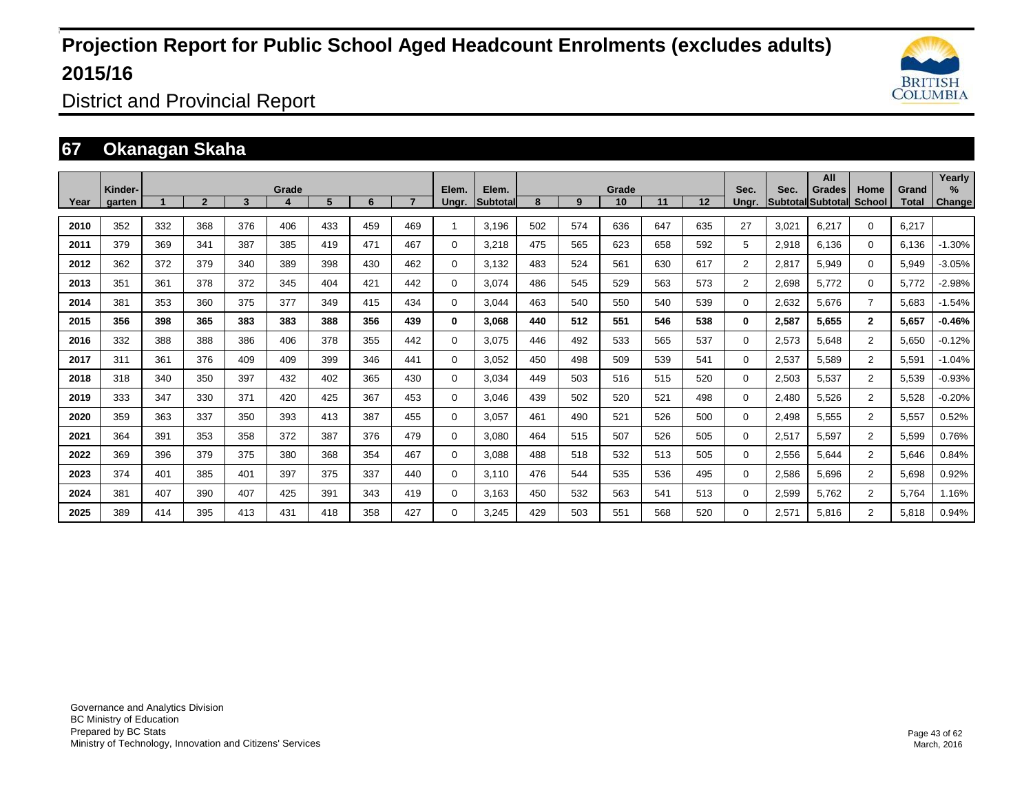

District and Provincial Report

### **67 Okanagan Skaha**

|      | Kinder- |     |              |     | Grade |     |     |     | Elem.       | Elem.    |     |     | Grade |     |     | Sec.           | Sec.  | All<br>Grades            | Home           | Grand        | Yearly<br>$\%$ |
|------|---------|-----|--------------|-----|-------|-----|-----|-----|-------------|----------|-----|-----|-------|-----|-----|----------------|-------|--------------------------|----------------|--------------|----------------|
| Year | garten  |     | $\mathbf{2}$ | 3   |       | 5   | 6   |     | Unar.       | Subtotal | 8   | 9   | 10    | 11  | 12  | Unar.          |       | <b>SubtotallSubtotal</b> | <b>School</b>  | <b>Total</b> | Change         |
| 2010 | 352     | 332 | 368          | 376 | 406   | 433 | 459 | 469 |             | 3.196    | 502 | 574 | 636   | 647 | 635 | 27             | 3,021 | 6.217                    | $\mathbf 0$    | 6,217        |                |
| 2011 | 379     | 369 | 341          | 387 | 385   | 419 | 471 | 467 | $\Omega$    | 3,218    | 475 | 565 | 623   | 658 | 592 | 5              | 2,918 | 6,136                    | $\Omega$       | 6,136        | $-1.30%$       |
| 2012 | 362     | 372 | 379          | 340 | 389   | 398 | 430 | 462 | $\Omega$    | 3,132    | 483 | 524 | 561   | 630 | 617 | $\overline{2}$ | 2,817 | 5,949                    | $\mathbf 0$    | 5,949        | $-3.05%$       |
| 2013 | 351     | 361 | 378          | 372 | 345   | 404 | 421 | 442 | $\Omega$    | 3.074    | 486 | 545 | 529   | 563 | 573 | $\overline{2}$ | 2,698 | 5.772                    | $\Omega$       | 5,772        | $-2.98%$       |
| 2014 | 381     | 353 | 360          | 375 | 377   | 349 | 415 | 434 | $\Omega$    | 3,044    | 463 | 540 | 550   | 540 | 539 | $\Omega$       | 2,632 | 5,676                    | $\overline{7}$ | 5,683        | $-1.54%$       |
| 2015 | 356     | 398 | 365          | 383 | 383   | 388 | 356 | 439 | $\bf{0}$    | 3,068    | 440 | 512 | 551   | 546 | 538 | 0              | 2,587 | 5,655                    | $\overline{2}$ | 5,657        | $-0.46%$       |
| 2016 | 332     | 388 | 388          | 386 | 406   | 378 | 355 | 442 | $\Omega$    | 3,075    | 446 | 492 | 533   | 565 | 537 | $\Omega$       | 2,573 | 5,648                    | $\overline{2}$ | 5,650        | $-0.12%$       |
| 2017 | 311     | 361 | 376          | 409 | 409   | 399 | 346 | 441 | $\mathbf 0$ | 3,052    | 450 | 498 | 509   | 539 | 541 | $\mathbf 0$    | 2,537 | 5,589                    | $\overline{2}$ | 5,591        | $-1.04%$       |
| 2018 | 318     | 340 | 350          | 397 | 432   | 402 | 365 | 430 | $\mathbf 0$ | 3.034    | 449 | 503 | 516   | 515 | 520 | $\mathbf 0$    | 2,503 | 5,537                    | $\overline{2}$ | 5,539        | $-0.93%$       |
| 2019 | 333     | 347 | 330          | 371 | 420   | 425 | 367 | 453 | $\mathbf 0$ | 3,046    | 439 | 502 | 520   | 521 | 498 | $\mathbf 0$    | 2,480 | 5,526                    | $\overline{2}$ | 5,528        | $-0.20%$       |
| 2020 | 359     | 363 | 337          | 350 | 393   | 413 | 387 | 455 | $\mathbf 0$ | 3,057    | 461 | 490 | 521   | 526 | 500 | $\mathbf{0}$   | 2.498 | 5,555                    | $\overline{2}$ | 5,557        | 0.52%          |
| 2021 | 364     | 391 | 353          | 358 | 372   | 387 | 376 | 479 | $\mathbf 0$ | 3.080    | 464 | 515 | 507   | 526 | 505 | $\mathbf 0$    | 2,517 | 5,597                    | $\overline{2}$ | 5,599        | 0.76%          |
| 2022 | 369     | 396 | 379          | 375 | 380   | 368 | 354 | 467 | $\mathbf 0$ | 3.088    | 488 | 518 | 532   | 513 | 505 | $\mathbf 0$    | 2,556 | 5.644                    | $\overline{2}$ | 5,646        | 0.84%          |
| 2023 | 374     | 401 | 385          | 401 | 397   | 375 | 337 | 440 | $\mathbf 0$ | 3.110    | 476 | 544 | 535   | 536 | 495 | $\mathbf 0$    | 2,586 | 5,696                    | $\overline{2}$ | 5,698        | 0.92%          |
| 2024 | 381     | 407 | 390          | 407 | 425   | 391 | 343 | 419 | $\mathbf 0$ | 3.163    | 450 | 532 | 563   | 541 | 513 | 0              | 2,599 | 5,762                    | $\overline{2}$ | 5,764        | 1.16%          |
| 2025 | 389     | 414 | 395          | 413 | 431   | 418 | 358 | 427 | $\Omega$    | 3,245    | 429 | 503 | 551   | 568 | 520 | 0              | 2,571 | 5,816                    | $\overline{2}$ | 5,818        | 0.94%          |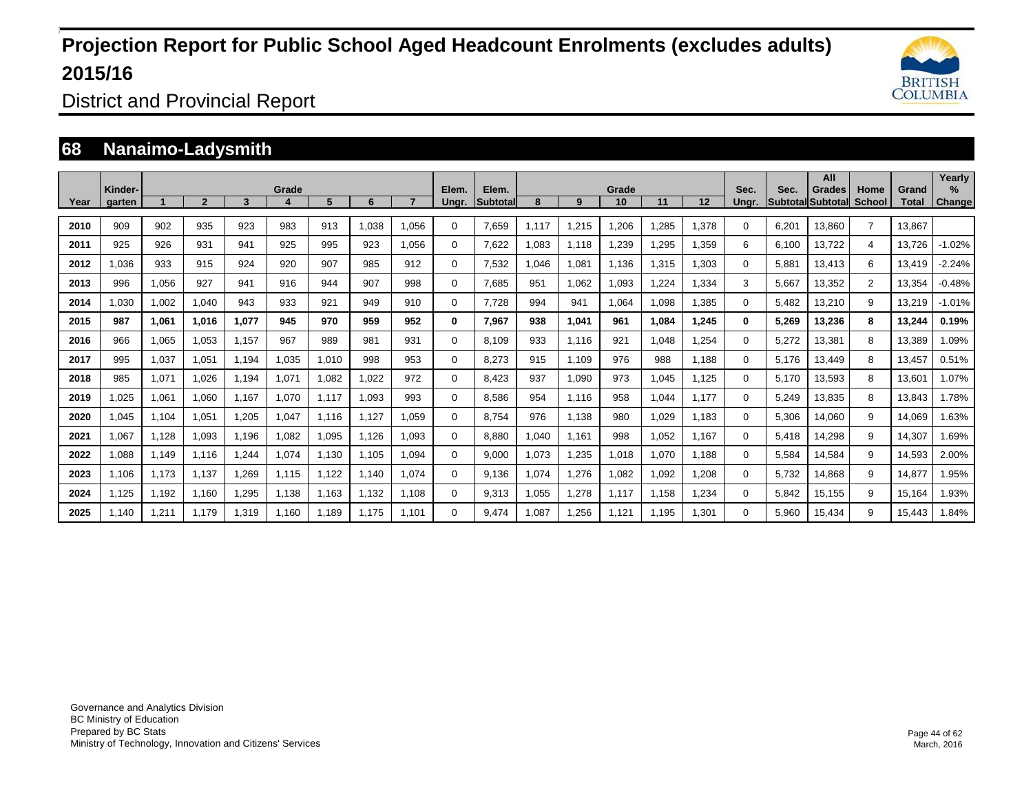

District and Provincial Report

### **68 Nanaimo-Ladysmith**

| Year | Kinder-<br>garten |       | $\overline{2}$ | 3     | Grade<br>4 | 5     | 6     |       | Elem.<br>Ungr. | Elem.<br><b>Subtotal</b> | 8     | 9     | Grade<br>10 | 11    | 12    | Sec.<br>Unar. | Sec.  | All<br>Grades<br>Subtotal Subtotal | Home<br><b>School</b> | Grand<br>Total | Yearly<br>%<br>Change |
|------|-------------------|-------|----------------|-------|------------|-------|-------|-------|----------------|--------------------------|-------|-------|-------------|-------|-------|---------------|-------|------------------------------------|-----------------------|----------------|-----------------------|
|      |                   |       |                |       |            |       |       |       |                |                          |       |       |             |       |       |               |       |                                    |                       |                |                       |
| 2010 | 909               | 902   | 935            | 923   | 983        | 913   | 1,038 | 1.056 | $\Omega$       | 7,659                    | 1,117 | 1,215 | 1,206       | ,285  | 1,378 | 0             | 6,201 | 13,860                             | $\overline{7}$        | 13.867         |                       |
| 2011 | 925               | 926   | 931            | 941   | 925        | 995   | 923   | 1.056 | $\Omega$       | 7.622                    | 1.083 | 1.118 | 1,239       | ,295  | 1,359 | 6             | 6.100 | 13.722                             | 4                     | 13.726         | $-1.02%$              |
| 2012 | 1,036             | 933   | 915            | 924   | 920        | 907   | 985   | 912   | $\Omega$       | 7,532                    | 1.046 | 1,081 | 1,136       | .315  | 1,303 | $\Omega$      | 5,881 | 13,413                             | 6                     | 13,419         | $-2.24%$              |
| 2013 | 996               | 1,056 | 927            | 941   | 916        | 944   | 907   | 998   | 0              | 7,685                    | 951   | 1,062 | 1,093       | .224  | 1,334 | 3             | 5,667 | 13,352                             | $\overline{2}$        | 13,354         | $-0.48%$              |
| 2014 | 1,030             | 1,002 | 1,040          | 943   | 933        | 921   | 949   | 910   | $\Omega$       | 7,728                    | 994   | 941   | 1,064       | 800,1 | 1,385 | $\Omega$      | 5,482 | 13,210                             | 9                     | 13,219         | $-1.01%$              |
| 2015 | 987               | 1,061 | 1.016          | 1.077 | 945        | 970   | 959   | 952   | 0              | 7.967                    | 938   | 1,041 | 961         | 1.084 | 1,245 | 0             | 5,269 | 13,236                             | 8                     | 13,244         | 0.19%                 |
| 2016 | 966               | 1,065 | 1,053          | 1,157 | 967        | 989   | 981   | 931   | $\Omega$       | 8,109                    | 933   | 1,116 | 921         | 1,048 | 1,254 | $\Omega$      | 5,272 | 13,381                             | 8                     | 13,389         | 1.09%                 |
| 2017 | 995               | 1,037 | 1,051          | 1.194 | 1,035      | 1,010 | 998   | 953   | 0              | 8.273                    | 915   | 1,109 | 976         | 988   | 1,188 | $\Omega$      | 5.176 | 13,449                             | 8                     | 13,457         | 0.51%                 |
| 2018 | 985               | 1,071 | 1,026          | 1,194 | 1,071      | 1,082 | 1,022 | 972   | $\Omega$       | 8,423                    | 937   | 1,090 | 973         | 1,045 | 1,125 | $\Omega$      | 5,170 | 13,593                             | 8                     | 13,601         | 1.07%                 |
| 2019 | 1,025             | 1,061 | 1.060          | 1.167 | 1.070      | 1.117 | 1,093 | 993   | $\mathbf 0$    | 8,586                    | 954   | 1,116 | 958         | 1,044 | 1,177 | 0             | 5,249 | 13,835                             | 8                     | 13,843         | 1.78%                 |
| 2020 | 1,045             | 1,104 | 1,051          | 1,205 | 1,047      | 1.116 | 1,127 | 1.059 | 0              | 8,754                    | 976   | 1,138 | 980         | 1,029 | 1,183 | $\Omega$      | 5,306 | 14,060                             | 9                     | 14,069         | 1.63%                 |
| 2021 | 1,067             | 1,128 | 1,093          | 1,196 | 1,082      | 1,095 | 1,126 | 1,093 | $\Omega$       | 8,880                    | 1,040 | 1,161 | 998         | 1,052 | 1,167 | $\Omega$      | 5,418 | 14,298                             | 9                     | 14,307         | 1.69%                 |
| 2022 | 1.088             | 1,149 | 1,116          | 1,244 | 1,074      | 1,130 | 1.105 | 1.094 | $\Omega$       | 9,000                    | 1,073 | 1,235 | 1,018       | 1,070 | 1,188 | $\Omega$      | 5,584 | 14,584                             | 9                     | 14,593         | 2.00%                 |
| 2023 | 1,106             | 1,173 | 1,137          | 1,269 | 1,115      | 1,122 | 1,140 | 1.074 | $\Omega$       | 9,136                    | 1,074 | 1,276 | 1,082       | 1,092 | 1,208 | 0             | 5,732 | 14,868                             | 9                     | 14,877         | 1.95%                 |
| 2024 | 1.125             | 1,192 | 1.160          | 1,295 | 1.138      | 1.163 | 1.132 | 1.108 | 0              | 9,313                    | 1,055 | 1.278 | 1,117       | 1.158 | 1,234 | 0             | 5.842 | 15,155                             | 9                     | 15.164         | 1.93%                 |
| 2025 | 1.140             | 1,211 | 1,179          | 1,319 | 1.160      | 1.189 | 1.175 | 1.101 | $\Omega$       | 9,474                    | 1,087 | 1,256 | 1,121       | 1.195 | 1,301 | 0             | 5,960 | 15,434                             | 9                     | 15,443         | 1.84%                 |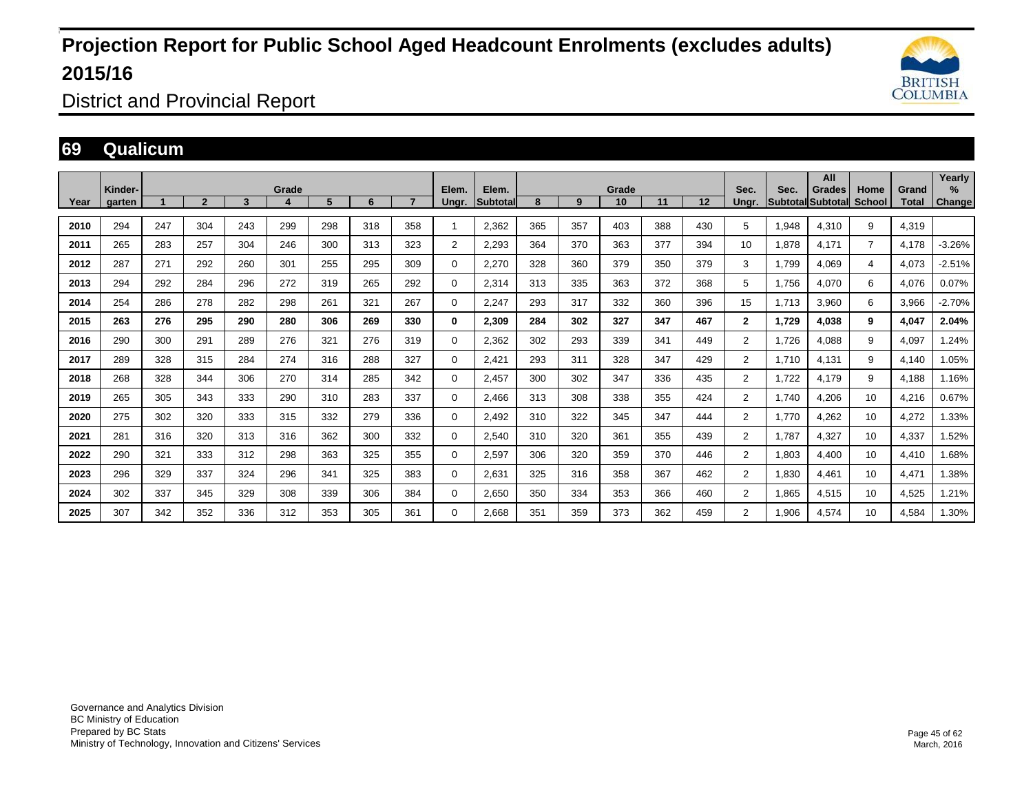

District and Provincial Report

### **69 Qualicum**

|      | Kinder- |     |              |     | Grade |     |     |     | Elem.       | Elem.           |     |     | Grade |     |                   | Sec.           | Sec.  | All<br>Grades            | Home           | Grand        | Yearly<br>$\%$ |
|------|---------|-----|--------------|-----|-------|-----|-----|-----|-------------|-----------------|-----|-----|-------|-----|-------------------|----------------|-------|--------------------------|----------------|--------------|----------------|
| Year | garten  |     | $\mathbf{2}$ | 3   |       | 5   | 6   | 7   | Ungr.       | <b>Subtotal</b> | 8   | 9   | 10    | 11  | $12 \overline{ }$ | Ungr.          |       | <b>SubtotallSubtotal</b> | School         | <b>Total</b> | Change         |
| 2010 | 294     | 247 | 304          | 243 | 299   | 298 | 318 | 358 |             | 2.362           | 365 | 357 | 403   | 388 | 430               | 5              | 1,948 | 4,310                    | 9              | 4,319        |                |
| 2011 | 265     | 283 | 257          | 304 | 246   | 300 | 313 | 323 | 2           | 2.293           | 364 | 370 | 363   | 377 | 394               | 10             | 1,878 | 4,171                    | $\overline{7}$ | 4,178        | $-3.26%$       |
| 2012 | 287     | 271 | 292          | 260 | 301   | 255 | 295 | 309 | $\Omega$    | 2,270           | 328 | 360 | 379   | 350 | 379               | 3              | 1,799 | 4,069                    | 4              | 4,073        | $-2.51%$       |
| 2013 | 294     | 292 | 284          | 296 | 272   | 319 | 265 | 292 | $\mathbf 0$ | 2,314           | 313 | 335 | 363   | 372 | 368               | 5              | 1.756 | 4,070                    | 6              | 4,076        | 0.07%          |
| 2014 | 254     | 286 | 278          | 282 | 298   | 261 | 321 | 267 | $\mathbf 0$ | 2.247           | 293 | 317 | 332   | 360 | 396               | 15             | 1.713 | 3,960                    | 6              | 3,966        | $-2.70%$       |
| 2015 | 263     | 276 | 295          | 290 | 280   | 306 | 269 | 330 | 0           | 2,309           | 284 | 302 | 327   | 347 | 467               | $\mathbf{2}$   | 1,729 | 4,038                    | 9              | 4,047        | 2.04%          |
| 2016 | 290     | 300 | 291          | 289 | 276   | 321 | 276 | 319 | $\mathbf 0$ | 2,362           | 302 | 293 | 339   | 341 | 449               | $\overline{2}$ | 1,726 | 4,088                    | 9              | 4,097        | 1.24%          |
| 2017 | 289     | 328 | 315          | 284 | 274   | 316 | 288 | 327 | $\mathbf 0$ | 2,421           | 293 | 311 | 328   | 347 | 429               | $\overline{2}$ | 1,710 | 4,131                    | 9              | 4,140        | 1.05%          |
| 2018 | 268     | 328 | 344          | 306 | 270   | 314 | 285 | 342 | $\mathbf 0$ | 2,457           | 300 | 302 | 347   | 336 | 435               | $\overline{2}$ | 1,722 | 4,179                    | 9              | 4,188        | 1.16%          |
| 2019 | 265     | 305 | 343          | 333 | 290   | 310 | 283 | 337 | 0           | 2.466           | 313 | 308 | 338   | 355 | 424               | $\overline{2}$ | 1.740 | 4,206                    | 10             | 4,216        | 0.67%          |
| 2020 | 275     | 302 | 320          | 333 | 315   | 332 | 279 | 336 | 0           | 2,492           | 310 | 322 | 345   | 347 | 444               | $\overline{2}$ | 1,770 | 4,262                    | 10             | 4,272        | 1.33%          |
| 2021 | 281     | 316 | 320          | 313 | 316   | 362 | 300 | 332 | $\mathbf 0$ | 2,540           | 310 | 320 | 361   | 355 | 439               | $\overline{2}$ | 1.787 | 4,327                    | 10             | 4,337        | 1.52%          |
| 2022 | 290     | 321 | 333          | 312 | 298   | 363 | 325 | 355 | $\mathbf 0$ | 2,597           | 306 | 320 | 359   | 370 | 446               | $\overline{2}$ | 1,803 | 4,400                    | 10             | 4,410        | 1.68%          |
| 2023 | 296     | 329 | 337          | 324 | 296   | 341 | 325 | 383 | $\Omega$    | 2,631           | 325 | 316 | 358   | 367 | 462               | $\overline{2}$ | 1,830 | 4,461                    | 10             | 4,471        | 1.38%          |
| 2024 | 302     | 337 | 345          | 329 | 308   | 339 | 306 | 384 | $\mathbf 0$ | 2,650           | 350 | 334 | 353   | 366 | 460               | $\overline{2}$ | 1,865 | 4,515                    | 10             | 4,525        | 1.21%          |
| 2025 | 307     | 342 | 352          | 336 | 312   | 353 | 305 | 361 | $\mathbf 0$ | 2.668           | 351 | 359 | 373   | 362 | 459               | $\overline{2}$ | 1.906 | 4,574                    | 10             | 4,584        | 1.30%          |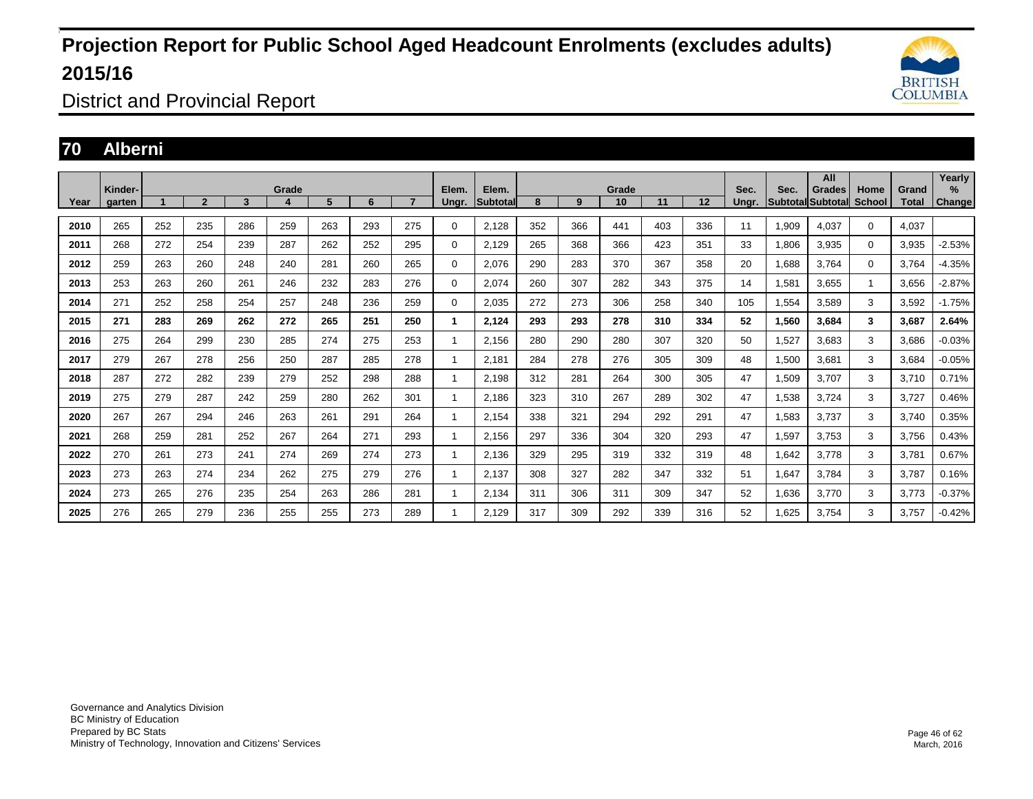

District and Provincial Report

### **70 Alberni**

|      | Kinder- |     |                |     | Grade |     |     |                | Elem.          | Elem.    |     |     | Grade |     |     | Sec.  | Sec.     | All<br>Grades | Home        | Grand | Yearly<br>% |
|------|---------|-----|----------------|-----|-------|-----|-----|----------------|----------------|----------|-----|-----|-------|-----|-----|-------|----------|---------------|-------------|-------|-------------|
| Year | garten  |     | $\overline{2}$ | 3   |       | 5   | 6   | $\overline{7}$ | Ungr.          | Subtotal | 8   | 9   | 10    | 11  | 12  | Ungr. | Subtotal | Subtotal      | School      | Total | Change      |
| 2010 | 265     | 252 | 235            | 286 | 259   | 263 | 293 | 275            | 0              | 2.128    | 352 | 366 | 441   | 403 | 336 | 11    | 1,909    | 4,037         | $\mathbf 0$ | 4,037 |             |
| 2011 | 268     | 272 | 254            | 239 | 287   | 262 | 252 | 295            | $\Omega$       | 2,129    | 265 | 368 | 366   | 423 | 351 | 33    | 1,806    | 3,935         | $\mathbf 0$ | 3,935 | $-2.53%$    |
| 2012 | 259     | 263 | 260            | 248 | 240   | 281 | 260 | 265            | $\mathbf 0$    | 2.076    | 290 | 283 | 370   | 367 | 358 | 20    | 1.688    | 3.764         | $\mathbf 0$ | 3.764 | $-4.35%$    |
| 2013 | 253     | 263 | 260            | 261 | 246   | 232 | 283 | 276            | 0              | 2,074    | 260 | 307 | 282   | 343 | 375 | 14    | 1,581    | 3,655         |             | 3,656 | $-2.87%$    |
| 2014 | 271     | 252 | 258            | 254 | 257   | 248 | 236 | 259            | $\Omega$       | 2,035    | 272 | 273 | 306   | 258 | 340 | 105   | 1,554    | 3,589         | 3           | 3,592 | $-1.75%$    |
| 2015 | 271     | 283 | 269            | 262 | 272   | 265 | 251 | 250            | 1              | 2,124    | 293 | 293 | 278   | 310 | 334 | 52    | 1,560    | 3,684         | 3           | 3,687 | 2.64%       |
| 2016 | 275     | 264 | 299            | 230 | 285   | 274 | 275 | 253            | -1             | 2,156    | 280 | 290 | 280   | 307 | 320 | 50    | 1,527    | 3,683         | 3           | 3,686 | $-0.03%$    |
| 2017 | 279     | 267 | 278            | 256 | 250   | 287 | 285 | 278            | $\overline{1}$ | 2,181    | 284 | 278 | 276   | 305 | 309 | 48    | 1,500    | 3,681         | 3           | 3,684 | $-0.05%$    |
| 2018 | 287     | 272 | 282            | 239 | 279   | 252 | 298 | 288            | $\mathbf{1}$   | 2,198    | 312 | 281 | 264   | 300 | 305 | 47    | 1,509    | 3,707         | 3           | 3,710 | 0.71%       |
| 2019 | 275     | 279 | 287            | 242 | 259   | 280 | 262 | 301            | -1             | 2,186    | 323 | 310 | 267   | 289 | 302 | 47    | 1,538    | 3,724         | 3           | 3,727 | 0.46%       |
| 2020 | 267     | 267 | 294            | 246 | 263   | 261 | 291 | 264            |                | 2,154    | 338 | 321 | 294   | 292 | 291 | 47    | 1,583    | 3,737         | 3           | 3,740 | 0.35%       |
| 2021 | 268     | 259 | 281            | 252 | 267   | 264 | 271 | 293            |                | 2,156    | 297 | 336 | 304   | 320 | 293 | 47    | 1,597    | 3,753         | 3           | 3,756 | 0.43%       |
| 2022 | 270     | 261 | 273            | 241 | 274   | 269 | 274 | 273            |                | 2.136    | 329 | 295 | 319   | 332 | 319 | 48    | 1,642    | 3,778         | 3           | 3,781 | 0.67%       |
| 2023 | 273     | 263 | 274            | 234 | 262   | 275 | 279 | 276            |                | 2,137    | 308 | 327 | 282   | 347 | 332 | 51    | 1,647    | 3.784         | 3           | 3,787 | 0.16%       |
| 2024 | 273     | 265 | 276            | 235 | 254   | 263 | 286 | 281            |                | 2,134    | 311 | 306 | 311   | 309 | 347 | 52    | 1,636    | 3,770         | 3           | 3,773 | $-0.37%$    |
| 2025 | 276     | 265 | 279            | 236 | 255   | 255 | 273 | 289            |                | 2,129    | 317 | 309 | 292   | 339 | 316 | 52    | 1,625    | 3,754         | 3           | 3,757 | $-0.42%$    |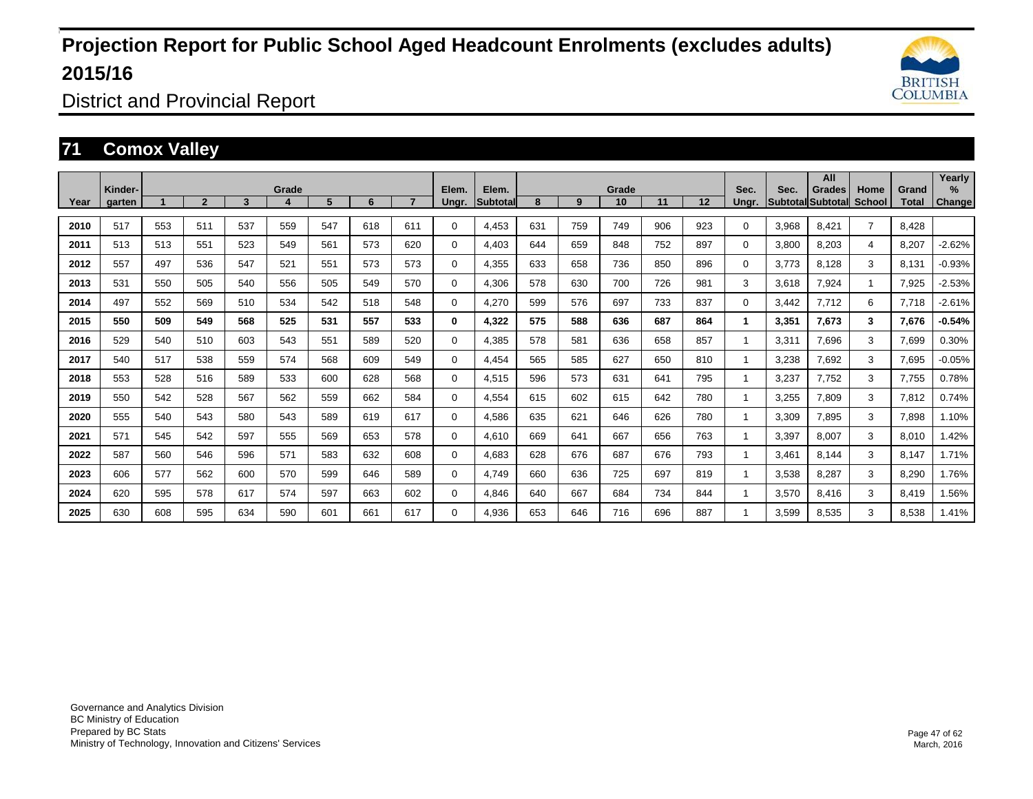

District and Provincial Report

### **71 Comox Valley**

|      | Kinder- |     |              |     | Grade |     |     |     | Elem.       | Elem.    |     |     | Grade |     |     | Sec.  | Sec.  | All<br>Grades     | Home           | Grand | Yearly<br>$\frac{9}{6}$ |
|------|---------|-----|--------------|-----|-------|-----|-----|-----|-------------|----------|-----|-----|-------|-----|-----|-------|-------|-------------------|----------------|-------|-------------------------|
| Year | garten  |     | $\mathbf{2}$ | 3   |       | 5   | 6   |     | Ungr.       | Subtotal | 8   | 9   | 10    | 11  | 12  | Unar. |       | Subtotal Subtotal | School         | Total | <b>Change</b>           |
| 2010 | 517     | 553 | 511          | 537 | 559   | 547 | 618 | 611 | $\Omega$    | 4.453    | 631 | 759 | 749   | 906 | 923 | 0     | 3,968 | 8.421             | $\overline{7}$ | 8.428 |                         |
| 2011 | 513     | 513 | 551          | 523 | 549   | 561 | 573 | 620 | $\Omega$    | 4.403    | 644 | 659 | 848   | 752 | 897 | 0     | 3,800 | 8,203             | $\overline{4}$ | 8,207 | $-2.62%$                |
| 2012 | 557     | 497 | 536          | 547 | 521   | 551 | 573 | 573 | $\Omega$    | 4,355    | 633 | 658 | 736   | 850 | 896 | 0     | 3,773 | 8,128             | 3              | 8,131 | $-0.93%$                |
| 2013 | 531     | 550 | 505          | 540 | 556   | 505 | 549 | 570 | 0           | 4,306    | 578 | 630 | 700   | 726 | 981 | 3     | 3,618 | 7,924             | 1              | 7,925 | $-2.53%$                |
| 2014 | 497     | 552 | 569          | 510 | 534   | 542 | 518 | 548 | $\Omega$    | 4,270    | 599 | 576 | 697   | 733 | 837 | 0     | 3,442 | 7,712             | 6              | 7,718 | $-2.61%$                |
| 2015 | 550     | 509 | 549          | 568 | 525   | 531 | 557 | 533 | 0           | 4,322    | 575 | 588 | 636   | 687 | 864 | 1     | 3,351 | 7,673             | 3              | 7,676 | $-0.54%$                |
| 2016 | 529     | 540 | 510          | 603 | 543   | 551 | 589 | 520 | $\Omega$    | 4,385    | 578 | 581 | 636   | 658 | 857 |       | 3,311 | 7,696             | 3              | 7,699 | 0.30%                   |
| 2017 | 540     | 517 | 538          | 559 | 574   | 568 | 609 | 549 | $\Omega$    | 4,454    | 565 | 585 | 627   | 650 | 810 |       | 3,238 | 7,692             | 3              | 7,695 | $-0.05%$                |
| 2018 | 553     | 528 | 516          | 589 | 533   | 600 | 628 | 568 | $\Omega$    | 4,515    | 596 | 573 | 631   | 641 | 795 |       | 3,237 | 7.752             | 3              | 7,755 | 0.78%                   |
| 2019 | 550     | 542 | 528          | 567 | 562   | 559 | 662 | 584 | $\Omega$    | 4,554    | 615 | 602 | 615   | 642 | 780 |       | 3,255 | 7,809             | 3              | 7,812 | 0.74%                   |
| 2020 | 555     | 540 | 543          | 580 | 543   | 589 | 619 | 617 | $\mathbf 0$ | 4,586    | 635 | 621 | 646   | 626 | 780 |       | 3,309 | 7,895             | 3              | 7,898 | 1.10%                   |
| 2021 | 571     | 545 | 542          | 597 | 555   | 569 | 653 | 578 | $\Omega$    | 4,610    | 669 | 641 | 667   | 656 | 763 |       | 3,397 | 8,007             | 3              | 8,010 | 1.42%                   |
| 2022 | 587     | 560 | 546          | 596 | 571   | 583 | 632 | 608 | $\Omega$    | 4,683    | 628 | 676 | 687   | 676 | 793 |       | 3,461 | 8,144             | 3              | 8,147 | 1.71%                   |
| 2023 | 606     | 577 | 562          | 600 | 570   | 599 | 646 | 589 | $\Omega$    | 4.749    | 660 | 636 | 725   | 697 | 819 |       | 3.538 | 8,287             | 3              | 8,290 | 1.76%                   |
| 2024 | 620     | 595 | 578          | 617 | 574   | 597 | 663 | 602 | 0           | 4,846    | 640 | 667 | 684   | 734 | 844 |       | 3,570 | 8,416             | 3              | 8,419 | 1.56%                   |
| 2025 | 630     | 608 | 595          | 634 | 590   | 601 | 661 | 617 | $\Omega$    | 4,936    | 653 | 646 | 716   | 696 | 887 |       | 3,599 | 8,535             | 3              | 8,538 | 1.41%                   |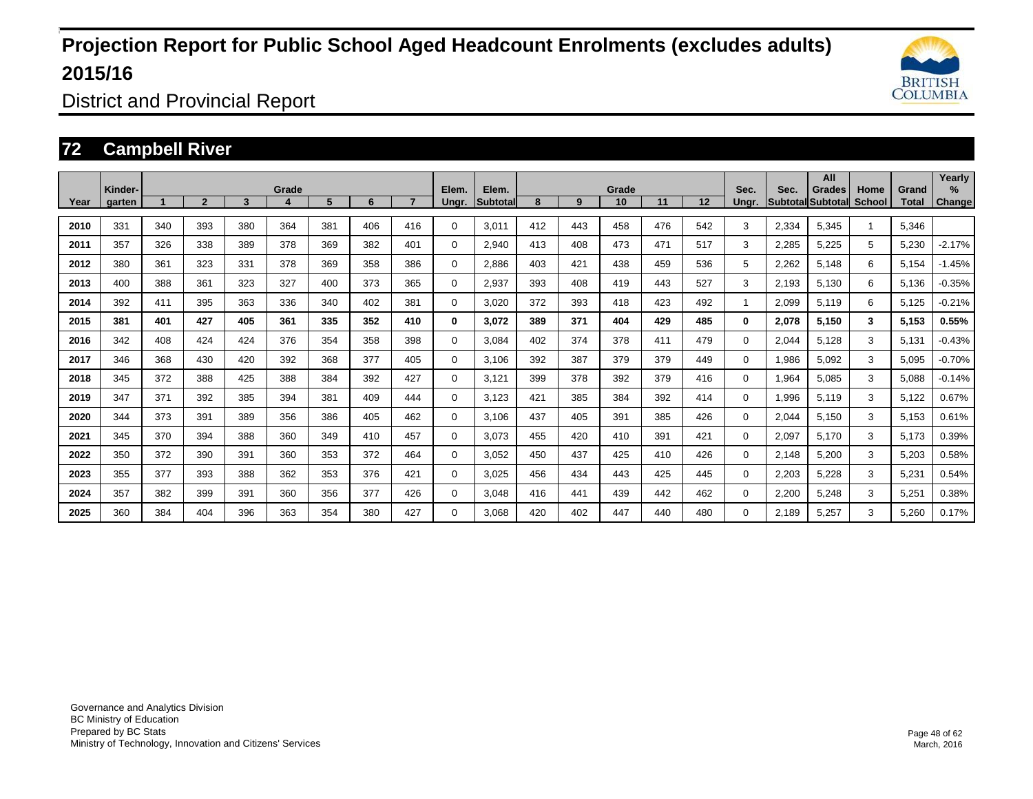

District and Provincial Report

### **72 Campbell River**

|      | Kinder- |     |                |     | Grade |     |     |     | Elem.       | Elem.           |     |     | Grade |     |     | Sec.         | Sec.  | All<br><b>Grades</b>     | Home   | Grand | Yearly<br>% |
|------|---------|-----|----------------|-----|-------|-----|-----|-----|-------------|-----------------|-----|-----|-------|-----|-----|--------------|-------|--------------------------|--------|-------|-------------|
| Year | aarten  |     | $\overline{2}$ | 3   | 4     | 5   | 6   |     | Ungr.       | <b>Subtotal</b> | 8   | 9   | 10    | 11  | 12  | Unar.        |       | <b>Subtotal Subtotal</b> | School | Total | Change      |
| 2010 | 331     | 340 | 393            | 380 | 364   | 381 | 406 | 416 | 0           | 3.011           | 412 | 443 | 458   | 476 | 542 | 3            | 2,334 | 5.345                    |        | 5,346 |             |
| 2011 | 357     | 326 | 338            | 389 | 378   | 369 | 382 | 401 | 0           | 2.940           | 413 | 408 | 473   | 471 | 517 | 3            | 2,285 | 5,225                    | 5      | 5,230 | $-2.17%$    |
| 2012 | 380     | 361 | 323            | 331 | 378   | 369 | 358 | 386 | 0           | 2,886           | 403 | 421 | 438   | 459 | 536 | 5            | 2,262 | 5,148                    | 6      | 5,154 | $-1.45%$    |
| 2013 | 400     | 388 | 361            | 323 | 327   | 400 | 373 | 365 | 0           | 2,937           | 393 | 408 | 419   | 443 | 527 | 3            | 2,193 | 5,130                    | 6      | 5,136 | $-0.35%$    |
| 2014 | 392     | 411 | 395            | 363 | 336   | 340 | 402 | 381 | 0           | 3,020           | 372 | 393 | 418   | 423 | 492 | -1           | 2,099 | 5,119                    | 6      | 5,125 | $-0.21%$    |
| 2015 | 381     | 401 | 427            | 405 | 361   | 335 | 352 | 410 | 0           | 3.072           | 389 | 371 | 404   | 429 | 485 | $\bf{0}$     | 2,078 | 5,150                    | 3      | 5,153 | 0.55%       |
| 2016 | 342     | 408 | 424            | 424 | 376   | 354 | 358 | 398 | 0           | 3.084           | 402 | 374 | 378   | 411 | 479 | $\mathbf{0}$ | 2,044 | 5,128                    | 3      | 5,131 | $-0.43%$    |
| 2017 | 346     | 368 | 430            | 420 | 392   | 368 | 377 | 405 | $\mathbf 0$ | 3,106           | 392 | 387 | 379   | 379 | 449 | $\Omega$     | 1,986 | 5,092                    | 3      | 5,095 | $-0.70%$    |
| 2018 | 345     | 372 | 388            | 425 | 388   | 384 | 392 | 427 | $\mathbf 0$ | 3,121           | 399 | 378 | 392   | 379 | 416 | 0            | 1,964 | 5,085                    | 3      | 5,088 | $-0.14%$    |
| 2019 | 347     | 371 | 392            | 385 | 394   | 381 | 409 | 444 | $\mathbf 0$ | 3.123           | 421 | 385 | 384   | 392 | 414 | 0            | 1,996 | 5,119                    | 3      | 5,122 | 0.67%       |
| 2020 | 344     | 373 | 391            | 389 | 356   | 386 | 405 | 462 | 0           | 3,106           | 437 | 405 | 391   | 385 | 426 | 0            | 2,044 | 5,150                    | 3      | 5,153 | 0.61%       |
| 2021 | 345     | 370 | 394            | 388 | 360   | 349 | 410 | 457 | $\mathbf 0$ | 3.073           | 455 | 420 | 410   | 391 | 421 | 0            | 2,097 | 5,170                    | 3      | 5,173 | 0.39%       |
| 2022 | 350     | 372 | 390            | 391 | 360   | 353 | 372 | 464 | 0           | 3,052           | 450 | 437 | 425   | 410 | 426 | 0            | 2,148 | 5,200                    | 3      | 5,203 | 0.58%       |
| 2023 | 355     | 377 | 393            | 388 | 362   | 353 | 376 | 421 | 0           | 3,025           | 456 | 434 | 443   | 425 | 445 | 0            | 2,203 | 5,228                    | 3      | 5,231 | 0.54%       |
| 2024 | 357     | 382 | 399            | 391 | 360   | 356 | 377 | 426 | 0           | 3.048           | 416 | 441 | 439   | 442 | 462 | 0            | 2,200 | 5,248                    | 3      | 5,251 | 0.38%       |
| 2025 | 360     | 384 | 404            | 396 | 363   | 354 | 380 | 427 | 0           | 3.068           | 420 | 402 | 447   | 440 | 480 | 0            | 2.189 | 5,257                    | 3      | 5,260 | 0.17%       |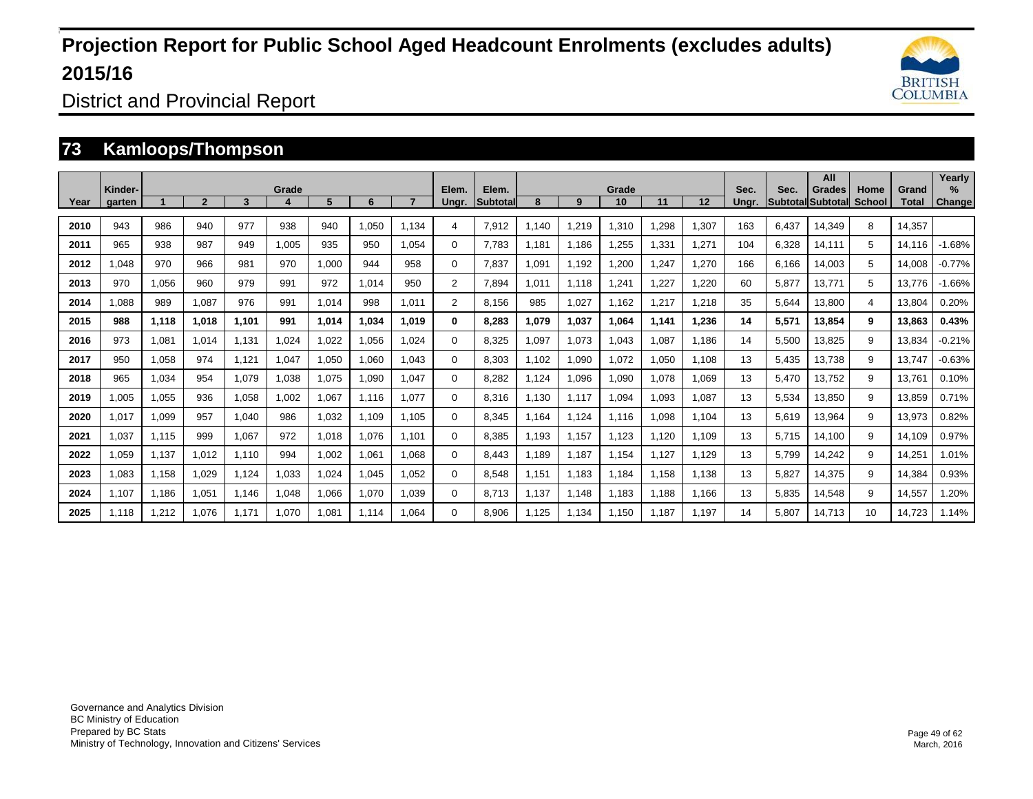

District and Provincial Report

### **73 Kamloops/Thompson**

| Year | Kinder-<br>garten |       | $\overline{2}$ | 3     | Grade | 5     | 6     |       | Elem.<br>Unar. | Elem.<br><b>Subtotal</b> | 8     | 9     | Grade<br>10 | 11    | 12     | Sec.<br>Unar. | Sec.  | All<br><b>Grades</b><br><b>Subtotal Subtotal</b> | Home<br>School | Grand<br>Total | Yearly<br>$\%$<br>Change |
|------|-------------------|-------|----------------|-------|-------|-------|-------|-------|----------------|--------------------------|-------|-------|-------------|-------|--------|---------------|-------|--------------------------------------------------|----------------|----------------|--------------------------|
| 2010 | 943               | 986   | 940            | 977   | 938   | 940   | 1,050 | 1.134 | 4              | 7,912                    | 1,140 | 1,219 | 1,310       | .298  | 1,307  | 163           | 6,437 | 14,349                                           | 8              | 14,357         |                          |
| 2011 | 965               | 938   | 987            | 949   | 1,005 | 935   | 950   | 1,054 | $\Omega$       | 7,783                    | 1,181 | 1,186 | 1,255       | .331  | 1,271  | 104           | 6,328 | 14,111                                           | 5              | 14,116         | $-1.68%$                 |
| 2012 | 1,048             | 970   | 966            | 981   | 970   | 1,000 | 944   | 958   | 0              | 7,837                    | 1,091 | 1,192 | 1,200       | ,247  | 1,270  | 166           | 6,166 | 14,003                                           | 5              | 14,008         | $-0.77%$                 |
| 2013 | 970               | 1,056 | 960            | 979   | 991   | 972   | 1,014 | 950   | 2              | 7,894                    | 1,011 | 1,118 | 1,241       | ,227  | 220, ا | 60            | 5,877 | 13,771                                           | 5              | 13,776         | $-1.66%$                 |
| 2014 | 880,1             | 989   | 1,087          | 976   | 991   | 1,014 | 998   | 1,011 | $\overline{2}$ | 8,156                    | 985   | 1,027 | 1,162       | .217  | 1,218  | 35            | 5,644 | 13,800                                           | $\overline{4}$ | 13,804         | 0.20%                    |
| 2015 | 988               | 1,118 | 1,018          | 1.101 | 991   | 1,014 | 1.034 | 1.019 | 0              | 8,283                    | 1,079 | 1,037 | 1.064       | 1,141 | 1,236  | 14            | 5,571 | 13,854                                           | 9              | 13,863         | 0.43%                    |
| 2016 | 973               | 1,081 | 1.014          | 1.131 | 1.024 | 1,022 | 1,056 | 1.024 | 0              | 8,325                    | 1,097 | 1,073 | 1.043       | 1.087 | 1.186  | 14            | 5,500 | 13,825                                           | 9              | 13,834         | $-0.21%$                 |
| 2017 | 950               | 1,058 | 974            | 1.121 | 1,047 | 1,050 | 1,060 | 1.043 | 0              | 8,303                    | 1,102 | 1,090 | 1,072       | 1,050 | 1,108  | 13            | 5,435 | 13,738                                           | 9              | 13,747         | $-0.63%$                 |
| 2018 | 965               | 1,034 | 954            | 1.079 | 1.038 | 1.075 | 1.090 | 1.047 | 0              | 8,282                    | 1,124 | 1,096 | 1,090       | 1,078 | 1,069  | 13            | 5,470 | 13,752                                           | 9              | 13.761         | 0.10%                    |
| 2019 | 1.005             | 1.055 | 936            | 1.058 | 1.002 | 1,067 | 1.116 | 1.077 | 0              | 8,316                    | 1.130 | 1.117 | 1.094       | 1.093 | 1.087  | 13            | 5,534 | 13,850                                           | 9              | 13.859         | 0.71%                    |
| 2020 | 1,017             | 1,099 | 957            | 1,040 | 986   | 1,032 | 1,109 | 1.105 | $\Omega$       | 8,345                    | 1,164 | 1,124 | 1,116       | 800,1 | 1,104  | 13            | 5,619 | 13,964                                           | 9              | 13,973         | 0.82%                    |
| 2021 | 1.037             | 1.115 | 999            | 1.067 | 972   | 1.018 | 1.076 | 1.101 | $\Omega$       | 8.385                    | 1.193 | 1.157 | 1.123       | 1.120 | 1.109  | 13            | 5.715 | 14,100                                           | 9              | 14.109         | 0.97%                    |
| 2022 | 1,059             | 1,137 | 1,012          | 1,110 | 994   | 1.002 | 1.061 | 1.068 | 0              | 8,443                    | 1.189 | 1.187 | 1.154       | 1.127 | 1.129  | 13            | 5.799 | 14,242                                           | 9              | 14,251         | 1.01%                    |
| 2023 | 1,083             | 1,158 | 1,029          | 1.124 | 1,033 | 1,024 | 1.045 | 1.052 | 0              | 8,548                    | 1,151 | 1,183 | 1,184       | 1.158 | 1,138  | 13            | 5,827 | 14,375                                           | 9              | 14,384         | 0.93%                    |
| 2024 | 1.107             | 1.186 | 1,051          | 1.146 | 1.048 | 1.066 | 1.070 | 1.039 | 0              | 8,713                    | 1.137 | 1.148 | 1.183       | 1.188 | 1.166  | 13            | 5.835 | 14,548                                           | 9              | 14,557         | 1.20%                    |
| 2025 | 1.118             | 1,212 | 1,076          | 1.171 | 1,070 | 1,081 | 1.114 | .064  | 0              | 8,906                    | 1.125 | 1,134 | 1,150       | .187  | 1,197  | 14            | 5,807 | 14,713                                           | 10             | 14.723         | 1.14%                    |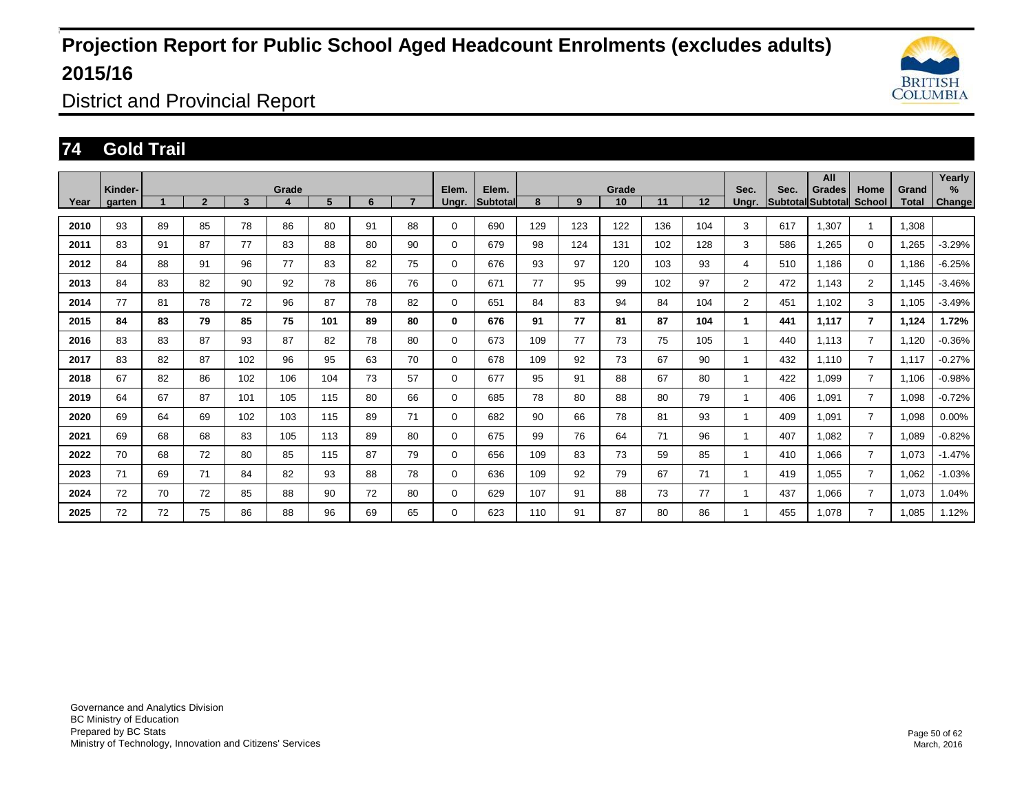

District and Provincial Report

### **74 Gold Trail**

|      | Kinder- |    |                |     | Grade |     |    |                | Elem.       | Elem.           |     |     | Grade |     |     | Sec.                    | Sec. | All<br>Grades     | Home           | Grand | Yearly<br>% |
|------|---------|----|----------------|-----|-------|-----|----|----------------|-------------|-----------------|-----|-----|-------|-----|-----|-------------------------|------|-------------------|----------------|-------|-------------|
| Year | garten  |    | $\overline{2}$ | 3   | 4     | 5   | 6  | $\overline{ }$ | Ungr.       | <b>Subtotal</b> | 8   | 9   | 10    | 11  | 12  | Ungr.                   |      | Subtotal Subtotal | <b>School</b>  | Total | Change      |
| 2010 | 93      | 89 | 85             | 78  | 86    | 80  | 91 | 88             | 0           | 690             | 129 | 123 | 122   | 136 | 104 | 3                       | 617  | 1.307             |                | 1.308 |             |
| 2011 | 83      | 91 | 87             | 77  | 83    | 88  | 80 | 90             | $\Omega$    | 679             | 98  | 124 | 131   | 102 | 128 | 3                       | 586  | 1,265             | $\mathbf 0$    | 1,265 | $-3.29%$    |
| 2012 | 84      | 88 | 91             | 96  | 77    | 83  | 82 | 75             | $\mathbf 0$ | 676             | 93  | 97  | 120   | 103 | 93  | 4                       | 510  | 1.186             | $\mathbf 0$    | 1.186 | $-6.25%$    |
| 2013 | 84      | 83 | 82             | 90  | 92    | 78  | 86 | 76             | $\mathbf 0$ | 671             | 77  | 95  | 99    | 102 | 97  | $\overline{2}$          | 472  | 1.143             | $\overline{2}$ | 1,145 | $-3.46%$    |
| 2014 | 77      | 81 | 78             | 72  | 96    | 87  | 78 | 82             | $\Omega$    | 651             | 84  | 83  | 94    | 84  | 104 | $\overline{2}$          | 451  | 1.102             | 3              | 1,105 | $-3.49%$    |
| 2015 | 84      | 83 | 79             | 85  | 75    | 101 | 89 | 80             | 0           | 676             | 91  | 77  | 81    | 87  | 104 |                         | 441  | 1,117             | $\overline{7}$ | 1,124 | 1.72%       |
| 2016 | 83      | 83 | 87             | 93  | 87    | 82  | 78 | 80             | 0           | 673             | 109 | 77  | 73    | 75  | 105 | 1                       | 440  | 1.113             | $\overline{7}$ | 1,120 | $-0.36%$    |
| 2017 | 83      | 82 | 87             | 102 | 96    | 95  | 63 | 70             | $\Omega$    | 678             | 109 | 92  | 73    | 67  | 90  | $\overline{1}$          | 432  | 1.110             | $\overline{7}$ | 1,117 | $-0.27%$    |
| 2018 | 67      | 82 | 86             | 102 | 106   | 104 | 73 | 57             | $\Omega$    | 677             | 95  | 91  | 88    | 67  | 80  | $\overline{\mathbf{1}}$ | 422  | 1,099             | $\overline{7}$ | 1,106 | $-0.98%$    |
| 2019 | 64      | 67 | 87             | 101 | 105   | 115 | 80 | 66             | $\mathbf 0$ | 685             | 78  | 80  | 88    | 80  | 79  | 1                       | 406  | 1,091             | $\overline{7}$ | 1,098 | $-0.72%$    |
| 2020 | 69      | 64 | 69             | 102 | 103   | 115 | 89 | 71             | $\Omega$    | 682             | 90  | 66  | 78    | 81  | 93  |                         | 409  | 1,091             | $\overline{7}$ | 1,098 | 0.00%       |
| 2021 | 69      | 68 | 68             | 83  | 105   | 113 | 89 | 80             | 0           | 675             | 99  | 76  | 64    | 71  | 96  | 1                       | 407  | 1,082             | $\overline{7}$ | 1,089 | $-0.82%$    |
| 2022 | 70      | 68 | 72             | 80  | 85    | 115 | 87 | 79             | $\mathbf 0$ | 656             | 109 | 83  | 73    | 59  | 85  |                         | 410  | 1,066             | $\overline{7}$ | 1,073 | $-1.47%$    |
| 2023 | 71      | 69 | 71             | 84  | 82    | 93  | 88 | 78             | $\mathbf 0$ | 636             | 109 | 92  | 79    | 67  | 71  |                         | 419  | 1.055             | $\overline{7}$ | 1,062 | $-1.03%$    |
| 2024 | 72      | 70 | 72             | 85  | 88    | 90  | 72 | 80             | $\mathbf 0$ | 629             | 107 | 91  | 88    | 73  | 77  |                         | 437  | 1,066             | $\overline{7}$ | 1,073 | 1.04%       |
| 2025 | 72      | 72 | 75             | 86  | 88    | 96  | 69 | 65             | 0           | 623             | 110 | 91  | 87    | 80  | 86  |                         | 455  | 1,078             | $\overline{7}$ | 1,085 | 1.12%       |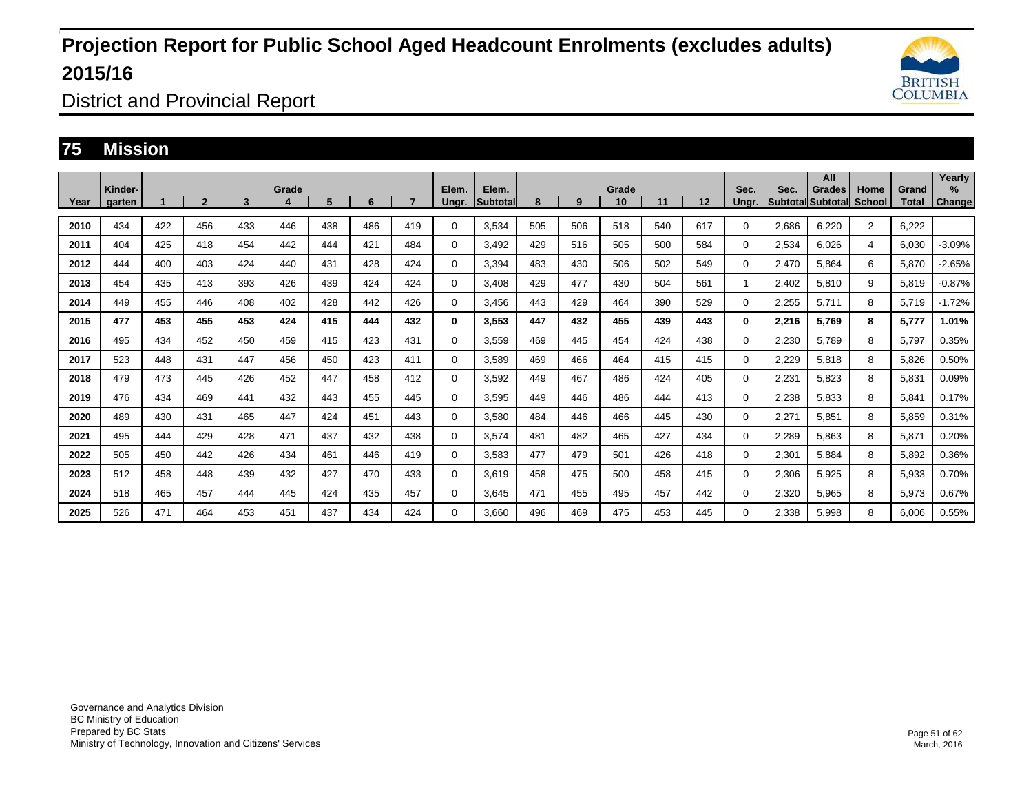

District and Provincial Report

### **75 Mission**

|      | Kinder- |     |                |     | Grade |     |     |                | Elem.       | Elem.           |     |     | Grade |     |     | Sec.     | Sec.     | All                |                |                | Yearly<br>% |
|------|---------|-----|----------------|-----|-------|-----|-----|----------------|-------------|-----------------|-----|-----|-------|-----|-----|----------|----------|--------------------|----------------|----------------|-------------|
| Year | garten  |     | $\overline{2}$ | 3   | 4     | 5   | 6   | $\overline{ }$ | Ungr.       | <b>Subtotal</b> | 8   | 9   | 10    | 11  | 12  | Ungr.    | Subtotal | Grades<br>Subtotal | Home<br>School | Grand<br>Total | Change      |
| 2010 | 434     | 422 | 456            | 433 | 446   | 438 | 486 | 419            | 0           | 3,534           | 505 | 506 | 518   | 540 | 617 | 0        | 2,686    | 6.220              | 2              | 6,222          |             |
| 2011 | 404     | 425 | 418            | 454 | 442   | 444 | 421 | 484            | $\Omega$    | 3,492           | 429 | 516 | 505   | 500 | 584 | 0        | 2,534    | 6,026              | 4              | 6,030          | $-3.09%$    |
| 2012 | 444     | 400 | 403            | 424 | 440   | 431 | 428 | 424            | $\Omega$    | 3.394           | 483 | 430 | 506   | 502 | 549 | 0        | 2,470    | 5.864              | 6              | 5,870          | $-2.65%$    |
| 2013 | 454     | 435 | 413            | 393 | 426   | 439 | 424 | 424            | 0           | 3.408           | 429 | 477 | 430   | 504 | 561 |          | 2,402    | 5,810              | 9              | 5,819          | $-0.87%$    |
| 2014 | 449     | 455 | 446            | 408 | 402   | 428 | 442 | 426            | $\Omega$    | 3,456           | 443 | 429 | 464   | 390 | 529 | 0        | 2,255    | 5,711              | 8              | 5,719          | $-1.72%$    |
| 2015 | 477     | 453 | 455            | 453 | 424   | 415 | 444 | 432            | 0           | 3,553           | 447 | 432 | 455   | 439 | 443 | $\bf{0}$ | 2,216    | 5,769              | 8              | 5,777          | 1.01%       |
| 2016 | 495     | 434 | 452            | 450 | 459   | 415 | 423 | 431            | 0           | 3,559           | 469 | 445 | 454   | 424 | 438 | 0        | 2,230    | 5,789              | 8              | 5,797          | 0.35%       |
| 2017 | 523     | 448 | 431            | 447 | 456   | 450 | 423 | 411            | $\Omega$    | 3,589           | 469 | 466 | 464   | 415 | 415 | 0        | 2,229    | 5,818              | 8              | 5,826          | 0.50%       |
| 2018 | 479     | 473 | 445            | 426 | 452   | 447 | 458 | 412            | $\Omega$    | 3,592           | 449 | 467 | 486   | 424 | 405 | 0        | 2,231    | 5,823              | 8              | 5,831          | 0.09%       |
| 2019 | 476     | 434 | 469            | 441 | 432   | 443 | 455 | 445            | $\Omega$    | 3,595           | 449 | 446 | 486   | 444 | 413 | 0        | 2,238    | 5,833              | 8              | 5,841          | 0.17%       |
| 2020 | 489     | 430 | 431            | 465 | 447   | 424 | 451 | 443            | $\Omega$    | 3,580           | 484 | 446 | 466   | 445 | 430 | 0        | 2,271    | 5,851              | 8              | 5,859          | 0.31%       |
| 2021 | 495     | 444 | 429            | 428 | 471   | 437 | 432 | 438            | 0           | 3,574           | 481 | 482 | 465   | 427 | 434 | 0        | 2,289    | 5,863              | 8              | 5,871          | 0.20%       |
| 2022 | 505     | 450 | 442            | 426 | 434   | 461 | 446 | 419            | $\mathbf 0$ | 3,583           | 477 | 479 | 501   | 426 | 418 | 0        | 2,301    | 5,884              | 8              | 5,892          | 0.36%       |
| 2023 | 512     | 458 | 448            | 439 | 432   | 427 | 470 | 433            | $\mathbf 0$ | 3,619           | 458 | 475 | 500   | 458 | 415 | 0        | 2,306    | 5,925              | 8              | 5,933          | 0.70%       |
| 2024 | 518     | 465 | 457            | 444 | 445   | 424 | 435 | 457            | 0           | 3,645           | 471 | 455 | 495   | 457 | 442 | 0        | 2,320    | 5,965              | 8              | 5,973          | 0.67%       |
| 2025 | 526     | 471 | 464            | 453 | 451   | 437 | 434 | 424            | $\Omega$    | 3,660           | 496 | 469 | 475   | 453 | 445 | 0        | 2,338    | 5,998              | 8              | 6,006          | 0.55%       |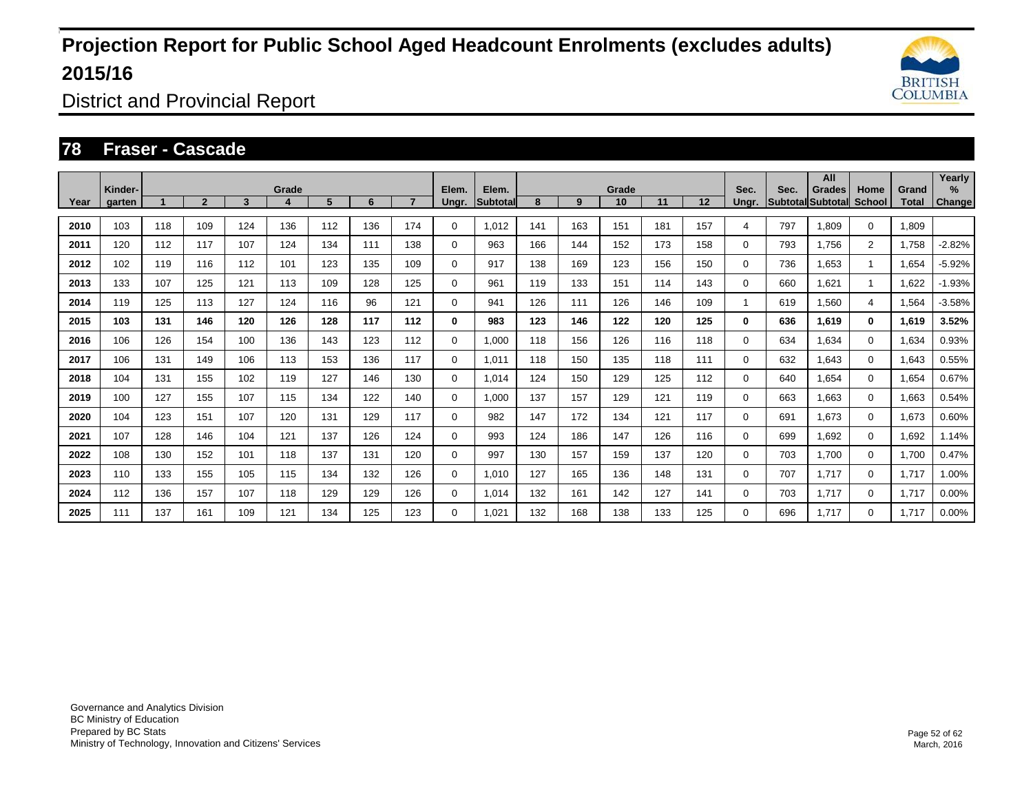

District and Provincial Report

### **78 Fraser - Cascade**

|      | Kinder- |     |                |     | Grade |     |     |     | Elem.       | Elem.           |     |     | Grade |     |     | Sec.     | Sec. | All<br>Grades            | Home           | Grand | Yearly<br>% |
|------|---------|-----|----------------|-----|-------|-----|-----|-----|-------------|-----------------|-----|-----|-------|-----|-----|----------|------|--------------------------|----------------|-------|-------------|
| Year | garten  |     | $\overline{2}$ | 3   | 4     | 5   | 6   |     | Ungr.       | <b>Subtotal</b> | 8   | 9   | 10    | 11  | 12  | Unar.    |      | <b>Subtotal Subtotal</b> | School         | Total | Change      |
| 2010 | 103     | 118 | 109            | 124 | 136   | 112 | 136 | 174 | $\Omega$    | 1,012           | 141 | 163 | 151   | 181 | 157 | 4        | 797  | 1,809                    | $\Omega$       | 1,809 |             |
| 2011 | 120     | 112 | 117            | 107 | 124   | 134 | 111 | 138 | 0           | 963             | 166 | 144 | 152   | 173 | 158 | 0        | 793  | 1.756                    | $\overline{2}$ | 1.758 | $-2.82%$    |
| 2012 | 102     | 119 | 116            | 112 | 101   | 123 | 135 | 109 | 0           | 917             | 138 | 169 | 123   | 156 | 150 | 0        | 736  | 1,653                    | $\mathbf{1}$   | 1,654 | $-5.92%$    |
| 2013 | 133     | 107 | 125            | 121 | 113   | 109 | 128 | 125 | 0           | 961             | 119 | 133 | 151   | 114 | 143 | 0        | 660  | 1,621                    | $\mathbf{1}$   | 1,622 | $-1.93%$    |
| 2014 | 119     | 125 | 113            | 127 | 124   | 116 | 96  | 121 | $\mathbf 0$ | 941             | 126 | 111 | 126   | 146 | 109 |          | 619  | 1,560                    | $\overline{4}$ | 1,564 | $-3.58%$    |
| 2015 | 103     | 131 | 146            | 120 | 126   | 128 | 117 | 112 | 0           | 983             | 123 | 146 | 122   | 120 | 125 | $\bf{0}$ | 636  | 1,619                    | $\mathbf{0}$   | 1,619 | 3.52%       |
| 2016 | 106     | 126 | 154            | 100 | 136   | 143 | 123 | 112 | $\Omega$    | 1,000           | 118 | 156 | 126   | 116 | 118 | 0        | 634  | 1,634                    | $\Omega$       | 1,634 | 0.93%       |
| 2017 | 106     | 131 | 149            | 106 | 113   | 153 | 136 | 117 | 0           | 1.011           | 118 | 150 | 135   | 118 | 111 | 0        | 632  | 1,643                    | $\Omega$       | 1,643 | 0.55%       |
| 2018 | 104     | 131 | 155            | 102 | 119   | 127 | 146 | 130 | $\mathbf 0$ | 1,014           | 124 | 150 | 129   | 125 | 112 | 0        | 640  | 1,654                    | $\mathbf 0$    | 1,654 | 0.67%       |
| 2019 | 100     | 127 | 155            | 107 | 115   | 134 | 122 | 140 | $\mathbf 0$ | 1,000           | 137 | 157 | 129   | 121 | 119 | 0        | 663  | 1,663                    | $\Omega$       | 1,663 | 0.54%       |
| 2020 | 104     | 123 | 151            | 107 | 120   | 131 | 129 | 117 | $\mathbf 0$ | 982             | 147 | 172 | 134   | 121 | 117 | 0        | 691  | 1,673                    | $\Omega$       | 1.673 | 0.60%       |
| 2021 | 107     | 128 | 146            | 104 | 121   | 137 | 126 | 124 | $\mathbf 0$ | 993             | 124 | 186 | 147   | 126 | 116 | 0        | 699  | 1,692                    | $\mathbf 0$    | 1,692 | 1.14%       |
| 2022 | 108     | 130 | 152            | 101 | 118   | 137 | 131 | 120 | $\mathbf 0$ | 997             | 130 | 157 | 159   | 137 | 120 | 0        | 703  | 1.700                    | $\Omega$       | 1,700 | 0.47%       |
| 2023 | 110     | 133 | 155            | 105 | 115   | 134 | 132 | 126 | $\mathbf 0$ | 1.010           | 127 | 165 | 136   | 148 | 131 | 0        | 707  | 1,717                    | 0              | 1,717 | 1.00%       |
| 2024 | 112     | 136 | 157            | 107 | 118   | 129 | 129 | 126 | 0           | 1,014           | 132 | 161 | 142   | 127 | 141 | 0        | 703  | 1,717                    | 0              | 1,717 | 0.00%       |
| 2025 | 111     | 137 | 161            | 109 | 121   | 134 | 125 | 123 | 0           | 1.021           | 132 | 168 | 138   | 133 | 125 | 0        | 696  | 1.717                    | 0              | 1.717 | 0.00%       |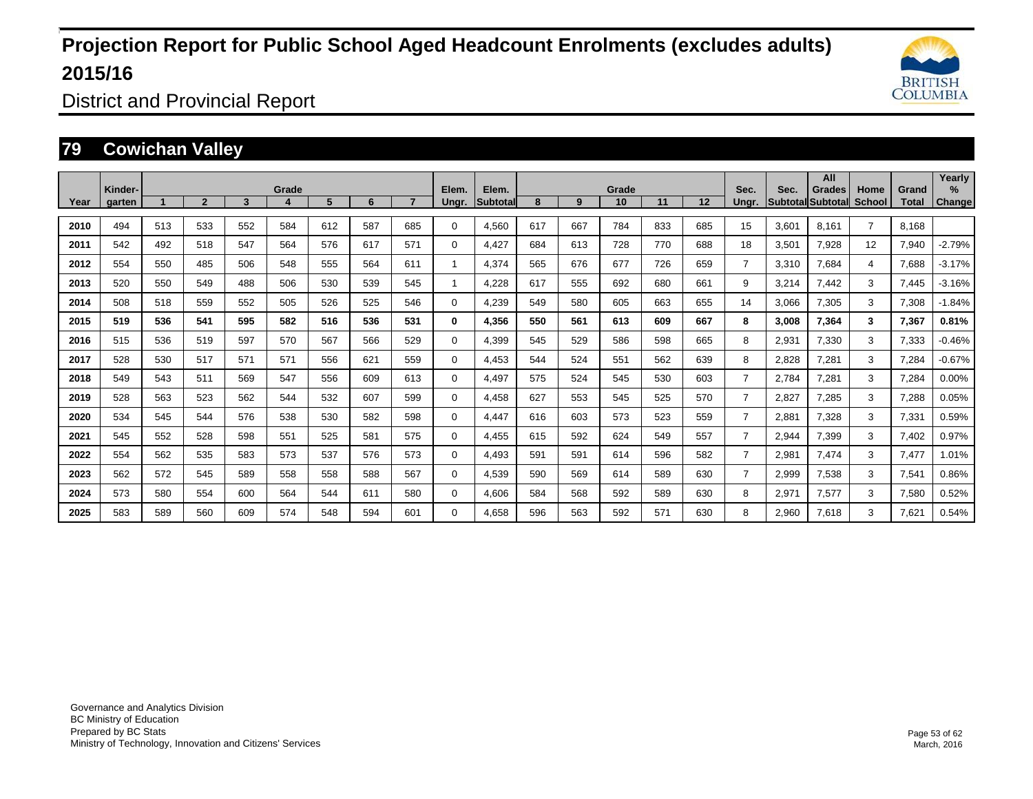

District and Provincial Report

### **79 Cowichan Valley**

|      | Kinder- |     |                |     | Grade |     |     |     | Elem.       | Elem.    |     |     | Grade |     |                   | Sec.           | Sec.  | All<br>Grades             | Home           | Grand | Yearly<br>$\%$ |
|------|---------|-----|----------------|-----|-------|-----|-----|-----|-------------|----------|-----|-----|-------|-----|-------------------|----------------|-------|---------------------------|----------------|-------|----------------|
| Year | garten  |     | $\overline{2}$ | 3   | 4     | 5   | 6   |     | Ungr.       | Subtotal | 8   | 9   | 10    | 11  | $12 \overline{ }$ | Unar.          |       | <b>SubtotallSubtotall</b> | School         | Total | <b>Change</b>  |
| 2010 | 494     | 513 | 533            | 552 | 584   | 612 | 587 | 685 | $\Omega$    | 4.560    | 617 | 667 | 784   | 833 | 685               | 15             | 3.601 | 8.161                     | 7              | 8.168 |                |
| 2011 | 542     | 492 | 518            | 547 | 564   | 576 | 617 | 571 | 0           | 4,427    | 684 | 613 | 728   | 770 | 688               | 18             | 3,501 | 7,928                     | 12             | 7,940 | $-2.79%$       |
| 2012 | 554     | 550 | 485            | 506 | 548   | 555 | 564 | 611 |             | 4,374    | 565 | 676 | 677   | 726 | 659               | $\overline{7}$ | 3,310 | 7,684                     | $\overline{4}$ | 7,688 | $-3.17%$       |
| 2013 | 520     | 550 | 549            | 488 | 506   | 530 | 539 | 545 |             | 4,228    | 617 | 555 | 692   | 680 | 661               | 9              | 3,214 | 7.442                     | 3              | 7,445 | $-3.16%$       |
| 2014 | 508     | 518 | 559            | 552 | 505   | 526 | 525 | 546 | $\Omega$    | 4,239    | 549 | 580 | 605   | 663 | 655               | 14             | 3,066 | 7,305                     | 3              | 7,308 | $-1.84%$       |
| 2015 | 519     | 536 | 541            | 595 | 582   | 516 | 536 | 531 | 0           | 4,356    | 550 | 561 | 613   | 609 | 667               | 8              | 3,008 | 7,364                     | 3              | 7,367 | 0.81%          |
| 2016 | 515     | 536 | 519            | 597 | 570   | 567 | 566 | 529 | $\Omega$    | 4,399    | 545 | 529 | 586   | 598 | 665               | 8              | 2,931 | 7,330                     | 3              | 7,333 | $-0.46%$       |
| 2017 | 528     | 530 | 517            | 571 | 571   | 556 | 621 | 559 | $\Omega$    | 4,453    | 544 | 524 | 551   | 562 | 639               | 8              | 2,828 | 7,281                     | 3              | 7,284 | $-0.67%$       |
| 2018 | 549     | 543 | 511            | 569 | 547   | 556 | 609 | 613 | 0           | 4,497    | 575 | 524 | 545   | 530 | 603               | $\overline{7}$ | 2.784 | 7,281                     | 3              | 7,284 | 0.00%          |
| 2019 | 528     | 563 | 523            | 562 | 544   | 532 | 607 | 599 | $\Omega$    | 4,458    | 627 | 553 | 545   | 525 | 570               | $\overline{7}$ | 2,827 | 7,285                     | 3              | 7,288 | 0.05%          |
| 2020 | 534     | 545 | 544            | 576 | 538   | 530 | 582 | 598 | $\mathbf 0$ | 4,447    | 616 | 603 | 573   | 523 | 559               | $\overline{7}$ | 2,881 | 7,328                     | 3              | 7,331 | 0.59%          |
| 2021 | 545     | 552 | 528            | 598 | 551   | 525 | 581 | 575 | 0           | 4,455    | 615 | 592 | 624   | 549 | 557               | $\overline{7}$ | 2,944 | 7,399                     | 3              | 7,402 | 0.97%          |
| 2022 | 554     | 562 | 535            | 583 | 573   | 537 | 576 | 573 | $\Omega$    | 4,493    | 591 | 591 | 614   | 596 | 582               | $\overline{7}$ | 2,981 | 7,474                     | 3              | 7,477 | 1.01%          |
| 2023 | 562     | 572 | 545            | 589 | 558   | 558 | 588 | 567 | $\Omega$    | 4,539    | 590 | 569 | 614   | 589 | 630               | $\overline{7}$ | 2,999 | 7,538                     | 3              | 7,541 | 0.86%          |
| 2024 | 573     | 580 | 554            | 600 | 564   | 544 | 611 | 580 | 0           | 4.606    | 584 | 568 | 592   | 589 | 630               | 8              | 2,971 | 7,577                     | 3              | 7,580 | 0.52%          |
| 2025 | 583     | 589 | 560            | 609 | 574   | 548 | 594 | 601 | $\Omega$    | 4,658    | 596 | 563 | 592   | 571 | 630               | 8              | 2,960 | 7,618                     | 3              | 7,621 | 0.54%          |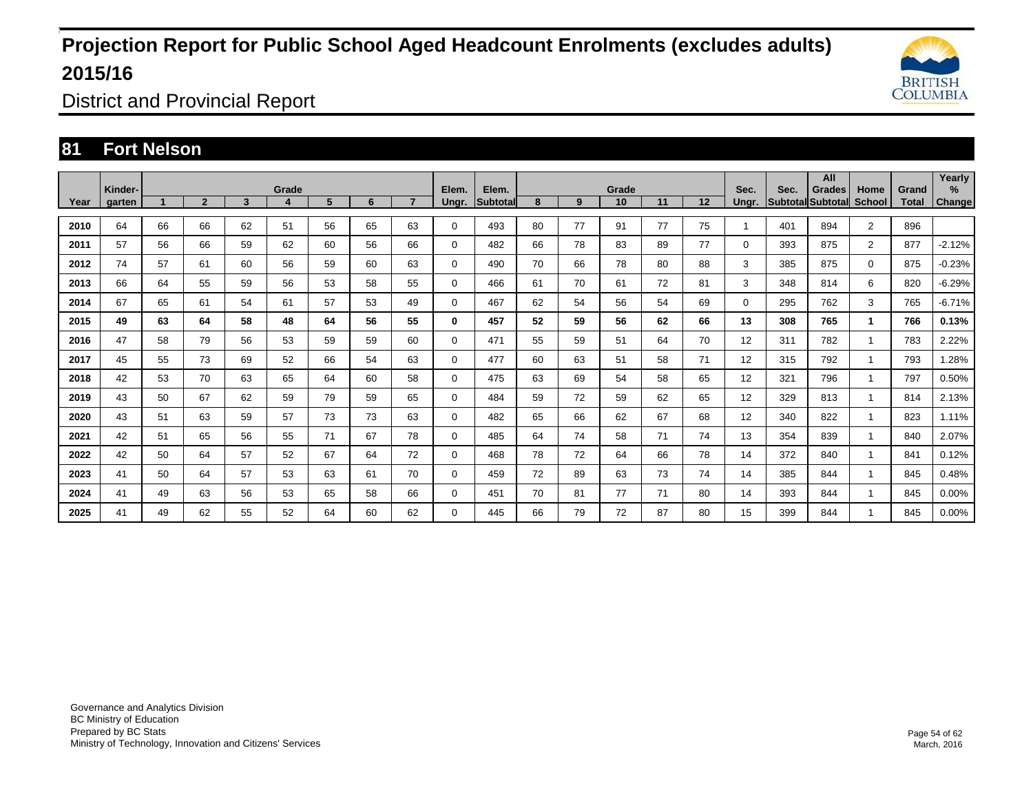

District and Provincial Report

### **81 Fort Nelson**

|      | Kinder- |    |                |    | Grade |    |    |    | Elem.       | Elem.           |    |    | Grade |    |    | Sec.     | Sec. | All<br>Grades            | Home           | Grand | Yearly<br>% |
|------|---------|----|----------------|----|-------|----|----|----|-------------|-----------------|----|----|-------|----|----|----------|------|--------------------------|----------------|-------|-------------|
| Year | garten  |    | $\overline{2}$ | 3  | 4     | 5  | 6  |    | Ungr.       | <b>Subtotal</b> | 8  | 9  | 10    | 11 | 12 | Unar.    |      | Subtotal Subtotal School |                | Total | Change      |
| 2010 | 64      | 66 | 66             | 62 | 51    | 56 | 65 | 63 | 0           | 493             | 80 | 77 | 91    | 77 | 75 |          | 401  | 894                      | $\overline{2}$ | 896   |             |
| 2011 | 57      | 56 | 66             | 59 | 62    | 60 | 56 | 66 | 0           | 482             | 66 | 78 | 83    | 89 | 77 | 0        | 393  | 875                      | $\overline{2}$ | 877   | $-2.12%$    |
| 2012 | 74      | 57 | 61             | 60 | 56    | 59 | 60 | 63 | 0           | 490             | 70 | 66 | 78    | 80 | 88 | 3        | 385  | 875                      | $\Omega$       | 875   | $-0.23%$    |
| 2013 | 66      | 64 | 55             | 59 | 56    | 53 | 58 | 55 | 0           | 466             | 61 | 70 | 61    | 72 | 81 | 3        | 348  | 814                      | 6              | 820   | $-6.29%$    |
| 2014 | 67      | 65 | 61             | 54 | 61    | 57 | 53 | 49 | 0           | 467             | 62 | 54 | 56    | 54 | 69 | $\Omega$ | 295  | 762                      | 3              | 765   | $-6.71%$    |
| 2015 | 49      | 63 | 64             | 58 | 48    | 64 | 56 | 55 | 0           | 457             | 52 | 59 | 56    | 62 | 66 | 13       | 308  | 765                      | $\mathbf{1}$   | 766   | 0.13%       |
| 2016 | 47      | 58 | 79             | 56 | 53    | 59 | 59 | 60 | $\mathbf 0$ | 471             | 55 | 59 | 51    | 64 | 70 | 12       | 311  | 782                      | $\mathbf{1}$   | 783   | 2.22%       |
| 2017 | 45      | 55 | 73             | 69 | 52    | 66 | 54 | 63 | 0           | 477             | 60 | 63 | 51    | 58 | 71 | 12       | 315  | 792                      | $\mathbf{1}$   | 793   | 1.28%       |
| 2018 | 42      | 53 | 70             | 63 | 65    | 64 | 60 | 58 | 0           | 475             | 63 | 69 | 54    | 58 | 65 | 12       | 321  | 796                      | $\mathbf{1}$   | 797   | 0.50%       |
| 2019 | 43      | 50 | 67             | 62 | 59    | 79 | 59 | 65 | $\mathbf 0$ | 484             | 59 | 72 | 59    | 62 | 65 | 12       | 329  | 813                      | $\mathbf{1}$   | 814   | 2.13%       |
| 2020 | 43      | 51 | 63             | 59 | 57    | 73 | 73 | 63 | 0           | 482             | 65 | 66 | 62    | 67 | 68 | 12       | 340  | 822                      | $\mathbf{1}$   | 823   | 1.11%       |
| 2021 | 42      | 51 | 65             | 56 | 55    | 71 | 67 | 78 | 0           | 485             | 64 | 74 | 58    | 71 | 74 | 13       | 354  | 839                      | $\mathbf{1}$   | 840   | 2.07%       |
| 2022 | 42      | 50 | 64             | 57 | 52    | 67 | 64 | 72 | 0           | 468             | 78 | 72 | 64    | 66 | 78 | 14       | 372  | 840                      | $\mathbf{1}$   | 841   | 0.12%       |
| 2023 | 41      | 50 | 64             | 57 | 53    | 63 | 61 | 70 | 0           | 459             | 72 | 89 | 63    | 73 | 74 | 14       | 385  | 844                      | 1              | 845   | 0.48%       |
| 2024 | 41      | 49 | 63             | 56 | 53    | 65 | 58 | 66 | 0           | 451             | 70 | 81 | 77    | 71 | 80 | 14       | 393  | 844                      | $\mathbf{1}$   | 845   | 0.00%       |
| 2025 | 41      | 49 | 62             | 55 | 52    | 64 | 60 | 62 | 0           | 445             | 66 | 79 | 72    | 87 | 80 | 15       | 399  | 844                      | $\mathbf{1}$   | 845   | 0.00%       |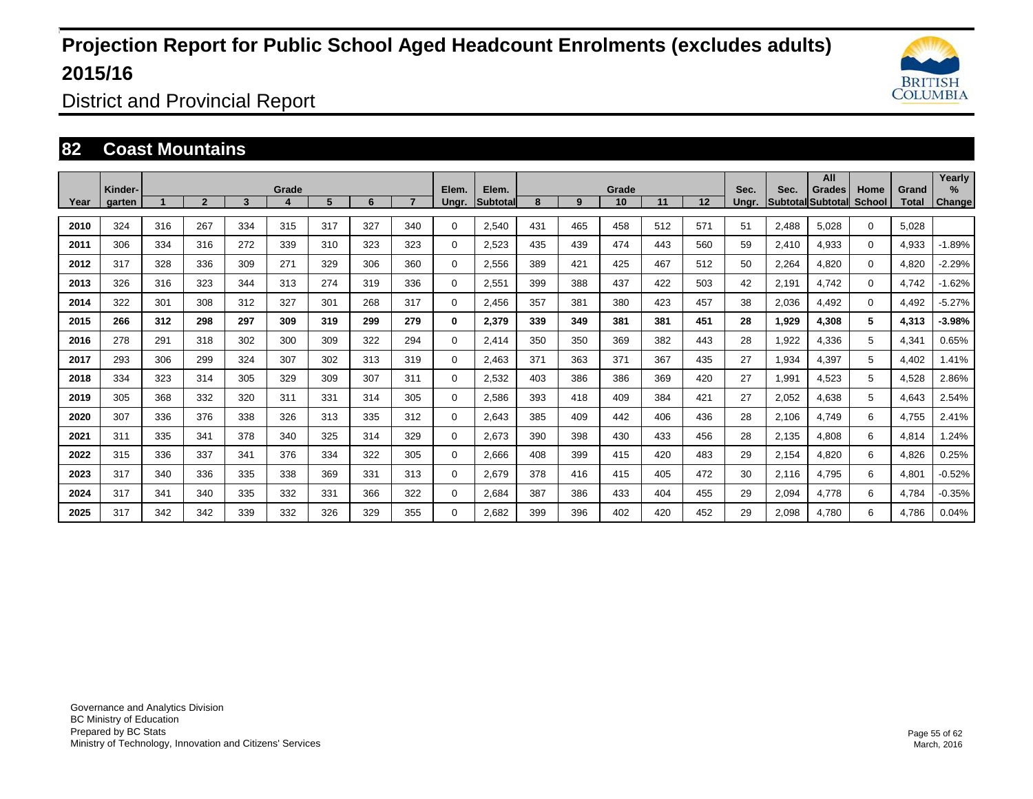

District and Provincial Report

### **82 Coast Mountains**

|      | Kinder- |     |              |     | Grade |     |     |     | Elem.       | Elem.            |     |     | Grade |     |     | Sec.  | Sec.  | All<br>Grades     | Home          | Grand | Yearly<br>$\frac{9}{6}$ |
|------|---------|-----|--------------|-----|-------|-----|-----|-----|-------------|------------------|-----|-----|-------|-----|-----|-------|-------|-------------------|---------------|-------|-------------------------|
| Year | garten  |     | $\mathbf{2}$ | 3   | 4     | 5   | 6   |     | Ungr.       | <b>Subtotall</b> | 8   | 9   | 10    | 11  | 12  | Unar. |       | Subtotal Subtotal | <b>School</b> | Total | <b>Change</b>           |
| 2010 | 324     | 316 | 267          | 334 | 315   | 317 | 327 | 340 | $\Omega$    | 2,540            | 431 | 465 | 458   | 512 | 571 | 51    | 2,488 | 5.028             | $\Omega$      | 5.028 |                         |
| 2011 | 306     | 334 | 316          | 272 | 339   | 310 | 323 | 323 | 0           | 2,523            | 435 | 439 | 474   | 443 | 560 | 59    | 2,410 | 4,933             | $\mathbf 0$   | 4,933 | $-1.89%$                |
| 2012 | 317     | 328 | 336          | 309 | 271   | 329 | 306 | 360 | $\Omega$    | 2,556            | 389 | 421 | 425   | 467 | 512 | 50    | 2,264 | 4,820             | $\Omega$      | 4,820 | $-2.29%$                |
| 2013 | 326     | 316 | 323          | 344 | 313   | 274 | 319 | 336 | 0           | 2,551            | 399 | 388 | 437   | 422 | 503 | 42    | 2,191 | 4.742             | $\mathbf 0$   | 4.742 | $-1.62%$                |
| 2014 | 322     | 301 | 308          | 312 | 327   | 301 | 268 | 317 | $\Omega$    | 2,456            | 357 | 381 | 380   | 423 | 457 | 38    | 2,036 | 4,492             | $\Omega$      | 4,492 | $-5.27%$                |
| 2015 | 266     | 312 | 298          | 297 | 309   | 319 | 299 | 279 | 0           | 2,379            | 339 | 349 | 381   | 381 | 451 | 28    | 1,929 | 4,308             | 5             | 4,313 | $-3.98%$                |
| 2016 | 278     | 291 | 318          | 302 | 300   | 309 | 322 | 294 | $\Omega$    | 2,414            | 350 | 350 | 369   | 382 | 443 | 28    | 1,922 | 4,336             | 5             | 4,341 | 0.65%                   |
| 2017 | 293     | 306 | 299          | 324 | 307   | 302 | 313 | 319 | $\Omega$    | 2,463            | 371 | 363 | 371   | 367 | 435 | 27    | 1,934 | 4,397             | 5             | 4,402 | 1.41%                   |
| 2018 | 334     | 323 | 314          | 305 | 329   | 309 | 307 | 311 | $\Omega$    | 2,532            | 403 | 386 | 386   | 369 | 420 | 27    | 1,991 | 4,523             | 5             | 4,528 | 2.86%                   |
| 2019 | 305     | 368 | 332          | 320 | 311   | 331 | 314 | 305 | $\Omega$    | 2,586            | 393 | 418 | 409   | 384 | 421 | 27    | 2,052 | 4,638             | 5             | 4,643 | 2.54%                   |
| 2020 | 307     | 336 | 376          | 338 | 326   | 313 | 335 | 312 | $\mathbf 0$ | 2,643            | 385 | 409 | 442   | 406 | 436 | 28    | 2,106 | 4,749             | 6             | 4,755 | 2.41%                   |
| 2021 | 311     | 335 | 341          | 378 | 340   | 325 | 314 | 329 | $\Omega$    | 2,673            | 390 | 398 | 430   | 433 | 456 | 28    | 2,135 | 4,808             | 6             | 4,814 | 1.24%                   |
| 2022 | 315     | 336 | 337          | 341 | 376   | 334 | 322 | 305 | $\Omega$    | 2,666            | 408 | 399 | 415   | 420 | 483 | 29    | 2,154 | 4,820             | 6             | 4,826 | 0.25%                   |
| 2023 | 317     | 340 | 336          | 335 | 338   | 369 | 331 | 313 | $\Omega$    | 2,679            | 378 | 416 | 415   | 405 | 472 | 30    | 2,116 | 4,795             | 6             | 4,801 | $-0.52%$                |
| 2024 | 317     | 341 | 340          | 335 | 332   | 331 | 366 | 322 | 0           | 2,684            | 387 | 386 | 433   | 404 | 455 | 29    | 2,094 | 4,778             | 6             | 4,784 | $-0.35%$                |
| 2025 | 317     | 342 | 342          | 339 | 332   | 326 | 329 | 355 | $\Omega$    | 2,682            | 399 | 396 | 402   | 420 | 452 | 29    | 2,098 | 4,780             | 6             | 4,786 | 0.04%                   |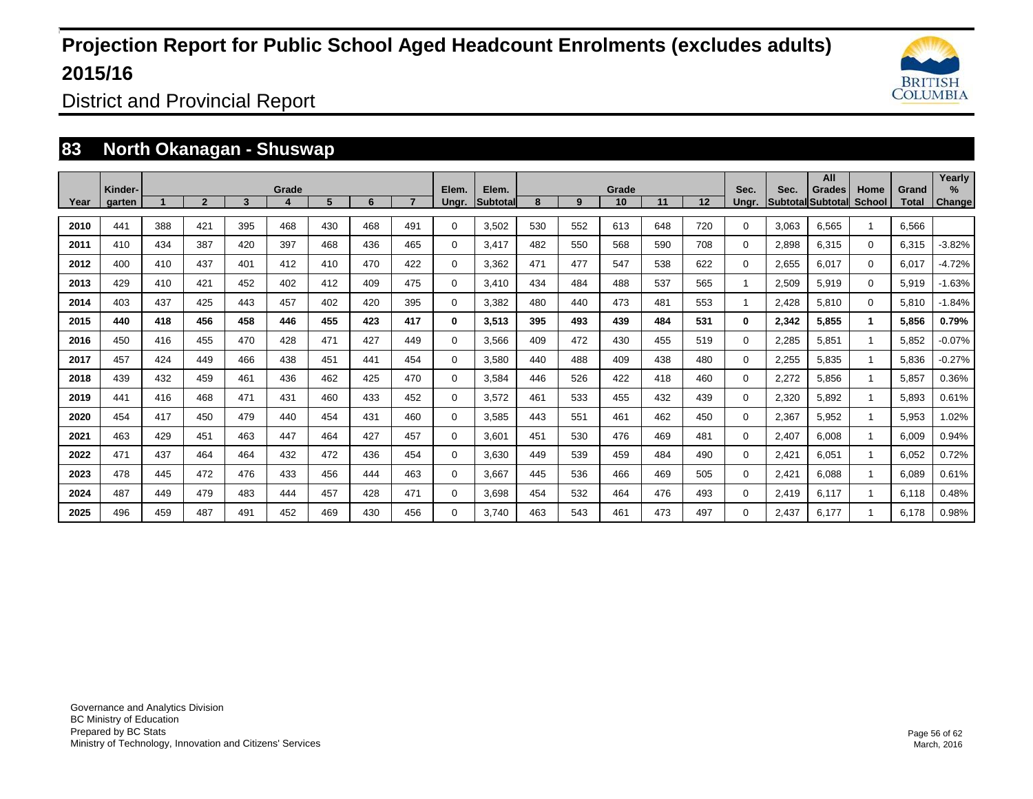

District and Provincial Report

### **83 North Okanagan - Shuswap**

|      | Kinder- |     |                |     | Grade |     |     |     | Elem.       | Elem.    |     |     | Grade |     |     | Sec.           | Sec.  | All<br>Grades             | Home         | Grand | Yearly<br>$\%$ |
|------|---------|-----|----------------|-----|-------|-----|-----|-----|-------------|----------|-----|-----|-------|-----|-----|----------------|-------|---------------------------|--------------|-------|----------------|
| Year | aarten  |     | $\overline{2}$ | 3   | 4     | 5   | 6   |     | Unar.       | Subtotal | 8   | 9   | 10    | 11  | 12  | Unar.          |       | <b>SubtotallSubtotall</b> | School       | Total | <b>Change</b>  |
| 2010 | 441     | 388 | 421            | 395 | 468   | 430 | 468 | 491 | 0           | 3,502    | 530 | 552 | 613   | 648 | 720 | 0              | 3,063 | 6.565                     |              | 6.566 |                |
| 2011 | 410     | 434 | 387            | 420 | 397   | 468 | 436 | 465 | 0           | 3,417    | 482 | 550 | 568   | 590 | 708 | 0              | 2,898 | 6,315                     | $\Omega$     | 6,315 | $-3.82%$       |
| 2012 | 400     | 410 | 437            | 401 | 412   | 410 | 470 | 422 | $\mathbf 0$ | 3.362    | 471 | 477 | 547   | 538 | 622 | 0              | 2,655 | 6,017                     | $\mathbf 0$  | 6,017 | $-4.72%$       |
| 2013 | 429     | 410 | 421            | 452 | 402   | 412 | 409 | 475 | $\mathbf 0$ | 3.410    | 434 | 484 | 488   | 537 | 565 | $\mathbf{1}$   | 2,509 | 5,919                     | $\Omega$     | 5,919 | $-1.63%$       |
| 2014 | 403     | 437 | 425            | 443 | 457   | 402 | 420 | 395 | $\mathbf 0$ | 3,382    | 480 | 440 | 473   | 481 | 553 | $\overline{1}$ | 2,428 | 5,810                     | $\Omega$     | 5,810 | $-1.84%$       |
| 2015 | 440     | 418 | 456            | 458 | 446   | 455 | 423 | 417 | $\bf{0}$    | 3,513    | 395 | 493 | 439   | 484 | 531 | $\bf{0}$       | 2,342 | 5,855                     | $\mathbf 1$  | 5,856 | 0.79%          |
| 2016 | 450     | 416 | 455            | 470 | 428   | 471 | 427 | 449 | 0           | 3,566    | 409 | 472 | 430   | 455 | 519 | 0              | 2,285 | 5,851                     | $\mathbf{1}$ | 5,852 | $-0.07%$       |
| 2017 | 457     | 424 | 449            | 466 | 438   | 451 | 441 | 454 | $\mathbf 0$ | 3,580    | 440 | 488 | 409   | 438 | 480 | 0              | 2,255 | 5,835                     | $\mathbf{1}$ | 5,836 | $-0.27%$       |
| 2018 | 439     | 432 | 459            | 461 | 436   | 462 | 425 | 470 | 0           | 3.584    | 446 | 526 | 422   | 418 | 460 | 0              | 2,272 | 5,856                     |              | 5.857 | 0.36%          |
| 2019 | 441     | 416 | 468            | 471 | 431   | 460 | 433 | 452 | 0           | 3,572    | 461 | 533 | 455   | 432 | 439 | 0              | 2,320 | 5,892                     |              | 5,893 | 0.61%          |
| 2020 | 454     | 417 | 450            | 479 | 440   | 454 | 431 | 460 | $\mathbf 0$ | 3,585    | 443 | 551 | 461   | 462 | 450 | 0              | 2,367 | 5,952                     |              | 5,953 | 1.02%          |
| 2021 | 463     | 429 | 451            | 463 | 447   | 464 | 427 | 457 | $\mathbf 0$ | 3.601    | 451 | 530 | 476   | 469 | 481 | 0              | 2,407 | 6,008                     | $\mathbf{1}$ | 6,009 | 0.94%          |
| 2022 | 471     | 437 | 464            | 464 | 432   | 472 | 436 | 454 | 0           | 3.630    | 449 | 539 | 459   | 484 | 490 | 0              | 2,421 | 6,051                     |              | 6,052 | 0.72%          |
| 2023 | 478     | 445 | 472            | 476 | 433   | 456 | 444 | 463 | 0           | 3,667    | 445 | 536 | 466   | 469 | 505 | 0              | 2,421 | 6,088                     |              | 6,089 | 0.61%          |
| 2024 | 487     | 449 | 479            | 483 | 444   | 457 | 428 | 471 | 0           | 3.698    | 454 | 532 | 464   | 476 | 493 | 0              | 2,419 | 6,117                     |              | 6,118 | 0.48%          |
| 2025 | 496     | 459 | 487            | 491 | 452   | 469 | 430 | 456 | 0           | 3,740    | 463 | 543 | 461   | 473 | 497 | 0              | 2,437 | 6,177                     |              | 6,178 | 0.98%          |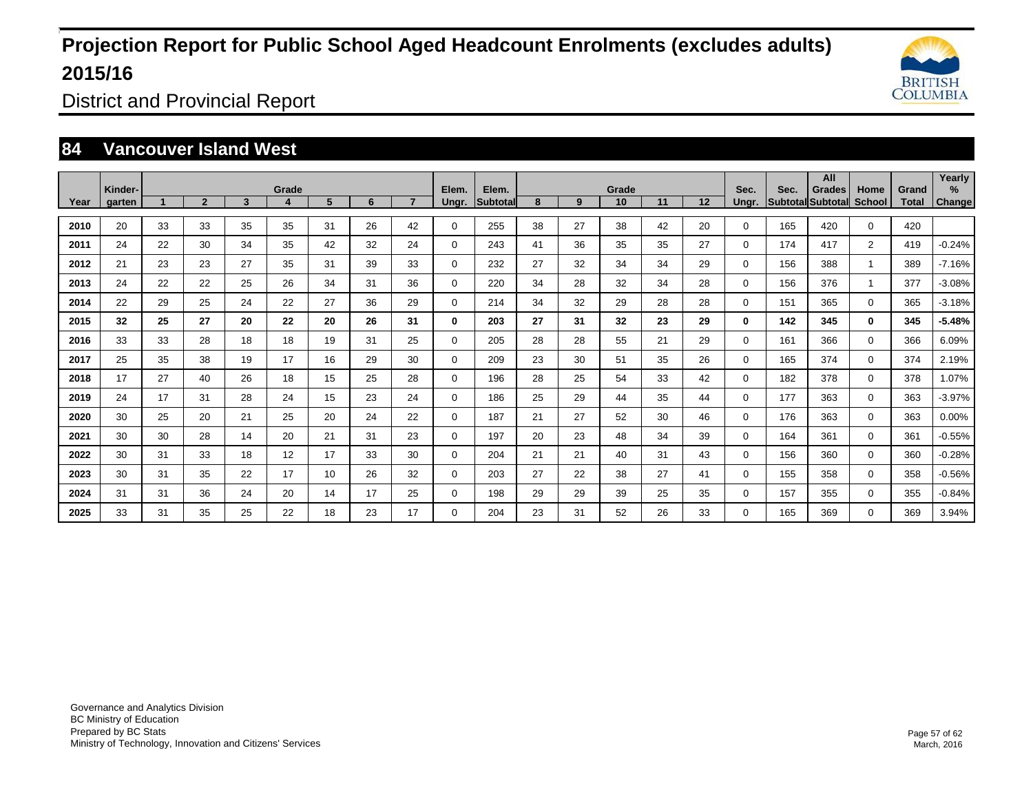

District and Provincial Report

### **84 Vancouver Island West**

| Year | Kinder-<br>garten |    | $\overline{2}$ | 3  | Grade<br>4 | 5  | 6  |    | Elem.<br>Ungr. | Elem.<br><b>Subtotal</b> | 8  | 9  | Grade<br>10 | 11 | 12 | Sec.<br>Ungr. | Sec. | All<br>Grades<br>Subtotal Subtotal | Home<br><b>School</b> | Grand<br>Total | Yearly<br>%<br><b>Change</b> |
|------|-------------------|----|----------------|----|------------|----|----|----|----------------|--------------------------|----|----|-------------|----|----|---------------|------|------------------------------------|-----------------------|----------------|------------------------------|
|      |                   |    |                |    |            |    |    |    |                |                          |    |    |             |    |    |               |      |                                    |                       |                |                              |
| 2010 | 20                | 33 | 33             | 35 | 35         | 31 | 26 | 42 | 0              | 255                      | 38 | 27 | 38          | 42 | 20 | 0             | 165  | 420                                | $\Omega$              | 420            |                              |
| 2011 | 24                | 22 | 30             | 34 | 35         | 42 | 32 | 24 | $\mathbf 0$    | 243                      | 41 | 36 | 35          | 35 | 27 | 0             | 174  | 417                                | $\overline{2}$        | 419            | $-0.24%$                     |
| 2012 | 21                | 23 | 23             | 27 | 35         | 31 | 39 | 33 | 0              | 232                      | 27 | 32 | 34          | 34 | 29 | 0             | 156  | 388                                | $\overline{1}$        | 389            | $-7.16%$                     |
| 2013 | 24                | 22 | 22             | 25 | 26         | 34 | 31 | 36 | $\mathbf 0$    | 220                      | 34 | 28 | 32          | 34 | 28 | 0             | 156  | 376                                | $\overline{1}$        | 377            | $-3.08%$                     |
| 2014 | 22                | 29 | 25             | 24 | 22         | 27 | 36 | 29 | $\mathbf 0$    | 214                      | 34 | 32 | 29          | 28 | 28 | 0             | 151  | 365                                | $\Omega$              | 365            | $-3.18%$                     |
| 2015 | 32                | 25 | 27             | 20 | 22         | 20 | 26 | 31 | 0              | 203                      | 27 | 31 | 32          | 23 | 29 | $\bf{0}$      | 142  | 345                                | $\mathbf{0}$          | 345            | $-5.48%$                     |
| 2016 | 33                | 33 | 28             | 18 | 18         | 19 | 31 | 25 | $\mathbf 0$    | 205                      | 28 | 28 | 55          | 21 | 29 | $\Omega$      | 161  | 366                                | $\Omega$              | 366            | 6.09%                        |
| 2017 | 25                | 35 | 38             | 19 | 17         | 16 | 29 | 30 | $\mathbf 0$    | 209                      | 23 | 30 | 51          | 35 | 26 | $\Omega$      | 165  | 374                                | $\mathbf 0$           | 374            | 2.19%                        |
| 2018 | 17                | 27 | 40             | 26 | 18         | 15 | 25 | 28 | $\mathbf 0$    | 196                      | 28 | 25 | 54          | 33 | 42 | 0             | 182  | 378                                | $\Omega$              | 378            | 1.07%                        |
| 2019 | 24                | 17 | 31             | 28 | 24         | 15 | 23 | 24 | $\mathbf 0$    | 186                      | 25 | 29 | 44          | 35 | 44 | 0             | 177  | 363                                | $\mathbf 0$           | 363            | $-3.97%$                     |
| 2020 | 30                | 25 | 20             | 21 | 25         | 20 | 24 | 22 | $\mathbf 0$    | 187                      | 21 | 27 | 52          | 30 | 46 | 0             | 176  | 363                                | $\mathbf 0$           | 363            | 0.00%                        |
| 2021 | 30                | 30 | 28             | 14 | 20         | 21 | 31 | 23 | $\mathbf 0$    | 197                      | 20 | 23 | 48          | 34 | 39 | 0             | 164  | 361                                | $\Omega$              | 361            | $-0.55%$                     |
| 2022 | 30                | 31 | 33             | 18 | 12         | 17 | 33 | 30 | $\mathbf 0$    | 204                      | 21 | 21 | 40          | 31 | 43 | $\Omega$      | 156  | 360                                | $\mathbf 0$           | 360            | $-0.28%$                     |
| 2023 | 30                | 31 | 35             | 22 | 17         | 10 | 26 | 32 | $\mathbf 0$    | 203                      | 27 | 22 | 38          | 27 | 41 | 0             | 155  | 358                                | $\mathbf 0$           | 358            | $-0.56%$                     |
| 2024 | 31                | 31 | 36             | 24 | 20         | 14 | 17 | 25 | $\mathbf 0$    | 198                      | 29 | 29 | 39          | 25 | 35 | 0             | 157  | 355                                | $\mathbf 0$           | 355            | $-0.84%$                     |
| 2025 | 33                | 31 | 35             | 25 | 22         | 18 | 23 | 17 | 0              | 204                      | 23 | 31 | 52          | 26 | 33 | 0             | 165  | 369                                | $\mathbf 0$           | 369            | 3.94%                        |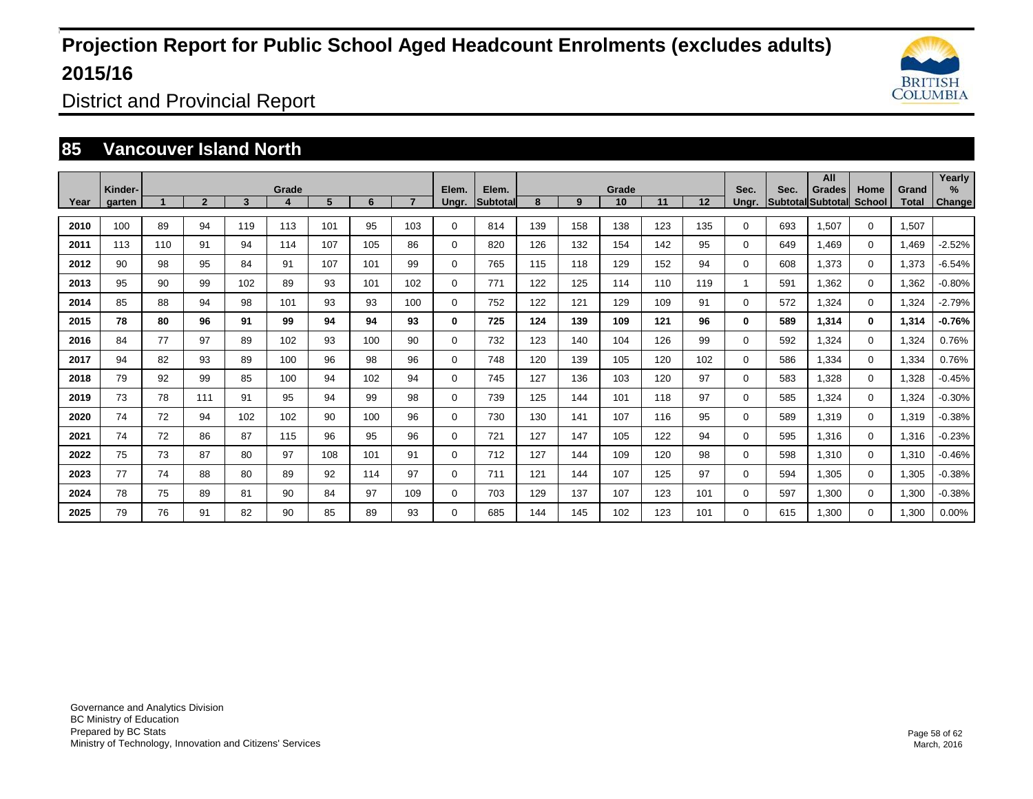

District and Provincial Report

### **85 Vancouver Island North**

|      | Kinder- |     |                |     | Grade |     |     |     | Elem.       | Elem.           |     |     | Grade |     |     | Sec.     | Sec. | All<br>Grades            | Home          | Grand | Yearly<br>% |
|------|---------|-----|----------------|-----|-------|-----|-----|-----|-------------|-----------------|-----|-----|-------|-----|-----|----------|------|--------------------------|---------------|-------|-------------|
| Year | garten  |     | $\overline{2}$ | 3   | 4     | 5   | 6   |     | Ungr.       | <b>Subtotal</b> | 8   | 9   | 10    | 11  | 12  | Unar.    |      | <b>Subtotal Subtotal</b> | <b>School</b> | Total | Change      |
| 2010 | 100     | 89  | 94             | 119 | 113   | 101 | 95  | 103 | 0           | 814             | 139 | 158 | 138   | 123 | 135 | 0        | 693  | 1.507                    | $\mathbf 0$   | 1.507 |             |
| 2011 | 113     | 110 | 91             | 94  | 114   | 107 | 105 | 86  | 0           | 820             | 126 | 132 | 154   | 142 | 95  | 0        | 649  | 1.469                    | $\mathbf 0$   | 1,469 | $-2.52%$    |
| 2012 | 90      | 98  | 95             | 84  | 91    | 107 | 101 | 99  | 0           | 765             | 115 | 118 | 129   | 152 | 94  | 0        | 608  | 1,373                    | $\mathbf 0$   | 1,373 | $-6.54%$    |
| 2013 | 95      | 90  | 99             | 102 | 89    | 93  | 101 | 102 | 0           | 771             | 122 | 125 | 114   | 110 | 119 | 1        | 591  | 1.362                    | $\mathbf 0$   | 1,362 | $-0.80%$    |
| 2014 | 85      | 88  | 94             | 98  | 101   | 93  | 93  | 100 | 0           | 752             | 122 | 121 | 129   | 109 | 91  | 0        | 572  | 1,324                    | $\mathbf 0$   | 1,324 | $-2.79%$    |
| 2015 | 78      | 80  | 96             | 91  | 99    | 94  | 94  | 93  | 0           | 725             | 124 | 139 | 109   | 121 | 96  | 0        | 589  | 1,314                    | $\mathbf 0$   | 1,314 | $-0.76%$    |
| 2016 | 84      | 77  | 97             | 89  | 102   | 93  | 100 | 90  | $\mathbf 0$ | 732             | 123 | 140 | 104   | 126 | 99  | $\Omega$ | 592  | 1,324                    | $\mathbf 0$   | 1,324 | 0.76%       |
| 2017 | 94      | 82  | 93             | 89  | 100   | 96  | 98  | 96  | $\mathbf 0$ | 748             | 120 | 139 | 105   | 120 | 102 | 0        | 586  | 1,334                    | $\Omega$      | 1,334 | 0.76%       |
| 2018 | 79      | 92  | 99             | 85  | 100   | 94  | 102 | 94  | 0           | 745             | 127 | 136 | 103   | 120 | 97  | $\Omega$ | 583  | 1,328                    | $\mathbf 0$   | 1,328 | $-0.45%$    |
| 2019 | 73      | 78  | 111            | 91  | 95    | 94  | 99  | 98  | $\mathbf 0$ | 739             | 125 | 144 | 101   | 118 | 97  | $\Omega$ | 585  | 1,324                    | $\mathbf 0$   | 1,324 | $-0.30%$    |
| 2020 | 74      | 72  | 94             | 102 | 102   | 90  | 100 | 96  | $\mathbf 0$ | 730             | 130 | 141 | 107   | 116 | 95  | 0        | 589  | 1,319                    | $\mathbf 0$   | 1,319 | $-0.38%$    |
| 2021 | 74      | 72  | 86             | 87  | 115   | 96  | 95  | 96  | $\mathbf 0$ | 721             | 127 | 147 | 105   | 122 | 94  | $\Omega$ | 595  | 1,316                    | $\mathbf 0$   | 1,316 | $-0.23%$    |
| 2022 | 75      | 73  | 87             | 80  | 97    | 108 | 101 | 91  | 0           | 712             | 127 | 144 | 109   | 120 | 98  | 0        | 598  | 1,310                    | $\mathbf 0$   | 1,310 | $-0.46%$    |
| 2023 | 77      | 74  | 88             | 80  | 89    | 92  | 114 | 97  | $\mathbf 0$ | 711             | 121 | 144 | 107   | 125 | 97  | $\Omega$ | 594  | 1,305                    | $\mathbf 0$   | 1,305 | $-0.38%$    |
| 2024 | 78      | 75  | 89             | 81  | 90    | 84  | 97  | 109 | 0           | 703             | 129 | 137 | 107   | 123 | 101 | 0        | 597  | 1,300                    | $\mathbf 0$   | 1,300 | $-0.38%$    |
| 2025 | 79      | 76  | 91             | 82  | 90    | 85  | 89  | 93  | 0           | 685             | 144 | 145 | 102   | 123 | 101 | 0        | 615  | 1,300                    | $\Omega$      | 1,300 | 0.00%       |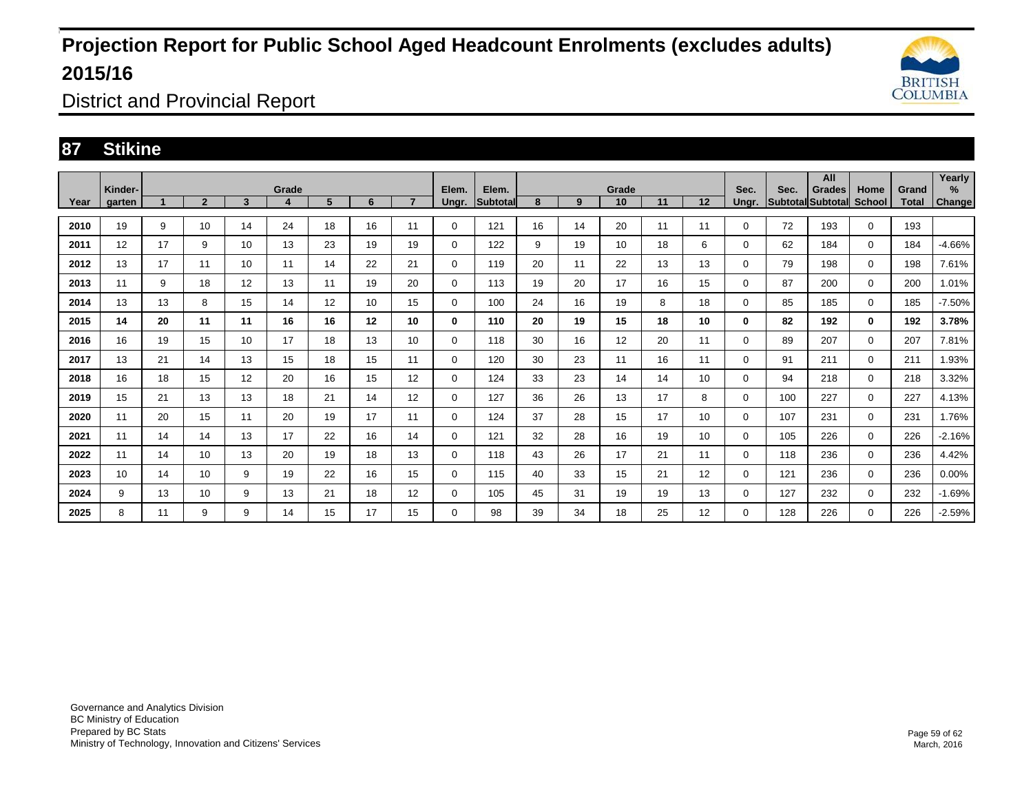

District and Provincial Report

### **87 Stikine**

|      | Kinder- |    |                |    | Grade |    |    |                 | Elem.       | Elem.           |    |    | Grade |    |    | Sec.  | Sec. | All<br><b>Grades</b> | Home        | Grand        | Yearly<br>% |
|------|---------|----|----------------|----|-------|----|----|-----------------|-------------|-----------------|----|----|-------|----|----|-------|------|----------------------|-------------|--------------|-------------|
| Year | garten  |    | $\overline{2}$ | 3  | 4     | 5  | 6  | $\overline{ }$  | Ungr.       | <b>Subtotal</b> | 8  | 9  | 10    | 11 | 12 | Ungr. |      | Subtotal Subtotal    | School      | <b>Total</b> | Change      |
| 2010 | 19      | 9  | 10             | 14 | 24    | 18 | 16 | 11              | 0           | 121             | 16 | 14 | 20    | 11 | 11 | 0     | 72   | 193                  | $\mathbf 0$ | 193          |             |
| 2011 | 12      | 17 | 9              | 10 | 13    | 23 | 19 | 19              | 0           | 122             | 9  | 19 | 10    | 18 | 6  | 0     | 62   | 184                  | 0           | 184          | $-4.66%$    |
| 2012 | 13      | 17 | 11             | 10 | 11    | 14 | 22 | 21              | $\mathbf 0$ | 119             | 20 | 11 | 22    | 13 | 13 | 0     | 79   | 198                  | $\mathbf 0$ | 198          | 7.61%       |
| 2013 | 11      | 9  | 18             | 12 | 13    | 11 | 19 | 20              | 0           | 113             | 19 | 20 | 17    | 16 | 15 | 0     | 87   | 200                  | $\mathbf 0$ | 200          | 1.01%       |
| 2014 | 13      | 13 | 8              | 15 | 14    | 12 | 10 | 15              | 0           | 100             | 24 | 16 | 19    | 8  | 18 | 0     | 85   | 185                  | 0           | 185          | $-7.50%$    |
| 2015 | 14      | 20 | 11             | 11 | 16    | 16 | 12 | 10              | 0           | 110             | 20 | 19 | 15    | 18 | 10 | 0     | 82   | 192                  | $\bf{0}$    | 192          | 3.78%       |
| 2016 | 16      | 19 | 15             | 10 | 17    | 18 | 13 | 10 <sup>°</sup> | 0           | 118             | 30 | 16 | 12    | 20 | 11 | 0     | 89   | 207                  | 0           | 207          | 7.81%       |
| 2017 | 13      | 21 | 14             | 13 | 15    | 18 | 15 | 11              | $\mathbf 0$ | 120             | 30 | 23 | 11    | 16 | 11 | 0     | 91   | 211                  | $\Omega$    | 211          | 1.93%       |
| 2018 | 16      | 18 | 15             | 12 | 20    | 16 | 15 | 12 <sup>2</sup> | 0           | 124             | 33 | 23 | 14    | 14 | 10 | 0     | 94   | 218                  | $\mathbf 0$ | 218          | 3.32%       |
| 2019 | 15      | 21 | 13             | 13 | 18    | 21 | 14 | 12 <sup>2</sup> | 0           | 127             | 36 | 26 | 13    | 17 | 8  | 0     | 100  | 227                  | $\mathbf 0$ | 227          | 4.13%       |
| 2020 | 11      | 20 | 15             | 11 | 20    | 19 | 17 | 11              | $\mathbf 0$ | 124             | 37 | 28 | 15    | 17 | 10 | 0     | 107  | 231                  | $\mathbf 0$ | 231          | 1.76%       |
| 2021 | 11      | 14 | 14             | 13 | 17    | 22 | 16 | 14              | 0           | 121             | 32 | 28 | 16    | 19 | 10 | 0     | 105  | 226                  | $\mathbf 0$ | 226          | $-2.16%$    |
| 2022 | 11      | 14 | 10             | 13 | 20    | 19 | 18 | 13              | $\mathbf 0$ | 118             | 43 | 26 | 17    | 21 | 11 | 0     | 118  | 236                  | $\mathbf 0$ | 236          | 4.42%       |
| 2023 | 10      | 14 | 10             | 9  | 19    | 22 | 16 | 15              | $\mathbf 0$ | 115             | 40 | 33 | 15    | 21 | 12 | 0     | 121  | 236                  | $\mathbf 0$ | 236          | $0.00\%$    |
| 2024 | 9       | 13 | 10             | 9  | 13    | 21 | 18 | 12 <sup>2</sup> | $\mathbf 0$ | 105             | 45 | 31 | 19    | 19 | 13 | 0     | 127  | 232                  | $\mathbf 0$ | 232          | $-1.69%$    |
| 2025 | 8       | 11 | 9              | 9  | 14    | 15 | 17 | 15              | 0           | 98              | 39 | 34 | 18    | 25 | 12 | 0     | 128  | 226                  | $\mathbf 0$ | 226          | $-2.59%$    |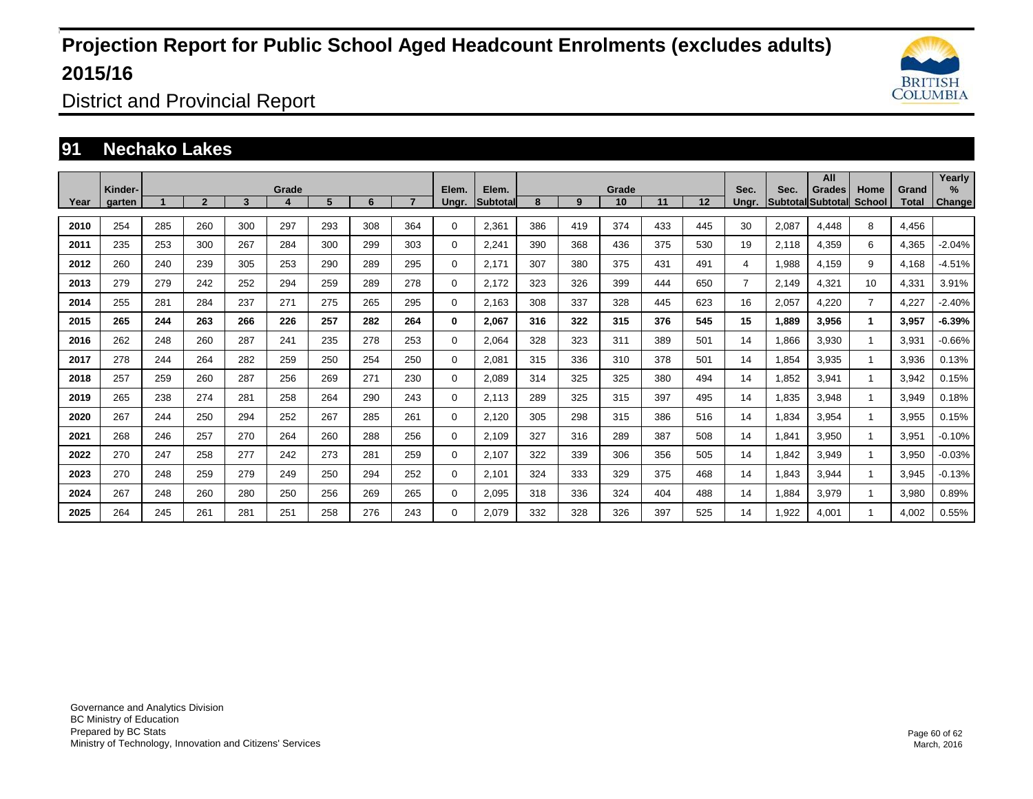

District and Provincial Report

### **91 Nechako Lakes**

|      | Kinder- |     |                |     | Grade |     |     |     | Elem.       | Elem.    | Grade |     |     |     |     |                | Sec.  | All<br>Grades            | Home           | Grand | Yearly<br>$\frac{9}{6}$ |
|------|---------|-----|----------------|-----|-------|-----|-----|-----|-------------|----------|-------|-----|-----|-----|-----|----------------|-------|--------------------------|----------------|-------|-------------------------|
| Year | garten  |     | $\overline{2}$ | 3   | 4     | 5   | 6   |     | Ungr.       | Subtotal | 8     | 9   | 10  | 11  | 12  | Sec.<br>Unar.  |       | <b>Subtotal Subtotal</b> | <b>School</b>  | Total | <b>Change</b>           |
| 2010 | 254     | 285 | 260            | 300 | 297   | 293 | 308 | 364 | $\Omega$    | 2,361    | 386   | 419 | 374 | 433 | 445 | 30             | 2,087 | 4,448                    | 8              | 4.456 |                         |
| 2011 | 235     | 253 | 300            | 267 | 284   | 300 | 299 | 303 | $\Omega$    | 2,241    | 390   | 368 | 436 | 375 | 530 | 19             | 2,118 | 4,359                    | 6              | 4,365 | $-2.04%$                |
| 2012 | 260     | 240 | 239            | 305 | 253   | 290 | 289 | 295 | $\Omega$    | 2,171    | 307   | 380 | 375 | 431 | 491 | 4              | 1,988 | 4,159                    | 9              | 4,168 | $-4.51%$                |
| 2013 | 279     | 279 | 242            | 252 | 294   | 259 | 289 | 278 | 0           | 2.172    | 323   | 326 | 399 | 444 | 650 | $\overline{7}$ | 2,149 | 4,321                    | 10             | 4,331 | 3.91%                   |
| 2014 | 255     | 281 | 284            | 237 | 271   | 275 | 265 | 295 | $\Omega$    | 2,163    | 308   | 337 | 328 | 445 | 623 | 16             | 2,057 | 4,220                    | $\overline{7}$ | 4,227 | $-2.40%$                |
| 2015 | 265     | 244 | 263            | 266 | 226   | 257 | 282 | 264 | 0           | 2,067    | 316   | 322 | 315 | 376 | 545 | 15             | 1,889 | 3,956                    | $\mathbf{1}$   | 3,957 | $-6.39%$                |
| 2016 | 262     | 248 | 260            | 287 | 241   | 235 | 278 | 253 | $\Omega$    | 2,064    | 328   | 323 | 311 | 389 | 501 | 14             | 1,866 | 3,930                    |                | 3,931 | $-0.66%$                |
| 2017 | 278     | 244 | 264            | 282 | 259   | 250 | 254 | 250 | $\Omega$    | 2,081    | 315   | 336 | 310 | 378 | 501 | 14             | 1,854 | 3,935                    | $\mathbf{1}$   | 3,936 | 0.13%                   |
| 2018 | 257     | 259 | 260            | 287 | 256   | 269 | 271 | 230 | $\Omega$    | 2,089    | 314   | 325 | 325 | 380 | 494 | 14             | 1,852 | 3,941                    | $\mathbf{1}$   | 3,942 | 0.15%                   |
| 2019 | 265     | 238 | 274            | 281 | 258   | 264 | 290 | 243 | $\Omega$    | 2,113    | 289   | 325 | 315 | 397 | 495 | 14             | 1,835 | 3,948                    | $\mathbf{1}$   | 3,949 | 0.18%                   |
| 2020 | 267     | 244 | 250            | 294 | 252   | 267 | 285 | 261 | $\mathbf 0$ | 2,120    | 305   | 298 | 315 | 386 | 516 | 14             | 1,834 | 3,954                    |                | 3,955 | 0.15%                   |
| 2021 | 268     | 246 | 257            | 270 | 264   | 260 | 288 | 256 | $\Omega$    | 2.109    | 327   | 316 | 289 | 387 | 508 | 14             | 1,841 | 3,950                    | $\mathbf{1}$   | 3,951 | $-0.10%$                |
| 2022 | 270     | 247 | 258            | 277 | 242   | 273 | 281 | 259 | $\Omega$    | 2,107    | 322   | 339 | 306 | 356 | 505 | 14             | 1,842 | 3,949                    |                | 3,950 | $-0.03%$                |
| 2023 | 270     | 248 | 259            | 279 | 249   | 250 | 294 | 252 | $\Omega$    | 2.101    | 324   | 333 | 329 | 375 | 468 | 14             | 1.843 | 3.944                    |                | 3,945 | $-0.13%$                |
| 2024 | 267     | 248 | 260            | 280 | 250   | 256 | 269 | 265 | 0           | 2,095    | 318   | 336 | 324 | 404 | 488 | 14             | 1,884 | 3,979                    |                | 3,980 | 0.89%                   |
| 2025 | 264     | 245 | 261            | 281 | 251   | 258 | 276 | 243 | $\Omega$    | 2,079    | 332   | 328 | 326 | 397 | 525 | 14             | 1,922 | 4,001                    |                | 4,002 | 0.55%                   |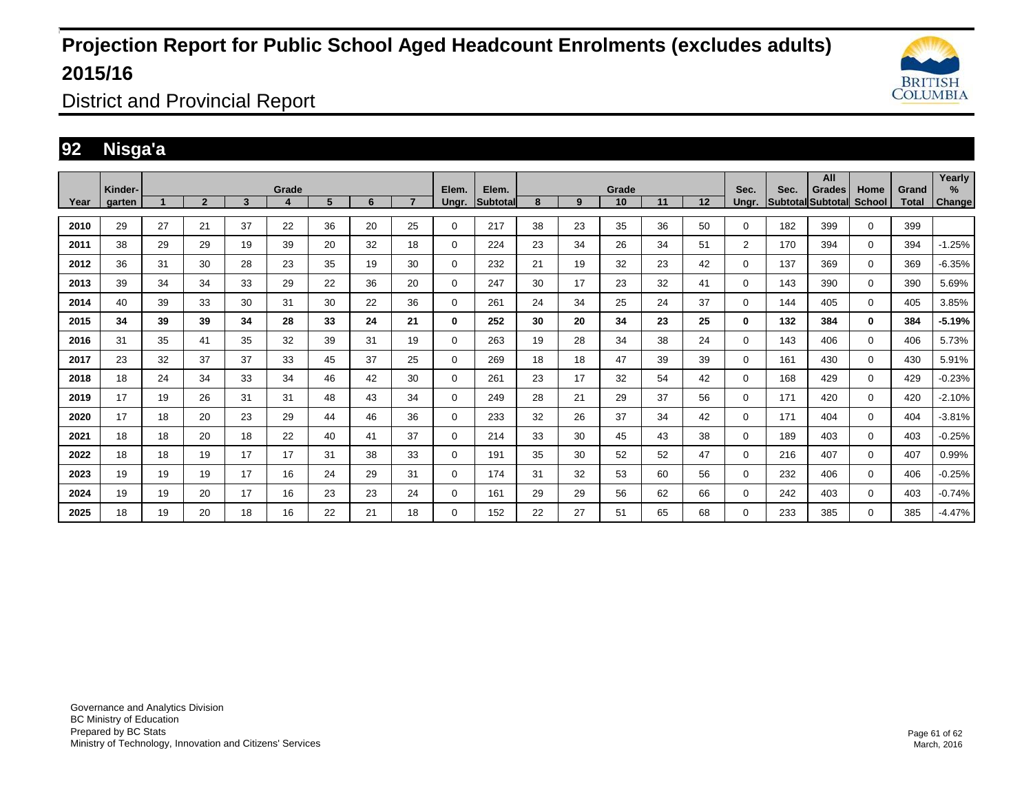

District and Provincial Report

### **92 Nisga'a**

|      | Kinder- |    |                |    |            |    |    |    |                | Elem.           |    |    | Grade |    |    | Sec.           |      | All                                | Home          |                       | Yearly<br>% |
|------|---------|----|----------------|----|------------|----|----|----|----------------|-----------------|----|----|-------|----|----|----------------|------|------------------------------------|---------------|-----------------------|-------------|
| Year | garten  |    | $\overline{2}$ | 3  | Grade<br>4 | 5  | 6  |    | Elem.<br>Ungr. | <b>Subtotal</b> | 8  | 9  | 10    | 11 | 12 | Ungr.          | Sec. | <b>Grades</b><br>Subtotal Subtotal | <b>School</b> | Grand<br><b>Total</b> | Change      |
| 2010 | 29      | 27 | 21             | 37 | 22         | 36 | 20 | 25 | 0              | 217             | 38 | 23 | 35    | 36 | 50 | 0              | 182  | 399                                | $\mathbf 0$   | 399                   |             |
| 2011 | 38      | 29 | 29             | 19 | 39         | 20 | 32 | 18 | 0              | 224             | 23 | 34 | 26    | 34 | 51 | $\overline{2}$ | 170  | 394                                | 0             | 394                   | $-1.25%$    |
| 2012 | 36      | 31 | 30             | 28 | 23         | 35 | 19 | 30 | 0              | 232             | 21 | 19 | 32    | 23 | 42 | 0              | 137  | 369                                | 0             | 369                   | $-6.35%$    |
| 2013 | 39      | 34 | 34             | 33 | 29         | 22 | 36 | 20 | 0              | 247             | 30 | 17 | 23    | 32 | 41 | 0              | 143  | 390                                | 0             | 390                   | 5.69%       |
| 2014 | 40      | 39 | 33             | 30 | 31         | 30 | 22 | 36 | 0              | 261             | 24 | 34 | 25    | 24 | 37 | 0              | 144  | 405                                | 0             | 405                   | 3.85%       |
| 2015 | 34      | 39 | 39             | 34 | 28         | 33 | 24 | 21 | 0              | 252             | 30 | 20 | 34    | 23 | 25 | 0              | 132  | 384                                | $\bf{0}$      | 384                   | $-5.19%$    |
| 2016 | 31      | 35 | 41             | 35 | 32         | 39 | 31 | 19 | 0              | 263             | 19 | 28 | 34    | 38 | 24 | 0              | 143  | 406                                | $\mathbf 0$   | 406                   | 5.73%       |
| 2017 | 23      | 32 | 37             | 37 | 33         | 45 | 37 | 25 | 0              | 269             | 18 | 18 | 47    | 39 | 39 | 0              | 161  | 430                                | $\Omega$      | 430                   | 5.91%       |
| 2018 | 18      | 24 | 34             | 33 | 34         | 46 | 42 | 30 | $\mathbf 0$    | 261             | 23 | 17 | 32    | 54 | 42 | 0              | 168  | 429                                | $\mathbf 0$   | 429                   | $-0.23%$    |
| 2019 | 17      | 19 | 26             | 31 | 31         | 48 | 43 | 34 | $\mathbf 0$    | 249             | 28 | 21 | 29    | 37 | 56 | $\Omega$       | 171  | 420                                | $\Omega$      | 420                   | $-2.10%$    |
| 2020 | 17      | 18 | 20             | 23 | 29         | 44 | 46 | 36 | $\mathbf 0$    | 233             | 32 | 26 | 37    | 34 | 42 | 0              | 171  | 404                                | $\mathbf 0$   | 404                   | $-3.81%$    |
| 2021 | 18      | 18 | 20             | 18 | 22         | 40 | 41 | 37 | 0              | 214             | 33 | 30 | 45    | 43 | 38 | 0              | 189  | 403                                | $\mathbf 0$   | 403                   | $-0.25%$    |
| 2022 | 18      | 18 | 19             | 17 | 17         | 31 | 38 | 33 | $\mathbf 0$    | 191             | 35 | 30 | 52    | 52 | 47 | 0              | 216  | 407                                | $\mathbf 0$   | 407                   | 0.99%       |
| 2023 | 19      | 19 | 19             | 17 | 16         | 24 | 29 | 31 | 0              | 174             | 31 | 32 | 53    | 60 | 56 | 0              | 232  | 406                                | $\mathbf 0$   | 406                   | $-0.25%$    |
| 2024 | 19      | 19 | 20             | 17 | 16         | 23 | 23 | 24 | 0              | 161             | 29 | 29 | 56    | 62 | 66 | 0              | 242  | 403                                | $\mathbf 0$   | 403                   | $-0.74%$    |
| 2025 | 18      | 19 | 20             | 18 | 16         | 22 | 21 | 18 | $\mathbf 0$    | 152             | 22 | 27 | 51    | 65 | 68 | 0              | 233  | 385                                | $\mathbf 0$   | 385                   | $-4.47%$    |